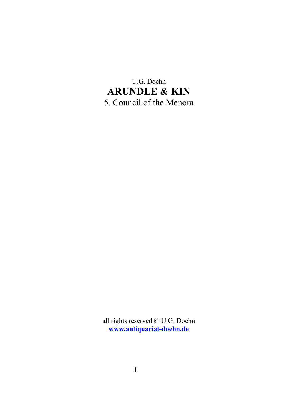U.G. Doehn **ARUNDLE & KIN** 5. Council of the Menora

all rights reserved © U.G. Doehn **[www.antiquariat-doehn.de](http://www.antiquariat-doehn.de/)**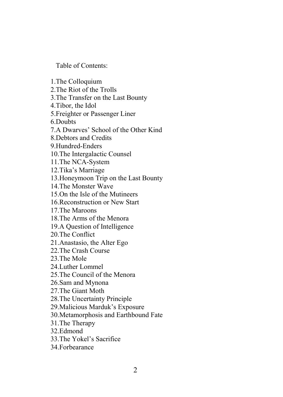Table of Contents:

1.The Colloquium 2.The Riot of the Trolls 3.The Transfer on the Last Bounty 4.Tibor, the Idol 5.Freighter or Passenger Liner 6.Doubts 7.A Dwarves' School of the Other Kind 8.Debtors and Credits 9.Hundred-Enders 10.The Intergalactic Counsel 11.The NCA-System 12.Tika's Marriage 13.Honeymoon Trip on the Last Bounty 14.The Monster Wave 15.On the Isle of the Mutineers 16.Reconstruction or New Start 17.The Maroons 18.The Arms of the Menora 19.A Question of Intelligence 20.The Conflict 21.Anastasio, the Alter Ego 22.The Crash Course 23.The Mole 24.Luther Lommel 25.The Council of the Menora 26.Sam and Mynona 27.The Giant Moth 28.The Uncertainty Principle 29.Malicious Marduk's Exposure 30.Metamorphosis and Earthbound Fate 31.The Therapy 32.Edmond 33.The Yokel's Sacrifice 34.Forbearance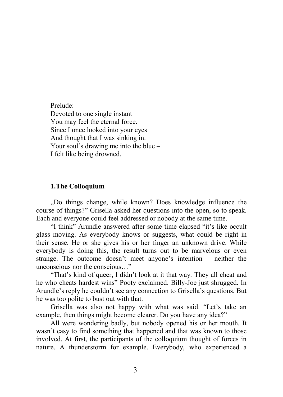Prelude: Devoted to one single instant You may feel the eternal force. Since I once looked into your eyes And thought that I was sinking in. Your soul's drawing me into the blue – I felt like being drowned.

## **1.The Colloquium**

"Do things change, while known? Does knowledge influence the course of things?" Grisella asked her questions into the open, so to speak. Each and everyone could feel addressed or nobody at the same time.

"I think" Arundle answered after some time elapsed "it's like occult glass moving. As everybody knows or suggests, what could be right in their sense. He or she gives his or her finger an unknown drive. While everybody is doing this, the result turns out to be marvelous or even strange. The outcome doesn't meet anyone's intention – neither the unconscious nor the conscious…"

"That's kind of queer, I didn't look at it that way. They all cheat and he who cheats hardest wins" Pooty exclaimed. Billy-Joe just shrugged. In Arundle's reply he couldn't see any connection to Grisella's questions. But he was too polite to bust out with that.

Grisella was also not happy with what was said. "Let's take an example, then things might become clearer. Do you have any idea?"

All were wondering badly, but nobody opened his or her mouth. It wasn't easy to find something that happened and that was known to those involved. At first, the participants of the colloquium thought of forces in nature. A thunderstorm for example. Everybody, who experienced a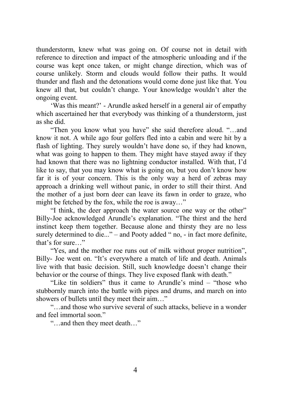thunderstorm, knew what was going on. Of course not in detail with reference to direction and impact of the atmospheric unloading and if the course was kept once taken, or might change direction, which was of course unlikely. Storm and clouds would follow their paths. It would thunder and flash and the detonations would come done just like that. You knew all that, but couldn't change. Your knowledge wouldn't alter the ongoing event.

'Was this meant?' - Arundle asked herself in a general air of empathy which ascertained her that everybody was thinking of a thunderstorm, just as she did.

"Then you know what you have" she said therefore aloud. "…and know it not. A while ago four golfers fled into a cabin and were hit by a flash of lighting. They surely wouldn't have done so, if they had known, what was going to happen to them. They might have stayed away if they had known that there was no lightning conductor installed. With that, I'd like to say, that you may know what is going on, but you don't know how far it is of your concern. This is the only way a herd of zebras may approach a drinking well without panic, in order to still their thirst. And the mother of a just born deer can leave its fawn in order to graze, who might be fetched by the fox, while the roe is away…"

"I think, the deer approach the water source one way or the other" Billy-Joe acknowledged Arundle's explanation. "The thirst and the herd instinct keep them together. Because alone and thirsty they are no less surely determined to die..." – and Pooty added " no, - in fact more definite, that's for sure…"

"Yes, and the mother roe runs out of milk without proper nutrition", Billy- Joe went on. "It's everywhere a match of life and death. Animals live with that basic decision. Still, such knowledge doesn't change their behavior or the course of things. They live exposed flank with death."

"Like tin soldiers" thus it came to Arundle's mind – "those who stubbornly march into the battle with pipes and drums, and march on into showers of bullets until they meet their aim…"

"…and those who survive several of such attacks, believe in a wonder and feel immortal soon."

"…and then they meet death…"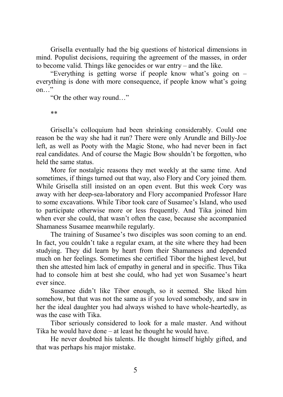Grisella eventually had the big questions of historical dimensions in mind. Populist decisions, requiring the agreement of the masses, in order to become valid. Things like genocides or war entry – and the like.

"Everything is getting worse if people know what's going on – everything is done with more consequence, if people know what's going on…"

"Or the other way round…"

\*\*

Grisella's colloquium had been shrinking considerably. Could one reason be the way she had it run? There were only Arundle and Billy-Joe left, as well as Pooty with the Magic Stone, who had never been in fact real candidates. And of course the Magic Bow shouldn't be forgotten, who held the same status.

More for nostalgic reasons they met weekly at the same time. And sometimes, if things turned out that way, also Flory and Cory joined them. While Grisella still insisted on an open event. But this week Cory was away with her deep-sea-laboratory and Flory accompanied Professor Hare to some excavations. While Tibor took care of Susamee's Island, who used to participate otherwise more or less frequently. And Tika joined him when ever she could, that wasn't often the case, because she accompanied Shamaness Susamee meanwhile regularly.

The training of Susamee's two disciples was soon coming to an end. In fact, you couldn't take a regular exam, at the site where they had been studying. They did learn by heart from their Shamaness and depended much on her feelings. Sometimes she certified Tibor the highest level, but then she attested him lack of empathy in general and in specific. Thus Tika had to console him at best she could, who had yet won Susamee's heart ever since.

Susamee didn't like Tibor enough, so it seemed. She liked him somehow, but that was not the same as if you loved somebody, and saw in her the ideal daughter you had always wished to have whole-heartedly, as was the case with Tika.

Tibor seriously considered to look for a male master. And without Tika he would have done – at least he thought he would have.

He never doubted his talents. He thought himself highly gifted, and that was perhaps his major mistake.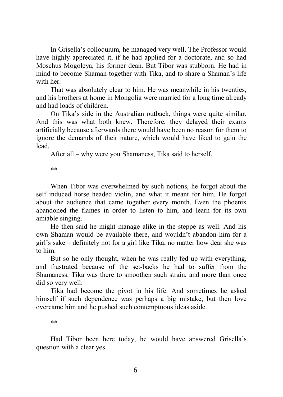In Grisella's colloquium, he managed very well. The Professor would have highly appreciated it, if he had applied for a doctorate, and so had Moschus Mogoleya, his former dean. But Tibor was stubborn. He had in mind to become Shaman together with Tika, and to share a Shaman's life with her.

That was absolutely clear to him. He was meanwhile in his twenties, and his brothers at home in Mongolia were married for a long time already and had loads of children.

On Tika's side in the Australian outback, things were quite similar. And this was what both knew. Therefore, they delayed their exams artificially because afterwards there would have been no reason for them to ignore the demands of their nature, which would have liked to gain the lead.

After all – why were you Shamaness, Tika said to herself.

\*\*

When Tibor was overwhelmed by such notions, he forgot about the self induced horse headed violin, and what it meant for him. He forgot about the audience that came together every month. Even the phoenix abandoned the flames in order to listen to him, and learn for its own amiable singing.

He then said he might manage alike in the steppe as well. And his own Shaman would be available there, and wouldn't abandon him for a girl's sake – definitely not for a girl like Tika, no matter how dear she was to him.

But so he only thought, when he was really fed up with everything, and frustrated because of the set-backs he had to suffer from the Shamaness. Tika was there to smoothen such strain, and more than once did so very well.

Tika had become the pivot in his life. And sometimes he asked himself if such dependence was perhaps a big mistake, but then love overcame him and he pushed such contemptuous ideas aside.

\*\*

Had Tibor been here today, he would have answered Grisella's question with a clear yes.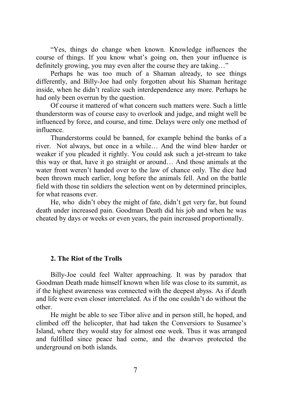"Yes, things do change when known. Knowledge influences the course of things. If you know what's going on, then your influence is definitely growing, you may even alter the course they are taking…"

Perhaps he was too much of a Shaman already, to see things differently, and Billy-Joe had only forgotten about his Shaman heritage inside, when he didn't realize such interdependence any more. Perhaps he had only been overrun by the question.

Of course it mattered of what concern such matters were. Such a little thunderstorm was of course easy to overlook and judge, and might well be influenced by force, and course, and time. Delays were only one method of influence.

Thunderstorms could be banned, for example behind the banks of a river. Not always, but once in a while… And the wind blew harder or weaker if you pleaded it rightly. You could ask such a jet-stream to take this way or that, have it go straight or around… And those animals at the water front weren't handed over to the law of chance only. The dice had been thrown much earlier, long before the animals fell. And on the battle field with those tin soldiers the selection went on by determined principles, for what reasons ever.

He, who didn't obey the might of fate, didn't get very far, but found death under increased pain. Goodman Death did his job and when he was cheated by days or weeks or even years, the pain increased proportionally.

# **2. The Riot of the Trolls**

Billy-Joe could feel Walter approaching. It was by paradox that Goodman Death made himself known when life was close to its summit, as if the highest awareness was connected with the deepest abyss. As if death and life were even closer interrelated. As if the one couldn't do without the other.

He might be able to see Tibor alive and in person still, he hoped, and climbed off the helicopter, that had taken the Conversiors to Susamee's Island, where they would stay for almost one week. Thus it was arranged and fulfilled since peace had come, and the dwarves protected the underground on both islands.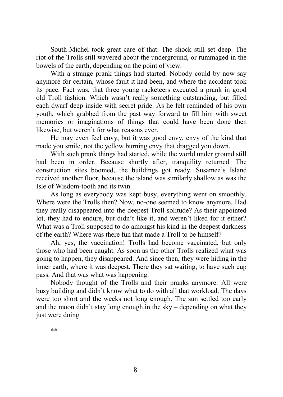South-Michel took great care of that. The shock still set deep. The riot of the Trolls still wavered about the underground, or rummaged in the bowels of the earth, depending on the point of view.

With a strange prank things had started. Nobody could by now say anymore for certain, whose fault it had been, and where the accident took its pace. Fact was, that three young racketeers executed a prank in good old Troll fashion. Which wasn't really something outstanding, but filled each dwarf deep inside with secret pride. As he felt reminded of his own youth, which grabbed from the past way forward to fill him with sweet memories or imaginations of things that could have been done then likewise, but weren't for what reasons ever.

He may even feel envy, but it was good envy, envy of the kind that made you smile, not the yellow burning envy that dragged you down.

With such prank things had started, while the world under ground still had been in order. Because shortly after, tranquility returned. The construction sites boomed, the buildings got ready. Susamee's Island received another floor, because the island was similarly shallow as was the Isle of Wisdom-tooth and its twin.

As long as everybody was kept busy, everything went on smoothly. Where were the Trolls then? Now, no-one seemed to know anymore. Had they really disappeared into the deepest Troll-solitude? As their appointed lot, they had to endure, but didn't like it, and weren't liked for it either? What was a Troll supposed to do amongst his kind in the deepest darkness of the earth? Where was there fun that made a Troll to be himself?

Ah, yes, the vaccination! Trolls had become vaccinated, but only those who had been caught. As soon as the other Trolls realized what was going to happen, they disappeared. And since then, they were hiding in the inner earth, where it was deepest. There they sat waiting, to have such cup pass. And that was what was happening.

Nobody thought of the Trolls and their pranks anymore. All were busy building and didn't know what to do with all that workload. The days were too short and the weeks not long enough. The sun settled too early and the moon didn't stay long enough in the sky – depending on what they just were doing.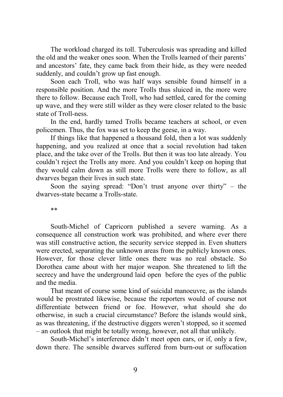The workload charged its toll. Tuberculosis was spreading and killed the old and the weaker ones soon. When the Trolls learned of their parents' and ancestors' fate, they came back from their hide, as they were needed suddenly, and couldn't grow up fast enough.

Soon each Troll, who was half ways sensible found himself in a responsible position. And the more Trolls thus sluiced in, the more were there to follow. Because each Troll, who had settled, cared for the coming up wave, and they were still wilder as they were closer related to the basic state of Troll-ness.

In the end, hardly tamed Trolls became teachers at school, or even policemen. Thus, the fox was set to keep the geese, in a way.

If things like that happened a thousand fold, then a lot was suddenly happening, and you realized at once that a social revolution had taken place, and the take over of the Trolls. But then it was too late already. You couldn't reject the Trolls any more. And you couldn't keep on hoping that they would calm down as still more Trolls were there to follow, as all dwarves began their lives in such state.

Soon the saying spread: "Don't trust anyone over thirty" – the dwarves-state became a Trolls-state.

\*\*

South-Michel of Capricorn published a severe warning. As a consequence all construction work was prohibited, and where ever there was still constructive action, the security service stepped in. Even shutters were erected, separating the unknown areas from the publicly known ones. However, for those clever little ones there was no real obstacle. So Dorothea came about with her major weapon. She threatened to lift the secrecy and have the underground laid open before the eyes of the public and the media.

That meant of course some kind of suicidal manoeuvre, as the islands would be prostrated likewise, because the reporters would of course not differentiate between friend or foe. However, what should she do otherwise, in such a crucial circumstance? Before the islands would sink, as was threatening, if the destructive diggers weren't stopped, so it seemed – an outlook that might be totally wrong, however, not all that unlikely.

South-Michel's interference didn't meet open ears, or if, only a few, down there. The sensible dwarves suffered from burn-out or suffocation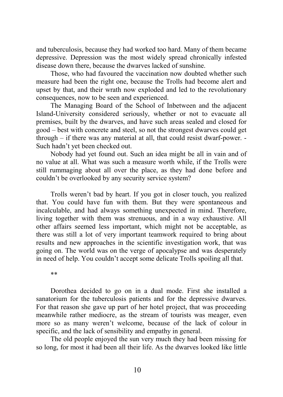and tuberculosis, because they had worked too hard. Many of them became depressive. Depression was the most widely spread chronically infested disease down there, because the dwarves lacked of sunshine.

Those, who had favoured the vaccination now doubted whether such measure had been the right one, because the Trolls had become alert and upset by that, and their wrath now exploded and led to the revolutionary consequences, now to be seen and experienced.

The Managing Board of the School of Inbetween and the adjacent Island-University considered seriously, whether or not to evacuate all premises, built by the dwarves, and have such areas sealed and closed for good – best with concrete and steel, so not the strongest dwarves could get through – if there was any material at all, that could resist dwarf-power. - Such hadn't yet been checked out.

Nobody had yet found out. Such an idea might be all in vain and of no value at all. What was such a measure worth while, if the Trolls were still rummaging about all over the place, as they had done before and couldn't be overlooked by any security service system?

Trolls weren't bad by heart. If you got in closer touch, you realized that. You could have fun with them. But they were spontaneous and incalculable, and had always something unexpected in mind. Therefore, living together with them was strenuous, and in a way exhaustive. All other affairs seemed less important, which might not be acceptable, as there was still a lot of very important teamwork required to bring about results and new approaches in the scientific investigation work, that was going on. The world was on the verge of apocalypse and was desperately in need of help. You couldn't accept some delicate Trolls spoiling all that.

\*\*

Dorothea decided to go on in a dual mode. First she installed a sanatorium for the tuberculosis patients and for the depressive dwarves. For that reason she gave up part of her hotel project, that was proceeding meanwhile rather mediocre, as the stream of tourists was meager, even more so as many weren't welcome, because of the lack of colour in specific, and the lack of sensibility and empathy in general.

The old people enjoyed the sun very much they had been missing for so long, for most it had been all their life. As the dwarves looked like little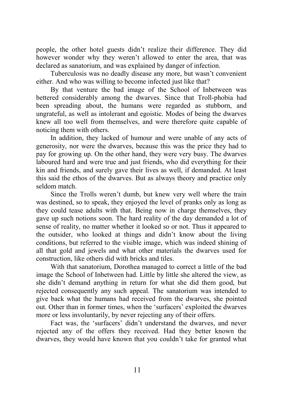people, the other hotel guests didn't realize their difference. They did however wonder why they weren't allowed to enter the area, that was declared as sanatorium, and was explained by danger of infection.

Tuberculosis was no deadly disease any more, but wasn't convenient either. And who was willing to become infected just like that?

By that venture the bad image of the School of Inbetween was bettered considerably among the dwarves. Since that Troll-phobia had been spreading about, the humans were regarded as stubborn, and ungrateful, as well as intolerant and egoistic. Modes of being the dwarves knew all too well from themselves, and were therefore quite capable of noticing them with others.

In addition, they lacked of humour and were unable of any acts of generosity, nor were the dwarves, because this was the price they had to pay for growing up. On the other hand, they were very busy. The dwarves laboured hard and were true and just friends, who did everything for their kin and friends, and surely gave their lives as well, if demanded. At least this said the ethos of the dwarves. But as always theory and practice only seldom match.

Since the Trolls weren't dumb, but knew very well where the train was destined, so to speak, they enjoyed the level of pranks only as long as they could tease adults with that. Being now in charge themselves, they gave up such notions soon. The hard reality of the day demanded a lot of sense of reality, no matter whether it looked so or not. Thus it appeared to the outsider, who looked at things and didn't know about the living conditions, but referred to the visible image, which was indeed shining of all that gold and jewels and what other materials the dwarves used for construction, like others did with bricks and tiles.

With that sanatorium, Dorothea managed to correct a little of the bad image the School of Inbetween had. Little by little she altered the view, as she didn't demand anything in return for what she did them good, but rejected consequently any such appeal. The sanatorium was intended to give back what the humans had received from the dwarves, she pointed out. Other than in former times, when the 'surfacers' exploited the dwarves more or less involuntarily, by never rejecting any of their offers.

Fact was, the 'surfacers' didn't understand the dwarves, and never rejected any of the offers they received. Had they better known the dwarves, they would have known that you couldn't take for granted what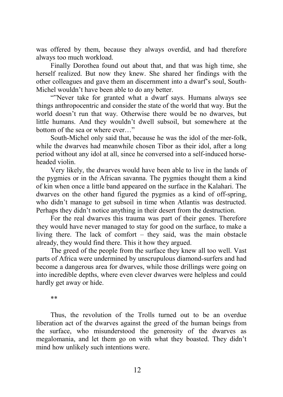was offered by them, because they always overdid, and had therefore always too much workload.

Finally Dorothea found out about that, and that was high time, she herself realized. But now they knew. She shared her findings with the other colleagues and gave them an discernment into a dwarf's soul, South-Michel wouldn't have been able to do any better.

"Never take for granted what a dwarf says. Humans always see things anthropocentric and consider the state of the world that way. But the world doesn't run that way. Otherwise there would be no dwarves, but little humans. And they wouldn't dwell subsoil, but somewhere at the bottom of the sea or where ever…"

South-Michel only said that, because he was the idol of the mer-folk, while the dwarves had meanwhile chosen Tibor as their idol, after a long period without any idol at all, since he conversed into a self-induced horseheaded violin.

Very likely, the dwarves would have been able to live in the lands of the pygmies or in the African savanna. The pygmies thought them a kind of kin when once a little band appeared on the surface in the Kalahari. The dwarves on the other hand figured the pygmies as a kind of off-spring, who didn't manage to get subsoil in time when Atlantis was destructed. Perhaps they didn't notice anything in their desert from the destruction.

For the real dwarves this trauma was part of their genes. Therefore they would have never managed to stay for good on the surface, to make a living there. The lack of comfort – they said, was the main obstacle already, they would find there. This it how they argued.

The greed of the people from the surface they knew all too well. Vast parts of Africa were undermined by unscrupulous diamond-surfers and had become a dangerous area for dwarves, while those drillings were going on into incredible depths, where even clever dwarves were helpless and could hardly get away or hide.

\*\*

Thus, the revolution of the Trolls turned out to be an overdue liberation act of the dwarves against the greed of the human beings from the surface, who misunderstood the generosity of the dwarves as megalomania, and let them go on with what they boasted. They didn't mind how unlikely such intentions were.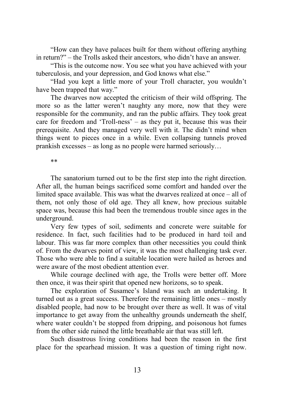"How can they have palaces built for them without offering anything in return?" – the Trolls asked their ancestors, who didn't have an answer.

"This is the outcome now. You see what you have achieved with your tuberculosis, and your depression, and God knows what else."

"Had you kept a little more of your Troll character, you wouldn't have been trapped that way."

The dwarves now accepted the criticism of their wild offspring. The more so as the latter weren't naughty any more, now that they were responsible for the community, and ran the public affairs. They took great care for freedom and 'Troll-ness' – as they put it, because this was their prerequisite. And they managed very well with it. The didn't mind when things went to pieces once in a while. Even collapsing tunnels proved prankish excesses – as long as no people were harmed seriously…

\*\*

The sanatorium turned out to be the first step into the right direction. After all, the human beings sacrificed some comfort and handed over the limited space available. This was what the dwarves realized at once – all of them, not only those of old age. They all knew, how precious suitable space was, because this had been the tremendous trouble since ages in the underground.

Very few types of soil, sediments and concrete were suitable for residence. In fact, such facilities had to be produced in hard toil and labour. This was far more complex than other necessities you could think of. From the dwarves point of view, it was the most challenging task ever. Those who were able to find a suitable location were hailed as heroes and were aware of the most obedient attention ever.

While courage declined with age, the Trolls were better off. More then once, it was their spirit that opened new horizons, so to speak.

The exploration of Susamee's Island was such an undertaking. It turned out as a great success. Therefore the remaining little ones – mostly disabled people, had now to be brought over there as well. It was of vital importance to get away from the unhealthy grounds underneath the shelf, where water couldn't be stopped from dripping, and poisonous hot fumes from the other side ruined the little breathable air that was still left.

Such disastrous living conditions had been the reason in the first place for the spearhead mission. It was a question of timing right now.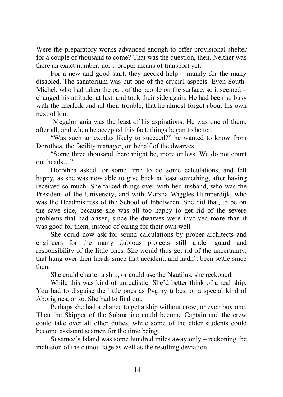Were the preparatory works advanced enough to offer provisional shelter for a couple of thousand to come? That was the question, then. Neither was there an exact number, nor a proper means of transport yet.

For a new and good start, they needed help – mainly for the many disabled. The sanatorium was but one of the crucial aspects. Even South-Michel, who had taken the part of the people on the surface, so it seemed – changed his attitude, at last, and took their side again. He had been so busy with the merfolk and all their trouble, that he almost forgot about his own next of kin.

 Megalomania was the least of his aspirations. He was one of them, after all, and when he accepted this fact, things began to better.

"Was such an exodus likely to succeed?" he wanted to know from Dorothea, the facility manager, on behalf of the dwarves.

"Some three thousand there might be, more or less. We do not count our heads…"

Dorothea asked for some time to do some calculations, and felt happy, as she was now able to give back at least something, after having received so much. She talked things over with her husband, who was the President of the University, and with Marsha Wiggles-Humperdijk, who was the Headmistress of the School of Inbetween. She did that, to be on the save side, because she was all too happy to get rid of the severe problems that had arisen, since the dwarves were involved more than it was good for them, instead of caring for their own well.

She could now ask for sound calculations by proper architects and engineers for the many dubious projects still under guard and responsibility of the little ones. She would thus get rid of the uncertainty, that hung over their heads since that accident, and hadn't been settle since then.

She could charter a ship, or could use the Nautilus, she reckoned.

While this was kind of unrealistic. She'd better think of a real ship. You had to disguise the little ones as Pygmy tribes, or a special kind of Aborigines, or so. She had to find out.

Perhaps she had a chance to get a ship without crew, or even buy one. Then the Skipper of the Submarine could become Captain and the crew could take over all other duties, while some of the elder students could become assistant seamen for the time being.

Susamee's Island was some hundred miles away only – reckoning the inclusion of the camouflage as well as the resulting deviation.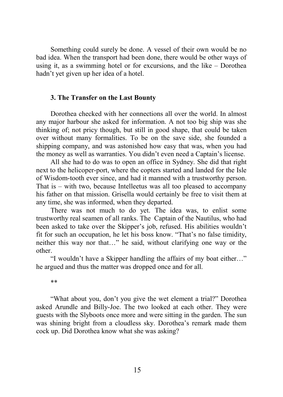Something could surely be done. A vessel of their own would be no bad idea. When the transport had been done, there would be other ways of using it, as a swimming hotel or for excursions, and the like – Dorothea hadn't yet given up her idea of a hotel.

#### **3. The Transfer on the Last Bounty**

Dorothea checked with her connections all over the world. In almost any major harbour she asked for information. A not too big ship was she thinking of; not pricy though, but still in good shape, that could be taken over without many formalities. To be on the save side, she founded a shipping company, and was astonished how easy that was, when you had the money as well as warranties. You didn't even need a Captain's license.

All she had to do was to open an office in Sydney. She did that right next to the helicoper-port, where the copters started and landed for the Isle of Wisdom-tooth ever since, and had it manned with a trustworthy person. That is – with two, because Intelleetus was all too pleased to accompany his father on that mission. Grisella would certainly be free to visit them at any time, she was informed, when they departed.

There was not much to do yet. The idea was, to enlist some trustworthy real seamen of all ranks. The Captain of the Nautilus, who had been asked to take over the Skipper's job, refused. His abilities wouldn't fit for such an occupation, he let his boss know. "That's no false timidity, neither this way nor that…" he said, without clarifying one way or the other.

"I wouldn't have a Skipper handling the affairs of my boat either…" he argued and thus the matter was dropped once and for all.

\*\*

"What about you, don't you give the wet element a trial?" Dorothea asked Arundle and Billy-Joe. The two looked at each other. They were guests with the Slyboots once more and were sitting in the garden. The sun was shining bright from a cloudless sky. Dorothea's remark made them cock up. Did Dorothea know what she was asking?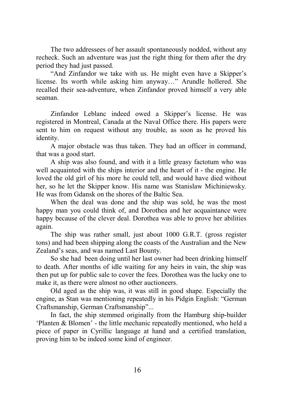The two addressees of her assault spontaneously nodded, without any recheck. Such an adventure was just the right thing for them after the dry period they had just passed.

"And Zinfandor we take with us. He might even have a Skipper's license. Its worth while asking him anyway…" Arundle hollered. She recalled their sea-adventure, when Zinfandor proved himself a very able seaman.

Zinfandor Leblanc indeed owed a Skipper's license. He was registered in Montreal, Canada at the Naval Office there. His papers were sent to him on request without any trouble, as soon as he proved his identity.

A major obstacle was thus taken. They had an officer in command, that was a good start.

A ship was also found, and with it a little greasy factotum who was well acquainted with the ships interior and the heart of it - the engine. He loved the old girl of his more he could tell, and would have died without her, so he let the Skipper know. His name was Stanislaw Michiniewsky. He was from Gdansk on the shores of the Baltic Sea.

When the deal was done and the ship was sold, he was the most happy man you could think of, and Dorothea and her acquaintance were happy because of the clever deal. Dorothea was able to prove her abilities again.

The ship was rather small, just about 1000 G.R.T. (gross register tons) and had been shipping along the coasts of the Australian and the New Zealand's seas, and was named Last Bounty.

So she had been doing until her last owner had been drinking himself to death. After months of idle waiting for any heirs in vain, the ship was then put up for public sale to cover the fees. Dorothea was the lucky one to make it, as there were almost no other auctioneers.

Old aged as the ship was, it was still in good shape. Especially the engine, as Stan was mentioning repeatedly in his Pidgin English: "German Craftsmanship, German Craftsmanship"...

In fact, the ship stemmed originally from the Hamburg ship-builder 'Planten & Blomen' - the little mechanic repeatedly mentioned, who held a piece of paper in Cyrillic language at hand and a certified translation, proving him to be indeed some kind of engineer.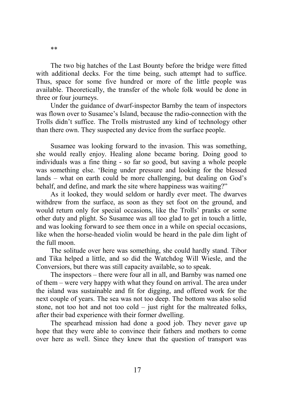The two big hatches of the Last Bounty before the bridge were fitted with additional decks. For the time being, such attempt had to suffice. Thus, space for some five hundred or more of the little people was available. Theoretically, the transfer of the whole folk would be done in three or four journeys.

Under the guidance of dwarf-inspector Barnby the team of inspectors was flown over to Susamee's Island, because the radio-connection with the Trolls didn't suffice. The Trolls mistrusted any kind of technology other than there own. They suspected any device from the surface people.

Susamee was looking forward to the invasion. This was something, she would really enjoy. Healing alone became boring. Doing good to individuals was a fine thing - so far so good, but saving a whole people was something else. 'Being under pressure and looking for the blessed lands – what on earth could be more challenging, but dealing on God's behalf, and define, and mark the site where happiness was waiting?"

As it looked, they would seldom or hardly ever meet. The dwarves withdrew from the surface, as soon as they set foot on the ground, and would return only for special occasions, like the Trolls' pranks or some other duty and plight. So Susamee was all too glad to get in touch a little, and was looking forward to see them once in a while on special occasions, like when the horse-headed violin would be heard in the pale dim light of the full moon.

The solitude over here was something, she could hardly stand. Tibor and Tika helped a little, and so did the Watchdog Will Wiesle, and the Conversiors, but there was still capacity available, so to speak.

The inspectors – there were four all in all, and Barnby was named one of them – were very happy with what they found on arrival. The area under the island was sustainable and fit for digging, and offered work for the next couple of years. The sea was not too deep. The bottom was also solid stone, not too hot and not too cold – just right for the maltreated folks, after their bad experience with their former dwelling.

The spearhead mission had done a good job. They never gave up hope that they were able to convince their fathers and mothers to come over here as well. Since they knew that the question of transport was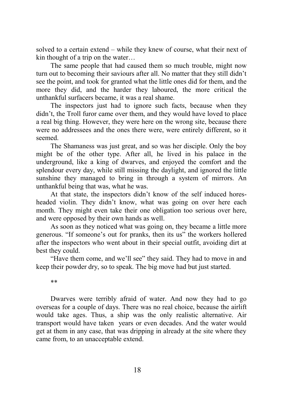solved to a certain extend – while they knew of course, what their next of kin thought of a trip on the water…

The same people that had caused them so much trouble, might now turn out to becoming their saviours after all. No matter that they still didn't see the point, and took for granted what the little ones did for them, and the more they did, and the harder they laboured, the more critical the unthankful surfacers became, it was a real shame.

The inspectors just had to ignore such facts, because when they didn't, the Troll furor came over them, and they would have loved to place a real big thing. However, they were here on the wrong site, because there were no addressees and the ones there were, were entirely different, so it seemed.

The Shamaness was just great, and so was her disciple. Only the boy might be of the other type. After all, he lived in his palace in the underground, like a king of dwarves, and enjoyed the comfort and the splendour every day, while still missing the daylight, and ignored the little sunshine they managed to bring in through a system of mirrors. An unthankful being that was, what he was.

At that state, the inspectors didn't know of the self induced horesheaded violin. They didn't know, what was going on over here each month. They might even take their one obligation too serious over here, and were opposed by their own hands as well.

As soon as they noticed what was going on, they became a little more generous. "If someone's out for pranks, then its us" the workers hollered after the inspectors who went about in their special outfit, avoiding dirt at best they could.

"Have them come, and we'll see" they said. They had to move in and keep their powder dry, so to speak. The big move had but just started.

\*\*

Dwarves were terribly afraid of water. And now they had to go overseas for a couple of days. There was no real choice, because the airlift would take ages. Thus, a ship was the only realistic alternative. Air transport would have taken years or even decades. And the water would get at them in any case, that was dripping in already at the site where they came from, to an unacceptable extend.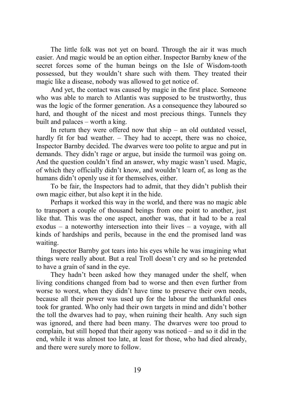The little folk was not yet on board. Through the air it was much easier. And magic would be an option either. Inspector Barnby knew of the secret forces some of the human beings on the Isle of Wisdom-tooth possessed, but they wouldn't share such with them. They treated their magic like a disease, nobody was allowed to get notice of.

And yet, the contact was caused by magic in the first place. Someone who was able to march to Atlantis was supposed to be trustworthy, thus was the logic of the former generation. As a consequence they laboured so hard, and thought of the nicest and most precious things. Tunnels they built and palaces – worth a king.

In return they were offered now that  $\sinh(-\theta)$  and outdated vessel, hardly fit for bad weather. – They had to accept, there was no choice, Inspector Barnby decided. The dwarves were too polite to argue and put in demands. They didn't rage or argue, but inside the turmoil was going on. And the question couldn't find an answer, why magic wasn't used. Magic, of which they officially didn't know, and wouldn't learn of, as long as the humans didn't openly use it for themselves, either.

To be fair, the Inspectors had to admit, that they didn't publish their own magic either, but also kept it in the hide.

Perhaps it worked this way in the world, and there was no magic able to transport a couple of thousand beings from one point to another, just like that. This was the one aspect, another was, that it had to be a real exodus – a noteworthy intersection into their lives – a voyage, with all kinds of hardships and perils, because in the end the promised land was waiting.

Inspector Barnby got tears into his eyes while he was imagining what things were really about. But a real Troll doesn't cry and so he pretended to have a grain of sand in the eye.

They hadn't been asked how they managed under the shelf, when living conditions changed from bad to worse and then even further from worse to worst, when they didn't have time to preserve their own needs, because all their power was used up for the labour the unthankful ones took for granted. Who only had their own targets in mind and didn't bother the toll the dwarves had to pay, when ruining their health. Any such sign was ignored, and there had been many. The dwarves were too proud to complain, but still hoped that their agony was noticed – and so it did in the end, while it was almost too late, at least for those, who had died already, and there were surely more to follow.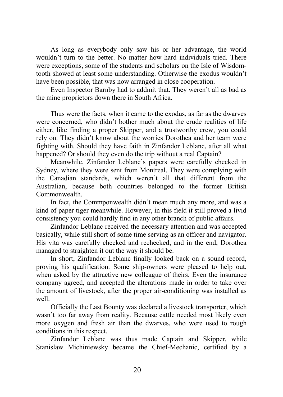As long as everybody only saw his or her advantage, the world wouldn't turn to the better. No matter how hard individuals tried. There were exceptions, some of the students and scholars on the Isle of Wisdomtooth showed at least some understanding. Otherwise the exodus wouldn't have been possible, that was now arranged in close cooperation.

Even Inspector Barnby had to addmit that. They weren't all as bad as the mine proprietors down there in South Africa.

Thus were the facts, when it came to the exodus, as far as the dwarves were concerned, who didn't bother much about the crude realities of life either, like finding a proper Skipper, and a trustworthy crew, you could rely on. They didn't know about the worries Dorothea and her team were fighting with. Should they have faith in Zinfandor Leblanc, after all what happened? Or should they even do the trip without a real Captain?

Meanwhile, Zinfandor Leblanc's papers were carefully checked in Sydney, where they were sent from Montreal. They were complying with the Canadian standards, which weren't all that different from the Australian, because both countries belonged to the former British Commonwealth.

In fact, the Commponwealth didn't mean much any more, and was a kind of paper tiger meanwhile. However, in this field it still proved a livid consistency you could hardly find in any other branch of public affairs.

Zinfandor Leblanc received the necessary attention and was accepted basically, while still short of some time serving as an officer and navigator. His vita was carefully checked and rechecked, and in the end, Dorothea managed to straighten it out the way it should be.

In short, Zinfandor Leblanc finally looked back on a sound record, proving his qualification. Some ship-owners were pleased to help out, when asked by the attractive new colleague of theirs. Even the insurance company agreed, and accepted the alterations made in order to take over the amount of livestock, after the proper air-conditioning was installed as well.

Officially the Last Bounty was declared a livestock transporter, which wasn't too far away from reality. Because cattle needed most likely even more oxygen and fresh air than the dwarves, who were used to rough conditions in this respect.

Zinfandor Leblanc was thus made Captain and Skipper, while Stanislaw Michiniewsky became the Chief-Mechanic, certified by a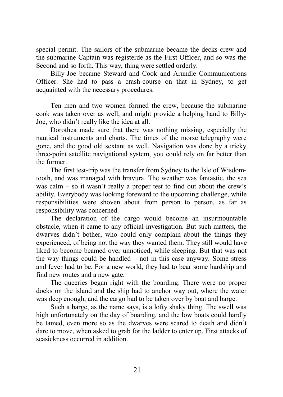special permit. The sailors of the submarine became the decks crew and the submarine Captain was registerde as the First Officer, and so was the Second and so forth. This way, thing were settled orderly.

Billy-Joe became Steward and Cook and Arundle Communications Officer. She had to pass a crash-course on that in Sydney, to get acquainted with the necessary procedures.

Ten men and two women formed the crew, because the submarine cook was taken over as well, and might provide a helping hand to Billy-Joe, who didn't really like the idea at all.

Dorothea made sure that there was nothing missing, especially the nautical instruments and charts. The times of the morse telegraphy were gone, and the good old sextant as well. Navigation was done by a tricky three-point satellite navigational system, you could rely on far better than the former.

The first test-trip was the transfer from Sydney to the Isle of Wisdomtooth, and was managed with bravura. The weather was fantastic, the sea was calm – so it wasn't really a proper test to find out about the crew's ability. Everybody was looking foreward to the upcoming challenge, while responsibilities were shoven about from person to person, as far as responsibility was concerned.

The declaration of the cargo would become an insurmountable obstacle, when it came to any official investigation. But such matters, the dwarves didn't bother, who could only complain about the things they experienced, of being not the way they wanted them. They still would have liked to become beamed over unnoticed, while sleeping. But that was not the way things could be handled – not in this case anyway. Some stress and fever had to be. For a new world, they had to bear some hardship and find new routes and a new gate.

The queeries began right with the boarding. There were no proper docks on the island and the ship had to anchor way out, where the water was deep enough, and the cargo had to be taken over by boat and barge.

Such a barge, as the name says, is a lofty shaky thing. The swell was high unfortunately on the day of boarding, and the low boats could hardly be tamed, even more so as the dwarves were scared to death and didn't dare to move, when asked to grab for the ladder to enter up. First attacks of seasickness occurred in addition.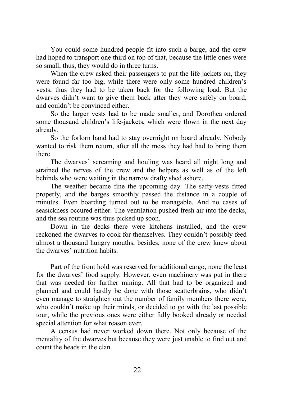You could some hundred people fit into such a barge, and the crew had hoped to transport one third on top of that, because the little ones were so small, thus, they would do in three turns.

When the crew asked their passengers to put the life jackets on, they were found far too big, while there were only some hundred children's vests, thus they had to be taken back for the following load. But the dwarves didn't want to give them back after they were safely on board, and couldn't be convinced either.

So the larger vests had to be made smaller, and Dorothea ordered some thousand children's life-jackets, which were flown in the next day already.

So the forlorn band had to stay overnight on board already. Nobody wanted to risk them return, after all the mess they had had to bring them there.

The dwarves' screaming and houling was heard all night long and strained the nerves of the crew and the helpers as well as of the left behinds who were waiting in the narrow drafty shed ashore.

The weather became fine the upcoming day. The safty-vests fitted properly, and the barges smoothly passed the distance in a couple of minutes. Even boarding turned out to be managable. And no cases of seasickness occured either. The ventilation pushed fresh air into the decks, and the sea routine was thus picked up soon.

Down in the decks there were kitchens installed, and the crew reckoned the dwarves to cook for themselves. They couldn't possibly feed almost a thousand hungry mouths, besides, none of the crew knew about the dwarves' nutrition habits.

Part of the front hold was reserved for additional cargo, none the least for the dwarves' food supply. However, even machinery was put in there that was needed for further mining. All that had to be organized and planned and could hardly be done with those scatterbrains, who didn't even manage to straighten out the number of family members there were, who couldn't make up their minds, or decided to go with the last possible tour, while the previous ones were either fully booked already or needed special attention for what reason ever.

A census had never worked down there. Not only because of the mentality of the dwarves but because they were just unable to find out and count the heads in the clan.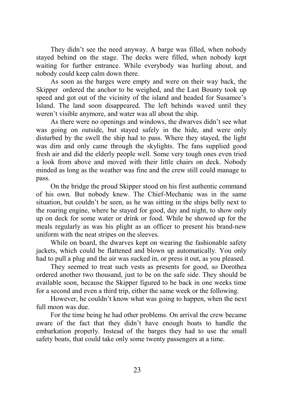They didn't see the need anyway. A barge was filled, when nobody stayed behind on the stage. The decks were filled, when nobody kept waiting for further entrance. While everybody was hurling about, and nobody could keep calm down there.

As soon as the barges were empty and were on their way back, the Skipper ordered the anchor to be weighed, and the Last Bounty took up speed and got out of the vicinity of the island and headed for Susamee's Island. The land soon disappeared. The left behinds waved until they weren't visible anymore, and water was all about the ship.

As there were no openings and windows, the dwarves didn't see what was going on outside, but stayed safely in the hide, and were only disturbed by the swell the ship had to pass. Where they stayed, the light was dim and only came through the skylights. The fans supplied good fresh air and did the elderly people well. Some very tough ones even tried a look from above and moved with their little chairs on deck. Nobody minded as long as the weather was fine and the crew still could manage to pass.

On the bridge the proud Skipper stood on his first authentic command of his own. But nobody knew. The Chief-Mechanic was in the same situation, but couldn't be seen, as he was sitting in the ships belly next to the roaring engine, where he stayed for good, day and night, to show only up on deck for some water or drink or food. While he showed up for the meals regularly as was his plight as an officer to present his brand-new uniform with the neat stripes on the sleeves.

While on board, the dwarves kept on wearing the fashionable safety jackets, which could be flattened and blown up automatically. You only had to pull a plug and the air was sucked in, or press it out, as you pleased.

They seemed to treat such vests as presents for good, so Dorothea ordered another two thousand, just to be on the safe side. They should be available soon, because the Skipper figured to be back in one weeks time for a second and even a third trip, either the same week or the following.

However, he couldn't know what was going to happen, when the next full moon was due.

For the time being he had other problems. On arrival the crew became aware of the fact that they didn't have enough boats to handle the embarkation properly. Instead of the barges they had to use the small safety boats, that could take only some twenty passengers at a time.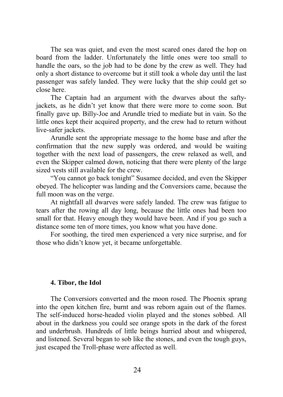The sea was quiet, and even the most scared ones dared the hop on board from the ladder. Unfortunately the little ones were too small to handle the oars, so the job had to be done by the crew as well. They had only a short distance to overcome but it still took a whole day until the last passenger was safely landed. They were lucky that the ship could get so close here.

The Captain had an argument with the dwarves about the saftyjackets, as he didn't yet know that there were more to come soon. But finally gave up. Billy-Joe and Arundle tried to mediate but in vain. So the little ones kept their acquired property, and the crew had to return without live-safer jackets.

Arundle sent the appropriate message to the home base and after the confirmation that the new supply was ordered, and would be waiting together with the next load of passengers, the crew relaxed as well, and even the Skipper calmed down, noticing that there were plenty of the large sized vests still available for the crew.

"You cannot go back tonight" Susamee decided, and even the Skipper obeyed. The helicopter was landing and the Conversiors came, because the full moon was on the verge.

At nightfall all dwarves were safely landed. The crew was fatigue to tears after the rowing all day long, because the little ones had been too small for that. Heavy enough they would have been. And if you go such a distance some ten of more times, you know what you have done.

For soothing, the tired men experienced a very nice surprise, and for those who didn't know yet, it became unforgettable.

## **4. Tibor, the Idol**

The Conversiors converted and the moon rosed. The Phoenix sprang into the open kitchen fire, burnt and was reborn again out of the flames. The self-induced horse-headed violin played and the stones sobbed. All about in the darkness you could see orange spots in the dark of the forest and underbrush. Hundreds of little beings hurried about and whispered, and listened. Several began to sob like the stones, and even the tough guys, just escaped the Troll-phase were affected as well.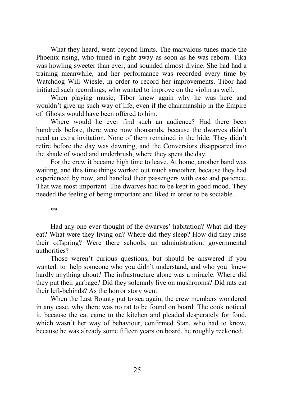What they heard, went beyond limits. The marvalous tunes made the Phoenix rising, who tuned in right away as soon as he was reborn. Tika was howling sweeter than ever, and sounded almost divine. She had had a training meanwhile, and her performance was recorded every time by Watchdog Will Wiesle, in order to record her improvements. Tibor had initiated such recordings, who wanted to improve on the violin as well.

When playing music, Tibor knew again why he was here and wouldn't give up such way of life, even if the chairmanship in the Empire of Ghosts would have been offered to him.

Where would he ever find such an audience? Had there been hundreds before, there were now thousands, because the dwarves didn't need an extra invitation. None of them remained in the hide. They didn't retire before the day was dawning, and the Conversiors disappeared into the shade of wood and underbrush, where they spent the day.

For the crew it became high time to leave. At home, another band was waiting, and this time things worked out much smoother, because they had experienced by now, and handled their passengers with ease and patience. That was most important. The dwarves had to be kept in good mood. They needed the feeling of being important and liked in order to be sociable.

\*\*

Had any one ever thought of the dwarves' habitation? What did they eat? What were they living on? Where did they sleep? How did they raise their offspring? Were there schools, an administration, governmental authorities?

Those weren't curious questions, but should be answered if you wanted. to help someone who you didn't understand, and who you knew hardly anything about? The infrastructure alone was a miracle. Where did they put their garbage? Did they solemnly live on mushrooms? Did rats eat their left-behinds? As the horror story went.

When the Last Bounty put to sea again, the crew members wondered in any case, why there was no rat to be found on board. The cook noticed it, because the cat came to the kitchen and pleaded desperately for food, which wasn't her way of behaviour, confirmed Stan, who had to know, because he was already some fifteen years on board, he roughly reckoned.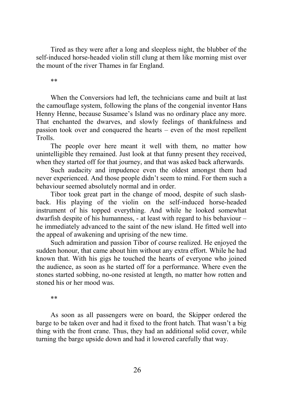Tired as they were after a long and sleepless night, the blubber of the self-induced horse-headed violin still clung at them like morning mist over the mount of the river Thames in far England.

\*\*

When the Conversiors had left, the technicians came and built at last the camouflage system, following the plans of the congenial inventor Hans Henny Henne, because Susamee's Island was no ordinary place any more. That enchanted the dwarves, and slowly feelings of thankfulness and passion took over and conquered the hearts – even of the most repellent Trolls.

The people over here meant it well with them, no matter how unintelligible they remained. Just look at that funny present they received, when they started off for that journey, and that was asked back afterwards.

Such audacity and impudence even the oldest amongst them had never experienced. And those people didn't seem to mind. For them such a behaviour seemed absolutely normal and in order.

Tibor took great part in the change of mood, despite of such slashback. His playing of the violin on the self-induced horse-headed instrument of his topped everything. And while he looked somewhat dwarfish despite of his humanness, - at least with regard to his behaviour – he immediately advanced to the saint of the new island. He fitted well into the appeal of awakening and uprising of the new time.

Such admiration and passion Tibor of course realized. He enjoyed the sudden honour, that came about him without any extra effort. While he had known that. With his gigs he touched the hearts of everyone who joined the audience, as soon as he started off for a performance. Where even the stones started sobbing, no-one resisted at length, no matter how rotten and stoned his or her mood was.

\*\*

As soon as all passengers were on board, the Skipper ordered the barge to be taken over and had it fixed to the front hatch. That wasn't a big thing with the front crane. Thus, they had an additional solid cover, while turning the barge upside down and had it lowered carefully that way.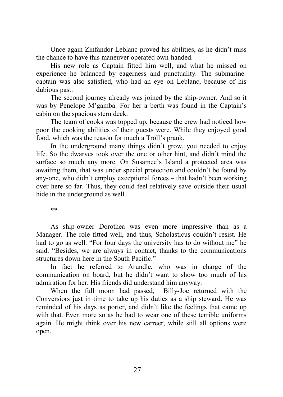Once again Zinfandor Leblanc proved his abilities, as he didn't miss the chance to have this maneuver operated own-handed.

His new role as Captain fitted him well, and what he missed on experience he balanced by eagerness and punctuality. The submarinecaptain was also satisfied, who had an eye on Leblanc, because of his dubious past.

The second journey already was joined by the ship-owner. And so it was by Penelope M'gamba. For her a berth was found in the Captain's cabin on the spacious stern deck.

The team of cooks was topped up, because the crew had noticed how poor the cooking abilities of their guests were. While they enjoyed good food, which was the reason for much a Troll's prank.

In the underground many things didn't grow, you needed to enjoy life. So the dwarves took over the one or other hint, and didn't mind the surface so much any more. On Susamee's Island a protected area was awaiting them, that was under special protection and couldn't be found by any-one, who didn't employ exceptional forces – that hadn't been working over here so far. Thus, they could feel relatively save outside their usual hide in the underground as well.

\*\*

As ship-owner Dorothea was even more impressive than as a Manager. The role fitted well, and thus, Scholasticus couldn't resist. He had to go as well. "For four days the university has to do without me" he said. "Besides, we are always in contact, thanks to the communications structures down here in the South Pacific."

In fact he referred to Arundle, who was in charge of the communication on board, but he didn't want to show too much of his admiration for her. His friends did understand him anyway.

When the full moon had passed, Billy-Joe returned with the Conversiors just in time to take up his duties as a ship steward. He was reminded of his days as porter, and didn't like the feelings that came up with that. Even more so as he had to wear one of these terrible uniforms again. He might think over his new carreer, while still all options were open.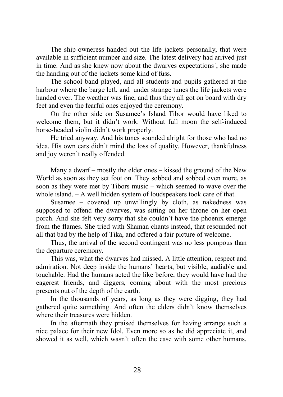The ship-owneress handed out the life jackets personally, that were available in sufficient number and size. The latest delivery had arrived just in time. And as she knew now about the dwarves expectations´, she made the handing out of the jackets some kind of fuss.

The school band played, and all students and pupils gathered at the harbour where the barge left, and under strange tunes the life jackets were handed over. The weather was fine, and thus they all got on board with dry feet and even the fearful ones enjoyed the ceremony.

On the other side on Susamee's Island Tibor would have liked to welcome them, but it didn't work. Without full moon the self-induced horse-headed violin didn't work properly.

He tried anyway. And his tunes sounded alright for those who had no idea. His own ears didn't mind the loss of quality. However, thankfulness and joy weren't really offended.

Many a dwarf – mostly the elder ones – kissed the ground of the New World as soon as they set foot on. They sobbed and sobbed even more, as soon as they were met by Tibors music – which seemed to wave over the whole island. – A well hidden system of loudspeakers took care of that.

Susamee – covered up unwillingly by cloth, as nakedness was supposed to offend the dwarves, was sitting on her throne on her open porch. And she felt very sorry that she couldn't have the phoenix emerge from the flames. She tried with Shaman chants instead, that resounded not all that bad by the help of Tika, and offered a fair picture of welcome.

Thus, the arrival of the second contingent was no less pompous than the departure ceremony.

This was, what the dwarves had missed. A little attention, respect and admiration. Not deep inside the humans' hearts, but visible, audiable and touchable. Had the humans acted the like before, they would have had the eagerest friends, and diggers, coming about with the most precious presents out of the depth of the earth.

In the thousands of years, as long as they were digging, they had gathered quite something. And often the elders didn't know themselves where their treasures were hidden.

In the aftermath they praised themselves for having arrange such a nice palace for their new Idol. Even more so as he did appreciate it, and showed it as well, which wasn't often the case with some other humans,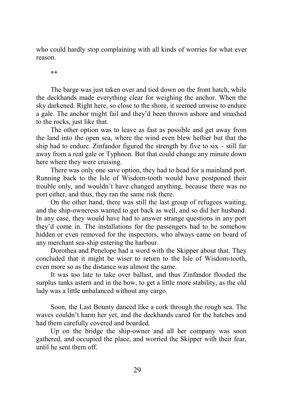who could hardly stop complaining with all kinds of worries for what ever reason.

\*\*

The barge was just taken over and tied down on the front hatch, while the deckhands made everything clear for weighing the anchor. When the sky darkened. Right here, so close to the shore, it seemed unwise to endure a gale. The anchor might fail and they'd been thrown ashore and smashed to the rocks, just like that.

The other option was to leave as fast as possible and get away from the land into the open sea, where the wind even blew heftier but that the ship had to endure. Zinfandor figured the strength by five to  $s\overline{s}x - \overline{s}$  atill far away from a real gale or Typhoon. But that could change any minute down here where they were cruising.

There was only one save option, they had to head for a mainland port. Running back to the Isle of Wisdom-tooth would have postponed their trouble only, and wouldn't have changed anything, because there was no port either, and thus, they ran the same risk there.

On the other hand, there was still the last group of refugees waiting, and the ship-owneress wanted to get back as well, and so did her husband. In any case, they would have had to answer strange questions in any port they'd come in. The installations for the passengers had to be somehow hidden or even removed for the inspectors, who always came on board of any merchant sea-ship entering the harbour.

Dorothea and Penelope had a word with the Skipper about that. They concluded that it might be wiser to return to the Isle of Wisdom-tooth, even more so as the distance was almost the same.

It was too late to take over ballast, and thus Zinfandor flooded the surplus tanks astern and in the bow, to get a little more stability, as the old lady was a little unbalanced without any cargo.

Soon, the Last Bounty danced like a cork through the rough sea. The waves couldn't harm her yet, and the deckhands cared for the hatches and had them carefully covered and boarded.

Up on the bridge the ship-owner and all her company was soon gathered, and occupied the place, and worried the Skipper with their fear, until he sent them off.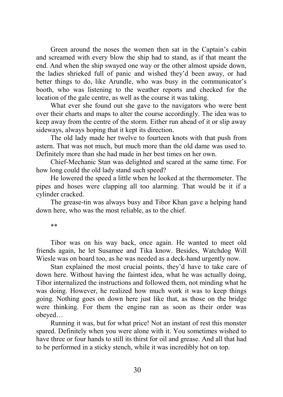Green around the noses the women then sat in the Captain's cabin and screamed with every blow the ship had to stand, as if that meant the end. And when the ship swayed one way or the other almost upside down, the ladies shrieked full of panic and wished they'd been away, or had better things to do, like Arundle, who was busy in the communicator's booth, who was listening to the weather reports and checked for the location of the gale centre, as well as the course it was taking.

What ever she found out she gave to the navigators who were bent over their charts and maps to alter the course accordingly. The idea was to keep away from the centre of the storm. Either run ahead of it or slip away sideways, always hoping that it kept its direction.

The old lady made her twelve to fourteen knots with that push from astern. That was not much, but much more than the old dame was used to. Definitely more than she had made in her best times on her own.

Chief-Mechanic Stan was delighted and scared at the same time. For how long could the old lady stand such speed?

He lowered the speed a little when he looked at the thermometer. The pipes and hoses were clapping all too alarming. That would be it if a cylinder cracked.

The grease-tin was always busy and Tibor Khan gave a helping hand down here, who was the most reliable, as to the chief.

\*\*

Tibor was on his way back, once again. He wanted to meet old friends again, he let Susamee and Tika know. Besides, Watchdog Will Wiesle was on board too, as he was needed as a deck-hand urgently now.

Stan explained the most crucial points, they'd have to take care of down here. Without having the faintest idea, what he was actually doing, Tibor internalized the instructions and followed them, not minding what he was doing. However, he realized how much work it was to keep things going. Nothing goes on down here just like that, as those on the bridge were thinking. For them the engine ran as soon as their order was obeyed…

Running it was, but for what price! Not an instant of rest this monster spared. Definitely when you were alone with it. You sometimes wished to have three or four hands to still its thirst for oil and grease. And all that had to be performed in a sticky stench, while it was incredibly hot on top.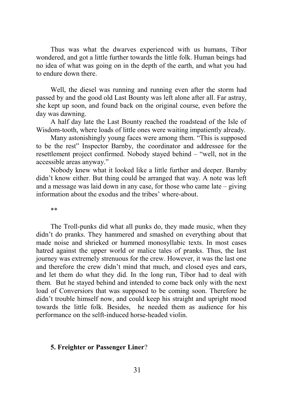Thus was what the dwarves experienced with us humans, Tibor wondered, and got a little further towards the little folk. Human beings had no idea of what was going on in the depth of the earth, and what you had to endure down there.

Well, the diesel was running and running even after the storm had passed by and the good old Last Bounty was left alone after all. Far astray, she kept up soon, and found back on the original course, even before the day was dawning.

A half day late the Last Bounty reached the roadstead of the Isle of Wisdom-tooth, where loads of little ones were waiting impatiently already.

Many astonishingly young faces were among them. "This is supposed to be the rest" Inspector Barnby, the coordinator and addressee for the resettlement project confirmed. Nobody stayed behind – "well, not in the accessible areas anyway."

Nobody knew what it looked like a little further and deeper. Barnby didn't know either. But thing could be arranged that way. A note was left and a message was laid down in any case, for those who came late – giving information about the exodus and the tribes' where-about.

\*\*

The Troll-punks did what all punks do, they made music, when they didn't do pranks. They hammered and smashed on everything about that made noise and shrieked or hummed monosyllabic texts. In most cases hatred against the upper world or malice tales of pranks. Thus, the last journey was extremely strenuous for the crew. However, it was the last one and therefore the crew didn't mind that much, and closed eyes and ears, and let them do what they did. In the long run, Tibor had to deal with them. But he stayed behind and intended to come back only with the next load of Conversiors that was supposed to be coming soon. Therefore he didn't trouble himself now, and could keep his straight and upright mood towards the little folk. Besides, he needed them as audience for his performance on the selft-induced horse-headed violin.

# **5. Freighter or Passenger Liner**?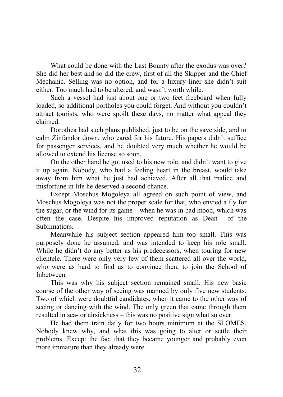What could be done with the Last Bounty after the exodus was over? She did her best and so did the crew, first of all the Skipper and the Chief Mechanic. Selling was no option, and for a luxury liner she didn't suit either. Too much had to be altered, and wasn't worth while.

Such a vessel had just about one or two feet freeboard when fully loaded, so additional portholes you could forget. And without you couldn't attract tourists, who were spoilt these days, no matter what appeal they claimed.

Dorothea had such plans published, just to be on the save side, and to calm Zinfandor down, who cared for his future. His papers didn't suffice for passenger services, and he doubted very much whether he would be allowed to extend his license so soon.

On the other hand he got used to his new role, and didn't want to give it up again. Nobody, who had a feeling heart in the breast, would take away from him what he just had achieved. After all that malice and misfortune in life he deserved a second chance.

Except Moschus Mogoleya all agreed on such point of view, and Moschus Mogoleya was not the proper scale for that, who envied a fly for the sugar, or the wind for its game – when he was in bad mood, which was often the case. Despite his improved reputation as Dean of the Sublimatiors.

Meanwhile his subject section appeared him too small. This was purposely done he assumed, and was intended to keep his role small. While he didn't do any better as his predecessors, when touring for new clientele. There were only very few of them scattered all over the world, who were as hard to find as to convince then, to join the School of Inbetween.

This was why his subject section remained small. His new basic course of the other way of seeing was manned by only five new students. Two of which were doubtful candidates, when it came to the other way of seeing or dancing with the wind. The only green that came through them resulted in sea- or airsickness – this was no positive sign what so ever.

He had them train daily for two hours minimum at the SLOMES. Nobody knew why, and what this was going to alter or settle their problems. Except the fact that they became younger and probably even more immature than they already were.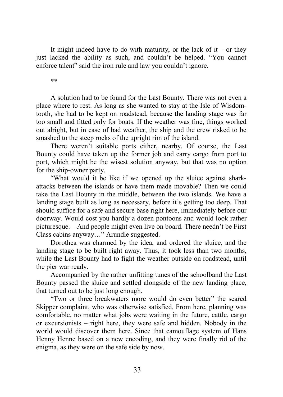It might indeed have to do with maturity, or the lack of it – or they just lacked the ability as such, and couldn't be helped. "You cannot enforce talent" said the iron rule and law you couldn't ignore.

\*\*

A solution had to be found for the Last Bounty. There was not even a place where to rest. As long as she wanted to stay at the Isle of Wisdomtooth, she had to be kept on roadstead, because the landing stage was far too small and fitted only for boats. If the weather was fine, things worked out alright, but in case of bad weather, the ship and the crew risked to be smashed to the steep rocks of the upright rim of the island.

There weren't suitable ports either, nearby. Of course, the Last Bounty could have taken up the former job and carry cargo from port to port, which might be the wisest solution anyway, but that was no option for the ship-owner party.

"What would it be like if we opened up the sluice against sharkattacks between the islands or have them made movable? Then we could take the Last Bounty in the middle, between the two islands. We have a landing stage built as long as necessary, before it's getting too deep. That should suffice for a safe and secure base right here, immediately before our doorway. Would cost you hardly a dozen pontoons and would look rather picturesque. – And people might even live on board. There needn't be First Class cabins anyway…" Arundle suggested.

Dorothea was charmed by the idea, and ordered the sluice, and the landing stage to be built right away. Thus, it took less than two months, while the Last Bounty had to fight the weather outside on roadstead, until the pier war ready.

Accompanied by the rather unfitting tunes of the schoolband the Last Bounty passed the sluice and settled alongside of the new landing place, that turned out to be just long enough.

"Two or three breakwaters more would do even better" the scared Skipper complaint, who was otherwise satisfied. From here, planning was comfortable, no matter what jobs were waiting in the future, cattle, cargo or excursionists – right here, they were safe and hidden. Nobody in the world would discover them here. Since that camouflage system of Hans Henny Henne based on a new encoding, and they were finally rid of the enigma, as they were on the safe side by now.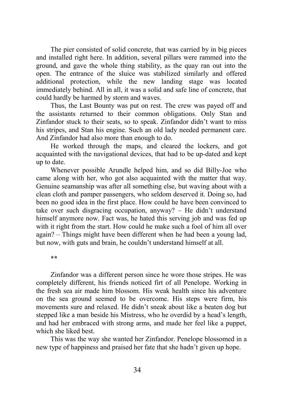The pier consisted of solid concrete, that was carried by in big pieces and installed right here. In addition, several pillars were rammed into the ground, and gave the whole thing stability, as the quay ran out into the open. The entrance of the sluice was stabilized similarly and offered additional protection, while the new landing stage was located immediately behind. All in all, it was a solid and safe line of concrete, that could hardly be harmed by storm and waves.

Thus, the Last Bounty was put on rest. The crew was payed off and the assistants returned to their common obligations. Only Stan and Zinfandor stuck to their seats, so to speak. Zinfandor didn't want to miss his stripes, and Stan his engine. Such an old lady needed permanent care. And Zinfandor had also more than enough to do.

He worked through the maps, and cleared the lockers, and got acquainted with the navigational devices, that had to be up-dated and kept up to date.

Whenever possible Arundle helped him, and so did Billy-Joe who came along with her, who got also acquainted with the matter that way. Genuine seamanship was after all something else, but waving about with a clean cloth and pamper passengers, who seldom deserved it. Doing so, had been no good idea in the first place. How could he have been convinced to take over such disgracing occupation, anyway? – He didn't understand himself anymore now. Fact was, he hated this serving job and was fed up with it right from the start. How could he make such a fool of him all over again? – Things might have been different when he had been a young lad, but now, with guts and brain, he couldn't understand himself at all.

\*\*

Zinfandor was a different person since he wore those stripes. He was completely different, his friends noticed firt of all Penelope. Working in the fresh sea air made him blossom. His weak health since his adventure on the sea ground seemed to be overcome. His steps were firm, his movements sure and relaxed. He didn't sneak about like a beaten dog but stepped like a man beside his Mistress, who he overdid by a head's length, and had her embraced with strong arms, and made her feel like a puppet, which she liked best.

This was the way she wanted her Zinfandor. Penelope blossomed in a new type of happiness and praised her fate that she hadn't given up hope.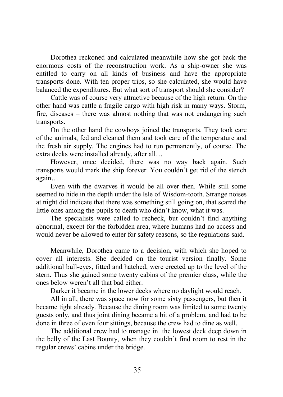Dorothea reckoned and calculated meanwhile how she got back the enormous costs of the reconstruction work. As a ship-owner she was entitled to carry on all kinds of business and have the appropriate transports done. With ten proper trips, so she calculated, she would have balanced the expenditures. But what sort of transport should she consider?

Cattle was of course very attractive because of the high return. On the other hand was cattle a fragile cargo with high risk in many ways. Storm, fire, diseases – there was almost nothing that was not endangering such transports.

On the other hand the cowboys joined the transports. They took care of the animals, fed and cleaned them and took care of the temperature and the fresh air supply. The engines had to run permanently, of course. The extra decks were installed already, after all…

However, once decided, there was no way back again. Such transports would mark the ship forever. You couldn't get rid of the stench again…

Even with the dwarves it would be all over then. While still some seemed to hide in the depth under the Isle of Wisdom-tooth. Strange noises at night did indicate that there was something still going on, that scared the little ones among the pupils to death who didn't know, what it was.

The specialists were called to recheck, but couldn't find anything abnormal, except for the forbidden area, where humans had no access and would never be allowed to enter for safety reasons, so the regulations said.

Meanwhile, Dorothea came to a decision, with which she hoped to cover all interests. She decided on the tourist version finally. Some additional bull-eyes, fitted and hatched, were erected up to the level of the stern. Thus she gained some twenty cabins of the premier class, while the ones below weren't all that bad either.

Darker it became in the lower decks where no daylight would reach.

All in all, there was space now for some sixty passengers, but then it became tight already. Because the dining room was limited to some twenty guests only, and thus joint dining became a bit of a problem, and had to be done in three of even four sittings, because the crew had to dine as well.

The additional crew had to manage in the lowest deck deep down in the belly of the Last Bounty, when they couldn't find room to rest in the regular crews' cabins under the bridge.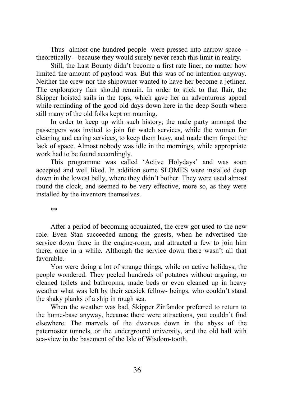Thus almost one hundred people were pressed into narrow space – theoretically – because they would surely never reach this limit in reality.

Still, the Last Bounty didn't become a first rate liner, no matter how limited the amount of payload was. But this was of no intention anyway. Neither the crew nor the shipowner wanted to have her become a jetliner. The exploratory flair should remain. In order to stick to that flair, the Skipper hoisted sails in the tops, which gave her an adventurous appeal while reminding of the good old days down here in the deep South where still many of the old folks kept on roaming.

In order to keep up with such history, the male party amongst the passengers was invited to join for watch services, while the women for cleaning and caring services, to keep them busy, and made them forget the lack of space. Almost nobody was idle in the mornings, while appropriate work had to be found accordingly.

This programme was called 'Active Holydays' and was soon accepted and well liked. In addition some SLOMES were installed deep down in the lowest belly, where they didn't bother. They were used almost round the clock, and seemed to be very effective, more so, as they were installed by the inventors themselves.

\*\*

After a period of becoming acquainted, the crew got used to the new role. Even Stan succeeded among the guests, when he advertised the service down there in the engine-room, and attracted a few to join him there, once in a while. Although the service down there wasn't all that favorable.

Yon were doing a lot of strange things, while on active holidays, the people wondered. They peeled hundreds of potatoes without arguing, or cleaned toilets and bathrooms, made beds or even cleaned up in heavy weather what was left by their seasick fellow- beings, who couldn't stand the shaky planks of a ship in rough sea.

When the weather was bad, Skipper Zinfandor preferred to return to the home-base anyway, because there were attractions, you couldn't find elsewhere. The marvels of the dwarves down in the abyss of the paternoster tunnels, or the underground university, and the old hall with sea-view in the basement of the Isle of Wisdom-tooth.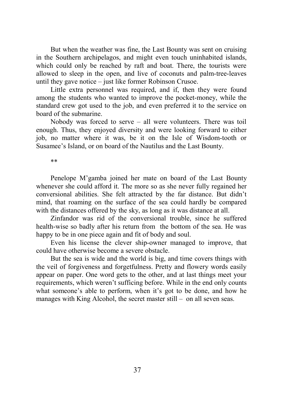But when the weather was fine, the Last Bounty was sent on cruising in the Southern archipelagos, and might even touch uninhabited islands, which could only be reached by raft and boat. There, the tourists were allowed to sleep in the open, and live of coconuts and palm-tree-leaves until they gave notice – just like former Robinson Crusoe.

Little extra personnel was required, and if, then they were found among the students who wanted to improve the pocket-money, while the standard crew got used to the job, and even preferred it to the service on board of the submarine.

Nobody was forced to serve – all were volunteers. There was toil enough. Thus, they enjoyed diversity and were looking forward to either job, no matter where it was, be it on the Isle of Wisdom-tooth or Susamee's Island, or on board of the Nautilus and the Last Bounty.

\*\*

Penelope M'gamba joined her mate on board of the Last Bounty whenever she could afford it. The more so as she never fully regained her conversional abilities. She felt attracted by the far distance. But didn't mind, that roaming on the surface of the sea could hardly be compared with the distances offered by the sky, as long as it was distance at all.

Zinfandor was rid of the conversional trouble, since he suffered health-wise so badly after his return from the bottom of the sea. He was happy to be in one piece again and fit of body and soul.

Even his license the clever ship-owner managed to improve, that could have otherwise become a severe obstacle.

But the sea is wide and the world is big, and time covers things with the veil of forgiveness and forgetfulness. Pretty and flowery words easily appear on paper. One word gets to the other, and at last things meet your requirements, which weren't sufficing before. While in the end only counts what someone's able to perform, when it's got to be done, and how he manages with King Alcohol, the secret master still – on all seven seas.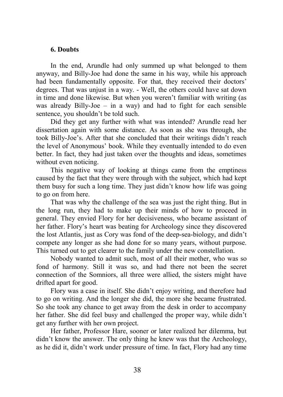# **6. Doubts**

In the end, Arundle had only summed up what belonged to them anyway, and Billy-Joe had done the same in his way, while his approach had been fundamentally opposite. For that, they received their doctors' degrees. That was unjust in a way. - Well, the others could have sat down in time and done likewise. But when you weren't familiar with writing (as was already Billy-Joe – in a way) and had to fight for each sensible sentence, you shouldn't be told such.

Did they get any further with what was intended? Arundle read her dissertation again with some distance. As soon as she was through, she took Billy-Joe's. After that she concluded that their writings didn't reach the level of Anonymous' book. While they eventually intended to do even better. In fact, they had just taken over the thoughts and ideas, sometimes without even noticing.

This negative way of looking at things came from the emptiness caused by the fact that they were through with the subject, which had kept them busy for such a long time. They just didn't know how life was going to go on from here.

That was why the challenge of the sea was just the right thing. But in the long run, they had to make up their minds of how to proceed in general. They envied Flory for her decisiveness, who became assistant of her father. Flory's heart was beating for Archeology since they discovered the lost Atlantis, just as Cory was fond of the deep-sea-biology, and didn't compete any longer as she had done for so many years, without purpose. This turned out to get clearer to the family under the new constellation.

Nobody wanted to admit such, most of all their mother, who was so fond of harmony. Still it was so, and had there not been the secret connection of the Somniors, all three were allied, the sisters might have drifted apart for good.

Flory was a case in itself. She didn't enjoy writing, and therefore had to go on writing. And the longer she did, the more she became frustrated. So she took any chance to get away from the desk in order to accompany her father. She did feel busy and challenged the proper way, while didn't get any further with her own project.

Her father, Professor Hare, sooner or later realized her dilemma, but didn't know the answer. The only thing he knew was that the Archeology, as he did it, didn't work under pressure of time. In fact, Flory had any time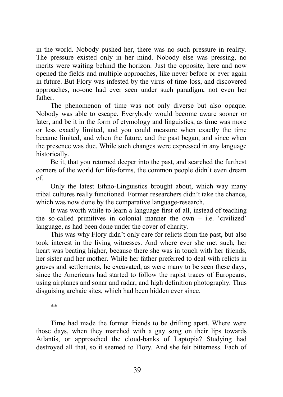in the world. Nobody pushed her, there was no such pressure in reality. The pressure existed only in her mind. Nobody else was pressing, no merits were waiting behind the horizon. Just the opposite, here and now opened the fields and multiple approaches, like never before or ever again in future. But Flory was infested by the virus of time-loss, and discovered approaches, no-one had ever seen under such paradigm, not even her father.

The phenomenon of time was not only diverse but also opaque. Nobody was able to escape. Everybody would become aware sooner or later, and be it in the form of etymology and linguistics, as time was more or less exactly limited, and you could measure when exactly the time became limited, and when the future, and the past began, and since when the presence was due. While such changes were expressed in any language historically.

Be it, that you returned deeper into the past, and searched the furthest corners of the world for life-forms, the common people didn't even dream of.

Only the latest Ethno-Linguistics brought about, which way many tribal cultures really functioned. Former researchers didn't take the chance, which was now done by the comparative language-research.

It was worth while to learn a language first of all, instead of teaching the so-called primitives in colonial manner the own – i.e. 'civilized' language, as had been done under the cover of charity.

This was why Flory didn't only care for relicts from the past, but also took interest in the living witnesses. And where ever she met such, her heart was beating higher, because there she was in touch with her friends, her sister and her mother. While her father preferred to deal with relicts in graves and settlements, he excavated, as were many to be seen these days, since the Americans had started to follow the rapist traces of Europeans, using airplanes and sonar and radar, and high definition photography. Thus disguising archaic sites, which had been hidden ever since.

\*\*

Time had made the former friends to be drifting apart. Where were those days, when they marched with a gay song on their lips towards Atlantis, or approached the cloud-banks of Laptopia? Studying had destroyed all that, so it seemed to Flory. And she felt bitterness. Each of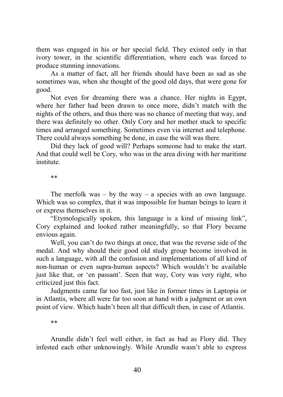them was engaged in his or her special field. They existed only in that ivory tower, in the scientific differentiation, where each was forced to produce stunning innovations.

As a matter of fact, all her friends should have been as sad as she sometimes was, when she thought of the good old days, that were gone for good.

Not even for dreaming there was a chance. Her nights in Egypt, where her father had been drawn to once more, didn't match with the nights of the others, and thus there was no chance of meeting that way, and there was definitely no other. Only Cory and her mother stuck to specific times and arranged something. Sometimes even via internet and telephone. There could always something be done, in case the will was there.

Did they lack of good will? Perhaps someone had to make the start. And that could well be Cory, who was in the area diving with her maritime institute.

\*\*

The merfolk was – by the way – a species with an own language. Which was so complex, that it was impossible for human beings to learn it or express themselves in it.

"Etymologically spoken, this language is a kind of missing link", Cory explained and looked rather meaningfully, so that Flory became envious again.

Well, you can't do two things at once, that was the reverse side of the medal. And why should their good old study group become involved in such a language, with all the confusion and implementations of all kind of non-human or even supra-human aspects? Which wouldn't be available just like that, or 'en passant'. Seen that way, Cory was very right, who criticized just this fact.

Judgments came far too fast, just like in former times in Laptopia or in Atlantis, where all were far too soon at hand with a judgment or an own point of view. Which hadn't been all that difficult then, in case of Atlantis.

\*\*

Arundle didn't feel well either, in fact as bad as Flory did. They infested each other unknowingly. While Arundle wasn't able to express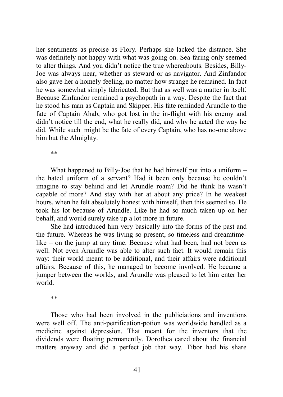her sentiments as precise as Flory. Perhaps she lacked the distance. She was definitely not happy with what was going on. Sea-faring only seemed to alter things. And you didn't notice the true whereabouts. Besides, Billy-Joe was always near, whether as steward or as navigator. And Zinfandor also gave her a homely feeling, no matter how strange he remained. In fact he was somewhat simply fabricated. But that as well was a matter in itself. Because Zinfandor remained a psychopath in a way. Despite the fact that he stood his man as Captain and Skipper. His fate reminded Arundle to the fate of Captain Ahab, who got lost in the in-flight with his enemy and didn't notice till the end, what he really did, and why he acted the way he did. While such might be the fate of every Captain, who has no-one above him but the Almighty.

\*\*

What happened to Billy-Joe that he had himself put into a uniform – the hated uniform of a servant? Had it been only because he couldn't imagine to stay behind and let Arundle roam? Did he think he wasn't capable of more? And stay with her at about any price? In he weakest hours, when he felt absolutely honest with himself, then this seemed so. He took his lot because of Arundle. Like he had so much taken up on her behalf, and would surely take up a lot more in future.

She had introduced him very basically into the forms of the past and the future. Whereas he was living so present, so timeless and dreamtimelike – on the jump at any time. Because what had been, had not been as well. Not even Arundle was able to alter such fact. It would remain this way: their world meant to be additional, and their affairs were additional affairs. Because of this, he managed to become involved. He became a jumper between the worlds, and Arundle was pleased to let him enter her world.

\*\*

Those who had been involved in the publiciations and inventions were well off. The anti-petrification-potion was worldwide handled as a medicine against depression. That meant for the inventors that the dividends were floating permanently. Dorothea cared about the financial matters anyway and did a perfect job that way. Tibor had his share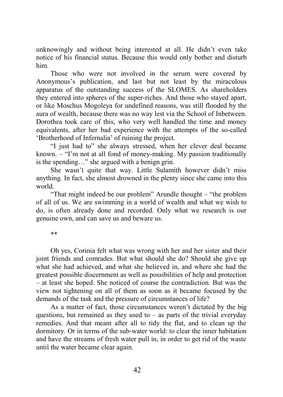unknowingly and without being interested at all. He didn't even take notice of his financial status. Because this would only bother and disturb him.

Those who were not involved in the serum were covered by Anonymous's publication, and last but not least by the miraculous apparatus of the outstanding success of the SLOMES. As shareholders they entered into spheres of the super-riches. And those who stayed apart, or like Moschus Mogoleya for undefined reasons, was still flooded by the aura of wealth, because there was no way lest via the School of Inbetween. Dorothea took care of this, who very well handled the time and money equivalents, after her bad experience with the attempts of the so-called 'Brotherhood of Infernalia' of ruining the project.

"I just had to" she always stressed, when her clever deal became known. – "I'm not at all fond of money-making. My passion traditionally is the spending…" she argued with a benign grin.

She wasn't quite that way. Little Sulamith however didn't miss anything. In fact, she almost drowned in the plenty since she came into this world.

"That might indeed be our problem" Arundle thought – "the problem of all of us. We are swimming in a world of wealth and what we wish to do, is often already done and recorded. Only what we research is our genuine own, and can save us and beware us.

\*\*

Oh yes, Corinia felt what was wrong with her and her sister and their joint friends and comrades. But what should she do? Should she give up what she had achieved, and what she believed in, and where she had the greatest possible discernment as well as possibilities of help and protection – at least she hoped. She noticed of course the contradiction. But was the view not tightening on all of them as soon as it became focused by the demands of the task and the pressure of circumstances of life?

As a matter of fact, those circumstances weren't dictated by the big questions, but remained as they used to  $-$  as parts of the trivial everyday remedies. And that meant after all to tidy the flat, and to clean up the dormitory. Or in terms of the sub-water world: to clear the inner habitation and have the streams of fresh water pull in, in order to get rid of the waste until the water became clear again.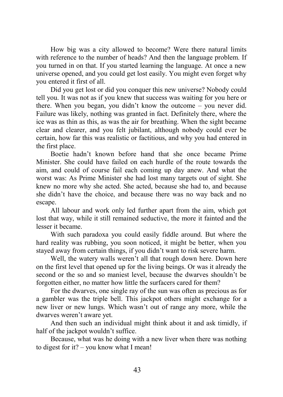How big was a city allowed to become? Were there natural limits with reference to the number of heads? And then the language problem. If you turned in on that. If you started learning the language. At once a new universe opened, and you could get lost easily. You might even forget why you entered it first of all.

Did you get lost or did you conquer this new universe? Nobody could tell you. It was not as if you knew that success was waiting for you here or there. When you began, you didn't know the outcome – you never did. Failure was likely, nothing was granted in fact. Definitely there, where the ice was as thin as this, as was the air for breathing. When the sight became clear and clearer, and you felt jubilant, although nobody could ever be certain, how far this was realistic or factitious, and why you had entered in the first place.

Boetie hadn't known before hand that she once became Prime Minister. She could have failed on each hurdle of the route towards the aim, and could of course fail each coming up day anew. And what the worst was: As Prime Minister she had lost many targets out of sight. She knew no more why she acted. She acted, because she had to, and because she didn't have the choice, and because there was no way back and no escape.

All labour and work only led further apart from the aim, which got lost that way, while it still remained seductive, the more it fainted and the lesser it became.

With such paradoxa you could easily fiddle around. But where the hard reality was rubbing, you soon noticed, it might be better, when you stayed away from certain things, if you didn't want to risk severe harm.

Well, the watery walls weren't all that rough down here. Down here on the first level that opened up for the living beings. Or was it already the second or the so and so maniest level, because the dwarves shouldn't be forgotten either, no matter how little the surfacers cared for them?

For the dwarves, one single ray of the sun was often as precious as for a gambler was the triple bell. This jackpot others might exchange for a new liver or new lungs. Which wasn't out of range any more, while the dwarves weren't aware yet.

And then such an individual might think about it and ask timidly, if half of the jackpot wouldn't suffice.

Because, what was he doing with a new liver when there was nothing to digest for it? – you know what I mean!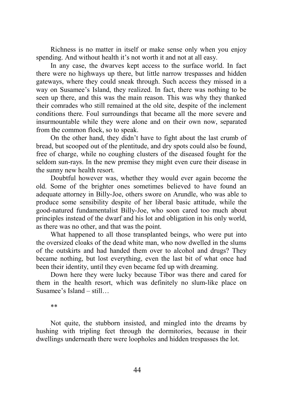Richness is no matter in itself or make sense only when you enjoy spending. And without health it's not worth it and not at all easy.

In any case, the dwarves kept access to the surface world. In fact there were no highways up there, but little narrow trespasses and hidden gateways, where they could sneak through. Such access they missed in a way on Susamee's Island, they realized. In fact, there was nothing to be seen up there, and this was the main reason. This was why they thanked their comrades who still remained at the old site, despite of the inclement conditions there. Foul surroundings that became all the more severe and insurmountable while they were alone and on their own now, separated from the common flock, so to speak.

On the other hand, they didn't have to fight about the last crumb of bread, but scooped out of the plentitude, and dry spots could also be found, free of charge, while no coughing clusters of the diseased fought for the seldom sun-rays. In the new premise they might even cure their disease in the sunny new health resort.

Doubtful however was, whether they would ever again become the old. Some of the brighter ones sometimes believed to have found an adequate attorney in Billy-Joe, others swore on Arundle, who was able to produce some sensibility despite of her liberal basic attitude, while the good-natured fundamentalist Billy-Joe, who soon cared too much about principles instead of the dwarf and his lot and obligation in his only world, as there was no other, and that was the point.

What happened to all those transplanted beings, who were put into the oversized cloaks of the dead white man, who now dwelled in the slums of the outskirts and had handed them over to alcohol and drugs? They became nothing, but lost everything, even the last bit of what once had been their identity, until they even became fed up with dreaming.

Down here they were lucky because Tibor was there and cared for them in the health resort, which was definitely no slum-like place on Susamee's Island – still…

\*\*

Not quite, the stubborn insisted, and mingled into the dreams by hushing with tripling feet through the dormitories, because in their dwellings underneath there were loopholes and hidden trespasses the lot.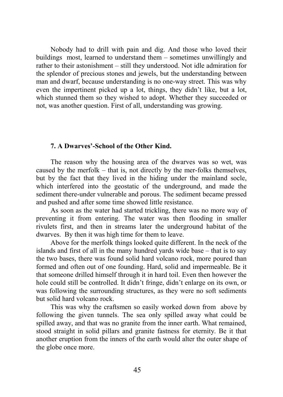Nobody had to drill with pain and dig. And those who loved their buildings most, learned to understand them – sometimes unwillingly and rather to their astonishment – still they understood. Not idle admiration for the splendor of precious stones and jewels, but the understanding between man and dwarf, because understanding is no one-way street. This was why even the impertinent picked up a lot, things, they didn't like, but a lot, which stunned them so they wished to adopt. Whether they succeeded or not, was another question. First of all, understanding was growing.

## **7. A Dwarves'-School of the Other Kind.**

The reason why the housing area of the dwarves was so wet, was caused by the merfolk – that is, not directly by the mer-folks themselves, but by the fact that they lived in the hiding under the mainland socle, which interfered into the geostatic of the underground, and made the sediment there-under vulnerable and porous. The sediment became pressed and pushed and after some time showed little resistance.

As soon as the water had started trickling, there was no more way of preventing it from entering. The water was then flooding in smaller rivulets first, and then in streams later the underground habitat of the dwarves. By then it was high time for them to leave.

Above for the merfolk things looked quite different. In the neck of the islands and first of all in the many hundred yards wide base – that is to say the two bases, there was found solid hard volcano rock, more poured than formed and often out of one founding. Hard, solid and impermeable. Be it that someone drilled himself through it in hard toil. Even then however the hole could still be controlled. It didn't fringe, didn't enlarge on its own, or was following the surrounding structures, as they were no soft sediments but solid hard volcano rock.

This was why the craftsmen so easily worked down from above by following the given tunnels. The sea only spilled away what could be spilled away, and that was no granite from the inner earth. What remained, stood straight in solid pillars and granite fastness for eternity. Be it that another eruption from the inners of the earth would alter the outer shape of the globe once more.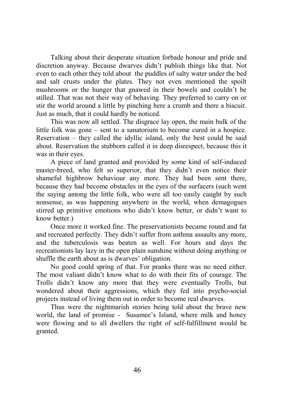Talking about their desperate situation forbade honour and pride and discretion anyway. Because dwarves didn't publish things like that. Not even to each other they told about the puddles of salty water under the bed and salt crusts under the plates. They not even mentioned the spoilt mushrooms or the hunger that gnawed in their bowels and couldn't be stilled. That was not their way of behaving. They preferred to carry on or stir the world around a little by pinching here a crumb and there a biscuit. Just as much, that it could hardly be noticed.

This was now all settled. The disgrace lay open, the main bulk of the little folk was gone – sent to a sanatorium to become cured in a hospice. Reservation – they called the idyllic island, only the best could be said about. Reservation the stubborn called it in deep disrespect, because this it was in their eyes.

A piece of land granted and provided by some kind of self-induced master-breed, who felt so superior, that they didn't even notice their shameful highbrow behaviour any more. They had been sent there, because they had become obstacles in the eyes of the surfacers (such went the saying among the little folk, who were all too easily caught by such nonsense, as was happening anywhere in the world, when demagogues stirred up primitive emotions who didn't know better, or didn't want to know better.)

Once more it worked fine. The preservationists became round and fat and recreated perfectly. They didn't suffer from asthma assaults any more, and the tuberculosis was beaten as well. For hours and days the recreationists lay lazy in the open plain sunshine without doing anything or shuffle the earth about as is dwarves' obligation.

No good could spring of that. For pranks there was no need either. The most valiant didn't know what to do with their fits of courage. The Trolls didn't know any more that they were eventually Trolls, but wondered about their aggressions, which they fed into psycho-social projects instead of living them out in order to become real dwarves.

Thus were the nightmarish stories being told about the brave new world, the land of promise - Susamee's Island, where milk and honey were flowing and to all dwellers the right of self-fulfillment would be granted.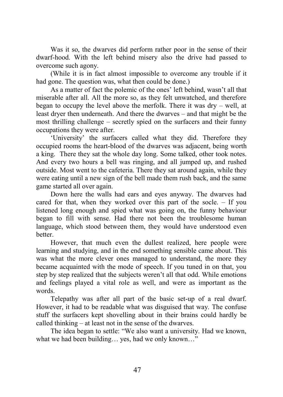Was it so, the dwarves did perform rather poor in the sense of their dwarf-hood. With the left behind misery also the drive had passed to overcome such agony.

(While it is in fact almost impossible to overcome any trouble if it had gone. The question was, what then could be done.)

As a matter of fact the polemic of the ones' left behind, wasn't all that miserable after all. All the more so, as they felt unwatched, and therefore began to occupy the level above the merfolk. There it was dry – well, at least dryer then underneath. And there the dwarves – and that might be the most thrilling challenge – secretly spied on the surfacers and their funny occupations they were after.

'University' the surfacers called what they did. Therefore they occupied rooms the heart-blood of the dwarves was adjacent, being worth a king. There they sat the whole day long. Some talked, other took notes. And every two hours a bell was ringing, and all jumped up, and rushed outside. Most went to the cafeteria. There they sat around again, while they were eating until a new sign of the bell made them rush back, and the same game started all over again.

Down here the walls had ears and eyes anyway. The dwarves had cared for that, when they worked over this part of the socle. – If you listened long enough and spied what was going on, the funny behaviour began to fill with sense. Had there not been the troublesome human language, which stood between them, they would have understood even better.

However, that much even the dullest realized, here people were learning and studying, and in the end something sensible came about. This was what the more clever ones managed to understand, the more they became acquainted with the mode of speech. If you tuned in on that, you step by step realized that the subjects weren't all that odd. While emotions and feelings played a vital role as well, and were as important as the words.

Telepathy was after all part of the basic set-up of a real dwarf. However, it had to be readable what was disguised that way. The confuse stuff the surfacers kept shovelling about in their brains could hardly be called thinking – at least not in the sense of the dwarves.

The idea began to settle: "We also want a university. Had we known, what we had been building… yes, had we only known…"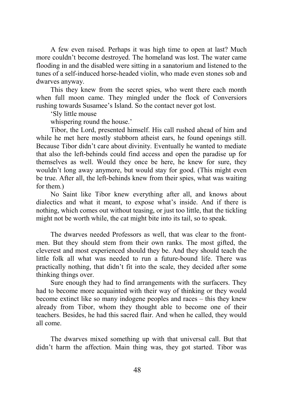A few even raised. Perhaps it was high time to open at last? Much more couldn't become destroyed. The homeland was lost. The water came flooding in and the disabled were sitting in a sanatorium and listened to the tunes of a self-induced horse-headed violin, who made even stones sob and dwarves anyway.

This they knew from the secret spies, who went there each month when full moon came. They mingled under the flock of Conversiors rushing towards Susamee's Island. So the contact never got lost.

'Sly little mouse

whispering round the house.'

Tibor, the Lord, presented himself. His call rushed ahead of him and while he met here mostly stubborn atheist ears, he found openings still. Because Tibor didn't care about divinity. Eventually he wanted to mediate that also the left-behinds could find access and open the paradise up for themselves as well. Would they once be here, he knew for sure, they wouldn't long away anymore, but would stay for good. (This might even be true. After all, the left-behinds knew from their spies, what was waiting for them.)

No Saint like Tibor knew everything after all, and knows about dialectics and what it meant, to expose what's inside. And if there is nothing, which comes out without teasing, or just too little, that the tickling might not be worth while, the cat might bite into its tail, so to speak.

The dwarves needed Professors as well, that was clear to the frontmen. But they should stem from their own ranks. The most gifted, the cleverest and most experienced should they be. And they should teach the little folk all what was needed to run a future-bound life. There was practically nothing, that didn't fit into the scale, they decided after some thinking things over.

Sure enough they had to find arrangements with the surfacers. They had to become more acquainted with their way of thinking or they would become extinct like so many indogene peoples and races – this they knew already from Tibor, whom they thought able to become one of their teachers. Besides, he had this sacred flair. And when he called, they would all come.

The dwarves mixed something up with that universal call. But that didn't harm the affection. Main thing was, they got started. Tibor was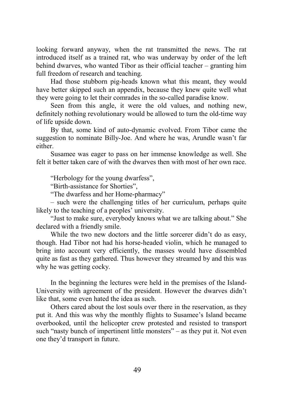looking forward anyway, when the rat transmitted the news. The rat introduced itself as a trained rat, who was underway by order of the left behind dwarves, who wanted Tibor as their official teacher – granting him full freedom of research and teaching.

Had those stubborn pig-heads known what this meant, they would have better skipped such an appendix, because they knew quite well what they were going to let their comrades in the so-called paradise know.

Seen from this angle, it were the old values, and nothing new, definitely nothing revolutionary would be allowed to turn the old-time way of life upside down.

By that, some kind of auto-dynamic evolved. From Tibor came the suggestion to nominate Billy-Joe. And where he was, Arundle wasn't far either.

Susamee was eager to pass on her immense knowledge as well. She felt it better taken care of with the dwarves then with most of her own race.

"Herbology for the young dwarfess",

"Birth-assistance for Shorties",

"The dwarfess and her Home-pharmacy"

– such were the challenging titles of her curriculum, perhaps quite likely to the teaching of a peoples' university.

"Just to make sure, everybody knows what we are talking about." She declared with a friendly smile.

While the two new doctors and the little sorcerer didn't do as easy, though. Had Tibor not had his horse-headed violin, which he managed to bring into account very efficiently, the masses would have dissembled quite as fast as they gathered. Thus however they streamed by and this was why he was getting cocky.

In the beginning the lectures were held in the premises of the Island-University with agreement of the president. However the dwarves didn't like that, some even hated the idea as such.

Others cared about the lost souls over there in the reservation, as they put it. And this was why the monthly flights to Susamee's Island became overbooked, until the helicopter crew protested and resisted to transport such "nasty bunch of impertinent little monsters" – as they put it. Not even one they'd transport in future.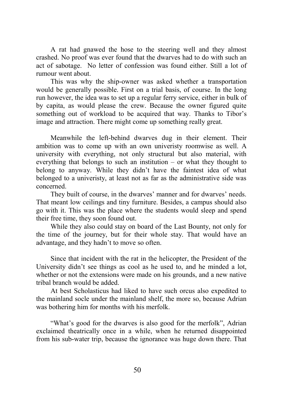A rat had gnawed the hose to the steering well and they almost crashed. No proof was ever found that the dwarves had to do with such an act of sabotage. No letter of confession was found either. Still a lot of rumour went about.

This was why the ship-owner was asked whether a transportation would be generally possible. First on a trial basis, of course. In the long run however, the idea was to set up a regular ferry service, either in bulk of by capita, as would please the crew. Because the owner figured quite something out of workload to be acquired that way. Thanks to Tibor's image and attraction. There might come up something really great.

Meanwhile the left-behind dwarves dug in their element. Their ambition was to come up with an own univeristy roomwise as well. A university with everything, not only structural but also material, with everything that belongs to such an institution – or what they thought to belong to anyway. While they didn't have the faintest idea of what belonged to a univeristy, at least not as far as the administrative side was concerned.

They built of course, in the dwarves' manner and for dwarves' needs. That meant low ceilings and tiny furniture. Besides, a campus should also go with it. This was the place where the students would sleep and spend their free time, they soon found out.

While they also could stay on board of the Last Bounty, not only for the time of the journey, but for their whole stay. That would have an advantage, and they hadn't to move so often.

Since that incident with the rat in the helicopter, the President of the University didn't see things as cool as he used to, and he minded a lot, whether or not the extensions were made on his grounds, and a new native tribal branch would be added.

At best Scholasticus had liked to have such orcus also expedited to the mainland socle under the mainland shelf, the more so, because Adrian was bothering him for months with his merfolk.

"What's good for the dwarves is also good for the merfolk", Adrian exclaimed theatrically once in a while, when he returned disappointed from his sub-water trip, because the ignorance was huge down there. That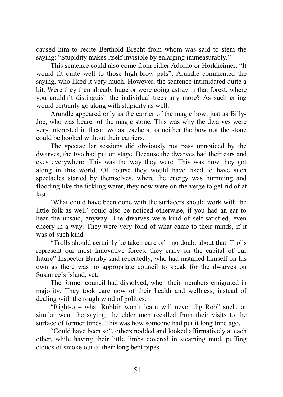caused him to recite Berthold Brecht from whom was said to stem the saying: "Stupidity makes itself invisible by enlarging immeasurably." –

This sentence could also come from either Adorno or Horkheimer. "It would fit quite well to those high-brow pals", Arundle commented the saying, who liked it very much. However, the sentence intimidated quite a bit. Were they then already huge or were going astray in that forest, where you couldn't distinguish the individual trees any more? As such erring would certainly go along with stupidity as well.

Arundle appeared only as the carrier of the magic bow, just as Billy-Joe, who was bearer of the magic stone. This was why the dwarves were very interested in these two as teachers, as neither the bow nor the stone could be booked without their carriers.

The spectacular sessions did obviously not pass unnoticed by the dwarves, the two had put on stage. Because the dwarves had their ears and eyes everywhere. This was the way they were. This was how they got along in this world. Of course they would have liked to have such spectacles started by themselves, where the energy was humming and flooding like the tickling water, they now were on the verge to get rid of at last.

'What could have been done with the surfacers should work with the little folk as well' could also be noticed otherwise, if you had an ear to hear the unsaid, anyway. The dwarves were kind of self-satisfied, even cheery in a way. They were very fond of what came to their minds, if it was of such kind.

"Trolls should certainly be taken care of – no doubt about that. Trolls represent our most innovative forces, they carry on the capital of our future" Inspector Barnby said repeatedly, who had installed himself on his own as there was no appropriate council to speak for the dwarves on Susamee's Island, yet.

The former council had dissolved, when their members emigrated in majority. They took care now of their health and wellness, instead of dealing with the rough wind of politics.

"Right-o – what Robbin won't learn will never dig Rob" such, or similar went the saying, the elder men recalled from their visits to the surface of former times. This was how someone had put it long time ago.

"Could have been so", others nodded and looked affirmatively at each other, while having their little limbs covered in steaming mud, puffing clouds of smoke out of their long bent pipes.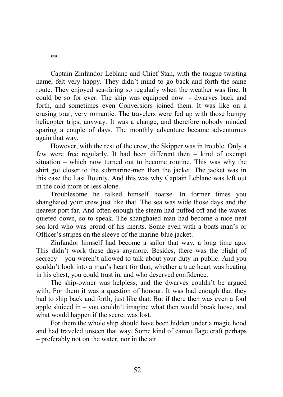Captain Zinfandor Leblanc and Chief Stan, with the tongue twisting name, felt very happy. They didn't mind to go back and forth the same route. They enjoyed sea-faring so regularly when the weather was fine. It could be so for ever. The ship was equipped now - dwarves back and forth, and sometimes even Conversiors joined them. It was like on a crusing tour, very romantic. The travelers were fed up with those bumpy helicopter trips, anyway. It was a change, and therefore nobody minded sparing a couple of days. The monthly adventure became adventurous again that way.

However, with the rest of the crew, the Skipper was in trouble. Only a few were free regularly. It had been different then – kind of exempt situation – which now turned out to become routine. This was why the shirt got closer to the submarine-men than the jacket. The jacket was in this case the Last Bounty. And this was why Captain Leblanc was left out in the cold more or less alone.

Troublesome he talked himself hoarse. In former times you shanghaied your crew just like that. The sea was wide those days and the nearest port far. And often enough the steam had puffed off and the waves quieted down, so to speak. The shanghaied man had become a nice neat sea-lord who was proud of his merits. Some even with a boats-man's or Officer's stripes on the sleeve of the marine-blue jacket.

Zinfandor himself had become a sailor that way, a long time ago. This didn't work these days anymore. Besides, there was the plight of secrecy – you weren't allowed to talk about your duty in public. And you couldn't look into a man's heart for that, whether a true heart was beating in his chest, you could trust in, and who deserved confidence.

The ship-owner was helpless, and the dwarves couldn't be argued with. For them it was a question of honour. It was bad enough that they had to ship back and forth, just like that. But if there then was even a foul apple sluiced in – you couldn't imagine what then would break loose, and what would happen if the secret was lost.

For them the whole ship should have been hidden under a magic hood and had traveled unseen that way. Some kind of camouflage craft perhaps – preferably not on the water, nor in the air.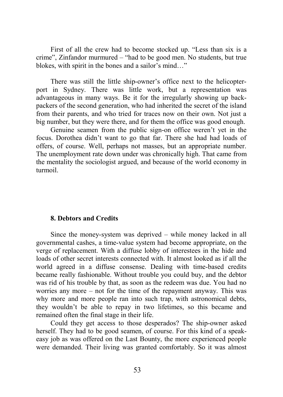First of all the crew had to become stocked up. "Less than six is a crime", Zinfandor murmured – "had to be good men. No students, but true blokes, with spirit in the bones and a sailor's mind…"

There was still the little ship-owner's office next to the helicopterport in Sydney. There was little work, but a representation was advantageous in many ways. Be it for the irregularly showing up backpackers of the second generation, who had inherited the secret of the island from their parents, and who tried for traces now on their own. Not just a big number, but they were there, and for them the office was good enough.

Genuine seamen from the public sign-on office weren't yet in the focus. Dorothea didn't want to go that far. There she had had loads of offers, of course. Well, perhaps not masses, but an appropriate number. The unemployment rate down under was chronically high. That came from the mentality the sociologist argued, and because of the world economy in turmoil.

## **8. Debtors and Credits**

Since the money-system was deprived – while money lacked in all governmental cashes, a time-value system had become appropriate, on the verge of replacement. With a diffuse lobby of interestees in the hide and loads of other secret interests connected with. It almost looked as if all the world agreed in a diffuse consense. Dealing with time-based credits became really fashionable. Without trouble you could buy, and the debtor was rid of his trouble by that, as soon as the redeem was due. You had no worries any more – not for the time of the repayment anyway. This was why more and more people ran into such trap, with astronomical debts, they wouldn't be able to repay in two lifetimes, so this became and remained often the final stage in their life.

Could they get access to those desperados? The ship-owner asked herself. They had to be good seamen, of course. For this kind of a speakeasy job as was offered on the Last Bounty, the more experienced people were demanded. Their living was granted comfortably. So it was almost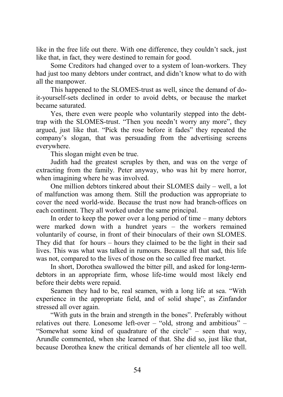like in the free life out there. With one difference, they couldn't sack, just like that, in fact, they were destined to remain for good.

Some Creditors had changed over to a system of loan-workers. They had just too many debtors under contract, and didn't know what to do with all the manpower.

This happened to the SLOMES-trust as well, since the demand of doit-yourself-sets declined in order to avoid debts, or because the market became saturated.

Yes, there even were people who voluntarily stepped into the debttrap with the SLOMES-trust. "Then you needn't worry any more", they argued, just like that. "Pick the rose before it fades" they repeated the company's slogan, that was persuading from the advertising screens everywhere.

This slogan might even be true.

Judith had the greatest scruples by then, and was on the verge of extracting from the family. Peter anyway, who was hit by mere horror, when imagining where he was involved.

One million debtors tinkered about their SLOMES daily – well, a lot of malfunction was among them. Still the production was appropriate to cover the need world-wide. Because the trust now had branch-offices on each continent. They all worked under the same principal.

In order to keep the power over a long period of time – many debtors were marked down with a hundret years – the workers remained voluntarily of course, in front of their binoculars of their own SLOMES. They did that for hours – hours they claimed to be the light in their sad lives. This was what was talked in rumours. Because all that sad, this life was not, compared to the lives of those on the so called free market.

In short, Dorothea swallowed the bitter pill, and asked for long-termdebtors in an appropriate firm, whose life-time would most likely end before their debts were repaid.

Seamen they had to be, real seamen, with a long life at sea. "With experience in the appropriate field, and of solid shape", as Zinfandor stressed all over again.

"With guts in the brain and strength in the bones". Preferably without relatives out there. Lonesome left-over – "old, strong and ambitious" – "Somewhat some kind of quadrature of the circle" – seen that way, Arundle commented, when she learned of that. She did so, just like that, because Dorothea knew the critical demands of her clientele all too well.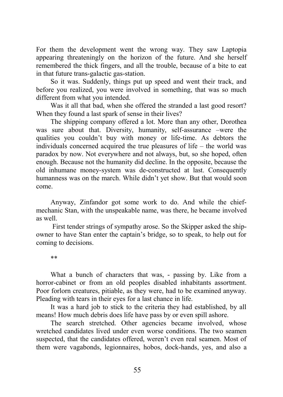For them the development went the wrong way. They saw Laptopia appearing threateningly on the horizon of the future. And she herself remembered the thick fingers, and all the trouble, because of a bite to eat in that future trans-galactic gas-station.

So it was. Suddenly, things put up speed and went their track, and before you realized, you were involved in something, that was so much different from what you intended.

Was it all that bad, when she offered the stranded a last good resort? When they found a last spark of sense in their lives?

The shipping company offered a lot. More than any other, Dorothea was sure about that. Diversity, humanity, self-assurance –were the qualities you couldn't buy with money or life-time. As debtors the individuals concerned acquired the true pleasures of life – the world was paradox by now. Not everywhere and not always, but, so she hoped, often enough. Because not the humanity did decline. In the opposite, because the old inhumane money-system was de-constructed at last. Consequently humanness was on the march. While didn't yet show. But that would soon come.

Anyway, Zinfandor got some work to do. And while the chiefmechanic Stan, with the unspeakable name, was there, he became involved as well.

 First tender strings of sympathy arose. So the Skipper asked the shipowner to have Stan enter the captain's bridge, so to speak, to help out for coming to decisions.

\*\*

What a bunch of characters that was, - passing by. Like from a horror-cabinet or from an old peoples disabled inhabitants assortment. Poor forlorn creatures, pitiable, as they were, had to be examined anyway. Pleading with tears in their eyes for a last chance in life.

It was a hard job to stick to the criteria they had established, by all means! How much debris does life have pass by or even spill ashore.

The search stretched. Other agencies became involved, whose wretched candidates lived under even worse conditions. The two seamen suspected, that the candidates offered, weren't even real seamen. Most of them were vagabonds, legionnaires, hobos, dock-hands, yes, and also a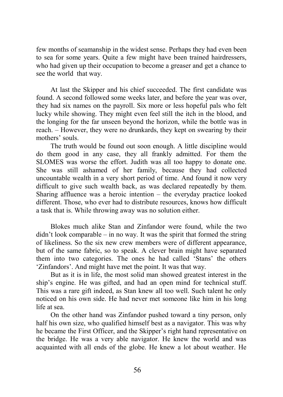few months of seamanship in the widest sense. Perhaps they had even been to sea for some years. Quite a few might have been trained hairdressers, who had given up their occupation to become a greaser and get a chance to see the world that way.

At last the Skipper and his chief succeeded. The first candidate was found. A second followed some weeks later, and before the year was over, they had six names on the payroll. Six more or less hopeful pals who felt lucky while showing. They might even feel still the itch in the blood, and the longing for the far unseen beyond the horizon, while the bottle was in reach. – However, they were no drunkards, they kept on swearing by their mothers' souls.

The truth would be found out soon enough. A little discipline would do them good in any case, they all frankly admitted. For them the SLOMES was worse the effort. Judith was all too happy to donate one. She was still ashamed of her family, because they had collected uncountable wealth in a very short period of time. And found it now very difficult to give such wealth back, as was declared repeatedly by them. Sharing affluence was a heroic intention – the everyday practice looked different. Those, who ever had to distribute resources, knows how difficult a task that is. While throwing away was no solution either.

Blokes much alike Stan and Zinfandor were found, while the two didn't look comparable – in no way. It was the spirit that formed the string of likeliness. So the six new crew members were of different appearance, but of the same fabric, so to speak. A clever brain might have separated them into two categories. The ones he had called 'Stans' the others 'Zinfandors'. And might have met the point. It was that way.

But as it is in life, the most solid man showed greatest interest in the ship's engine. He was gifted, and had an open mind for technical stuff. This was a rare gift indeed, as Stan knew all too well. Such talent he only noticed on his own side. He had never met someone like him in his long life at sea.

On the other hand was Zinfandor pushed toward a tiny person, only half his own size, who qualified himself best as a navigator. This was why he became the First Officer, and the Skipper's right hand representative on the bridge. He was a very able navigator. He knew the world and was acquainted with all ends of the globe. He knew a lot about weather. He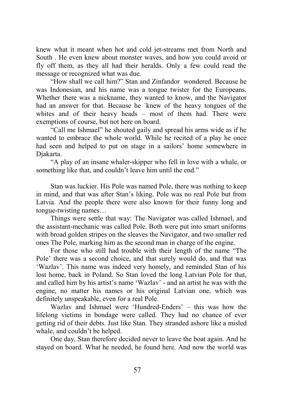knew what it meant when hot and cold jet-streams met from North and South . He even knew about monster waves, and how you could avoid or fly off them, as they all had their heralds. Only a few could read the message or recognized what was due.

"How shall we call him?" Stan and Zinfandor wondered. Because he was Indonesian, and his name was a tongue twister for the Europeans. Whether there was a nickname, they wanted to know, and the Navigator had an answer for that. Because he ´knew of the heavy tongues of the whites and of their heavy heads – most of them had. There were exemptions of course, but not here on board.

"Call me Ishmael" he shouted gaily and spread his arms wide as if he wanted to embrace the whole world. While he recited of a play he once had seen and helped to put on stage in a sailors' home somewhere in Djakarta.

"A play of an insane whaler-skipper who fell in love with a whale, or something like that, and couldn't leave him until the end."

Stan was luckier. His Pole was named Pole, there was nothing to keep in mind, and that was after Stan's liking. Pole was no real Pole but from Latvia. And the people there were also known for their funny long and tongue-twisting names…

Things were settle that way: The Navigator was called Ishmael, and the assistant-mechanic was called Pole. Both were put into smart uniforms with broad golden stripes on the sleaves the Navigator, and two smaller red ones The Pole, marking him as the second man in charge of the engine.

For those who still had trouble with their length of the name "The Pole' there was a second choice, and that surely would do, and that was 'Wazlav'. This name was indeed very homely, and reminded Stan of his lost home, back in Poland. So Stan loved the long Latvian Pole for that, and called him by his artist's name 'Wazlav' - and an artist he was with the engine, no matter his names or his original Latvian one, which was definitely unspeakable, even for a real Pole.

Wazlav and Ishmael were 'Hundred-Enders' – this was how the lifelong victims in bondage were called. They had no chance of ever getting rid of their debts. Just like Stan. They stranded ashore like a misled whale, and couldn't be helped.

One day, Stan therefore decided never to leave the boat again. And he stayed on board. What he needed, he found here. And now the world was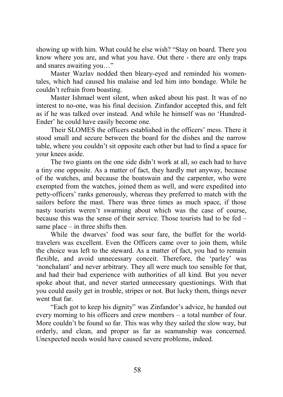showing up with him. What could he else wish? "Stay on board. There you know where you are, and what you have. Out there - there are only traps and snares awaiting you…"

Master Wazlav nodded then bleary-eyed and reminded his womentales, which had caused his malaise and led him into bondage. While he couldn't refrain from boasting.

Master Ishmael went silent, when asked about his past. It was of no interest to no-one, was his final decision. Zinfandor accepted this, and felt as if he was talked over instead. And while he himself was no 'Hundred-Ender' he could have easily become one.

Their SLOMES the officers established in the officers' mess. There it stood small and secure between the board for the dishes and the narrow table, where you couldn't sit opposite each other but had to find a space for your knees aside.

The two giants on the one side didn't work at all, so each had to have a tiny one opposite. As a matter of fact, they hardly met anyway, because of the watches, and because the boatswain and the carpenter, who were exempted from the watches, joined them as well, and were expedited into petty-officers' ranks generously, whereas they preferred to match with the sailors before the mast. There was three times as much space, if those nasty tourists weren't swarming about which was the case of course, because this was the sense of their service. Those tourists had to be fed – same place  $-$  in three shifts then.

While the dwarves' food was sour fare, the buffet for the worldtravelers was excellent. Even the Officers came over to join them, while the choice was left to the steward. As a matter of fact, you had to remain flexible, and avoid unnecessary conceit. Therefore, the 'parley' was 'nonchalant' and never arbitrary. They all were much too sensible for that, and had their bad experience with authorities of all kind. But you never spoke about that, and never started unnecessary questionings. With that you could easily get in trouble, stripes or not. But lucky them, things never went that far.

"Each got to keep his dignity" was Zinfandor's advice, he handed out every morning to his officers and crew members – a total number of four. More couldn't be found so far. This was why they sailed the slow way, but orderly, and clean, and proper as far as seamanship was concerned. Unexpected needs would have caused severe problems, indeed.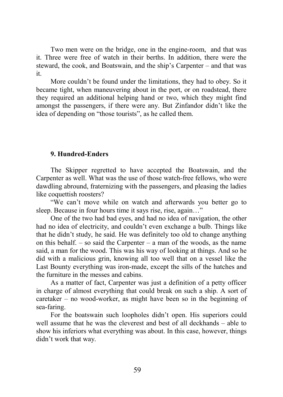Two men were on the bridge, one in the engine-room, and that was it. Three were free of watch in their berths. In addition, there were the steward, the cook, and Boatswain, and the ship's Carpenter – and that was it.

More couldn't be found under the limitations, they had to obey. So it became tight, when maneuvering about in the port, or on roadstead, there they required an additional helping hand or two, which they might find amongst the passengers, if there were any. But Zinfandor didn't like the idea of depending on "those tourists", as he called them.

## **9. Hundred-Enders**

The Skipper regretted to have accepted the Boatswain, and the Carpenter as well. What was the use of those watch-free fellows, who were dawdling abround, fraternizing with the passengers, and pleasing the ladies like coquettish roosters?

"We can't move while on watch and afterwards you better go to sleep. Because in four hours time it says rise, rise, again..."

One of the two had bad eyes, and had no idea of navigation, the other had no idea of electricity, and couldn't even exchange a bulb. Things like that he didn't study, he said. He was definitely too old to change anything on this behalf. – so said the Carpenter – a man of the woods, as the name said, a man for the wood. This was his way of looking at things. And so he did with a malicious grin, knowing all too well that on a vessel like the Last Bounty everything was iron-made, except the sills of the hatches and the furniture in the messes and cabins.

As a matter of fact, Carpenter was just a definition of a petty officer in charge of almost everything that could break on such a ship. A sort of caretaker – no wood-worker, as might have been so in the beginning of sea-faring.

For the boatswain such loopholes didn't open. His superiors could well assume that he was the cleverest and best of all deckhands – able to show his inferiors what everything was about. In this case, however, things didn't work that way.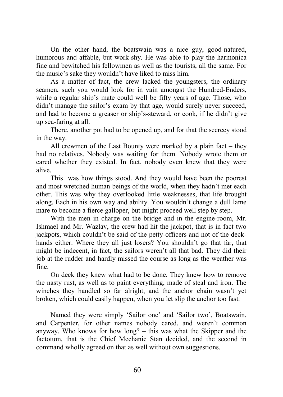On the other hand, the boatswain was a nice guy, good-natured, humorous and affable, but work-shy. He was able to play the harmonica fine and bewitched his fellowmen as well as the tourists, all the same. For the music's sake they wouldn't have liked to miss him.

As a matter of fact, the crew lacked the youngsters, the ordinary seamen, such you would look for in vain amongst the Hundred-Enders, while a regular ship's mate could well be fifty years of age. Those, who didn't manage the sailor's exam by that age, would surely never succeed, and had to become a greaser or ship's-steward, or cook, if he didn't give up sea-faring at all.

There, another pot had to be opened up, and for that the secrecy stood in the way.

All crewmen of the Last Bounty were marked by a plain fact – they had no relatives. Nobody was waiting for them. Nobody wrote them or cared whether they existed. In fact, nobody even knew that they were alive.

This was how things stood. And they would have been the poorest and most wretched human beings of the world, when they hadn't met each other. This was why they overlooked little weaknesses, that life brought along. Each in his own way and ability. You wouldn't change a dull lame mare to become a fierce galloper, but might proceed well step by step.

With the men in charge on the bridge and in the engine-room, Mr. Ishmael and Mr. Wazlav, the crew had hit the jackpot, that is in fact two jackpots, which couldn't be said of the petty-officers and not of the deckhands either. Where they all just losers? You shouldn't go that far, that might be indecent, in fact, the sailors weren't all that bad. They did their job at the rudder and hardly missed the course as long as the weather was fine.

On deck they knew what had to be done. They knew how to remove the nasty rust, as well as to paint everything, made of steal and iron. The winches they handled so far alright, and the anchor chain wasn't yet broken, which could easily happen, when you let slip the anchor too fast.

Named they were simply 'Sailor one' and 'Sailor two', Boatswain, and Carpenter, for other names nobody cared, and weren't common anyway. Who knows for how long? – this was what the Skipper and the factotum, that is the Chief Mechanic Stan decided, and the second in command wholly agreed on that as well without own suggestions.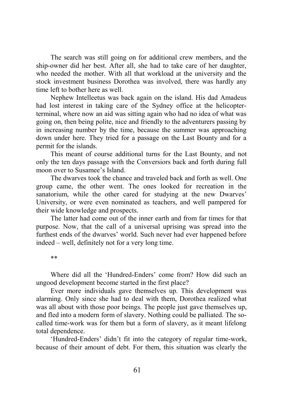The search was still going on for additional crew members, and the ship-owner did her best. After all, she had to take care of her daughter, who needed the mother. With all that workload at the university and the stock investment business Dorothea was involved, there was hardly any time left to bother here as well.

Nephew Intelleetus was back again on the island. His dad Amadeus had lost interest in taking care of the Sydney office at the helicopterterminal, where now an aid was sitting again who had no idea of what was going on, then being polite, nice and friendly to the adventurers passing by in increasing number by the time, because the summer was approaching down under here. They tried for a passage on the Last Bounty and for a permit for the islands.

This meant of course additional turns for the Last Bounty, and not only the ten days passage with the Conversiors back and forth during full moon over to Susamee's Island.

The dwarves took the chance and traveled back and forth as well. One group came, the other went. The ones looked for recreation in the sanatorium, while the other cared for studying at the new Dwarves' University, or were even nominated as teachers, and well pampered for their wide knowledge and prospects.

The latter had come out of the inner earth and from far times for that purpose. Now, that the call of a universal uprising was spread into the furthest ends of the dwarves' world. Such never had ever happened before indeed – well, definitely not for a very long time.

\*\*

Where did all the 'Hundred-Enders' come from? How did such an ungood development become started in the first place?

Ever more individuals gave themselves up. This development was alarming. Only since she had to deal with them, Dorothea realized what was all about with those poor beings. The people just gave themselves up, and fled into a modern form of slavery. Nothing could be palliated. The socalled time-work was for them but a form of slavery, as it meant lifelong total dependence.

'Hundred-Enders' didn't fit into the category of regular time-work, because of their amount of debt. For them, this situation was clearly the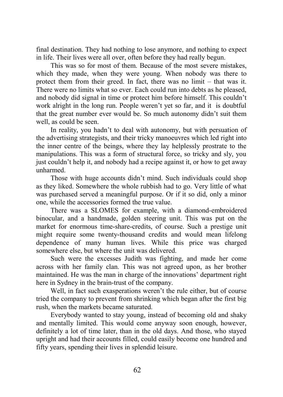final destination. They had nothing to lose anymore, and nothing to expect in life. Their lives were all over, often before they had really begun.

This was so for most of them. Because of the most severe mistakes, which they made, when they were young. When nobody was there to protect them from their greed. In fact, there was no limit – that was it. There were no limits what so ever. Each could run into debts as he pleased, and nobody did signal in time or protect him before himself. This couldn't work alright in the long run. People weren't yet so far, and it is doubtful that the great number ever would be. So much autonomy didn't suit them well, as could be seen.

In reality, you hadn't to deal with autonomy, but with persuation of the advertising strategists, and their tricky manoeuvres which led right into the inner centre of the beings, where they lay helplessly prostrate to the manipulations. This was a form of structural force, so tricky and sly, you just couldn't help it, and nobody had a recipe against it, or how to get away unharmed.

Those with huge accounts didn't mind. Such individuals could shop as they liked. Somewhere the whole rubbish had to go. Very little of what was purchased served a meaningful purpose. Or if it so did, only a minor one, while the accessories formed the true value.

There was a SLOMES for example, with a diamond-embroidered binocular, and a handmade, golden steering unit. This was put on the market for enormous time-share-credits, of course. Such a prestige unit might require some twenty-thousand credits and would mean lifelong dependence of many human lives. While this price was charged somewhere else, but where the unit was delivered.

Such were the excesses Judith was fighting, and made her come across with her family clan. This was not agreed upon, as her brother maintained. He was the man in charge of the innovations' department right here in Sydney in the brain-trust of the company.

Well, in fact such exasperations weren't the rule either, but of course tried the company to prevent from shrinking which began after the first big rush, when the markets became saturated.

Everybody wanted to stay young, instead of becoming old and shaky and mentally limited. This would come anyway soon enough, however, definitely a lot of time later, than in the old days. And those, who stayed upright and had their accounts filled, could easily become one hundred and fifty years, spending their lives in splendid leisure.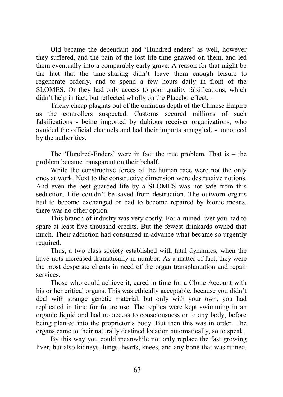Old became the dependant and 'Hundred-enders' as well, however they suffered, and the pain of the lost life-time gnawed on them, and led them eventually into a comparably early grave. A reason for that might be the fact that the time-sharing didn't leave them enough leisure to regenerate orderly, and to spend a few hours daily in front of the SLOMES. Or they had only access to poor quality falsifications, which didn't help in fact, but reflected wholly on the Placebo-effect. –

Tricky cheap plagiats out of the ominous depth of the Chinese Empire as the controllers suspected. Customs secured millions of such falsifications - being imported by dubious receiver organizations, who avoided the official channels and had their imports smuggled, - unnoticed by the authorities.

The 'Hundred-Enders' were in fact the true problem. That is – the problem became transparent on their behalf.

While the constructive forces of the human race were not the only ones at work. Next to the constructive dimension were destructive notions. And even the best guarded life by a SLOMES was not safe from this seduction. Life couldn't be saved from destruction. The outworn organs had to become exchanged or had to become repaired by bionic means, there was no other option.

This branch of industry was very costly. For a ruined liver you had to spare at least five thousand credits. But the fewest drinkards owned that much. Their addiction had consumed in advance what became so urgently required.

Thus, a two class society established with fatal dynamics, when the have-nots increased dramatically in number. As a matter of fact, they were the most desperate clients in need of the organ transplantation and repair services.

Those who could achieve it, cared in time for a Clone-Account with his or her critical organs. This was ethically acceptable, because you didn't deal with strange genetic material, but only with your own, you had replicated in time for future use. The replica were kept swimming in an organic liquid and had no access to consciousness or to any body, before being planted into the proprietor's body. But then this was in order. The organs came to their naturally destined location automatically, so to speak.

By this way you could meanwhile not only replace the fast growing liver, but also kidneys, lungs, hearts, knees, and any bone that was ruined.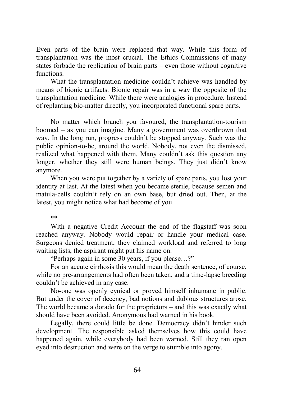Even parts of the brain were replaced that way. While this form of transplantation was the most crucial. The Ethics Commissions of many states forbade the replication of brain parts – even those without cognitive functions.

What the transplantation medicine couldn't achieve was handled by means of bionic artifacts. Bionic repair was in a way the opposite of the transplantation medicine. While there were analogies in procedure. Instead of replanting bio-matter directly, you incorporated functional spare parts.

No matter which branch you favoured, the transplantation-tourism boomed – as you can imagine. Many a government was overthrown that way. In the long run, progress couldn't be stopped anyway. Such was the public opinion-to-be, around the world. Nobody, not even the dismissed, realized what happened with them. Many couldn't ask this question any longer, whether they still were human beings. They just didn't know anymore.

When you were put together by a variety of spare parts, you lost your identity at last. At the latest when you became sterile, because semen and matula-cells couldn't rely on an own base, but dried out. Then, at the latest, you might notice what had become of you.

#### \*\*

With a negative Credit Account the end of the flagstaff was soon reached anyway. Nobody would repair or handle your medical case. Surgeons denied treatment, they claimed workload and referred to long waiting lists, the aspirant might put his name on.

"Perhaps again in some 30 years, if you please…?"

For an accute cirrhosis this would mean the death sentence, of course, while no pre-arrangements had often been taken, and a time-lapse breeding couldn't be achieved in any case.

No-one was openly cynical or proved himself inhumane in public. But under the cover of decency, bad notions and dubious structures arose. The world became a dorado for the proprietors – and this was exactly what should have been avoided. Anonymous had warned in his book.

Legally, there could little be done. Democracy didn't hinder such development. The responsible asked themselves how this could have happened again, while everybody had been warned. Still they ran open eyed into destruction and were on the verge to stumble into agony.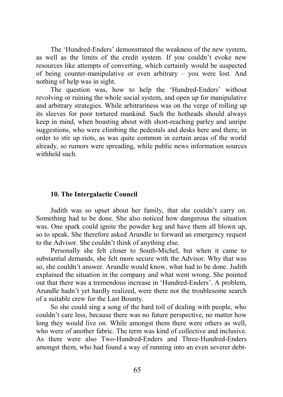The 'Hundred-Enders' demonstrated the weakness of the new system, as well as the limits of the credit system. If you couldn't evoke new resources like attempts of converting, which certainly would be suspected of being counter-manipulative or even arbitrary – you were lost. And nothing of help was in sight.

The question was, how to help the 'Hundred-Enders' without revolving or ruining the whole social system, and open up for manipulative and arbitrary strategies. While arbitrariness was on the verge of rolling up its sleeves for poor tortured mankind. Such the hotheads should always keep in mind, when boasting about with short-reaching parley and unripe suggestions, who were climbing the pedestals and desks here and there, in order to stir up riots, as was quite common in certain areas of the world already, so rumors were spreading, while public news information sources withheld such.

### **10. The Intergalactic Council**

Judith was so upset about her family, that she couldn't carry on. Something had to be done. She also noticed how dangerous the situation was. One spark could ignite the powder keg and have them all blown up, so to speak. She therefore asked Arundle to forward an emergency request to the Advisor. She couldn't think of anything else.

Personally she felt closer to South-Michel, but when it came to substantial demands, she felt more secure with the Advisor. Why that was so, she couldn't answer. Arundle would know, what had to be done. Judith explained the situation in the company and what went wrong. She pointed out that there was a tremendous increase in 'Hundred-Enders'. A problem, Arundle hadn't yet hardly realized, were there not the troublesome search of a suitable crew for the Last Bounty.

So she could sing a song of the hard toil of dealing with people, who couldn't care less, because there was no future perspective, no matter how long they would live on. While amongst them there were others as well, who were of another fabric. The term was kind of collective and inclusive. As there were also Two-Hundred-Enders and Three-Hundred-Enders amongst them, who had found a way of running into an even severer debt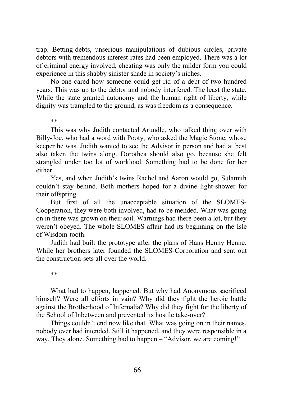trap. Betting-debts, unserious manipulations of dubious circles, private debtors with tremendous interest-rates had been employed. There was a lot of criminal energy involved, cheating was only the milder form you could experience in this shabby sinister shade in society's niches.

No-one cared how someone could get rid of a debt of two hundred years. This was up to the debtor and nobody interfered. The least the state. While the state granted autonomy and the human right of liberty, while dignity was trampled to the ground, as was freedom as a consequence.

#### \*\*

This was why Judith contacted Arundle, who talked thing over with Billy-Joe, who had a word with Pooty, who asked the Magic Stone, whose keeper he was. Judith wanted to see the Advisor in person and had at best also taken the twins along. Dorothea should also go, because she felt strangled under too lot of workload. Something had to be done for her either.

Yes, and when Judith's twins Rachel and Aaron would go, Sulamith couldn't stay behind. Both mothers hoped for a divine light-shower for their offspring.

But first of all the unacceptable situation of the SLOMES-Cooperation, they were both involved, had to be mended. What was going on in there was grown on their soil. Warnings had there been a lot, but they weren't obeyed. The whole SLOMES affair had its beginning on the Isle of Wisdom-tooth.

Judith had built the prototype after the plans of Hans Henny Henne. While her brothers later founded the SLOMES-Corporation and sent out the construction-sets all over the world.

#### \*\*

What had to happen, happened. But why had Anonymous sacrificed himself? Were all efforts in vain? Why did they fight the heroic battle against the Brotherhood of Infernalia? Why did they fight for the liberty of the School of Inbetween and prevented its hostile take-over?

Things couldn't end now like that. What was going on in their names, nobody ever had intended. Still it happened, and they were responsible in a way. They alone. Something had to happen – "Advisor, we are coming!"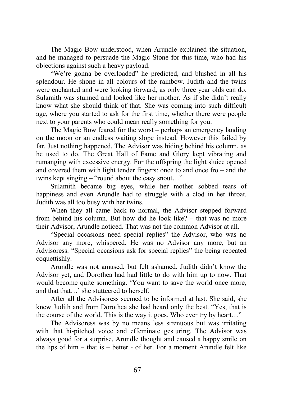The Magic Bow understood, when Arundle explained the situation, and he managed to persuade the Magic Stone for this time, who had his objections against such a heavy payload.

"We're gonna be overloaded" he predicted, and blushed in all his splendour. He shone in all colours of the rainbow. Judith and the twins were enchanted and were looking forward, as only three year olds can do. Sulamith was stunned and looked like her mother. As if she didn't really know what she should think of that. She was coming into such difficult age, where you started to ask for the first time, whether there were people next to your parents who could mean really something for you.

The Magic Bow feared for the worst – perhaps an emergency landing on the moon or an endless waiting slope instead. However this failed by far. Just nothing happened. The Advisor was hiding behind his column, as he used to do. The Great Hall of Fame and Glory kept vibrating and rumanging with excessive energy. For the offspring the light sluice opened and covered them with light tender fingers: once to and once fro – and the twins kept singing – "round about the easy snout…"

Sulamith became big eyes, while her mother sobbed tears of happiness and even Arundle had to struggle with a clod in her throat. Judith was all too busy with her twins.

When they all came back to normal, the Advisor stepped forward from behind his column. But how did he look like? – that was no more their Advisor, Arundle noticed. That was not the common Advisor at all.

"Special occasions need special replies" the Advisor, who was no Advisor any more, whispered. He was no Advisor any more, but an Advisoress. "Special occasions ask for special replies" the being repeated coquettishly.

Arundle was not amused, but felt ashamed. Judith didn't know the Advisor yet, and Dorothea had had little to do with him up to now. That would become quite something. 'You want to save the world once more, and that that...' she stutteered to herself.

After all the Advisoress seemed to be informed at last. She said, she knew Judith and from Dorothea she had heard only the best. "Yes, that is the course of the world. This is the way it goes. Who ever try by heart…"

The Advisoress was by no means less strenuous but was irritating with that hi-pitched voice and effeminate gesturing. The Advisor was always good for a surprise, Arundle thought and caused a happy smile on the lips of him – that is – better - of her. For a moment Arundle felt like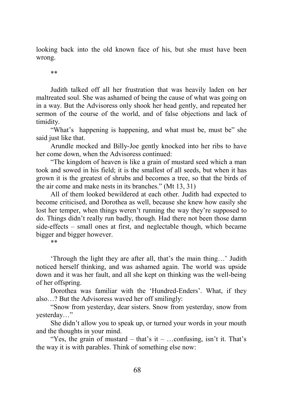looking back into the old known face of his, but she must have been wrong.

\*\*

Judith talked off all her frustration that was heavily laden on her maltreated soul. She was ashamed of being the cause of what was going on in a way. But the Advisoress only shook her head gently, and repeated her sermon of the course of the world, and of false objections and lack of timidity.

"What's happening is happening, and what must be, must be" she said just like that.

Arundle mocked and Billy-Joe gently knocked into her ribs to have her come down, when the Advisoress continued:

"The kingdom of heaven is like a grain of mustard seed which a man took and sowed in his field; it is the smallest of all seeds, but when it has grown it is the greatest of shrubs and becomes a tree, so that the birds of the air come and make nests in its branches." (Mt 13, 31)

All of them looked bewildered at each other. Judith had expected to become criticised, and Dorothea as well, because she knew how easily she lost her temper, when things weren't running the way they're supposed to do. Things didn't really run badly, though. Had there not been those damn side-effects – small ones at first, and neglectable though, which became bigger and bigger however.

\*\*

'Through the light they are after all, that's the main thing…' Judith noticed herself thinking, and was ashamed again. The world was upside down and it was her fault, and all she kept on thinking was the well-being of her offspring.

Dorothea was familiar with the 'Hundred-Enders'. What, if they also…? But the Advisoress waved her off smilingly:

"Snow from yesterday, dear sisters. Snow from yesterday, snow from yesterday…"

She didn't allow you to speak up, or turned your words in your mouth and the thoughts in your mind.

"Yes, the grain of mustard – that's it – ...confusing, isn't it. That's the way it is with parables. Think of something else now: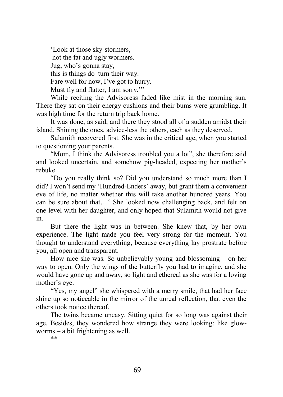'Look at those sky-stormers, not the fat and ugly wormers. Jug, who's gonna stay, this is things do turn their way. Fare well for now, I've got to hurry. Must fly and flatter, I am sorry."

While reciting the Advisoress faded like mist in the morning sun. There they sat on their energy cushions and their bums were grumbling. It was high time for the return trip back home.

It was done, as said, and there they stood all of a sudden amidst their island. Shining the ones, advice-less the others, each as they deserved.

Sulamith recovered first. She was in the critical age, when you started to questioning your parents.

"Mom, I think the Advisoress troubled you a lot", she therefore said and looked uncertain, and somehow pig-headed, expecting her mother's rebuke.

"Do you really think so? Did you understand so much more than I did? I won't send my 'Hundred-Enders' away, but grant them a convenient eve of life, no matter whether this will take another hundred years. You can be sure about that…" She looked now challenging back, and felt on one level with her daughter, and only hoped that Sulamith would not give in.

But there the light was in between. She knew that, by her own experience. The light made you feel very strong for the moment. You thought to understand everything, because everything lay prostrate before you, all open and transparent.

How nice she was. So unbelievably young and blossoming – on her way to open. Only the wings of the butterfly you had to imagine, and she would have gone up and away, so light and ethereal as she was for a loving mother's eye.

"Yes, my angel" she whispered with a merry smile, that had her face shine up so noticeable in the mirror of the unreal reflection, that even the others took notice thereof.

The twins became uneasy. Sitting quiet for so long was against their age. Besides, they wondered how strange they were looking: like glowworms – a bit frightening as well.

\*\*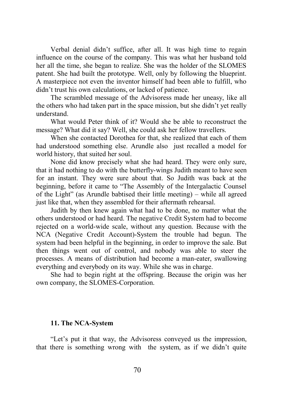Verbal denial didn't suffice, after all. It was high time to regain influence on the course of the company. This was what her husband told her all the time, she began to realize. She was the holder of the SLOMES patent. She had built the prototype. Well, only by following the blueprint. A masterpiece not even the inventor himself had been able to fulfill, who didn't trust his own calculations, or lacked of patience.

The scrambled message of the Advisoress made her uneasy, like all the others who had taken part in the space mission, but she didn't yet really understand.

What would Peter think of it? Would she be able to reconstruct the message? What did it say? Well, she could ask her fellow travellers.

When she contacted Dorothea for that, she realized that each of them had understood something else. Arundle also just recalled a model for world history, that suited her soul.

None did know precisely what she had heard. They were only sure, that it had nothing to do with the butterfly-wings Judith meant to have seen for an instant. They were sure about that. So Judith was back at the beginning, before it came to "The Assembly of the Intergalactic Counsel of the Light" (as Arundle babtised their little meeting) – while all agreed just like that, when they assembled for their aftermath rehearsal.

Judith by then knew again what had to be done, no matter what the others understood or had heard. The negative Credit System had to become rejected on a world-wide scale, without any question. Because with the NCA (Negative Credit Account)-System the trouble had begun. The system had been helpful in the beginning, in order to improve the sale. But then things went out of control, and nobody was able to steer the processes. A means of distribution had become a man-eater, swallowing everything and everybody on its way. While she was in charge.

She had to begin right at the offspring. Because the origin was her own company, the SLOMES-Corporation.

### **11. The NCA-System**

"Let's put it that way, the Advisoress conveyed us the impression, that there is something wrong with the system, as if we didn't quite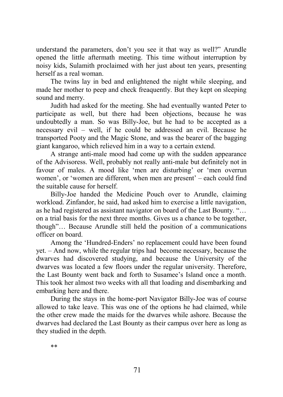understand the parameters, don't you see it that way as well?" Arundle opened the little aftermath meeting. This time without interruption by noisy kids, Sulamith proclaimed with her just about ten years, presenting herself as a real woman.

The twins lay in bed and enlightened the night while sleeping, and made her mother to peep and check freaquently. But they kept on sleeping sound and merry.

Judith had asked for the meeting. She had eventually wanted Peter to participate as well, but there had been objections, because he was undoubtedly a man. So was Billy-Joe, but he had to be accepted as a necessary evil – well, if he could be addressed an evil. Because he transported Pooty and the Magic Stone, and was the bearer of the bagging giant kangaroo, which relieved him in a way to a certain extend.

A strange anti-male mood had come up with the sudden appearance of the Advisoress. Well, probably not really anti-male but definitely not in favour of males. A mood like 'men are disturbing' or 'men overrun women', or 'women are different, when men are present' – each could find the suitable cause for herself.

Billy-Joe handed the Medicine Pouch over to Arundle, claiming workload. Zinfandor, he said, had asked him to exercise a little navigation, as he had registered as assistant navigator on board of the Last Bounty. "… on a trial basis for the next three months. Gives us a chance to be together, though"… Because Arundle still held the position of a communications officer on board.

Among the 'Hundred-Enders' no replacement could have been found yet. – And now, while the regular trips had become necessary, because the dwarves had discovered studying, and because the University of the dwarves was located a few floors under the regular university. Therefore, the Last Bounty went back and forth to Susamee's Island once a month. This took her almost two weeks with all that loading and disembarking and embarking here and there.

During the stays in the home-port Navigator Billy-Joe was of course allowed to take leave. This was one of the options he had claimed, while the other crew made the maids for the dwarves while ashore. Because the dwarves had declared the Last Bounty as their campus over here as long as they studied in the depth.

\*\*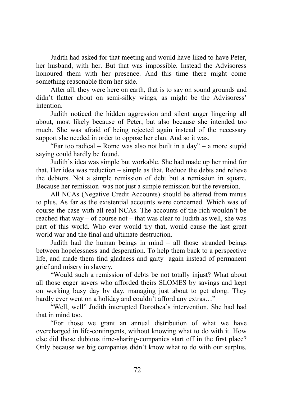Judith had asked for that meeting and would have liked to have Peter, her husband, with her. But that was impossible. Instead the Advisoress honoured them with her presence. And this time there might come something reasonable from her side.

After all, they were here on earth, that is to say on sound grounds and didn't flatter about on semi-silky wings, as might be the Advisoress' intention.

Judith noticed the hidden aggression and silent anger lingering all about, most likely because of Peter, but also because she intended too much. She was afraid of being rejected again instead of the necessary support she needed in order to oppose her clan. And so it was.

"Far too radical – Rome was also not built in a day" – a more stupid saying could hardly be found.

Judith's idea was simple but workable. She had made up her mind for that. Her idea was reduction – simple as that. Reduce the debts and relieve the debtors. Not a simple remission of debt but a remission in square. Because her remission was not just a simple remission but the reversion.

All NCAs (Negative Credit Accounts) should be altered from minus to plus. As far as the existential accounts were concerned. Which was of course the case with all real NCAs. The accounts of the rich wouldn't be reached that way – of course not – that was clear to Judith as well, she was part of this world. Who ever would try that, would cause the last great world war and the final and ultimate destruction.

Judith had the human beings in mind – all those stranded beings between hopelessness and desperation. To help them back to a perspective life, and made them find gladness and gaity again instead of permanent grief and misery in slavery.

"Would such a remission of debts be not totally injust? What about all those eager savers who afforded theirs SLOMES by savings and kept on working busy day by day, managing just about to get along. They hardly ever went on a holiday and couldn't afford any extras..."

"Well, well" Judith interupted Dorothea's intervention. She had had that in mind too.

"For those we grant an annual distribution of what we have overcharged in life-contingents, without knowing what to do with it. How else did those dubious time-sharing-companies start off in the first place? Only because we big companies didn't know what to do with our surplus.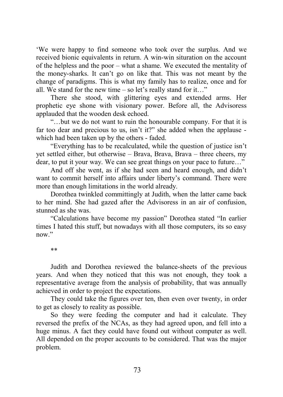'We were happy to find someone who took over the surplus. And we received bionic equivalents in return. A win-win situration on the account of the helpless and the poor – what a shame. We executed the mentality of the money-sharks. It can't go on like that. This was not meant by the change of paradigms. This is what my family has to realize, once and for all. We stand for the new time – so let's really stand for it…"

There she stood, with glittering eyes and extended arms. Her prophetic eye shone with visionary power. Before all, the Advisoress applauded that the wooden desk echoed.

"…but we do not want to ruin the honourable company. For that it is far too dear and precious to us, isn't it?" she added when the applause which had been taken up by the others - faded.

"Everything has to be recalculated, while the question of justice isn't yet settled either, but otherwise – Brava, Brava, Brava – three cheers, my dear, to put it your way. We can see great things on your pace to future…"

And off she went, as if she had seen and heard enough, and didn't want to commit herself into affairs under liberty's command. There were more than enough limitations in the world already.

Dorothea twinkled committingly at Judith, when the latter came back to her mind. She had gazed after the Advisoress in an air of confusion, stunned as she was.

"Calculations have become my passion" Dorothea stated "In earlier times I hated this stuff, but nowadays with all those computers, its so easy now."

\*\*

Judith and Dorothea reviewed the balance-sheets of the previous years. And when they noticed that this was not enough, they took a representative average from the analysis of probability, that was annually achieved in order to project the expectations.

They could take the figures over ten, then even over twenty, in order to get as closely to reality as possible.

So they were feeding the computer and had it calculate. They reversed the prefix of the NCAs, as they had agreed upon, and fell into a huge minus. A fact they could have found out without computer as well. All depended on the proper accounts to be considered. That was the major problem.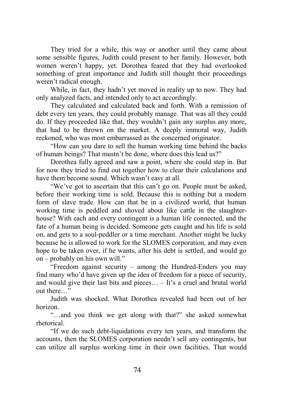They tried for a while, this way or another until they came about some sensible figures, Judith could present to her family. However, both women weren't happy, yet. Dorothea feared that they had overlooked something of great importance and Judith still thought their proceedings weren't radical enough.

While, in fact, they hadn't yet moved in reality up to now. They had only analyzed facts, and intended only to act accordingly.

They calculated and calculated back and forth. With a remission of debt every ten years, they could probably manage. That was all they could do. If they proceeded like that, they wouldn't gain any surplus any more, that had to be thrown on the market. A deeply immoral way, Judith reckoned, who was most embarrassed as the concerned originator.

"How can you dare to sell the human working time behind the backs of human beings? That mustn't be done, where does this lead us?"

Dorothea fully agreed and saw a point, where she could step in. But for now they tried to find out together how to clear their calculations and have them become sound. Which wasn't easy at all.

"We've got to ascertain that this can't go on. People must be asked, before their working time is sold. Because this is nothing but a modern form of slave trade. How can that be in a civilized world, that human working time is peddled and shoved about like cattle in the slaughterhouse? With each and every contingent is a human life connected, and the fate of a human being is decided. Someone gets caught and his life is sold on, and gets to a soul-peddler or a time merchant. Another might be lucky because he is allowed to work for the SLOMES corporation, and may even hope to be taken over, if he wants, after his debt is settled, and would go on – probably on his own will."

"Freedom against security – among the Hundred-Enders you may find many who'd have given up the idea of freedom for a piece of security, and would give their last bits and pieces… – It's a cruel and brutal world out there…"

Judith was shocked. What Dorothea revealed had been out of her horizon.

"…and you think we get along with that?" she asked somewhat rhetorical.

"If we do such debt-liquidations every ten years, and transform the accounts, then the SLOMES corporation needn't sell any contingents, but can utilize all surplus working time in their own facilities. That would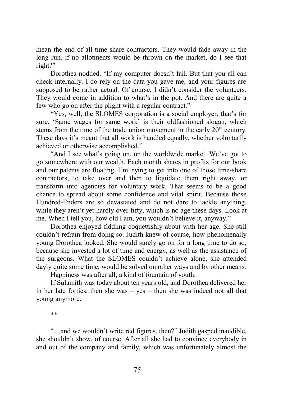mean the end of all time-share-contractors. They would fade away in the long run, if no allotments would be thrown on the market, do I see that right?"

Dorothea nodded. "If my computer doesn't fail. But that you all can check internally. I do rely on the data you gave me, and your figures are supposed to be rather actual. Of course, I didn't consider the volunteers. They would come in addition to what's in the pot. And there are quite a few who go on after the plight with a regular contract."

"Yes, well, the SLOMES corporation is a social employer, that's for sure. 'Same wages for same work' is their oldfashioned slogan, which stems from the time of the trade union movement in the early  $20<sup>th</sup>$  century. These days it's meant that all work is handled equally, whether voluntarily achieved or otherwise accomplished."

"And I see what's going on, on the worldwide market. We've got to go somewhere with our wealth. Each month shares in profits for our book and our patents are floating. I'm trying to get into one of those time-share contractors, to take over and then to liquidate them right away, or transform into agencies for voluntary work. That seems to be a good chance to spread about some confidence and vital spirit. Because those Hundred-Enders are so devastated and do not dare to tackle anything, while they aren't yet hardly over fifty, which is no age these days. Look at me. When I tell you, how old I am, you wouldn't believe it, anyway."

Dorothea enjoyed fiddling coquettishly about with her age. She still couldn't refrain from doing so. Judith knew of course, how phenomenally young Dorothea looked. She would surely go on for a long time to do so, because she invested a lot of time and energy, as well as the assistance of the surgeons. What the SLOMES couldn't achieve alone, she attended dayly quite some time, would be solved on other ways and by other means.

Happiness was after all, a kind of fountain of youth.

If Sulamith was today about ten years old, and Dorothea delivered her in her late forties, then she was – yes – then she was indeed not all that young anymore.

\*\*

"…and we wouldn't write red figures, then?" Judith gasped inaudible, she shouldn't show, of course. After all she had to convince everybody in and out of the company and family, which was unfortunately almost the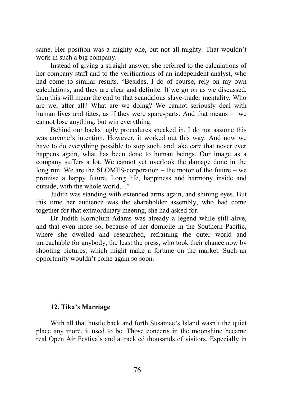same. Her position was a mighty one, but not all-mighty. That wouldn't work in such a big company.

Instead of giving a straight answer, she referred to the calculations of her company-staff and to the verifications of an independent analyst, who had come to similar results. "Besides, I do of course, rely on my own calculations, and they are clear and definite. If we go on as we discussed, then this will mean the end to that scandalous slave-trader mentality. Who are we, after all? What are we doing? We cannot seriously deal with human lives and fates, as if they were spare-parts. And that means – we cannot lose anything, but win everything.

Behind our backs ugly procedures sneaked in. I do not assume this was anyone's intention. However, it worked out this way. And now we have to do everything possible to stop such, and take care that never ever happens again, what has been done to human beings. Our image as a company suffers a lot. We cannot yet overlook the damage done in the long run. We are the SLOMES-corporation – the motor of the future – we promise a happy future. Long life, happiness and harmony inside and outside, with the whole world…"

Judith was standing with extended arms again, and shining eyes. But this time her audience was the shareholder assembly, who had come together for that extraordinary meeting, she had asked for.

Dr Judith Kornblum-Adams was already a legend while still alive, and that even more so, because of her domicile in the Southern Pacific, where she dwelled and researched, refraining the outer world and unreachable for anybody, the least the press, who took their chance now by shooting pictures, which might make a fortune on the market. Such an opportunity wouldn't come again so soon.

# **12. Tika's Marriage**

With all that hustle back and forth Susamee's Island wasn't the quiet place any more, it used to be. Those concerts in the moonshine became real Open Air Festivals and attrackted thousands of visitors. Especially in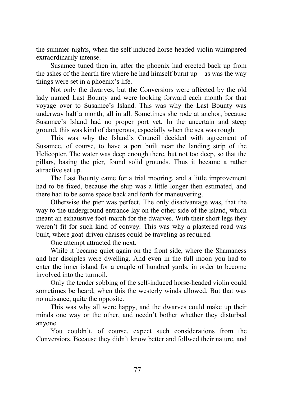the summer-nights, when the self induced horse-headed violin whimpered extraordinarily intense.

Susamee tuned then in, after the phoenix had erected back up from the ashes of the hearth fire where he had himself burnt  $up - as$  was the way things were set in a phoenix's life.

Not only the dwarves, but the Conversiors were affected by the old lady named Last Bounty and were looking forward each month for that voyage over to Susamee's Island. This was why the Last Bounty was underway half a month, all in all. Sometimes she rode at anchor, because Susamee's Island had no proper port yet. In the uncertain and steep ground, this was kind of dangerous, especially when the sea was rough.

This was why the Island's Council decided with agreement of Susamee, of course, to have a port built near the landing strip of the Helicopter. The water was deep enough there, but not too deep, so that the pillars, basing the pier, found solid grounds. Thus it became a rather attractive set up.

The Last Bounty came for a trial mooring, and a little improvement had to be fixed, because the ship was a little longer then estimated, and there had to be some space back and forth for maneuvering.

Otherwise the pier was perfect. The only disadvantage was, that the way to the underground entrance lay on the other side of the island, which meant an exhaustive foot-march for the dwarves. With their short legs they weren't fit for such kind of convey. This was why a plastered road was built, where goat-driven chaises could be traveling as required.

One attempt attracted the next.

While it became quiet again on the front side, where the Shamaness and her disciples were dwelling. And even in the full moon you had to enter the inner island for a couple of hundred yards, in order to become involved into the turmoil.

Only the tender sobbing of the self-induced horse-headed violin could sometimes be heard, when this the westerly winds allowed. But that was no nuisance, quite the opposite.

This was why all were happy, and the dwarves could make up their minds one way or the other, and needn't bother whether they disturbed anyone.

You couldn't, of course, expect such considerations from the Conversiors. Because they didn't know better and follwed their nature, and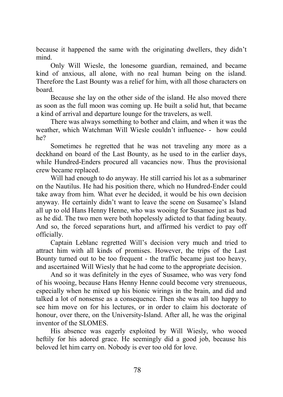because it happened the same with the originating dwellers, they didn't mind.

Only Will Wiesle, the lonesome guardian, remained, and became kind of anxious, all alone, with no real human being on the island. Therefore the Last Bounty was a relief for him, with all those characters on board.

Because she lay on the other side of the island. He also moved there as soon as the full moon was coming up. He built a solid hut, that became a kind of arrival and departure lounge for the travelers, as well.

There was always something to bother and claim, and when it was the weather, which Watchman Will Wiesle couldn't influence- - how could he?

Sometimes he regretted that he was not traveling any more as a deckhand on board of the Last Bounty, as he used to in the earlier days, while Hundred-Enders procured all vacancies now. Thus the provisional crew became replaced.

Will had enough to do anyway. He still carried his lot as a submariner on the Nautilus. He had his position there, which no Hundred-Ender could take away from him. What ever he decided, it would be his own decision anyway. He certainly didn't want to leave the scene on Susamee's Island all up to old Hans Henny Henne, who was wooing for Susamee just as bad as he did. The two men were both hopelessly adicted to that fading beauty. And so, the forced separations hurt, and affirmed his verdict to pay off officially.

Captain Leblanc regretted Will's decision very much and tried to attract him with all kinds of promises. However, the trips of the Last Bounty turned out to be too frequent - the traffic became just too heavy, and ascertained Will Wiesly that he had come to the appropriate decision.

And so it was definitely in the eyes of Susamee, who was very fond of his wooing, because Hans Henny Henne could become very strenueous, especially when he mixed up his bionic wirings in the brain, and did and talked a lot of nonsense as a consequence. Then she was all too happy to see him move on for his lectures, or in order to claim his doctorate of honour, over there, on the University-Island. After all, he was the original inventor of the SLOMES.

His absence was eagerly exploited by Will Wiesly, who wooed heftily for his adored grace. He seemingly did a good job, because his beloved let him carry on. Nobody is ever too old for love.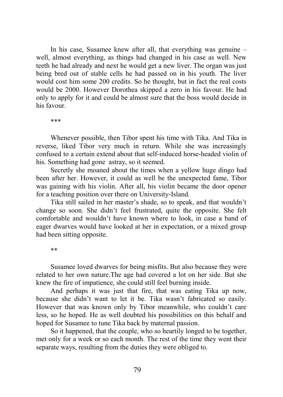In his case, Susamee knew after all, that everything was genuine – well, almost everything, as things had changed in his case as well. New teeth he had already and next he would get a new liver. The organ was just being bred out of stable cells he had passed on in his youth. The liver would cost him some 200 credits. So he thought, but in fact the real costs would be 2000. However Dorothea skipped a zero in his favour. He had only to apply for it and could be almost sure that the boss would decide in his favour.

\*\*\*

Whenever possible, then Tibor spent his time with Tika. And Tika in reverse, liked Tibor very much in return. While she was increasingly confused to a certain extend about that self-induced horse-headed violin of his. Something had gone astray, so it seemed.

Secretly she moaned about the times when a yellow huge dingo had been after her. However, it could as well be the unexpected fame, Tibor was gaining with his violin. After all, his violin became the door opener for a teaching position over there on University-Island.

Tika still sailed in her master's shade, so to speak, and that wouldn't change so soon. She didn't feel frustrated, quite the opposite. She felt comfortable and wouldn't have known where to look, in case a band of eager dwarves would have looked at her in expectation, or a mixed group had been sitting opposite.

\*\*

Susamee loved dwarves for being misfits. But also because they were related to her own nature.The age had covered a lot on her side. But she knew the fire of impatience, she could still feel burning inside.

And perhaps it was just that fire, that was eating Tika up now, because she didn't want to let it be. Tika wasn't fabricated so easily. However that was known only by Tibor meanwhile, who couldn't care less, so he hoped. He as well doubted his possibilities on this behalf and hoped for Susamee to tune Tika back by maternal passion.

So it happened, that the couple, who so heartily longed to be together, met only for a week or so each month. The rest of the time they went their separate ways, resulting from the duties they were obliged to.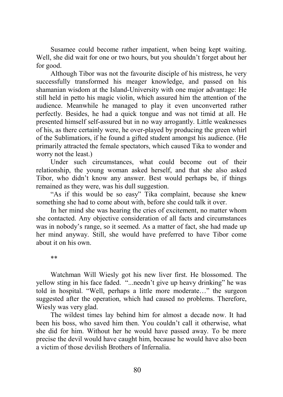Susamee could become rather impatient, when being kept waiting. Well, she did wait for one or two hours, but you shouldn't forget about her for good.

Although Tibor was not the favourite disciple of his mistress, he very successfully transformed his meager knowledge, and passed on his shamanian wisdom at the Island-University with one major advantage: He still held in petto his magic violin, which assured him the attention of the audience. Meanwhile he managed to play it even unconverted rather perfectly. Besides, he had a quick tongue and was not timid at all. He presented himself self-assured but in no way arrogantly. Little weaknesses of his, as there certainly were, he over-played by producing the green whirl of the Sublimatiors, if he found a gifted student amongst his audience. (He primarily attracted the female spectators, which caused Tika to wonder and worry not the least.)

Under such circumstances, what could become out of their relationship, the young woman asked herself, and that she also asked Tibor, who didn't know any answer. Best would perhaps be, if things remained as they were, was his dull suggestion.

"As if this would be so easy" Tika complaint, because she knew something she had to come about with, before she could talk it over.

In her mind she was hearing the cries of excitement, no matter whom she contacted. Any objective consideration of all facts and circumstances was in nobody's range, so it seemed. As a matter of fact, she had made up her mind anyway. Still, she would have preferred to have Tibor come about it on his own.

\*\*

Watchman Will Wiesly got his new liver first. He blossomed. The yellow sting in his face faded. "...needn't give up heavy drinking" he was told in hospital. "Well, perhaps a little more moderate…" the surgeon suggested after the operation, which had caused no problems. Therefore, Wiesly was very glad.

The wildest times lay behind him for almost a decade now. It had been his boss, who saved him then. You couldn't call it otherwise, what she did for him. Without her he would have passed away. To be more precise the devil would have caught him, because he would have also been a victim of those devilish Brothers of Infernalia.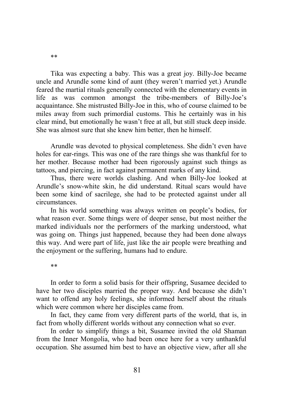Tika was expecting a baby. This was a great joy. Billy-Joe became uncle and Arundle some kind of aunt (they weren't married yet.) Arundle feared the martial rituals generally connected with the elementary events in life as was common amongst the tribe-members of Billy-Joe's acquaintance. She mistrusted Billy-Joe in this, who of course claimed to be miles away from such primordial customs. This he certainly was in his clear mind, but emotionally he wasn't free at all, but still stuck deep inside. She was almost sure that she knew him better, then he himself.

Arundle was devoted to physical completeness. She didn't even have holes for ear-rings. This was one of the rare things she was thankful for to her mother. Because mother had been rigorously against such things as tattoos, and piercing, in fact against permanent marks of any kind.

Thus, there were worlds clashing. And when Billy-Joe looked at Arundle's snow-white skin, he did understand. Ritual scars would have been some kind of sacrilege, she had to be protected against under all circumstances.

In his world something was always written on people's bodies, for what reason ever. Some things were of deeper sense, but most neither the marked individuals nor the performers of the marking understood, what was going on. Things just happened, because they had been done always this way. And were part of life, just like the air people were breathing and the enjoyment or the suffering, humans had to endure.

\*\*

In order to form a solid basis for their offspring, Susamee decided to have her two disciples married the proper way. And because she didn't want to offend any holy feelings, she informed herself about the rituals which were common where her disciples came from.

In fact, they came from very different parts of the world, that is, in fact from wholly different worlds without any connection what so ever.

In order to simplify things a bit, Susamee invited the old Shaman from the Inner Mongolia, who had been once here for a very unthankful occupation. She assumed him best to have an objective view, after all she

\*\*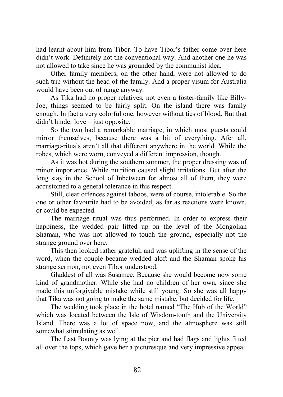had learnt about him from Tibor. To have Tibor's father come over here didn't work. Definitely not the conventional way. And another one he was not allowed to take since he was grounded by the communist idea.

Other family members, on the other hand, were not allowed to do such trip without the head of the family. And a proper visum for Australia would have been out of range anyway.

As Tika had no proper relatives, not even a foster-family like Billy-Joe, things seemed to be fairly split. On the island there was family enough. In fact a very colorful one, however without ties of blood. But that didn't hinder love – just opposite.

So the two had a remarkable marriage, in which most guests could mirror themselves, because there was a bit of everything. Afer all, marriage-rituals aren't all that different anywhere in the world. While the robes, which were worn, conveyed a different impression, though.

As it was hot during the southern summer, the proper dressing was of minor importance. While nutrition caused slight irritations. But after the long stay in the School of Inbetween for almost all of them, they were accustomed to a general tolerance in this respect.

Still, clear offences against taboos, were of course, intolerable. So the one or other favourite had to be avoided, as far as reactions were known, or could be expected.

The marriage ritual was thus performed. In order to express their happiness, the wedded pair lifted up on the level of the Mongolian Shaman, who was not allowed to touch the ground, especially not the strange ground over here.

This then looked rather grateful, and was uplifting in the sense of the word, when the couple became wedded aloft and the Shaman spoke his strange sermon, not even Tibor understood.

Gladdest of all was Susamee. Because she would become now some kind of grandmother. While she had no children of her own, since she made this unforgivable mistake while still young. So she was all happy that Tika was not going to make the same mistake, but decided for life.

The wedding took place in the hotel named "The Hub of the World" which was located between the Isle of Wisdom-tooth and the University Island. There was a lot of space now, and the atmosphere was still somewhat stimulating as well.

The Last Bounty was lying at the pier and had flags and lights fitted all over the tops, which gave her a picturesque and very impressive appeal.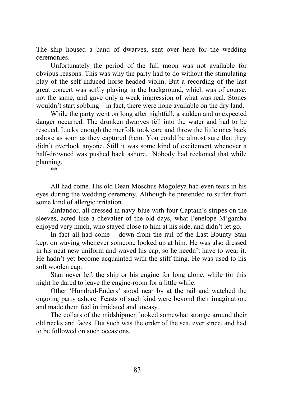The ship housed a band of dwarves, sent over here for the wedding ceremonies.

Unfortunately the period of the full moon was not available for obvious reasons. This was why the party had to do without the stimulating play of the self-induced horse-headed violin. But a recording of the last great concert was softly playing in the background, which was of course, not the same, and gave only a weak impression of what was real. Stones wouldn't start sobbing – in fact, there were none available on the dry land.

While the party went on long after nightfall, a sudden and unexpected danger occurred. The drunken dwarves fell into the water and had to be rescued. Lucky enough the merfolk took care and threw the little ones back ashore as soon as they captured them. You could be almost sure that they didn't overlook anyone. Still it was some kind of excitement whenever a half-drowned was pushed back ashore. Nobody had reckoned that while planning.

\*\*

All had come. His old Dean Moschus Mogoleya had even tears in his eyes during the wedding ceremony. Although he pretended to suffer from some kind of allergic irritation.

Zinfandor, all dressed in navy-blue with four Captain's stripes on the sleeves, acted like a chevalier of the old days, what Penelope M'gamba enjoyed very much, who stayed close to him at his side, and didn't let go.

In fact all had come – down from the rail of the Last Bounty Stan kept on waving whenever someone looked up at him. He was also dressed in his neat new uniform and waved his cap, so he needn't have to wear it. He hadn't yet become acquainted with the stiff thing. He was used to his soft woolen cap.

Stan never left the ship or his engine for long alone, while for this night he dared to leave the engine-room for a little while.

Other 'Hundred-Enders' stood near by at the rail and watched the ongoing party ashore. Feasts of such kind were beyond their imagination, and made them feel intimidated and uneasy.

The collars of the midshipmen looked somewhat strange around their old necks and faces. But such was the order of the sea, ever since, and had to be followed on such occasions.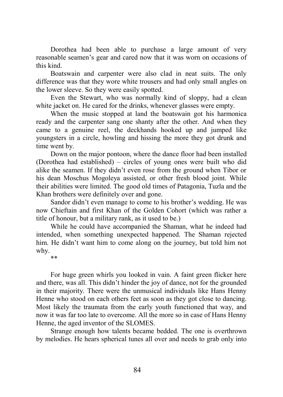Dorothea had been able to purchase a large amount of very reasonable seamen's gear and cared now that it was worn on occasions of this kind.

Boatswain and carpenter were also clad in neat suits. The only difference was that they wore white trousers and had only small angles on the lower sleeve. So they were easily spotted.

Even the Stewart, who was normally kind of sloppy, had a clean white jacket on. He cared for the drinks, whenever glasses were empty.

When the music stopped at land the boatswain got his harmonica ready and the carpenter sang one shanty after the other. And when they came to a genuine reel, the deckhands hooked up and jumped like youngsters in a circle, howling and hissing the more they got drunk and time went by.

Down on the major pontoon, where the dance floor had been installed (Dorothea had established) – circles of young ones were built who did alike the seamen. If they didn't even rose from the ground when Tibor or his dean Moschus Mogoleya assisted, or other fresh blood joint. While their abilities were limited. The good old times of Patagonia, Tuzla and the Khan brothers were definitely over and gone.

Sandor didn't even manage to come to his brother's wedding. He was now Chieftain and first Khan of the Golden Cohort (which was rather a title of honour, but a military rank, as it used to be.)

While he could have accompanied the Shaman, what he indeed had intended, when something unexpected happened. The Shaman rejected him. He didn't want him to come along on the journey, but told him not why.

\*\*

For huge green whirls you looked in vain. A faint green flicker here and there, was all. This didn't hinder the joy of dance, not for the grounded in their majority. There were the unmusical individuals like Hans Henny Henne who stood on each others feet as soon as they got close to dancing. Most likely the traumata from the early youth functioned that way, and now it was far too late to overcome. All the more so in case of Hans Henny Henne, the aged inventor of the SLOMES.

Strange enough how talents became bedded. The one is overthrown by melodies. He hears spherical tunes all over and needs to grab only into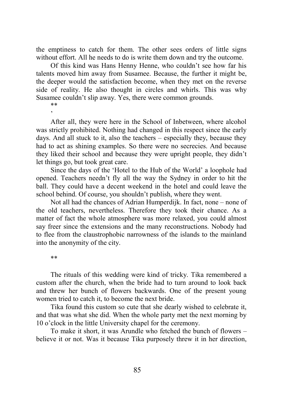the emptiness to catch for them. The other sees orders of little signs without effort. All he needs to do is write them down and try the outcome.

Of this kind was Hans Henny Henne, who couldn't see how far his talents moved him away from Susamee. Because, the further it might be, the deeper would the satisfaction become, when they met on the reverse side of reality. He also thought in circles and whirls. This was why Susamee couldn't slip away. Yes, there were common grounds.

\*\* '

After all, they were here in the School of Inbetween, where alcohol was strictly prohibited. Nothing had changed in this respect since the early days. And all stuck to it, also the teachers – especially they, because they had to act as shining examples. So there were no secrecies. And because they liked their school and because they were upright people, they didn't let things go, but took great care.

Since the days of the 'Hotel to the Hub of the World' a loophole had opened. Teachers needn't fly all the way the Sydney in order to hit the ball. They could have a decent weekend in the hotel and could leave the school behind. Of course, you shouldn't publish, where they went.

Not all had the chances of Adrian Humperdijk. In fact, none – none of the old teachers, nevertheless. Therefore they took their chance. As a matter of fact the whole atmosphere was more relaxed, you could almost say freer since the extensions and the many reconstructions. Nobody had to flee from the claustrophobic narrowness of the islands to the mainland into the anonymity of the city.

\*\*

The rituals of this wedding were kind of tricky. Tika remembered a custom after the church, when the bride had to turn around to look back and threw her bunch of flowers backwards. One of the present young women tried to catch it, to become the next bride.

Tika found this custom so cute that she dearly wished to celebrate it, and that was what she did. When the whole party met the next morning by 10 o'clock in the little University chapel for the ceremony.

To make it short, it was Arundle who fetched the bunch of flowers – believe it or not. Was it because Tika purposely threw it in her direction,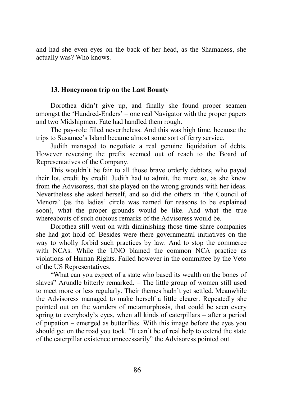and had she even eyes on the back of her head, as the Shamaness, she actually was? Who knows.

# **13. Honeymoon trip on the Last Bounty**

Dorothea didn't give up, and finally she found proper seamen amongst the 'Hundred-Enders' – one real Navigator with the proper papers and two Midshipmen. Fate had handled them rough.

The pay-role filled nevertheless. And this was high time, because the trips to Susamee's Island became almost some sort of ferry service.

Judith managed to negotiate a real genuine liquidation of debts. However reversing the prefix seemed out of reach to the Board of Representatives of the Company.

This wouldn't be fair to all those brave orderly debtors, who payed their lot, credit by credit. Judith had to admit, the more so, as she knew from the Advisoress, that she played on the wrong grounds with her ideas. Nevertheless she asked herself, and so did the others in 'the Council of Menora' (as the ladies' circle was named for reasons to be explained soon), what the proper grounds would be like. And what the true whereabouts of such dubious remarks of the Advisoress would be.

Dorothea still went on with diminishing those time-share companies she had got hold of. Besides were there governmental initiatives on the way to wholly forbid such practices by law. And to stop the commerce with NCAs. While the UNO blamed the common NCA practice as violations of Human Rights. Failed however in the committee by the Veto of the US Representatives.

"What can you expect of a state who based its wealth on the bones of slaves" Arundle bitterly remarked. – The little group of women still used to meet more or less regularly. Their themes hadn't yet settled. Meanwhile the Advisoress managed to make herself a little clearer. Repeatedly she pointed out on the wonders of metamorphosis, that could be seen every spring to everybody's eyes, when all kinds of caterpillars – after a period of pupation – emerged as butterflies. With this image before the eyes you should get on the road you took. "It can't be of real help to extend the state of the caterpillar existence unnecessarily" the Advisoress pointed out.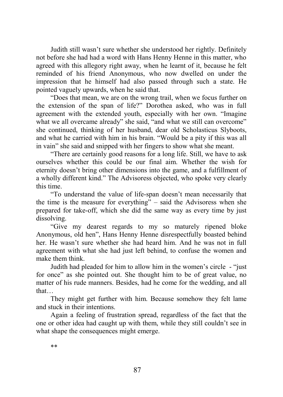Judith still wasn't sure whether she understood her rightly. Definitely not before she had had a word with Hans Henny Henne in this matter, who agreed with this allegory right away, when he learnt of it, because he felt reminded of his friend Anonymous, who now dwelled on under the impression that he himself had also passed through such a state. He pointed vaguely upwards, when he said that.

"Does that mean, we are on the wrong trail, when we focus further on the extension of the span of life?" Dorothea asked, who was in full agreement with the extended youth, especially with her own. "Imagine what we all overcame already" she said, "and what we still can overcome" she continued, thinking of her husband, dear old Scholasticus Slyboots, and what he carried with him in his brain. "Would be a pity if this was all in vain" she said and snipped with her fingers to show what she meant.

"There are certainly good reasons for a long life. Still, we have to ask ourselves whether this could be our final aim. Whether the wish for eternity doesn't bring other dimensions into the game, and a fulfillment of a wholly different kind." The Advisoress objected, who spoke very clearly this time.

"To understand the value of life-span doesn't mean necessarily that the time is the measure for everything" – said the Advisoress when she prepared for take-off, which she did the same way as every time by just dissolving.

"Give my dearest regards to my so maturely ripened bloke Anonymous, old hen", Hans Henny Henne disrespectfully boasted behind her. He wasn't sure whether she had heard him. And he was not in full agreement with what she had just left behind, to confuse the women and make them think.

Judith had pleaded for him to allow him in the women's circle - "just for once" as she pointed out. She thought him to be of great value, no matter of his rude manners. Besides, had he come for the wedding, and all that…

They might get further with him. Because somehow they felt lame and stuck in their intentions.

Again a feeling of frustration spread, regardless of the fact that the one or other idea had caught up with them, while they still couldn't see in what shape the consequences might emerge.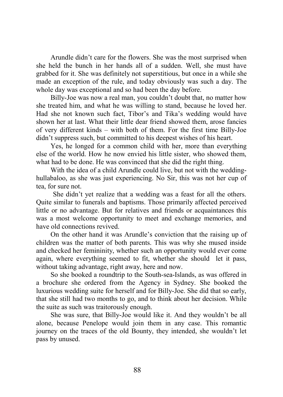Arundle didn't care for the flowers. She was the most surprised when she held the bunch in her hands all of a sudden. Well, she must have grabbed for it. She was definitely not superstitious, but once in a while she made an exception of the rule, and today obviously was such a day. The whole day was exceptional and so had been the day before.

Billy-Joe was now a real man, you couldn't doubt that, no matter how she treated him, and what he was willing to stand, because he loved her. Had she not known such fact, Tibor's and Tika's wedding would have shown her at last. What their little dear friend showed them, arose fancies of very different kinds – with both of them. For the first time Billy-Joe didn't suppress such, but committed to his deepest wishes of his heart.

Yes, he longed for a common child with her, more than everything else of the world. How he now envied his little sister, who showed them, what had to be done. He was convinced that she did the right thing.

With the idea of a child Arundle could live, but not with the weddinghullabaloo, as she was just experiencing. No Sir, this was not her cup of tea, for sure not.

 She didn't yet realize that a wedding was a feast for all the others. Quite similar to funerals and baptisms. Those primarily affected perceived little or no advantage. But for relatives and friends or acquaintances this was a most welcome opportunity to meet and exchange memories, and have old connections revived.

On the other hand it was Arundle's conviction that the raising up of children was the matter of both parents. This was why she mused inside and checked her femininity, whether such an opportunity would ever come again, where everything seemed to fit, whether she should let it pass, without taking advantage, right away, here and now.

So she booked a roundtrip to the South-sea-Islands, as was offered in a brochure she ordered from the Agency in Sydney. She booked the luxurious wedding suite for herself and for Billy-Joe. She did that so early, that she still had two months to go, and to think about her decision. While the suite as such was traitorously enough.

She was sure, that Billy-Joe would like it. And they wouldn't be all alone, because Penelope would join them in any case. This romantic journey on the traces of the old Bounty, they intended, she wouldn't let pass by unused.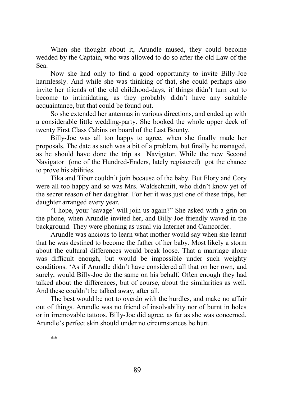When she thought about it, Arundle mused, they could become wedded by the Captain, who was allowed to do so after the old Law of the Sea.

Now she had only to find a good opportunity to invite Billy-Joe harmlessly. And while she was thinking of that, she could perhaps also invite her friends of the old childhood-days, if things didn't turn out to become to intimidating, as they probably didn't have any suitable acquaintance, but that could be found out.

So she extended her antennas in various directions, and ended up with a considerable little wedding-party. She booked the whole upper deck of twenty First Class Cabins on board of the Last Bounty.

Billy-Joe was all too happy to agree, when she finally made her proposals. The date as such was a bit of a problem, but finally he managed, as he should have done the trip as Navigator. While the new Second Navigator (one of the Hundred-Enders, lately registered) got the chance to prove his abilities.

Tika and Tibor couldn't join because of the baby. But Flory and Cory were all too happy and so was Mrs. Waldschmitt, who didn't know yet of the secret reason of her daughter. For her it was just one of these trips, her daughter arranged every year.

"I hope, your 'savage' will join us again?" She asked with a grin on the phone, when Arundle invited her, and Billy-Joe friendly waved in the background. They were phoning as usual via Internet and Camcorder.

Arundle was ancious to learn what mother would say when she learnt that he was destined to become the father of her baby. Most likely a storm about the cultural differences would break loose. That a marriage alone was difficult enough, but would be impossible under such weighty conditions. 'As if Arundle didn't have considered all that on her own, and surely, would Billy-Joe do the same on his behalf. Often enough they had talked about the differences, but of course, about the similarities as well. And these couldn't be talked away, after all.

The best would be not to overdo with the hurdles, and make no affair out of things. Arundle was no friend of insolvability nor of burnt in holes or in irremovable tattoos. Billy-Joe did agree, as far as she was concerned. Arundle's perfect skin should under no circumstances be hurt.

\*\*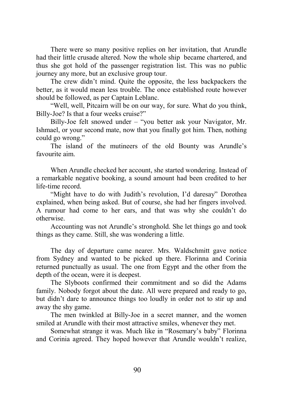There were so many positive replies on her invitation, that Arundle had their little crusade altered. Now the whole ship became chartered, and thus she got hold of the passenger registration list. This was no public journey any more, but an exclusive group tour.

The crew didn't mind. Quite the opposite, the less backpackers the better, as it would mean less trouble. The once established route however should be followed, as per Captain Leblanc.

"Well, well, Pitcairn will be on our way, for sure. What do you think, Billy-Joe? Is that a four weeks cruise?"

Billy-Joe felt snowed under – "you better ask your Navigator, Mr. Ishmael, or your second mate, now that you finally got him. Then, nothing could go wrong."

The island of the mutineers of the old Bounty was Arundle's favourite aim.

When Arundle checked her account, she started wondering. Instead of a remarkable negative booking, a sound amount had been credited to her life-time record.

"Might have to do with Judith's revolution, I'd daresay" Dorothea explained, when being asked. But of course, she had her fingers involved. A rumour had come to her ears, and that was why she couldn't do otherwise.

Accounting was not Arundle's stronghold. She let things go and took things as they came. Still, she was wondering a little.

The day of departure came nearer. Mrs. Waldschmitt gave notice from Sydney and wanted to be picked up there. Florinna and Corinia returned punctually as usual. The one from Egypt and the other from the depth of the ocean, were it is deepest.

The Slyboots confirmed their commitment and so did the Adams family. Nobody forgot about the date. All were prepared and ready to go, but didn't dare to announce things too loudly in order not to stir up and away the shy game.

The men twinkled at Billy-Joe in a secret manner, and the women smiled at Arundle with their most attractive smiles, whenever they met.

Somewhat strange it was. Much like in "Rosemary's baby" Florinna and Corinia agreed. They hoped however that Arundle wouldn't realize,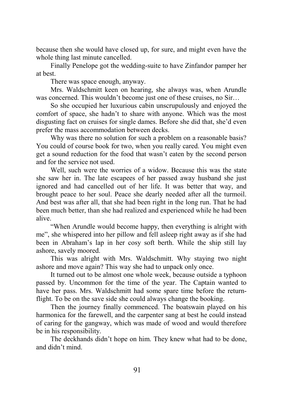because then she would have closed up, for sure, and might even have the whole thing last minute cancelled.

Finally Penelope got the wedding-suite to have Zinfandor pamper her at best.

There was space enough, anyway.

Mrs. Waldschmitt keen on hearing, she always was, when Arundle was concerned. This wouldn't become just one of these cruises, no Sir...

So she occupied her luxurious cabin unscrupulously and enjoyed the comfort of space, she hadn't to share with anyone. Which was the most disgusting fact on cruises for single dames. Before she did that, she'd even prefer the mass accommodation between decks.

Why was there no solution for such a problem on a reasonable basis? You could of course book for two, when you really cared. You might even get a sound reduction for the food that wasn't eaten by the second person and for the service not used.

Well, such were the worries of a widow. Because this was the state she saw her in. The late escapees of her passed away husband she just ignored and had cancelled out of her life. It was better that way, and brought peace to her soul. Peace she dearly needed after all the turmoil. And best was after all, that she had been right in the long run. That he had been much better, than she had realized and experienced while he had been alive.

"When Arundle would become happy, then everything is alright with me", she whispered into her pillow and fell asleep right away as if she had been in Abraham's lap in her cosy soft berth. While the ship still lay ashore, savely moored.

This was alright with Mrs. Waldschmitt. Why staying two night ashore and move again? This way she had to unpack only once.

It turned out to be almost one whole week, because outside a typhoon passed by. Uncommon for the time of the year. The Captain wanted to have her pass. Mrs. Waldschmitt had some spare time before the returnflight. To be on the save side she could always change the booking.

Then the journey finally commenced. The boatswain played on his harmonica for the farewell, and the carpenter sang at best he could instead of caring for the gangway, which was made of wood and would therefore be in his responsibility.

The deckhands didn't hope on him. They knew what had to be done, and didn't mind.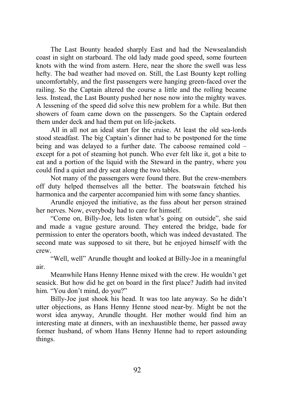The Last Bounty headed sharply East and had the Newsealandish coast in sight on starboard. The old lady made good speed, some fourteen knots with the wind from astern. Here, near the shore the swell was less hefty. The bad weather had moved on. Still, the Last Bounty kept rolling uncomfortably, and the first passengers were hanging green-faced over the railing. So the Captain altered the course a little and the rolling became less. Instead, the Last Bounty pushed her nose now into the mighty waves. A lessening of the speed did solve this new problem for a while. But then showers of foam came down on the passengers. So the Captain ordered them under deck and had them put on life-jackets.

All in all not an ideal start for the cruise. At least the old sea-lords stood steadfast. The big Captain's dinner had to be postponed for the time being and was delayed to a further date. The caboose remained cold – except for a pot of steaming hot punch. Who ever felt like it, got a bite to eat and a portion of the liquid with the Steward in the pantry, where you could find a quiet and dry seat along the two tables.

Not many of the passengers were found there. But the crew-members off duty helped themselves all the better. The boatswain fetched his harmonica and the carpenter accompanied him with some fancy shanties.

Arundle enjoyed the initiative, as the fuss about her person strained her nerves. Now, everybody had to care for himself.

"Come on, Billy-Joe, lets listen what's going on outside", she said and made a vague gesture around. They entered the bridge, bade for permission to enter the operators booth, which was indeed devastated. The second mate was supposed to sit there, but he enjoyed himself with the crew.

"Well, well" Arundle thought and looked at Billy-Joe in a meaningful air.

Meanwhile Hans Henny Henne mixed with the crew. He wouldn't get seasick. But how did he get on board in the first place? Judith had invited him. "You don't mind, do you?"

Billy-Joe just shook his head. It was too late anyway. So he didn't utter objections, as Hans Henny Henne stood near-by. Might be not the worst idea anyway, Arundle thought. Her mother would find him an interesting mate at dinners, with an inexhaustible theme, her passed away former husband, of whom Hans Henny Henne had to report astounding things.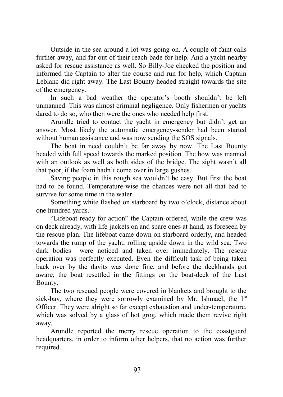Outside in the sea around a lot was going on. A couple of faint calls further away, and far out of their reach bade for help. And a yacht nearby asked for rescue assistance as well. So Billy-Joe checked the position and informed the Captain to alter the course and run for help, which Captain Leblanc did right away. The Last Bounty headed straight towards the site of the emergency.

In such a bad weather the operator's booth shouldn't be left unmanned. This was almost criminal negligence. Only fishermen or yachts dared to do so, who then were the ones who needed help first.

Arundle tried to contact the yacht in emergency but didn't get an answer. Most likely the automatic emergency-sender had been started without human assistance and was now sending the SOS signals.

The boat in need couldn't be far away by now. The Last Bounty headed with full speed towards the marked position. The bow was manned with an outlook as well as both sides of the bridge. The sight wasn't all that poor, if the foam hadn't come over in large gushes.

Saving people in this rough sea wouldn't be easy. But first the boat had to be found. Temperature-wise the chances were not all that bad to survive for some time in the water.

Something white flashed on starboard by two o'clock, distance about one hundred yards.

"Lifeboat ready for action" the Captain ordered, while the crew was on deck already, with life-jackets on and spare ones at hand, as foreseen by the rescue-plan. The lifeboat came down on starboard orderly, and headed towards the rump of the yacht, rolling upside down in the wild sea. Two dark bodies were noticed and taken over immediately. The rescue operation was perfectly executed. Even the difficult task of being taken back over by the davits was done fine, and before the deckhands got aware, the boat resettled in the fittings on the boat-deck of the Last Bounty.

The two rescued people were covered in blankets and brought to the sick-bay, where they were sorrowly examined by Mr. Ishmael, the  $1<sup>st</sup>$ Officer. They were alright so far except exhaustion and under-temperature, which was solved by a glass of hot grog, which made them revive right away.

Arundle reported the merry rescue operation to the coastguard headquarters, in order to inform other helpers, that no action was further required.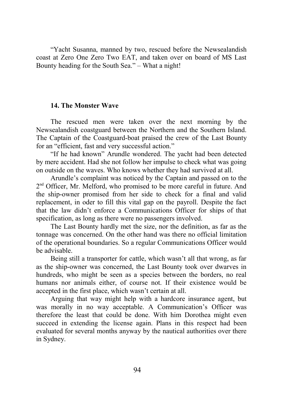"Yacht Susanna, manned by two, rescued before the Newsealandish coast at Zero One Zero Two EAT, and taken over on board of MS Last Bounty heading for the South Sea." – What a night!

# **14. The Monster Wave**

The rescued men were taken over the next morning by the Newsealandish coastguard between the Northern and the Southern Island. The Captain of the Coastguard-boat praised the crew of the Last Bounty for an "efficient, fast and very successful action."

"If he had known" Arundle wondered. The yacht had been detected by mere accident. Had she not follow her impulse to check what was going on outside on the waves. Who knows whether they had survived at all.

Arundle's complaint was noticed by the Captain and passed on to the 2<sup>nd</sup> Officer, Mr. Melford, who promised to be more careful in future. And the ship-owner promised from her side to check for a final and valid replacement, in oder to fill this vital gap on the payroll. Despite the fact that the law didn't enforce a Communications Officer for ships of that specification, as long as there were no passengers involved.

The Last Bounty hardly met the size, nor the definition, as far as the tonnage was concerned. On the other hand was there no official limitation of the operational boundaries. So a regular Communications Officer would be advisable.

Being still a transporter for cattle, which wasn't all that wrong, as far as the ship-owner was concerned, the Last Bounty took over dwarves in hundreds, who might be seen as a species between the borders, no real humans nor animals either, of course not. If their existence would be accepted in the first place, which wasn't certain at all.

Arguing that way might help with a hardcore insurance agent, but was morally in no way acceptable. A Communication's Officer was therefore the least that could be done. With him Dorothea might even succeed in extending the license again. Plans in this respect had been evaluated for several months anyway by the nautical authorities over there in Sydney.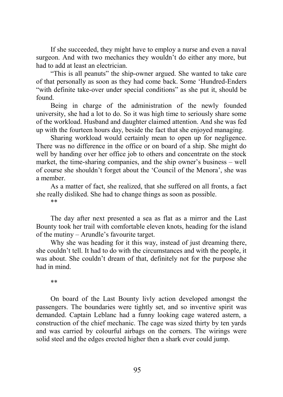If she succeeded, they might have to employ a nurse and even a naval surgeon. And with two mechanics they wouldn't do either any more, but had to add at least an electrician.

"This is all peanuts" the ship-owner argued. She wanted to take care of that personally as soon as they had come back. Some 'Hundred-Enders "with definite take-over under special conditions" as she put it, should be found.

Being in charge of the administration of the newly founded university, she had a lot to do. So it was high time to seriously share some of the workload. Husband and daughter claimed attention. And she was fed up with the fourteen hours day, beside the fact that she enjoyed managing.

Sharing workload would certainly mean to open up for negligence. There was no difference in the office or on board of a ship. She might do well by handing over her office job to others and concentrate on the stock market, the time-sharing companies, and the ship owner's business – well of course she shouldn't forget about the 'Council of the Menora', she was a member.

As a matter of fact, she realized, that she suffered on all fronts, a fact she really disliked. She had to change things as soon as possible.

\*\*

The day after next presented a sea as flat as a mirror and the Last Bounty took her trail with comfortable eleven knots, heading for the island of the mutiny – Arundle's favourite target.

Why she was heading for it this way, instead of just dreaming there, she couldn't tell. It had to do with the circumstances and with the people, it was about. She couldn't dream of that, definitely not for the purpose she had in mind.

\*\*

On board of the Last Bounty livly action developed amongst the passengers. The boundaries were tightly set, and so inventive spirit was demanded. Captain Leblanc had a funny looking cage watered astern, a construction of the chief mechanic. The cage was sized thirty by ten yards and was carried by colourful airbags on the corners. The wirings were solid steel and the edges erected higher then a shark ever could jump.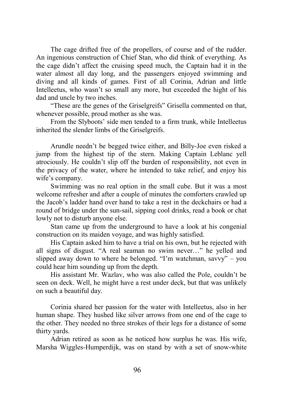The cage drifted free of the propellers, of course and of the rudder. An ingenious construction of Chief Stan, who did think of everything. As the cage didn't affect the cruising speed much, the Captain had it in the water almost all day long, and the passengers enjoyed swimming and diving and all kinds of games. First of all Corinia, Adrian and little Intelleetus, who wasn't so small any more, but exceeded the hight of his dad and uncle by two inches.

"These are the genes of the Griselgreifs" Grisella commented on that, whenever possible, proud mother as she was.

From the Slyboots' side men tended to a firm trunk, while Intelleetus inherited the slender limbs of the Griselgreifs.

Arundle needn't be begged twice either, and Billy-Joe even risked a jump from the highest tip of the stern. Making Captain Leblanc yell atrociously. He couldn't slip off the burden of responsibility, not even in the privacy of the water, where he intended to take relief, and enjoy his wife's company.

Swimming was no real option in the small cube. But it was a most welcome refresher and after a couple of minutes the comforters crawled up the Jacob's ladder hand over hand to take a rest in the deckchairs or had a round of bridge under the sun-sail, sipping cool drinks, read a book or chat lowly not to disturb anyone else.

Stan came up from the underground to have a look at his congenial construction on its maiden voyage, and was highly satisfied.

His Captain asked him to have a trial on his own, but he rejected with all signs of disgust. "A real seaman no swim never…" he yelled and slipped away down to where he belonged. "I'm watchman, savvy" – you could hear him sounding up from the depth.

His assistant Mr. Wazlav, who was also called the Pole, couldn't be seen on deck. Well, he might have a rest under deck, but that was unlikely on such a beautiful day.

Corinia shared her passion for the water with Intelleetus, also in her human shape. They hushed like silver arrows from one end of the cage to the other. They needed no three strokes of their legs for a distance of some thirty yards.

Adrian retired as soon as he noticed how surplus he was. His wife, Marsha Wiggles-Humperdijk, was on stand by with a set of snow-white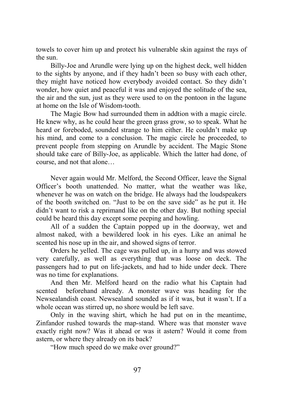towels to cover him up and protect his vulnerable skin against the rays of the sun.

Billy-Joe and Arundle were lying up on the highest deck, well hidden to the sights by anyone, and if they hadn't been so busy with each other, they might have noticed how everybody avoided contact. So they didn't wonder, how quiet and peaceful it was and enjoyed the solitude of the sea, the air and the sun, just as they were used to on the pontoon in the lagune at home on the Isle of Wisdom-tooth.

The Magic Bow had surrounded them in addtion with a magic circle. He knew why, as he could hear the green grass grow, so to speak. What he heard or foreboded, sounded strange to him either. He couldn't make up his mind, and come to a conclusion. The magic circle he proceeded, to prevent people from stepping on Arundle by accident. The Magic Stone should take care of Billy-Joe, as applicable. Which the latter had done, of course, and not that alone…

Never again would Mr. Melford, the Second Officer, leave the Signal Officer's booth unattended. No matter, what the weather was like, whenever he was on watch on the bridge. He always had the loudspeakers of the booth switched on. "Just to be on the save side" as he put it. He didn't want to risk a reprimand like on the other day. But nothing special could be heard this day except some peeping and howling.

All of a sudden the Captain popped up in the doorway, wet and almost naked, with a bewildered look in his eyes. Like an animal he scented his nose up in the air, and showed signs of terror.

Orders he yelled. The cage was pulled up, in a hurry and was stowed very carefully, as well as everything that was loose on deck. The passengers had to put on life-jackets, and had to hide under deck. There was no time for explanations.

And then Mr. Melford heard on the radio what his Captain had scented beforehand already. A monster wave was heading for the Newsealandish coast. Newsealand sounded as if it was, but it wasn't. If a whole ocean was stirred up, no shore would be left save.

Only in the waving shirt, which he had put on in the meantime, Zinfandor rushed towards the map-stand. Where was that monster wave exactly right now? Was it ahead or was it astern? Would it come from astern, or where they already on its back?

"How much speed do we make over ground?"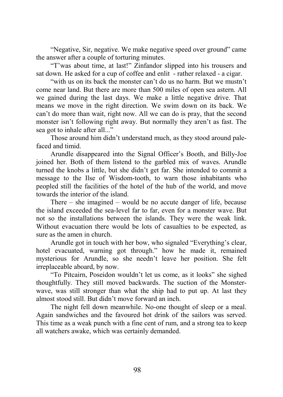"Negative, Sir, negative. We make negative speed over ground" came the answer after a couple of torturing minutes.

"T'was about time, at last!" Zinfandor slipped into his trousers and sat down. He asked for a cup of coffee and enlit - rather relaxed - a cigar.

"with us on its back the monster can't do us no harm. But we mustn't come near land. But there are more than 500 miles of open sea astern. All we gained during the last days. We make a little negative drive. That means we move in the right direction. We swim down on its back. We can't do more than wait, right now. All we can do is pray, that the second monster isn't following right away. But normally they aren't as fast. The sea got to inhale after all..."

Those around him didn't understand much, as they stood around palefaced and timid.

Arundle disappeared into the Signal Officer's Booth, and Billy-Joe joined her. Both of them listend to the garbled mix of waves. Arundle turned the knobs a little, but she didn't get far. She intended to commit a message to the Ilse of Wisdom-tooth, to warn those inhabitants who peopled still the facilities of the hotel of the hub of the world, and move towards the interior of the island.

There – she imagined – would be no accute danger of life, because the island exceeded the sea-level far to far, even for a monster wave. But not so the installations between the islands. They were the weak link. Without evacuation there would be lots of casualties to be expected, as sure as the amen in church.

Arundle got in touch with her bow, who signaled "Everything's clear, hotel evacuated, warning got through." how he made it, remained mysterious for Arundle, so she needn't leave her position. She felt irreplaceable aboard, by now.

"To Pitcairn, Poseidon wouldn't let us come, as it looks" she sighed thoughtfully. They still moved backwards. The suction of the Monsterwave, was still stronger than what the ship had to put up. At last they almost stood still. But didn't move forward an inch.

The night fell down meanwhile. No-one thought of sleep or a meal. Again sandwiches and the favoured hot drink of the sailors was served. This time as a weak punch with a fine cent of rum, and a strong tea to keep all watchers awake, which was certainly demanded.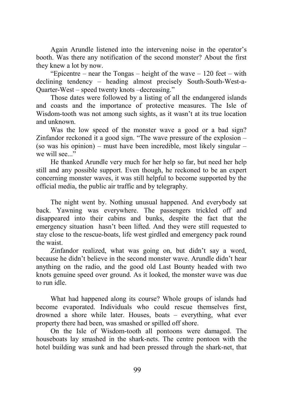Again Arundle listened into the intervening noise in the operator's booth. Was there any notification of the second monster? About the first they knew a lot by now.

"Epicentre – near the Tongas – height of the wave – 120 feet – with declining tendency – heading almost precisely South-South-West-a-Quarter-West – speed twenty knots –decreasing."

Those dates were followed by a listing of all the endangered islands and coasts and the importance of protective measures. The Isle of Wisdom-tooth was not among such sights, as it wasn't at its true location and unknown.

Was the low speed of the monster wave a good or a bad sign? Zinfandor reckoned it a good sign. "The wave pressure of the explosion – (so was his opinion) – must have been incredible, most likely singular – we will see..."

He thanked Arundle very much for her help so far, but need her help still and any possible support. Even though, he reckoned to be an expert concerning monster waves, it was still helpful to become supported by the official media, the public air traffic and by telegraphy.

The night went by. Nothing unusual happened. And everybody sat back. Yawning was everywhere. The passengers trickled off and disappeared into their cabins and bunks, despite the fact that the emergency situation hasn't been lifted. And they were still requested to stay close to the rescue-boats, life west girdled and emergency pack round the waist.

Zinfandor realized, what was going on, but didn't say a word, because he didn't believe in the second monster wave. Arundle didn't hear anything on the radio, and the good old Last Bounty headed with two knots genuine speed over ground. As it looked, the monster wave was due to run idle.

What had happened along its course? Whole groups of islands had become evaporated. Individuals who could rescue themselves first, drowned a shore while later. Houses, boats – everything, what ever property there had been, was smashed or spilled off shore.

On the Isle of Wisdom-tooth all pontoons were damaged. The houseboats lay smashed in the shark-nets. The centre pontoon with the hotel building was sunk and had been pressed through the shark-net, that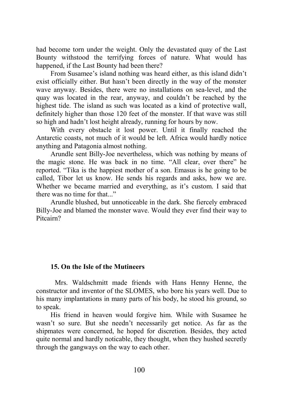had become torn under the weight. Only the devastated quay of the Last Bounty withstood the terrifying forces of nature. What would has happened, if the Last Bounty had been there?

From Susamee's island nothing was heard either, as this island didn't exist officially either. But hasn't been directly in the way of the monster wave anyway. Besides, there were no installations on sea-level, and the quay was located in the rear, anyway, and couldn't be reached by the highest tide. The island as such was located as a kind of protective wall, definitely higher than those 120 feet of the monster. If that wave was still so high and hadn't lost height already, running for hours by now.

With every obstacle it lost power. Until it finally reached the Antarctic coasts, not much of it would be left. Africa would hardly notice anything and Patagonia almost nothing.

Arundle sent Billy-Joe nevertheless, which was nothing by means of the magic stone. He was back in no time. "All clear, over there" he reported. "Tika is the happiest mother of a son. Emasus is he going to be called, Tibor let us know. He sends his regards and asks, how we are. Whether we became married and everything, as it's custom. I said that there was no time for that..."

Arundle blushed, but unnoticeable in the dark. She fiercely embraced Billy-Joe and blamed the monster wave. Would they ever find their way to Pitcairn?

# **15. On the Isle of the Mutineers**

 Mrs. Waldschmitt made friends with Hans Henny Henne, the constructor and inventor of the SLOMES, who bore his years well. Due to his many implantations in many parts of his body, he stood his ground, so to speak.

His friend in heaven would forgive him. While with Susamee he wasn't so sure. But she needn't necessarily get notice. As far as the shipmates were concerned, he hoped for discretion. Besides, they acted quite normal and hardly noticable, they thought, when they hushed secretly through the gangways on the way to each other.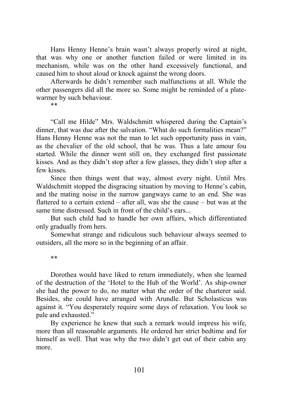Hans Henny Henne's brain wasn't always properly wired at night, that was why one or another function failed or were limited in its mechanism, while was on the other hand excessively functional, and caused him to shout aloud or knock against the wrong doors.

Afterwards he didn't remember such malfunctions at all. While the other passengers did all the more so. Some might be reminded of a platewarmer by such behaviour.

\*\*

"Call me Hilde" Mrs. Waldschmitt whispered during the Captain's dinner, that was due after the salvation. "What do such formalities mean?" Hans Henny Henne was not the man to let such opportunity pass in vain, as the chevalier of the old school, that he was. Thus a late amour fou started. While the dinner went still on, they exchanged first passionate kisses. And as they didn't stop after a few glasses, they didn't stop after a few kisses.

Since then things went that way, almost every night. Until Mrs. Waldschmitt stopped the disgracing situation by moving to Henne's cabin, and the mating noise in the narrow gangways came to an end. She was flattered to a certain extend – after all, was she the cause – but was at the same time distressed. Such in front of the child's ears...

But such child had to handle her own affairs, which differentiated only gradually from hers.

Somewhat strange and ridiculous such behaviour always seemed to outsiders, all the more so in the beginning of an affair.

\*\*

Dorothea would have liked to return immediately, when she learned of the destruction of the 'Hotel to the Hub of the World'. As ship-owner she had the power to do, no matter what the order of the charterer said. Besides, she could have arranged with Arundle. But Scholasticus was against it. "You desperately require some days of relaxation. You look so pale and exhausted."

By experience he knew that such a remark would impress his wife, more than all reasonable arguments. He ordered her strict bedtime and for himself as well. That was why the two didn't get out of their cabin any more.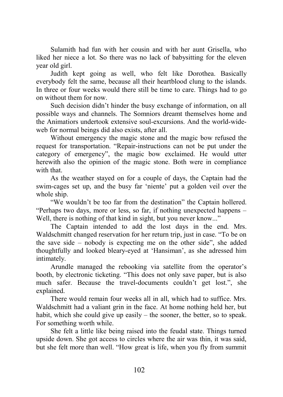Sulamith had fun with her cousin and with her aunt Grisella, who liked her niece a lot. So there was no lack of babysitting for the eleven year old girl.

Judith kept going as well, who felt like Dorothea. Basically everybody felt the same, because all their heartblood clung to the islands. In three or four weeks would there still be time to care. Things had to go on without them for now.

Such decision didn't hinder the busy exchange of information, on all possible ways and channels. The Somniors dreamt themselves home and the Animatiors undertook extensive soul-excursions. And the world-wideweb for normal beings did also exists, after all.

Without emergency the magic stone and the magic bow refused the request for transportation. "Repair-instructions can not be put under the category of emergency", the magic bow exclaimed. He would utter herewith also the opinion of the magic stone. Both were in compliance with that.

As the weather stayed on for a couple of days, the Captain had the swim-cages set up, and the busy far 'niente' put a golden veil over the whole ship.

"We wouldn't be too far from the destination" the Captain hollered. "Perhaps two days, more or less, so far, if nothing unexpected happens – Well, there is nothing of that kind in sight, but you never know..."

The Captain intended to add the lost days in the end. Mrs. Waldschmitt changed reservation for her return trip, just in case. "To be on the save side – nobody is expecting me on the other side", she added thoughtfully and looked bleary-eyed at 'Hansiman', as she adressed him intimately.

Arundle managed the rebooking via satellite from the operator's booth, by electronic ticketing. "This does not only save paper, but is also much safer. Because the travel-documents couldn't get lost.", she explained.

There would remain four weeks all in all, which had to suffice. Mrs. Waldschmitt had a valiant grin in the face. At home nothing held her, but habit, which she could give up easily – the sooner, the better, so to speak. For something worth while.

She felt a little like being raised into the feudal state. Things turned upside down. She got access to circles where the air was thin, it was said, but she felt more than well. "How great is life, when you fly from summit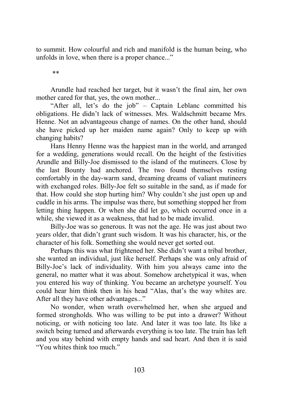to summit. How colourful and rich and manifold is the human being, who unfolds in love, when there is a proper chance..."

\*\*

Arundle had reached her target, but it wasn't the final aim, her own mother cared for that, yes, the own mother...

"After all, let's do the job" – Captain Leblanc committed his obligations. He didn't lack of witnesses. Mrs. Waldschmitt became Mrs. Henne. Not an advantageous change of names. On the other hand, should she have picked up her maiden name again? Only to keep up with changing habits?

Hans Henny Henne was the happiest man in the world, and arranged for a wedding, generations would recall. On the height of the festivities Arundle and Billy-Joe dismissed to the island of the mutineers. Close by the last Bounty had anchored. The two found themselves resting comfortably in the day-warm sand, dreaming dreams of valiant mutineers with exchanged roles. Billy-Joe felt so suitable in the sand, as if made for that. How could she stop hurting him? Why couldn't she just open up and cuddle in his arms. The impulse was there, but something stopped her from letting thing happen. Or when she did let go, which occurred once in a while, she viewed it as a weakness, that had to be made invalid.

Billy-Joe was so generous. It was not the age. He was just about two years older, that didn't grant such wisdom. It was his character, his, or the character of his folk. Something she would never get sorted out.

Perhaps this was what frightened her. She didn't want a tribal brother, she wanted an individual, just like herself. Perhaps she was only afraid of Billy-Joe's lack of individuality. With him you always came into the general, no matter what it was about. Somehow archetypical it was, when you entered his way of thinking. You became an archetype yourself. You could hear him think then in his head "Alas, that's the way whites are. After all they have other advantages..."

No wonder, when wrath overwhelmed her, when she argued and formed strongholds. Who was willing to be put into a drawer? Without noticing, or with noticing too late. And later it was too late. Its like a switch being turned and afterwards everything is too late. The train has left and you stay behind with empty hands and sad heart. And then it is said "You whites think too much."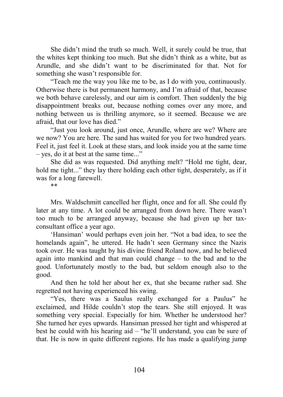She didn't mind the truth so much. Well, it surely could be true, that the whites kept thinking too much. But she didn't think as a white, but as Arundle, and she didn't want to be discriminated for that. Not for something she wasn't responsible for.

"Teach me the way you like me to be, as I do with you, continuously. Otherwise there is but permanent harmony, and I'm afraid of that, because we both behave carelessly, and our aim is comfort. Then suddenly the big disappointment breaks out, because nothing comes over any more, and nothing between us is thrilling anymore, so it seemed. Because we are afraid, that our love has died."

"Just you look around, just once, Arundle, where are we? Where are we now? You are here. The sand has waited for you for two hundred years. Feel it, just feel it. Look at these stars, and look inside you at the same time – yes, do it at best at the same time..."

She did as was requested. Did anything melt? "Hold me tight, dear, hold me tight..." they lay there holding each other tight, desperately, as if it was for a long farewell.

\*\*

Mrs. Waldschmitt cancelled her flight, once and for all. She could fly later at any time. A lot could be arranged from down here. There wasn't too much to be arranged anyway, because she had given up her taxconsultant office a year ago.

'Hansiman' would perhaps even join her. "Not a bad idea, to see the homelands again", he uttered. He hadn't seen Germany since the Nazis took over. He was taught by his divine friend Roland now, and he believed again into mankind and that man could change – to the bad and to the good. Unfortunately mostly to the bad, but seldom enough also to the good.

And then he told her about her ex, that she became rather sad. She regretted not having experienced his swing.

"Yes, there was a Saulus really exchanged for a Paulus" he exclaimed, and Hilde couldn't stop the tears. She still enjoyed. It was something very special. Especially for him. Whether he understood her? She turned her eyes upwards. Hansiman pressed her tight and whispered at best he could with his hearing aid – "he'll understand, you can be sure of that. He is now in quite different regions. He has made a qualifying jump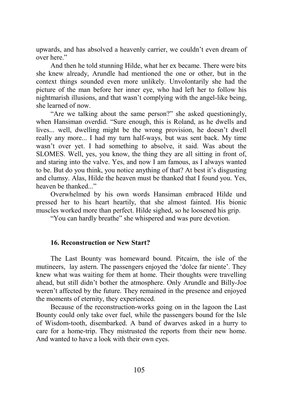upwards, and has absolved a heavenly carrier, we couldn't even dream of over here."

And then he told stunning Hilde, what her ex became. There were bits she knew already, Arundle had mentioned the one or other, but in the context things sounded even more unlikely. Unvolontarily she had the picture of the man before her inner eye, who had left her to follow his nightmarish illusions, and that wasn't complying with the angel-like being, she learned of now.

"Are we talking about the same person?" she asked questioningly, when Hansiman overdid. "Sure enough, this is Roland, as he dwells and lives... well, dwelling might be the wrong provision, he doesn't dwell really any more... I had my turn half-ways, but was sent back. My time wasn't over yet. I had something to absolve, it said. Was about the SLOMES. Well, yes, you know, the thing they are all sitting in front of, and staring into the valve. Yes, and now I am famous, as I always wanted to be. But do you think, you notice anything of that? At best it's disgusting and clumsy. Alas, Hilde the heaven must be thanked that I found you. Yes, heaven be thanked..."

Overwhelmed by his own words Hansiman embraced Hilde und pressed her to his heart heartily, that she almost fainted. His bionic muscles worked more than perfect. Hilde sighed, so he loosened his grip.

"You can hardly breathe" she whispered and was pure devotion.

## **16. Reconstruction or New Start?**

The Last Bounty was homeward bound. Pitcairn, the isle of the mutineers, lay astern. The passengers enjoyed the 'dolce far niente'. They knew what was waiting for them at home. Their thoughts were travelling ahead, but still didn't bother the atmosphere. Only Arundle and Billy-Joe weren't affected by the future. They remained in the presence and enjoyed the moments of eternity, they experienced.

Because of the reconstruction-works going on in the lagoon the Last Bounty could only take over fuel, while the passengers bound for the Isle of Wisdom-tooth, disembarked. A band of dwarves asked in a hurry to care for a home-trip. They mistrusted the reports from their new home. And wanted to have a look with their own eyes.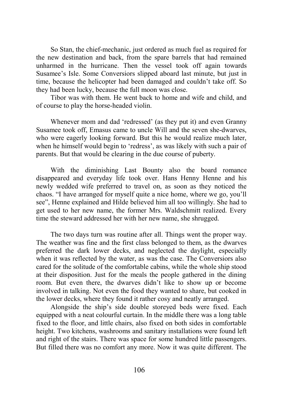So Stan, the chief-mechanic, just ordered as much fuel as required for the new destination and back, from the spare barrels that had remained unharmed in the hurricane. Then the vessel took off again towards Susamee's Isle. Some Conversiors slipped aboard last minute, but just in time, because the helicopter had been damaged and couldn't take off. So they had been lucky, because the full moon was close.

Tibor was with them. He went back to home and wife and child, and of course to play the horse-headed violin.

Whenever mom and dad 'redressed' (as they put it) and even Granny Susamee took off, Emasus came to uncle Will and the seven she-dwarves, who were eagerly looking forward. But this he would realize much later, when he himself would begin to 'redress', as was likely with such a pair of parents. But that would be clearing in the due course of puberty.

With the diminishing Last Bounty also the board romance disappeared and everyday life took over. Hans Henny Henne and his newly wedded wife preferred to travel on, as soon as they noticed the chaos. "I have arranged for myself quite a nice home, where we go, you'll see", Henne explained and Hilde believed him all too willingly. She had to get used to her new name, the former Mrs. Waldschmitt realized. Every time the steward addressed her with her new name, she shrugged.

The two days turn was routine after all. Things went the proper way. The weather was fine and the first class belonged to them, as the dwarves preferred the dark lower decks, and neglected the daylight, especially when it was reflected by the water, as was the case. The Conversiors also cared for the solitude of the comfortable cabins, while the whole ship stood at their disposition. Just for the meals the people gathered in the dining room. But even there, the dwarves didn't like to show up or become involved in talking. Not even the food they wanted to share, but cooked in the lower decks, where they found it rather cosy and neatly arranged.

Alongside the ship's side double storeyed beds were fixed. Each equipped with a neat colourful curtain. In the middle there was a long table fixed to the floor, and little chairs, also fixed on both sides in comfortable height. Two kitchens, washrooms and sanitary installations were found left and right of the stairs. There was space for some hundred little passengers. But filled there was no comfort any more. Now it was quite different. The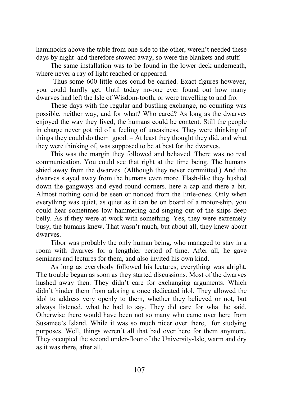hammocks above the table from one side to the other, weren't needed these days by night and therefore stowed away, so were the blankets and stuff.

The same installation was to be found in the lower deck underneath, where never a ray of light reached or appeared.

 Thus some 600 little-ones could be carried. Exact figures however, you could hardly get. Until today no-one ever found out how many dwarves had left the Isle of Wisdom-tooth, or were travelling to and fro.

These days with the regular and bustling exchange, no counting was possible, neither way, and for what? Who cared? As long as the dwarves enjoyed the way they lived, the humans could be content. Still the people in charge never got rid of a feeling of uneasiness. They were thinking of things they could do them good. – At least they thought they did, and what they were thinking of, was supposed to be at best for the dwarves.

This was the margin they followed and behaved. There was no real communication. You could see that right at the time being. The humans shied away from the dwarves. (Although they never committed.) And the dwarves stayed away from the humans even more. Flash-like they hushed down the gangways and eyed round corners. here a cap and there a bit. Almost nothing could be seen or noticed from the little-ones. Only when everything was quiet, as quiet as it can be on board of a motor-ship, you could hear sometimes low hammering and singing out of the ships deep belly. As if they were at work with something. Yes, they were extremely busy, the humans knew. That wasn't much, but about all, they knew about dwarves.

Tibor was probably the only human being, who managed to stay in a room with dwarves for a lengthier period of time. After all, he gave seminars and lectures for them, and also invited his own kind.

As long as everybody followed his lectures, everything was alright. The trouble began as soon as they started discussions. Most of the dwarves hushed away then. They didn't care for exchanging arguments. Which didn't hinder them from adoring a once dedicated idol. They allowed the idol to address very openly to them, whether they believed or not, but always listened, what he had to say. They did care for what he said. Otherwise there would have been not so many who came over here from Susamee's Island. While it was so much nicer over there, for studying purposes. Well, things weren't all that bad over here for them anymore. They occupied the second under-floor of the University-Isle, warm and dry as it was there, after all.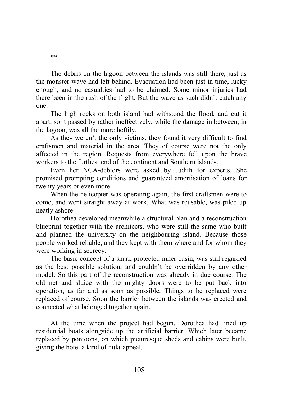The debris on the lagoon between the islands was still there, just as the monster-wave had left behind. Evacuation had been just in time, lucky enough, and no casualties had to be claimed. Some minor injuries had there been in the rush of the flight. But the wave as such didn't catch any one.

The high rocks on both island had withstood the flood, and cut it apart, so it passed by rather ineffectively, while the damage in between, in the lagoon, was all the more heftily.

As they weren't the only victims, they found it very difficult to find craftsmen and material in the area. They of course were not the only affected in the region. Requests from everywhere fell upon the brave workers to the furthest end of the continent and Southern islands.

Even her NCA-debtors were asked by Judith for experts. She promised prompting conditions and guaranteed amortisation of loans for twenty years or even more.

When the helicopter was operating again, the first craftsmen were to come, and went straight away at work. What was reusable, was piled up neatly ashore.

Dorothea developed meanwhile a structural plan and a reconstruction blueprint together with the architects, who were still the same who built and planned the university on the neighbouring island. Because those people worked reliable, and they kept with them where and for whom they were working in secrecy.

The basic concept of a shark-protected inner basin, was still regarded as the best possible solution, and couldn't be overridden by any other model. So this part of the reconstruction was already in due course. The old net and sluice with the mighty doors were to be put back into operation, as far and as soon as possible. Things to be replaced were replaced of course. Soon the barrier between the islands was erected and connected what belonged together again.

At the time when the project had begun, Dorothea had lined up residential boats alongside up the artificial barrier. Which later became replaced by pontoons, on which picturesque sheds and cabins were built, giving the hotel a kind of hula-appeal.

\*\*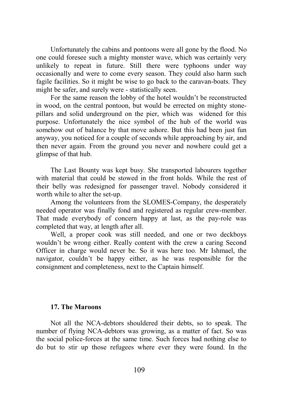Unfortunately the cabins and pontoons were all gone by the flood. No one could foresee such a mighty monster wave, which was certainly very unlikely to repeat in future. Still there were typhoons under way occasionally and were to come every season. They could also harm such fagile facilities. So it might be wise to go back to the caravan-boats. They might be safer, and surely were - statistically seen.

For the same reason the lobby of the hotel wouldn't be reconstructed in wood, on the central pontoon, but would be errected on mighty stonepillars and solid underground on the pier, which was widened for this purpose. Unfortunately the nice symbol of the hub of the world was somehow out of balance by that move ashore. But this had been just fun anyway, you noticed for a couple of seconds while approaching by air, and then never again. From the ground you never and nowhere could get a glimpse of that hub.

The Last Bounty was kept busy. She transported labourers together with material that could be stowed in the front holds. While the rest of their belly was redesigned for passenger travel. Nobody considered it worth while to alter the set-up.

Among the volunteers from the SLOMES-Company, the desperately needed operator was finally fond and registered as regular crew-member. That made everybody of concern happy at last, as the pay-role was completed that way, at length after all.

Well, a proper cook was still needed, and one or two deckboys wouldn't be wrong either. Really content with the crew a caring Second Officer in charge would never be. So it was here too. Mr Ishmael, the navigator, couldn't be happy either, as he was responsible for the consignment and completeness, next to the Captain himself.

#### **17. The Maroons**

Not all the NCA-debtors shouldered their debts, so to speak. The number of flying NCA-debtors was growing, as a matter of fact. So was the social police-forces at the same time. Such forces had nothing else to do but to stir up those refugees where ever they were found. In the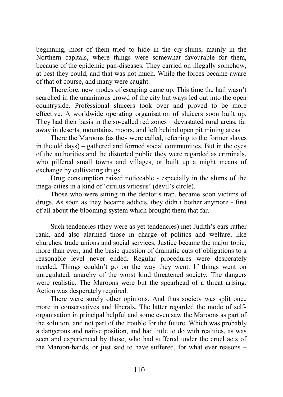beginning, most of them tried to hide in the ciy-slums, mainly in the Northern capitals, where things were somewhat favourable for them, because of the epidemic pan-diseases. They carried on illegally somehow, at best they could, and that was not much. While the forces became aware of that of course, and many were caught.

Therefore, new modes of escaping came up. This time the hail wasn't searched in the unanimous crowd of the city but ways led out into the open countryside. Professional sluicers took over and proved to be more effective. A worldwide operating organisation of sluicers soon built up. They had their basis in the so-called red zones – devastated rural areas, far away in deserts, mountains, moors, and left behind open pit mining areas.

There the Maroons (as they were called, referring to the former slaves in the old days) – gathered and formed social communities. But in the eyes of the authorities and the distorted public they were regarded as criminals, who pilfered small towns and villages, or built up a might means of exchange by cultivating drugs.

Drug consumption raised noticeable - especially in the slums of the mega-cities in a kind of 'cirulus vitiosus' (devil's circle).

Those who were sitting in the debtor's trap, became soon victims of drugs. As soon as they became addicts, they didn't bother anymore - first of all about the blooming system which brought them that far.

Such tendencies (they were as yet tendencies) met Judith's ears rather rank, and also alarmed those in charge of politics and welfare, like churches, trade unions and social services. Justice became the major topic, more than ever, and the basic question of dramatic cuts of obligations to a reasonable level never ended. Regular procedures were desperately needed. Things couldn't go on the way they went. If things went on unregulated, anarchy of the worst kind threatened society. The dangers were realistic. The Maroons were but the spearhead of a threat arising. Action was desperately required.

There were surely other opinions. And thus society was split once more in conservatives and liberals. The latter regarded the mode of selforganisation in principal helpful and some even saw the Maroons as part of the solution, and not part of the trouble for the future. Which was probably a dangerous and naiive position, and had little to do with realities, as was seen and experienced by those, who had suffered under the cruel acts of the Maroon-bands, or just said to have suffered, for what ever reasons –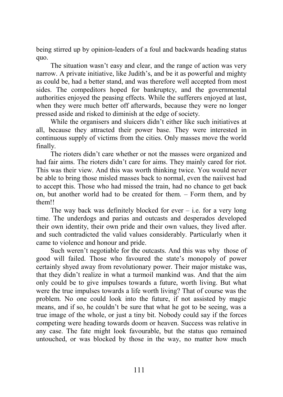being stirred up by opinion-leaders of a foul and backwards heading status quo.

The situation wasn't easy and clear, and the range of action was very narrow. A private initiative, like Judith's, and be it as powerful and mighty as could be, had a better stand, and was therefore well accepted from most sides. The compeditors hoped for bankruptcy, and the governmental authorities enjoyed the peasing effects. While the sufferers enjoyed at last, when they were much better off afterwards, because they were no longer pressed aside and risked to diminish at the edge of society.

While the organisers and sluicers didn't either like such initiatives at all, because they attracted their power base. They were interested in continuous supply of victims from the cities. Only masses move the world finally.

The rioters didn't care whether or not the masses were organized and had fair aims. The rioters didn't care for aims. They mainly cared for riot. This was their view. And this was worth thinking twice. You would never be able to bring those misled masses back to normal, even the naiivest had to accept this. Those who had missed the train, had no chance to get back on, but another world had to be created for them. – Form them, and by them!!

The way back was definitely blocked for ever  $-$  i.e. for a very long time. The underdogs and parias and outcasts and desperados developed their own identity, their own pride and their own values, they lived after. and such contradicted the valid values considerably. Particularly when it came to violence and honour and pride.

Such weren't negotiable for the outcasts. And this was why those of good will failed. Those who favoured the state's monopoly of power certainly shyed away from revolutionary power. Their major mistake was, that they didn't realize in what a turmoil mankind was. And that the aim only could be to give impulses towards a future, worth living. But what were the true impulses towards a life worth living? That of course was the problem. No one could look into the future, if not assisted by magic means, and if so, he couldn't be sure that what he got to be seeing, was a true image of the whole, or just a tiny bit. Nobody could say if the forces competing were heading towards doom or heaven. Success was relative in any case. The fate might look favourable, but the status quo remained untouched, or was blocked by those in the way, no matter how much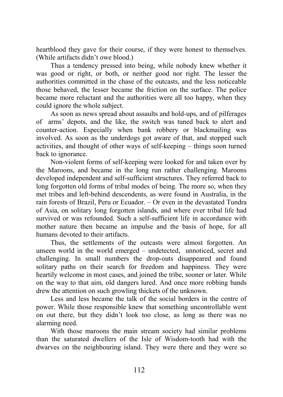heartblood they gave for their course, if they were honest to themselves. (While artifacts didn't owe blood.)

Thus a tendency pressed into being, while nobody knew whether it was good or right, or both, or neither good nor right. The lesser the authorities committed in the chase of the outcasts, and the less noticeable those behaved, the lesser became the friction on the surface. The police became more reluctant and the authorities were all too happy, when they could ignore the whole subject.

As soon as news spread about assaults and hold-ups, and of pilferages of arms' depots, and the like, the switch was tuned back to alert and counter-action. Especially when bank robbery or blackmailing was involved. As soon as the underdogs got aware of that, and stopped such activities, and thought of other ways of self-keeping – things soon turned back to ignorance.

Non-violent forms of self-keeping were looked for and taken over by the Maroons, and became in the long run rather challenging. Maroons developed independent and self-sufficient structures. They referred back to long forgotten old forms of tribal modes of being. The more so, when they met tribes and left-behind descendents, as were found in Australia, in the rain forests of Brazil, Peru or Ecuador. – Or even in the devastated Tundra of Asia, on solitary long forgotten islands, and where ever tribal life had survived or was refounded. Such a self-sufficient life in accordance with mother nature then became an impulse and the basis of hope, for all humans devoted to their artifacts.

Thus, the settlements of the outcasts were almost forgotten. An unseen world in the world emerged – undetected, unnoticed, secret and challenging. In small numbers the drop-outs disappeared and found solitary paths on their search for freedom and happiness. They were heartily welcome in most cases, and joined the tribe, sooner or later. While on the way to that aim, old dangers lured. And once more robbing bands drew the attention on such growling thickets of the unknown.

Less and less became the talk of the social borders in the centre of power. While those responsible knew that something uncontrollable went on out there, but they didn't look too close, as long as there was no alarming need.

With those maroons the main stream society had similar problems than the saturated dwellers of the Isle of Wisdom-tooth had with the dwarves on the neighbouring island. They were there and they were so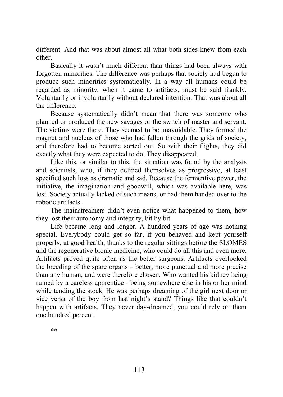different. And that was about almost all what both sides knew from each other.

Basically it wasn't much different than things had been always with forgotten minorities. The difference was perhaps that society had begun to produce such minorities systematically. In a way all humans could be regarded as minority, when it came to artifacts, must be said frankly. Voluntarily or involuntarily without declared intention. That was about all the difference.

Because systematically didn't mean that there was someone who planned or produced the new savages or the switch of master and servant. The victims were there. They seemed to be unavoidable. They formed the magnet and nucleus of those who had fallen through the grids of society, and therefore had to become sorted out. So with their flights, they did exactly what they were expected to do. They disappeared.

Like this, or similar to this, the situation was found by the analysts and scientists, who, if they defined themselves as progressive, at least specified such loss as dramatic and sad. Because the fermentive power, the initiative, the imagination and goodwill, which was available here, was lost. Society actually lacked of such means, or had them handed over to the robotic artifacts.

The mainstreamers didn't even notice what happened to them, how they lost their autonomy and integrity, bit by bit.

Life became long and longer. A hundred years of age was nothing special. Everybody could get so far, if you behaved and kept yourself properly, at good health, thanks to the regular sittings before the SLOMES and the regenerative bionic medicine, who could do all this and even more. Artifacts proved quite often as the better surgeons. Artifacts overlooked the breeding of the spare organs – better, more punctual and more precise than any human, and were therefore chosen. Who wanted his kidney being ruined by a careless apprentice - being somewhere else in his or her mind while tending the stock. He was perhaps dreaming of the girl next door or vice versa of the boy from last night's stand? Things like that couldn't happen with artifacts. They never day-dreamed, you could rely on them one hundred percent.

\*\*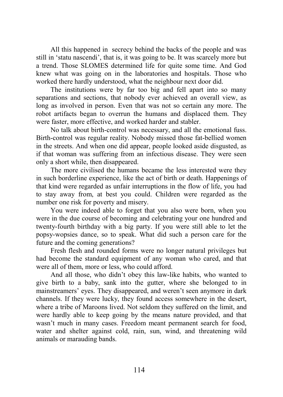All this happened in secrecy behind the backs of the people and was still in 'statu nascendi', that is, it was going to be. It was scarcely more but a trend. Those SLOMES determined life for quite some time. And God knew what was going on in the laboratories and hospitals. Those who worked there hardly understood, what the neighbour next door did.

The institutions were by far too big and fell apart into so many separations and sections, that nobody ever achieved an overall view, as long as involved in person. Even that was not so certain any more. The robot artifacts began to overrun the humans and displaced them. They were faster, more effective, and worked harder and stabler.

No talk about birth-control was necessary, and all the emotional fuss. Birth-control was regular reality. Nobody missed those fat-bellied women in the streets. And when one did appear, people looked aside disgusted, as if that woman was suffering from an infectious disease. They were seen only a short while, then disappeared.

The more civilised the humans became the less interested were they in such borderline experience, like the act of birth or death. Happenings of that kind were regarded as unfair interruptions in the flow of life, you had to stay away from, at best you could. Children were regarded as the number one risk for poverty and misery.

You were indeed able to forget that you also were born, when you were in the due course of becoming and celebrating your one hundred and twenty-fourth birthday with a big party. If you were still able to let the popsy-wopsies dance, so to speak. What did such a person care for the future and the coming generations?

Fresh flesh and rounded forms were no longer natural privileges but had become the standard equipment of any woman who cared, and that were all of them, more or less, who could afford.

And all those, who didn't obey this law-like habits, who wanted to give birth to a baby, sank into the gutter, where she belonged to in mainstreamers' eyes. They disappeared, and weren't seen anymore in dark channels. If they were lucky, they found access somewhere in the desert, where a tribe of Maroons lived. Not seldom they suffered on the limit, and were hardly able to keep going by the means nature provided, and that wasn't much in many cases. Freedom meant permanent search for food, water and shelter against cold, rain, sun, wind, and threatening wild animals or marauding bands.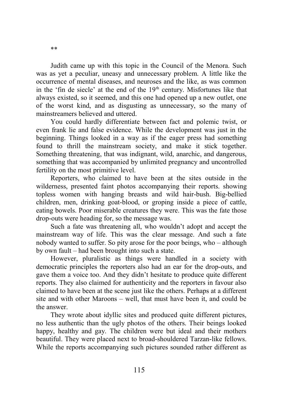Judith came up with this topic in the Council of the Menora. Such was as yet a peculiar, uneasy and unnecessary problem. A little like the occurrence of mental diseases, and neuroses and the like, as was common in the 'fin de siecle' at the end of the  $19<sup>th</sup>$  century. Misfortunes like that always existed, so it seemed, and this one had opened up a new outlet, one of the worst kind, and as disgusting as unnecessary, so the many of mainstreamers believed and uttered.

You could hardly differentiate between fact and polemic twist, or even frank lie and false evidence. While the development was just in the beginning. Things looked in a way as if the eager press had something found to thrill the mainstream society, and make it stick together. Something threatening, that was indignant, wild, anarchic, and dangerous, something that was accompanied by unlimited pregnancy and uncontrolled fertility on the most primitive level.

Reporters, who claimed to have been at the sites outside in the wilderness, presented faint photos accompanying their reports. showing topless women with hanging breasts and wild hair-bush. Big-bellied children, men, drinking goat-blood, or groping inside a piece of cattle, eating bowels. Poor miserable creatures they were. This was the fate those drop-outs were heading for, so the message was.

Such a fate was threatening all, who wouldn't adopt and accept the mainstream way of life. This was the clear message. And such a fate nobody wanted to suffer. So pity arose for the poor beings, who – although by own fault – had been brought into such a state.

However, pluralistic as things were handled in a society with democratic principles the reporters also had an ear for the drop-outs, and gave them a voice too. And they didn't hesitate to produce quite different reports. They also claimed for authenticity and the reporters in favour also claimed to have been at the scene just like the others. Perhaps at a different site and with other Maroons – well, that must have been it, and could be the answer.

They wrote about idyllic sites and produced quite different pictures, no less authentic than the ugly photos of the others. Their beings looked happy, healthy and gay. The children were but ideal and their mothers beautiful. They were placed next to broad-shouldered Tarzan-like fellows. While the reports accompanying such pictures sounded rather different as

\*\*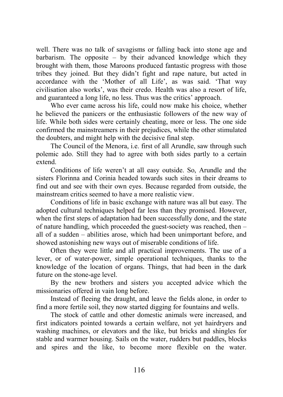well. There was no talk of savagisms or falling back into stone age and barbarism. The opposite  $-$  by their advanced knowledge which they brought with them, those Maroons produced fantastic progress with those tribes they joined. But they didn't fight and rape nature, but acted in accordance with the 'Mother of all Life', as was said. 'That way civilisation also works', was their credo. Health was also a resort of life, and guaranteed a long life, no less. Thus was the critics' approach.

Who ever came across his life, could now make his choice, whether he believed the panicers or the enthusiastic followers of the new way of life. While both sides were certainly cheating, more or less. The one side confirmed the mainstreamers in their prejudices, while the other stimulated the doubters, and might help with the decisive final step.

The Council of the Menora, i.e. first of all Arundle, saw through such polemic ado. Still they had to agree with both sides partly to a certain extend.

Conditions of life weren't at all easy outside. So, Arundle and the sisters Florinna and Corinia headed towards such sites in their dreams to find out and see with their own eyes. Because regarded from outside, the mainstream critics seemed to have a more realistic view.

Conditions of life in basic exchange with nature was all but easy. The adopted cultural techniques helped far less than they promised. However, when the first steps of adaptation had been successfully done, and the state of nature handling, which proceeded the guest-society was reached, then – all of a sudden – abilities arose, which had been unimportant before, and showed astonishing new ways out of miserable conditions of life.

Often they were little and all practical improvements. The use of a lever, or of water-power, simple operational techniques, thanks to the knowledge of the location of organs. Things, that had been in the dark future on the stone-age level.

By the new brothers and sisters you accepted advice which the missionaries offered in vain long before.

Instead of fleeing the draught, and leave the fields alone, in order to find a more fertile soil, they now started digging for fountains and wells.

The stock of cattle and other domestic animals were increased, and first indicators pointed towards a certain welfare, not yet hairdryers and washing machines, or elevators and the like, but bricks and shingles for stable and warmer housing. Sails on the water, rudders but paddles, blocks and spires and the like, to become more flexible on the water.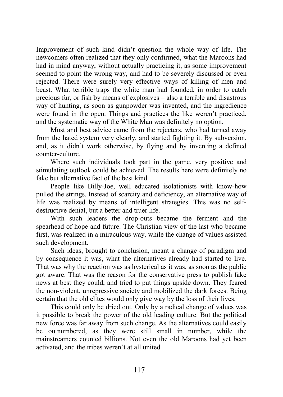Improvement of such kind didn't question the whole way of life. The newcomers often realized that they only confirmed, what the Maroons had had in mind anyway, without actually practicing it, as some improvement seemed to point the wrong way, and had to be severely discussed or even rejected. There were surely very effective ways of killing of men and beast. What terrible traps the white man had founded, in order to catch precious fur, or fish by means of explosives – also a terrible and disastrous way of hunting, as soon as gunpowder was invented, and the ingredience were found in the open. Things and practices the like weren't practiced, and the systematic way of the White Man was definitely no option.

Most and best advice came from the rejecters, who had turned away from the hated system very clearly, and started fighting it. By subversion, and, as it didn't work otherwise, by flying and by inventing a defined counter-culture.

Where such individuals took part in the game, very positive and stimulating outlook could be achieved. The results here were definitely no fake but alternative fact of the best kind.

People like Billy-Joe, well educated isolationists with know-how pulled the strings. Instead of scarcity and deficiency, an alternative way of life was realized by means of intelligent strategies. This was no selfdestructive denial, but a better and truer life.

With such leaders the drop-outs became the ferment and the spearhead of hope and future. The Christian view of the last who became first, was realized in a miraculous way, while the change of values assisted such development.

Such ideas, brought to conclusion, meant a change of paradigm and by consequence it was, what the alternatives already had started to live. That was why the reaction was as hysterical as it was, as soon as the public got aware. That was the reason for the conservative press to publish fake news at best they could, and tried to put things upside down. They feared the non-violent, unrepressive society and mobilized the dark forces. Being certain that the old elites would only give way by the loss of their lives.

This could only be dried out. Only by a radical change of values was it possible to break the power of the old leading culture. But the political new force was far away from such change. As the alternatives could easily be outnumbered, as they were still small in number, while the mainstreamers counted billions. Not even the old Maroons had yet been activated, and the tribes weren't at all united.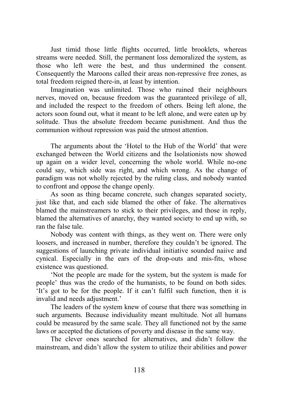Just timid those little flights occurred, little brooklets, whereas streams were needed. Still, the permanent loss demoralized the system, as those who left were the best, and thus undermined the consent. Consequently the Maroons called their areas non-repressive free zones, as total freedom reigned there-in, at least by intention.

Imagination was unlimited. Those who ruined their neighbours nerves, moved on, because freedom was the guaranteed privilege of all, and included the respect to the freedom of others. Being left alone, the actors soon found out, what it meant to be left alone, and were eaten up by solitude. Thus the absolute freedom became punishment. And thus the communion without repression was paid the utmost attention.

The arguments about the 'Hotel to the Hub of the World' that were exchanged between the World citizens and the Isolationists now showed up again on a wider level, concerning the whole world. While no-one could say, which side was right, and which wrong. As the change of paradigm was not wholly rejected by the ruling class, and nobody wanted to confront and oppose the change openly.

As soon as thing became concrete, such changes separated society, just like that, and each side blamed the other of fake. The alternatives blamed the mainstreamers to stick to their privileges, and those in reply, blamed the alternatives of anarchy, they wanted society to end up with, so ran the false tale.

Nobody was content with things, as they went on. There were only loosers, and increased in number, therefore they couldn't be ignored. The suggestions of launching private individual initiative sounded naiive and cynical. Especially in the ears of the drop-outs and mis-fits, whose existence was questioned.

'Not the people are made for the system, but the system is made for people' thus was the credo of the humanists, to be found on both sides. 'It's got to be for the people. If it can't fulfil such function, then it is invalid and needs adjustment.'

The leaders of the system knew of course that there was something in such arguments. Because individuality meant multitude. Not all humans could be measured by the same scale. They all functioned not by the same laws or accepted the dictations of poverty and disease in the same way.

The clever ones searched for alternatives, and didn't follow the mainstream, and didn't allow the system to utilize their abilities and power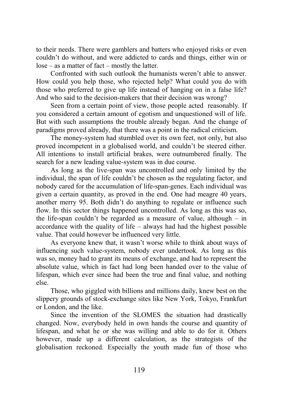to their needs. There were gamblers and batters who enjoyed risks or even couldn't do without, and were addicted to cards and things, either win or lose – as a matter of fact – mostly the latter.

Confronted with such outlook the humanists weren't able to answer. How could you help those, who rejected help? What could you do with those who preferred to give up life instead of hanging on in a false life? And who said to the decision-makers that their decision was wrong?

Seen from a certain point of view, those people acted reasonably. If you considered a certain amount of egotism and unquestioned will of life. But with such assumptions the trouble already began. And the change of paradigms proved already, that there was a point in the radical criticism.

The money-system had stumbled over its own feet, not only, but also proved incompetent in a globalised world, and couldn't be steered either. All intentions to install artificial brakes, were outnumbered finally. The search for a new leading value-system was in due course.

As long as the live-span was uncontrolled and only limited by the individual, the span of life couldn't be chosen as the regulating factor, and nobody cared for the accumulation of life-span-genes. Each individual was given a certain quantity, as proved in the end. One had meagre 40 years, another merry 95. Both didn't do anything to regulate or influence such flow. In this sector things happened uncontrolled. As long as this was so, the life-span couldn't be regarded as a measure of value, although – in accordance with the quality of life – always had had the highest possible value. That could however be influenced very little.

As everyone knew that, it wasn't worse while to think about ways of influencing such value-system, nobody ever undertook. As long as this was so, money had to grant its means of exchange, and had to represent the absolute value, which in fact had long been handed over to the value of lifespan, which ever since had been the true and final value, and nothing else.

Those, who giggled with billions and millions daily, knew best on the slippery grounds of stock-exchange sites like New York, Tokyo, Frankfurt or London, and the like.

Since the invention of the SLOMES the situation had drastically changed. Now, everybody held in own hands the course and quantity of lifespan, and what he or she was willing and able to do for it. Others however, made up a different calculation, as the strategists of the globalisation reckoned. Especially the youth made fun of those who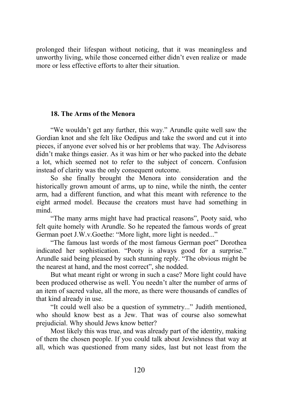prolonged their lifespan without noticing, that it was meaningless and unworthy living, while those concerned either didn't even realize or made more or less effective efforts to alter their situation.

# **18. The Arms of the Menora**

"We wouldn't get any further, this way." Arundle quite well saw the Gordian knot and she felt like Oedipus and take the sword and cut it into pieces, if anyone ever solved his or her problems that way. The Advisoress didn't make things easier. As it was him or her who packed into the debate a lot, which seemed not to refer to the subject of concern. Confusion instead of clarity was the only consequent outcome.

So she finally brought the Menora into consideration and the historically grown amount of arms, up to nine, while the ninth, the center arm, had a different function, and what this meant with reference to the eight armed model. Because the creators must have had something in mind.

"The many arms might have had practical reasons", Pooty said, who felt quite homely with Arundle. So he repeated the famous words of great German poet J.W.v.Goethe: "More light, more light is needed..."

"The famous last words of the most famous German poet" Dorothea indicated her sophistication. "Pooty is always good for a surprise." Arundle said being pleased by such stunning reply. "The obvious might be the nearest at hand, and the most correct", she nodded.

But what meant right or wrong in such a case? More light could have been produced otherwise as well. You needn't alter the number of arms of an item of sacred value, all the more, as there were thousands of candles of that kind already in use.

"It could well also be a question of symmetry..." Judith mentioned, who should know best as a Jew. That was of course also somewhat prejudicial. Why should Jews know better?

Most likely this was true, and was already part of the identity, making of them the chosen people. If you could talk about Jewishness that way at all, which was questioned from many sides, last but not least from the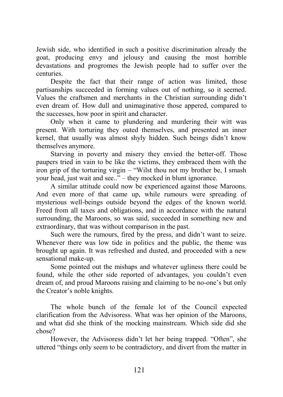Jewish side, who identified in such a positive discrimination already the goat, producing envy and jelousy and causing the most horrible devastations and progromes the Jewish people had to suffer over the centuries.

Despite the fact that their range of action was limited, those partisanships succeeded in forming values out of nothing, so it seemed. Values the craftsmen and merchants in the Christian surrounding didn't even dream of. How dull and unimaginative those appered, compared to the successes, how poor in spirit and character.

Only when it came to plundering and murdering their witt was present. With torturing they outed themselves, and presented an inner kernel, that usually was almost shyly hidden. Such beings didn't know themselves anymore.

Starving in poverty and misery they envied the better-off. Those paupers tried in vain to be like the victims, they embraced them with the iron grip of the torturing virgin – "Wilst thou not my brother be, I smash your head, just wait and see.." – they mocked in blunt ignorance.

A similar attitude could now be experienced against those Maroons. And even more of that came up, while rumours were spreading of mysterious well-beings outside beyond the edges of the known world. Freed from all taxes and obligations, and in accordance with the natural surrounding, the Maroons, so was said, succeeded in something new and extraordinary, that was without comparison in the past.

Such were the rumours, fired by the press, and didn't want to seize. Whenever there was low tide in politics and the public, the theme was brought up again. It was refreshed and dusted, and proceeded with a new sensational make-up.

Some pointed out the mishaps and whatever ugliness there could be found, while the other side reported of advantages, you couldn't even dream of, and proud Maroons raising and claiming to be no-one's but only the Creator's noble knights.

The whole bunch of the female lot of the Council expected clarification from the Advisoress. What was her opinion of the Maroons, and what did she think of the mocking mainstream. Which side did she chose?

However, the Advisoress didn't let her being trapped. "Often", she uttered "things only seem to be contradictory, and divert from the matter in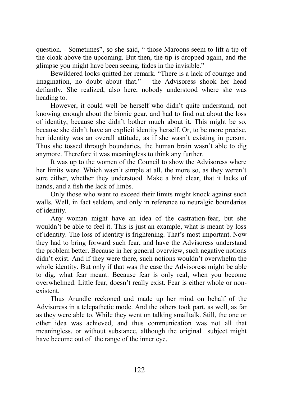question. - Sometimes", so she said, " those Maroons seem to lift a tip of the cloak above the upcoming. But then, the tip is dropped again, and the glimpse you might have been seeing, fades in the invisible."

Bewildered looks quitted her remark. "There is a lack of courage and imagination, no doubt about that." – the Advisoress shook her head defiantly. She realized, also here, nobody understood where she was heading to.

However, it could well be herself who didn't quite understand, not knowing enough about the bionic gear, and had to find out about the loss of identity, because she didn't bother much about it. This might be so, because she didn't have an explicit identity herself. Or, to be more precise, her identity was an overall attitude, as if she wasn't existing in person. Thus she tossed through boundaries, the human brain wasn't able to dig anymore. Therefore it was meaningless to think any further.

It was up to the women of the Council to show the Advisoress where her limits were. Which wasn't simple at all, the more so, as they weren't sure either, whether they understood. Make a bird clear, that it lacks of hands, and a fish the lack of limbs.

Only those who want to exceed their limits might knock against such walls. Well, in fact seldom, and only in reference to neuralgic boundaries of identity.

Any woman might have an idea of the castration-fear, but she wouldn't be able to feel it. This is just an example, what is meant by loss of identity. The loss of identity is frightening. That's most important. Now they had to bring forward such fear, and have the Advisoress understand the problem better. Because in her general overview, such negative notions didn't exist. And if they were there, such notions wouldn't overwhelm the whole identity. But only if that was the case the Advisoress might be able to dig, what fear meant. Because fear is only real, when you become overwhelmed. Little fear, doesn't really exist. Fear is either whole or nonexistent.

Thus Arundle reckoned and made up her mind on behalf of the Advisoress in a telepathetic mode. And the others took part, as well, as far as they were able to. While they went on talking smalltalk. Still, the one or other idea was achieved, and thus communication was not all that meaningless, or without substance, although the original subject might have become out of the range of the inner eye.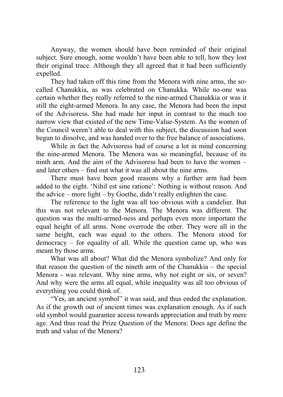Anyway, the women should have been reminded of their original subject. Sure enough, some wouldn't have been able to tell, how they lost their original trace. Although they all agreed that it had been sufficiently expelled.

They had taken off this time from the Menora with nine arms, the socalled Chanukkia, as was celebrated on Chanukka. While no-one was certain whether they really referred to the nine-armed Chanukkia or was it still the eight-armed Menora. In any case, the Menora had been the input of the Advisoress. She had made her input in contrast to the much too narrow view that existed of the new Time-Value-System. As the women of the Council weren't able to deal with this subject, the discussion had soon begun to dissolve, and was handed over to the free balance of associations.

While in fact the Advisoress had of course a lot in mind concerning the nine-armed Menora. The Menora was so meaningful, because of its ninth arm. And the aim of the Advisoress had been to have the women – and later others – find out what it was all about the nine arms.

There must have been good reasons why a further arm had been added to the eight. 'Nihil est sine ratione': Nothing is without reason. And the advice – more light – by Goethe, didn't really enlighten the case.

The reference to the light was all too obvious with a candelier. But this was not relevant to the Menora. The Menora was different. The question was the multi-armed-ness and perhaps even more important the equal height of all arms. None overrode the other. They were all in the same height, each was equal to the others. The Menora stood for democracy – for equality of all. While the question came up, who was meant by those arms.

What was all about? What did the Menora symbolize? And only for that reason the question of the nineth arm of the Chanukkia – the special Menora - was relevant. Why nine arms, why not eight or six, or seven? And why were the arms all equal, while inequality was all too obvious of everything you could think of.

"Yes, an ancient symbol" it was said, and thus ended the explanation. As if the growth out of ancient times was explanation enough. As if such old symbol would guarantee access towards appreciation and truth by mere age. And thus read the Prize Question of the Menora: Does age define the truth and value of the Menora?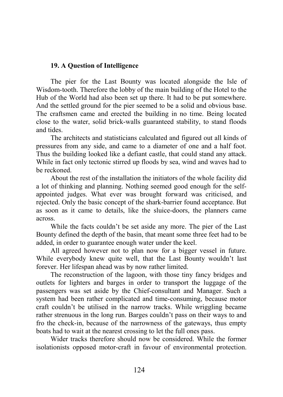## **19. A Question of Intelligence**

The pier for the Last Bounty was located alongside the Isle of Wisdom-tooth. Therefore the lobby of the main building of the Hotel to the Hub of the World had also been set up there. It had to be put somewhere. And the settled ground for the pier seemed to be a solid and obvious base. The craftsmen came and erected the building in no time. Being located close to the water, solid brick-walls guaranteed stability, to stand floods and tides.

The architects and statisticians calculated and figured out all kinds of pressures from any side, and came to a diameter of one and a half foot. Thus the building looked like a defiant castle, that could stand any attack. While in fact only tectonic stirred up floods by sea, wind and waves had to be reckoned.

About the rest of the installation the initiators of the whole facility did a lot of thinking and planning. Nothing seemed good enough for the selfappointed judges. What ever was brought forward was criticised, and rejected. Only the basic concept of the shark-barrier found acceptance. But as soon as it came to details, like the sluice-doors, the planners came across.

While the facts couldn't be set aside any more. The pier of the Last Bounty defined the depth of the basin, that meant some three feet had to be added, in order to guarantee enough water under the keel.

All agreed however not to plan now for a bigger vessel in future. While everybody knew quite well, that the Last Bounty wouldn't last forever. Her lifespan ahead was by now rather limited.

The reconstruction of the lagoon, with those tiny fancy bridges and outlets for lighters and barges in order to transport the luggage of the passengers was set aside by the Chief-consultant and Manager. Such a system had been rather complicated and time-consuming, because motor craft couldn't be utilised in the narrow tracks. While wriggling became rather strenuous in the long run. Barges couldn't pass on their ways to and fro the check-in, because of the narrowness of the gateways, thus empty boats had to wait at the nearest crossing to let the full ones pass.

Wider tracks therefore should now be considered. While the former isolationists opposed motor-craft in favour of environmental protection.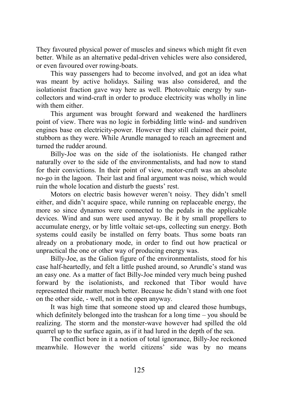They favoured physical power of muscles and sinews which might fit even better. While as an alternative pedal-driven vehicles were also considered, or even favoured over rowing-boats.

This way passengers had to become involved, and got an idea what was meant by active holidays. Sailing was also considered, and the isolationist fraction gave way here as well. Photovoltaic energy by suncollectors and wind-craft in order to produce electricity was wholly in line with them either.

This argument was brought forward and weakened the hardliners point of view. There was no logic in forbidding little wind- and sundriven engines base on electricity-power. However they still claimed their point, stubborn as they were. While Arundle managed to reach an agreement and turned the rudder around.

Billy-Joe was on the side of the isolationists. He changed rather naturally over to the side of the environmentalists, and had now to stand for their convictions. In their point of view, motor-craft was an absolute no-go in the lagoon. Their last and final argument was noise, which would ruin the whole location and disturb the guests' rest.

Motors on electric basis however weren't noisy. They didn't smell either, and didn't acquire space, while running on replaceable energy, the more so since dynamos were connected to the pedals in the applicable devices. Wind and sun were used anyway. Be it by small propellers to accumulate energy, or by little voltaic set-ups, collecting sun energy. Both systems could easily be installed on ferry boats. Thus some boats ran already on a probationary mode, in order to find out how practical or unpractical the one or other way of producing energy was.

Billy-Joe, as the Galion figure of the environmentalists, stood for his case half-heartedly, and felt a little pushed around, so Arundle's stand was an easy one. As a matter of fact Billy-Joe minded very much being pushed forward by the isolationists, and reckoned that Tibor would have represented their matter much better. Because he didn't stand with one foot on the other side, - well, not in the open anyway.

It was high time that someone stood up and cleared those humbugs, which definitely belonged into the trashcan for a long time – you should be realizing. The storm and the monster-wave however had spilled the old quarrel up to the surface again, as if it had lured in the depth of the sea.

The conflict bore in it a notion of total ignorance, Billy-Joe reckoned meanwhile. However the world citizens' side was by no means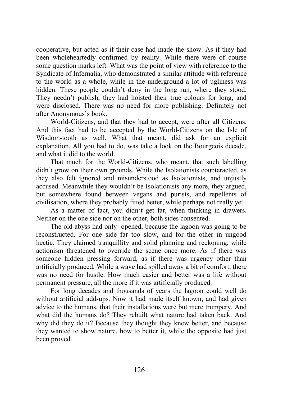cooperative, but acted as if their case had made the show. As if they had been wholeheartedly confirmed by reality. While there were of course some question marks left. What was the point of view with reference to the Syndicate of Infernalia, who demonstrated a similar attitude with reference to the world as a whole, while in the underground a lot of ugliness was hidden. These people couldn't deny in the long run, where they stood. They needn't publish, they had hoisted their true colours for long, and were disclosed. There was no need for more publishing. Definitely not after Anonymous's book.

World-Citizens, and that they had to accept, were after all Citizens. And this fact had to be accepted by the World-Citizens on the Isle of Wisdom-tooth as well. What that meant, did ask for an explicit explanation. All you had to do, was take a look on the Bourgeois decade, and what it did to the world.

That much for the World-Citizens, who meant, that such labelling didn't grow on their own grounds. While the Isolationists counteracted, as they also felt ignored and misunderstood as Isolationists, and unjustly accused. Meanwhile they wouldn't be Isolationists any more, they argued, but somewhere found between vegans and purists, and repellents of civilisation, where they probably fitted better, while perhaps not really yet.

As a matter of fact, you didn't get far, when thinking in drawers. Neither on the one side nor on the other, both sides consented.

The old abyss had only opened, because the lagoon was going to be reconstructed. For one side far too slow, and for the other in ungood hectic. They claimed tranquillity and solid planning and reckoning, while actionism threatened to override the scene once more. As if there was someone hidden pressing forward, as if there was urgency other than artificially produced. While a wave had spilled away a bit of comfort, there was no need for hustle. How much easier and better was a life without permanent pressure, all the more if it was artificially produced.

For long decades and thousands of years the lagoon could well do without artificial add-ups. Now it had made itself known, and had given advice to the humans, that their installations were but mere trumpery. And what did the humans do? They rebuilt what nature had taken back. And why did they do it? Because they thought they knew better, and because they wanted to show nature, how to better it, while the opposite had just been proved.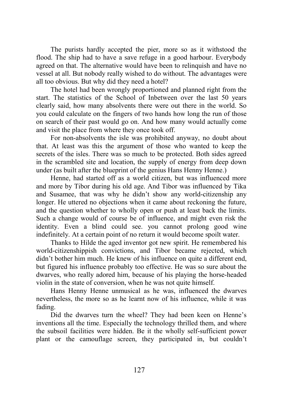The purists hardly accepted the pier, more so as it withstood the flood. The ship had to have a save refuge in a good harbour. Everybody agreed on that. The alternative would have been to relinquish and have no vessel at all. But nobody really wished to do without. The advantages were all too obvious. But why did they need a hotel?

The hotel had been wrongly proportioned and planned right from the start. The statistics of the School of Inbetween over the last 50 years clearly said, how many absolvents there were out there in the world. So you could calculate on the fingers of two hands how long the run of those on search of their past would go on. And how many would actually come and visit the place from where they once took off.

For non-absolvents the isle was prohibited anyway, no doubt about that. At least was this the argument of those who wanted to keep the secrets of the isles. There was so much to be protected. Both sides agreed in the scrambled site and location, the supply of energy from deep down under (as built after the blueprint of the genius Hans Henny Henne.)

Henne, had started off as a world citizen, but was influenced more and more by Tibor during his old age. And Tibor was influenced by Tika and Susamee, that was why he didn't show any world-citizenship any longer. He uttered no objections when it came about reckoning the future, and the question whether to wholly open or push at least back the limits. Such a change would of course be of influence, and might even risk the identity. Even a blind could see. you cannot prolong good wine indefinitely. At a certain point of no return it would become spoilt water.

Thanks to Hilde the aged inventor got new spirit. He remembered his world-citizenshippish convictions, and Tibor became rejected, which didn't bother him much. He knew of his influence on quite a different end, but figured his influence probably too effective. He was so sure about the dwarves, who really adored him, because of his playing the horse-headed violin in the state of conversion, when he was not quite himself.

Hans Henny Henne unmusical as he was, influenced the dwarves nevertheless, the more so as he learnt now of his influence, while it was fading.

Did the dwarves turn the wheel? They had been keen on Henne's inventions all the time. Especially the technology thrilled them, and where the subsoil facilities were hidden. Be it the wholly self-sufficient power plant or the camouflage screen, they participated in, but couldn't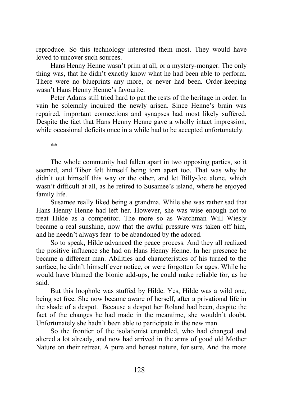reproduce. So this technology interested them most. They would have loved to uncover such sources.

Hans Henny Henne wasn't prim at all, or a mystery-monger. The only thing was, that he didn't exactly know what he had been able to perform. There were no blueprints any more, or never had been. Order-keeping wasn't Hans Henny Henne's favourite.

Peter Adams still tried hard to put the rests of the heritage in order. In vain he solemnly inquired the newly arisen. Since Henne's brain was repaired, important connections and synapses had most likely suffered. Despite the fact that Hans Henny Henne gave a wholly intact impression, while occasional deficits once in a while had to be accepted unfortunately.

\*\*

The whole community had fallen apart in two opposing parties, so it seemed, and Tibor felt himself being torn apart too. That was why he didn't out himself this way or the other, and let Billy-Joe alone, which wasn't difficult at all, as he retired to Susamee's island, where he enjoyed family life.

Susamee really liked being a grandma. While she was rather sad that Hans Henny Henne had left her. However, she was wise enough not to treat Hilde as a competitor. The more so as Watchman Will Wiesly became a real sunshine, now that the awful pressure was taken off him, and he needn't always fear to be abandoned by the adored.

So to speak, Hilde advanced the peace process. And they all realized the positive influence she had on Hans Henny Henne. In her presence he became a different man. Abilities and characteristics of his turned to the surface, he didn't himself ever notice, or were forgotten for ages. While he would have blamed the bionic add-ups, he could make reliable for, as he said.

But this loophole was stuffed by Hilde. Yes, Hilde was a wild one, being set free. She now became aware of herself, after a privational life in the shade of a despot. Because a despot her Roland had been, despite the fact of the changes he had made in the meantime, she wouldn't doubt. Unfortunately she hadn't been able to participate in the new man.

So the frontier of the isolationist crumbled, who had changed and altered a lot already, and now had arrived in the arms of good old Mother Nature on their retreat. A pure and honest nature, for sure. And the more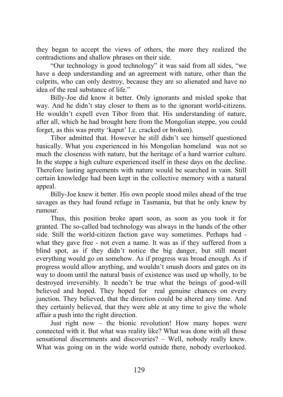they began to accept the views of others, the more they realized the contradictions and shallow phrases on their side.

"Our technology is good technology" it was said from all sides, "we have a deep understanding and an agreement with nature, other than the culprits, who can only destroy, because they are so alienated and have no idea of the real substance of life."

Billy-Joe did know it better. Only ignorants and misled spoke that way. And he didn't stay closer to them as to the ignorant world-citizens. He wouldn't expell even Tibor from that. His understanding of nature, after all, which he had brought here from the Mongolian steppe, you could forget, as this was pretty 'kaput' I.e. cracked or broken).

Tibor admitted that. However he still didn't see himself questioned basically. What you experienced in his Mongolian homeland was not so much the closeness with nature, but the heritage of a hard warrior culture. In the steppe a high culture experienced itself in these days on the decline. Therefore lasting agreements with nature would be searched in vain. Still certain knowledge had been kept in the collective memory with a natural appeal.

Billy-Joe knew it better. His own people stood miles ahead of the true savages as they had found refuge in Tasmania, but that he only knew by rumour.

Thus, this position broke apart soon, as soon as you took it for granted. The so-called bad technology was always in the hands of the other side. Still the world-citizen faction gave way sometimes. Perhaps had what they gave free - not even a name. It was as if they suffered from a blind spot, as if they didn't notice the big danger, but still meant everything would go on somehow. As if progress was broad enough. As if progress would allow anything, and wouldn't smash doors and gates on its way to doom until the natural basis of existence was used up wholly, to be destroyed irreversibly. It needn't be true what the beings of good-will believed and hoped. They hoped for real genuine chances on every junction. They believed, that the direction could be altered any time. And they certainly believed, that they were able at any time to give the whole affair a push into the right direction.

Just right now – the bionic revolution! How many hopes were connected with it. But what was reality like? What was done with all those sensational discernments and discoveries? – Well, nobody really knew. What was going on in the wide world outside there, nobody overlooked.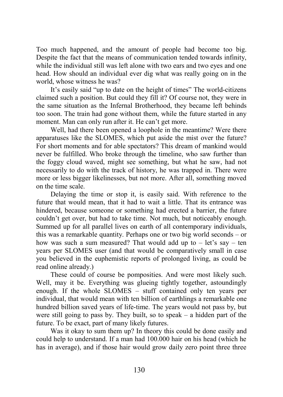Too much happened, and the amount of people had become too big. Despite the fact that the means of communication tended towards infinity, while the individual still was left alone with two ears and two eyes and one head. How should an individual ever dig what was really going on in the world, whose witness he was?

It's easily said "up to date on the height of times" The world-citizens claimed such a position. But could they fill it? Of course not, they were in the same situation as the Infernal Brotherhood, they became left behinds too soon. The train had gone without them, while the future started in any moment. Man can only run after it. He can't get more.

Well, had there been opened a loophole in the meantime? Were there apparatuses like the SLOMES, which put aside the mist over the future? For short moments and for able spectators? This dream of mankind would never be fulfilled. Who broke through the timeline, who saw further than the foggy cloud waved, might see something, but what he saw, had not necessarily to do with the track of history, he was trapped in. There were more or less bigger likelinesses, but not more. After all, something moved on the time scale.

Delaying the time or stop it, is easily said. With reference to the future that would mean, that it had to wait a little. That its entrance was hindered, because someone or something had erected a barrier, the future couldn't get over, but had to take time. Not much, but noticeably enough. Summed up for all parallel lives on earth of all contemporary individuals, this was a remarkable quantity. Perhaps one or two big world seconds – or how was such a sum measured? That would add up to  $-$  let's say  $-$  ten years per SLOMES user (and that would be comparatively small in case you believed in the euphemistic reports of prolonged living, as could be read online already.)

These could of course be pomposities. And were most likely such. Well, may it be. Everything was glueing tightly together, astoundingly enough. If the whole SLOMES – stuff contained only ten years per individual, that would mean with ten billion of earthlings a remarkable one hundred billion saved years of life-time. The years would not pass by, but were still going to pass by. They built, so to speak – a hidden part of the future. To be exact, part of many likely futures.

Was it okay to sum them up? In theory this could be done easily and could help to understand. If a man had 100.000 hair on his head (which he has in average), and if those hair would grow daily zero point three three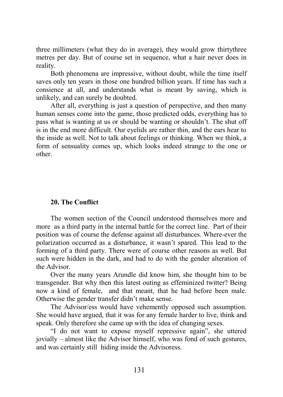three millimeters (what they do in average), they would grow thirtythree metres per day. But of course set in sequence, what a hair never does in reality.

Both phenomena are impressive, without doubt, while the time itself saves only ten years in those one hundred billion years. If time has such a consience at all, and understands what is meant by saving, which is unlikely, and can surely be doubted.

After all, everything is just a question of perspective, and then many human senses come into the game, those predicted odds, everything has to pass what is wanting at us or should be wanting or shouldn't. The shut off is in the end more difficult. Our eyelids are rather thin, and the ears hear to the inside as well. Not to talk about feelings or thinking. When we think, a form of sensuality comes up, which looks indeed strange to the one or other.

### **20. The Conflict**

The women section of the Council understood themselves more and more as a third party in the internal battle for the correct line. Part of their position was of course the defense against all disturbances. Where-ever the polarization occurred as a disturbance, it wasn't spared. This lead to the forming of a third party. There were of course other reasons as well. But such were hidden in the dark, and had to do with the gender alteration of the Advisor.

Over the many years Arundle did know him, she thought him to be transgender. But why then this latest outing as effeminized twitter? Being now a kind of female, and that meant, that he had before been male. Otherwise the gender transfer didn't make sense.

The Advisor/ess would have vehemently opposed such assumption. She would have argued, that it was for any female harder to live, think and speak. Only therefore she came up with the idea of changing sexes.

"I do not want to expose myself repressive again", she uttered jovially – almost like the Advisor himself, who was fond of such gestures, and was certainly still hiding inside the Advisoress.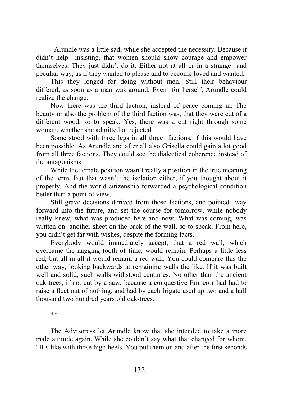Arundle was a little sad, while she accepted the necessity. Because it didn't help insisting, that women should show courage and empower themselves. They just didn't do it. Either not at all or in a strange and peculiar way, as if they wanted to please and to become loved and wanted.

This they longed for doing without men. Still their behaviour differed, as soon as a man was around. Even for herself, Arundle could realize the change.

Now there was the third faction, instead of peace coming in. The beauty or also the problem of the third faction was, that they were cut of a different wood, so to speak. Yes, there was a cut right through some woman, whether she admitted or rejected.

Some stood with three legs in all three factions, if this would have been possible. As Arundle and after all also Grisella could gain a lot good from all three factions. They could see the dialectical coherence instead of the antagonisms.

While the female position wasn't really a position in the true meaning of the term. But that wasn't the isolation either, if you thought about it properly. And the world-citizenship forwarded a psychological condition better than a point of view.

Still grave decisions derived from those factions, and pointed way forward into the future, and set the course for tomorrow, while nobody really knew, what was produced here and now. What was coming, was written on another sheet on the back of the wall, so to speak. From here, you didn't get far with wishes, despite the forming facts.

Everybody would immediately accept, that a red wall, which overcame the nagging tooth of time, would remain. Perhaps a little less red, but all in all it would remain a red wall. You could compare this the other way, looking backwards at remaining walls the like. If it was built well and solid, such walls withstood centuries. No other than the ancient oak-trees, if not cut by a saw, because a conquestive Emperor had had to raise a fleet out of nothing, and had by each frigate used up two and a half thousand two hundred years old oak-trees.

\*\*

The Advisoress let Arundle know that she intended to take a more male attitude again. While she couldn't say what that changed for whom. "It's like with those high heels. You put them on and after the first seconds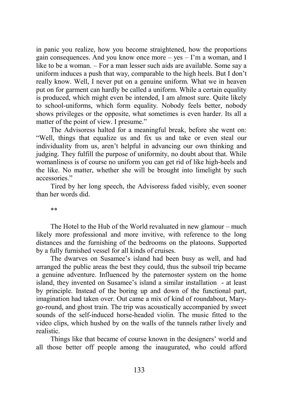in panic you realize, how you become straightened, how the proportions gain consequences. And you know once more –  $yes - 1'm$  a woman, and I like to be a woman. – For a man lesser such aids are available. Some say a uniform induces a push that way, comparable to the high heels. But I don't really know. Well, I never put on a genuine uniform. What we in heaven put on for garment can hardly be called a uniform. While a certain equality is produced, which might even be intended, I am almost sure. Quite likely to school-uniforms, which form equality. Nobody feels better, nobody shows privileges or the opposite, what sometimes is even harder. Its all a matter of the point of view. I presume."

The Advisoress halted for a meaningful break, before she went on: "Well, things that equalize us and fix us and take or even steal our individuality from us, aren't helpful in advancing our own thinking and judging. They fulfill the purpose of uniformity, no doubt about that. While womanliness is of course no uniform you can get rid of like high-heels and the like. No matter, whether she will be brought into limelight by such accessories."

Tired by her long speech, the Advisoress faded visibly, even sooner than her words did.

\*\*

The Hotel to the Hub of the World revaluated in new glamour – much likely more professional and more invitive, with reference to the long distances and the furnishing of the bedrooms on the platoons. Supported by a fully furnished vessel for all kinds of cruises.

The dwarves on Susamee's island had been busy as well, and had arranged the public areas the best they could, thus the subsoil trip became a genuine adventure. Influenced by the paternoster system on the home island, they invented on Susamee's island a similar installation - at least by principle. Instead of the boring up and down of the functional part, imagination had taken over. Out came a mix of kind of roundabout, Marygo-round, and ghost train. The trip was acoustically accompanied by sweet sounds of the self-induced horse-headed violin. The music fitted to the video clips, which hushed by on the walls of the tunnels rather lively and realistic.

Things like that became of course known in the designers' world and all those better off people among the inaugurated, who could afford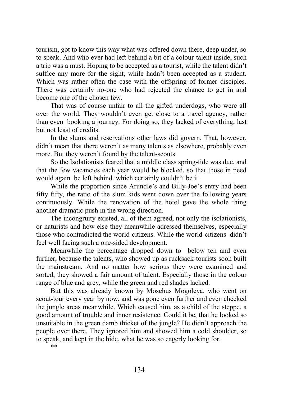tourism, got to know this way what was offered down there, deep under, so to speak. And who ever had left behind a bit of a colour-talent inside, such a trip was a must. Hoping to be accepted as a tourist, while the talent didn't suffice any more for the sight, while hadn't been accepted as a student. Which was rather often the case with the offspring of former disciples. There was certainly no-one who had rejected the chance to get in and become one of the chosen few.

That was of course unfair to all the gifted underdogs, who were all over the world. They wouldn't even get close to a travel agency, rather than even booking a journey. For doing so, they lacked of everything, last but not least of credits.

In the slums and reservations other laws did govern. That, however, didn't mean that there weren't as many talents as elsewhere, probably even more. But they weren't found by the talent-scouts.

So the Isolationists feared that a middle class spring-tide was due, and that the few vacancies each year would be blocked, so that those in need would again be left behind. which certainly couldn't be it.

While the proportion since Arundle's and Billy-Joe's entry had been fifty fifty, the ratio of the slum kids went down over the following years continuously. While the renovation of the hotel gave the whole thing another dramatic push in the wrong direction.

The incongruity existed, all of them agreed, not only the isolationists, or naturists and how else they meanwhile adressed themselves, especially those who contradicted the world-citizens. While the world-citizens didn't feel well facing such a one-sided development.

Meanwhile the percentage dropped down to below ten and even further, because the talents, who showed up as rucksack-tourists soon built the mainstream. And no matter how serious they were examined and sorted, they showed a fair amount of talent. Especially those in the colour range of blue and grey, while the green and red shades lacked.

But this was already known by Moschus Mogoleya, who went on scout-tour every year by now, and was gone even further and even checked the jungle areas meanwhile. Which caused him, as a child of the steppe, a good amount of trouble and inner resistence. Could it be, that he looked so unsuitable in the green damb thicket of the jungle? He didn't approach the people over there. They ignored him and showed him a cold shoulder, so to speak, and kept in the hide, what he was so eagerly looking for.

\*\*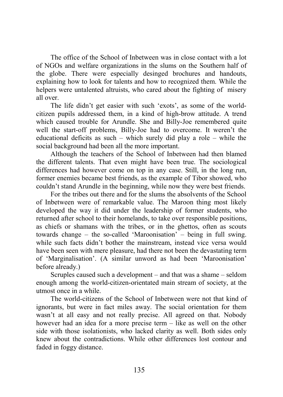The office of the School of Inbetween was in close contact with a lot of NGOs and welfare organizations in the slums on the Southern half of the globe. There were especially desinged brochures and handouts, explaining how to look for talents and how to recognized them. While the helpers were untalented altruists, who cared about the fighting of misery all over.

The life didn't get easier with such 'exots', as some of the worldcitizen pupils addressed them, in a kind of high-brow attitude. A trend which caused trouble for Arundle. She and Billy-Joe remembered quite well the start-off problems, Billy-Joe had to overcome. It weren't the educational deficits as such – which surely did play a role – while the social background had been all the more important.

Although the teachers of the School of Inbetween had then blamed the different talents. That even might have been true. The sociological differences had however come on top in any case. Still, in the long run, former enemies became best friends, as the example of Tibor showed, who couldn't stand Arundle in the beginning, while now they were best friends.

For the tribes out there and for the slums the absolvents of the School of Inbetween were of remarkable value. The Maroon thing most likely developed the way it did under the leadership of former students, who returned after school to their homelands, to take over responsible positions, as chiefs or shamans with the tribes, or in the ghettos, often as scouts towards change – the so-called 'Maroonisation' – being in full swing. while such facts didn't bother the mainstream, instead vice versa would have been seen with mere pleasure, had there not been the devastating term of 'Marginalisation'. (A similar unword as had been 'Maroonisation' before already.)

Scruples caused such a development – and that was a shame – seldom enough among the world-citizen-orientated main stream of society, at the utmost once in a while.

The world-citizens of the School of Inbetween were not that kind of ignorants, but were in fact miles away. The social orientation for them wasn't at all easy and not really precise. All agreed on that. Nobody however had an idea for a more precise term – like as well on the other side with those isolationists, who lacked clarity as well. Both sides only knew about the contradictions. While other differences lost contour and faded in foggy distance.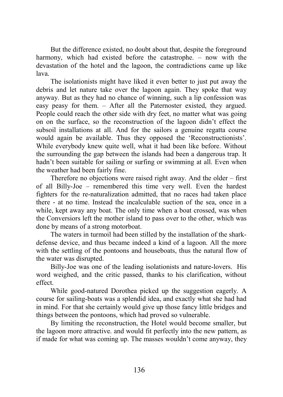But the difference existed, no doubt about that, despite the foreground harmony, which had existed before the catastrophe. – now with the devastation of the hotel and the lagoon, the contradictions came up like lava.

The isolationists might have liked it even better to just put away the debris and let nature take over the lagoon again. They spoke that way anyway. But as they had no chance of winning, such a lip confession was easy peasy for them. – After all the Paternoster existed, they argued. People could reach the other side with dry feet, no matter what was going on on the surface, so the reconstruction of the lagoon didn't effect the subsoil installations at all. And for the sailors a genuine regatta course would again be available. Thus they opposed the 'Reconstructionists'. While everybody knew quite well, what it had been like before. Without the surrounding the gap between the islands had been a dangerous trap. It hadn't been suitable for sailing or surfing or swimming at all. Even when the weather had been fairly fine.

Therefore no objections were raised right away. And the older – first of all Billy-Joe – remembered this time very well. Even the hardest fighters for the re-naturalization admitted, that no races had taken place there - at no time. Instead the incalculable suction of the sea, once in a while, kept away any boat. The only time when a boat crossed, was when the Conversiors left the mother island to pass over to the other, which was done by means of a strong motorboat.

The waters in turmoil had been stilled by the installation of the sharkdefense device, and thus became indeed a kind of a lagoon. All the more with the settling of the pontoons and houseboats, thus the natural flow of the water was disrupted.

Billy-Joe was one of the leading isolationists and nature-lovers. His word weighed, and the critic passed, thanks to his clarification, without effect.

While good-natured Dorothea picked up the suggestion eagerly. A course for sailing-boats was a splendid idea, and exactly what she had had in mind. For that she certainly would give up those fancy little bridges and things between the pontoons, which had proved so vulnerable.

By limiting the reconstruction, the Hotel would become smaller, but the lagoon more attractive. and would fit perfectly into the new pattern, as if made for what was coming up. The masses wouldn't come anyway, they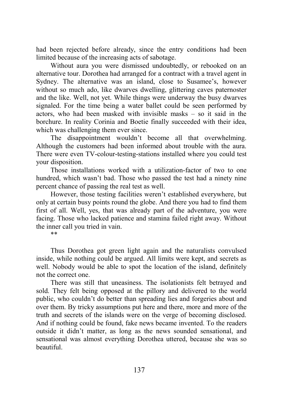had been rejected before already, since the entry conditions had been limited because of the increasing acts of sabotage.

Without aura you were dismissed undoubtedly, or rebooked on an alternative tour. Dorothea had arranged for a contract with a travel agent in Sydney. The alternative was an island, close to Susamee's, however without so much ado, like dwarves dwelling, glittering caves paternoster and the like. Well, not yet. While things were underway the busy dwarves signaled. For the time being a water ballet could be seen performed by actors, who had been masked with invisible masks – so it said in the borchure. In reality Corinia and Boetie finally succeeded with their idea, which was challenging them ever since.

The disappointment wouldn't become all that overwhelming. Although the customers had been informed about trouble with the aura. There were even TV-colour-testing-stations installed where you could test your disposition.

Those installations worked with a utilization-factor of two to one hundred, which wasn't bad. Those who passed the test had a ninety nine percent chance of passing the real test as well.

However, those testing facilities weren't established everywhere, but only at certain busy points round the globe. And there you had to find them first of all. Well, yes, that was already part of the adventure, you were facing. Those who lacked patience and stamina failed right away. Without the inner call you tried in vain.

\*\*

Thus Dorothea got green light again and the naturalists convulsed inside, while nothing could be argued. All limits were kept, and secrets as well. Nobody would be able to spot the location of the island, definitely not the correct one.

There was still that uneasiness. The isolationists felt betrayed and sold. They felt being opposed at the pillory and delivered to the world public, who couldn't do better than spreading lies and forgeries about and over them. By tricky assumptions put here and there, more and more of the truth and secrets of the islands were on the verge of becoming disclosed. And if nothing could be found, fake news became invented. To the readers outside it didn't matter, as long as the news sounded sensational, and sensational was almost everything Dorothea uttered, because she was so beautiful.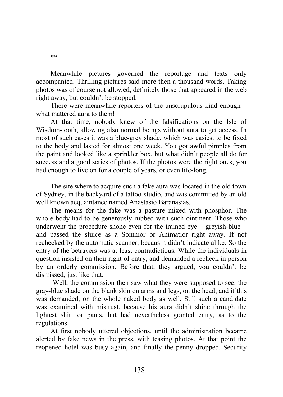Meanwhile pictures governed the reportage and texts only accompanied. Thrilling pictures said more then a thousand words. Taking photos was of course not allowed, definitely those that appeared in the web right away, but couldn't be stopped.

There were meanwhile reporters of the unscrupulous kind enough – what mattered aura to them!

At that time, nobody knew of the falsifications on the Isle of Wisdom-tooth, allowing also normal beings without aura to get access. In most of such cases it was a blue-grey shade, which was easiest to be fixed to the body and lasted for almost one week. You got awful pimples from the paint and looked like a sprinkler box, but what didn't people all do for success and a good series of photos. If the photos were the right ones, you had enough to live on for a couple of years, or even life-long.

The site where to acquire such a fake aura was located in the old town of Sydney, in the backyard of a tattoo-studio, and was committed by an old well known acquaintance named Anastasio Baranasias.

The means for the fake was a pasture mixed with phosphor. The whole body had to be generously rubbed with such ointment. Those who underwent the procedure shone even for the trained  $eye - greyish-blue$ and passed the sluice as a Somnior or Animatior right away. If not rechecked by the automatic scanner, becaus it didn't indicate alike. So the entry of the betrayers was at least contradictious. While the individuals in question insisted on their right of entry, and demanded a recheck in person by an orderly commission. Before that, they argued, you couldn't be dismissed, just like that.

 Well, the commission then saw what they were supposed to see: the gray-blue shade on the blank skin on arms and legs, on the head, and if this was demanded, on the whole naked body as well. Still such a candidate was examined with mistrust, because his aura didn't shine through the lightest shirt or pants, but had nevertheless granted entry, as to the regulations.

At first nobody uttered objections, until the administration became alerted by fake news in the press, with teasing photos. At that point the reopened hotel was busy again, and finally the penny dropped. Security

\*\*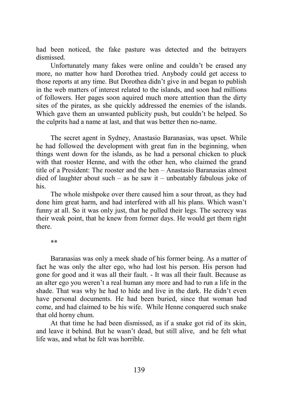had been noticed, the fake pasture was detected and the betrayers dismissed.

Unfortunately many fakes were online and couldn't be erased any more, no matter how hard Dorothea tried. Anybody could get access to those reports at any time. But Dorothea didn't give in and began to publish in the web matters of interest related to the islands, and soon had millions of followers. Her pages soon aquired much more attention than the dirty sites of the pirates, as she quickly addressed the enemies of the islands. Which gave them an unwanted publicity push, but couldn't be helped. So the culprits had a name at last, and that was better then no-name.

The secret agent in Sydney, Anastasio Baranasias, was upset. While he had followed the development with great fun in the beginning, when things went down for the islands, as he had a personal chicken to pluck with that rooster Henne, and with the other hen, who claimed the grand title of a President: The rooster and the hen – Anastasio Baranasias almost died of laughter about such – as he saw it – unbeatably fabulous joke of his.

The whole mishpoke over there caused him a sour throat, as they had done him great harm, and had interfered with all his plans. Which wasn't funny at all. So it was only just, that he pulled their legs. The secrecy was their weak point, that he knew from former days. He would get them right there.

\*\*

Baranasias was only a meek shade of his former being. As a matter of fact he was only the alter ego, who had lost his person. His person had gone for good and it was all their fault. - It was all their fault. Because as an alter ego you weren't a real human any more and had to run a life in the shade. That was why he had to hide and live in the dark. He didn't even have personal documents. He had been buried, since that woman had come, and had claimed to be his wife. While Henne conquered such snake that old horny chum.

At that time he had been dismissed, as if a snake got rid of its skin, and leave it behind. But he wasn't dead, but still alive, and he felt what life was, and what he felt was horrible.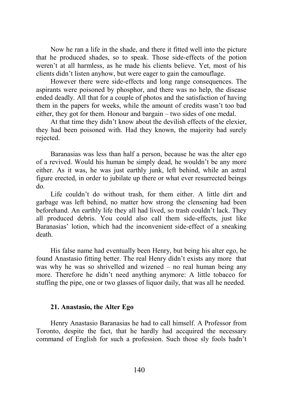Now he ran a life in the shade, and there it fitted well into the picture that he produced shades, so to speak. Those side-effects of the potion weren't at all harmless, as he made his clients believe. Yet, most of his clients didn't listen anyhow, but were eager to gain the camouflage.

However there were side-effects and long range consequences. The aspirants were poisoned by phosphor, and there was no help, the disease ended deadly. All that for a couple of photos and the satisfaction of having them in the papers for weeks, while the amount of credits wasn't too bad either, they got for them. Honour and bargain – two sides of one medal.

At that time they didn't know about the devilish effects of the elexier, they had been poisoned with. Had they known, the majority had surely rejected.

Baranasias was less than half a person, because he was the alter ego of a revived. Would his human be simply dead, he wouldn't be any more either. As it was, he was just earthly junk, left behind, while an astral figure erected, in order to jubilate up there or what ever resurrected beings do.

Life couldn't do without trash, for them either. A little dirt and garbage was left behind, no matter how strong the clensening had been beforehand. An earthly life they all had lived, so trash couldn't lack. They all produced debris. You could also call them side-effects, just like Baranasias' lotion, which had the inconvenient side-effect of a sneaking death.

His false name had eventually been Henry, but being his alter ego, he found Anastasio fitting better. The real Henry didn't exists any more that was why he was so shrivelled and wizened – no real human being any more. Therefore he didn't need anything anymore: A little tobacco for stuffing the pipe, one or two glasses of liquor daily, that was all he needed.

#### **21. Anastasio, the Alter Ego**

Henry Anastasio Baranasias he had to call himself. A Professor from Toronto, despite the fact, that he hardly had accquired the necessary command of English for such a profession. Such those sly fools hadn't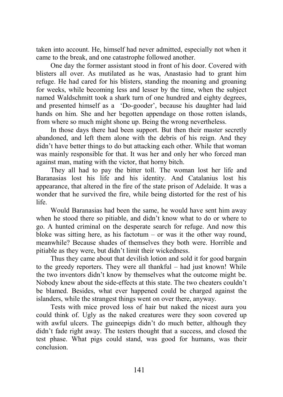taken into account. He, himself had never admitted, especially not when it came to the break, and one catastrophe followed another.

One day the former assistant stood in front of his door. Covered with blisters all over. As mutilated as he was, Anastasio had to grant him refuge. He had cared for his blisters, standing the moaning and groaning for weeks, while becoming less and lesser by the time, when the subject named Waldschmitt took a shark turn of one hundred and eighty degrees, and presented himself as a 'Do-gooder', because his daughter had laid hands on him. She and her begotten appendage on those rotten islands, from where so much might shone up. Being the wrong nevertheless.

In those days there had been support. But then their master secretly abandoned, and left them alone with the debris of his reign. And they didn't have better things to do but attacking each other. While that woman was mainly responsible for that. It was her and only her who forced man against man, mating with the victor, that horny bitch.

They all had to pay the bitter toll. The woman lost her life and Baranasias lost his life and his identity. And Catalanius lost his appearance, that altered in the fire of the state prison of Adelaide. It was a wonder that he survived the fire, while being distorted for the rest of his life.

Would Baranasias had been the same, he would have sent him away when he stood there so pitiable, and didn't know what to do or where to go. A hunted criminal on the desperate search for refuge. And now this bloke was sitting here, as his factotum – or was it the other way round, meanwhile? Because shades of themselves they both were. Horrible and pitiable as they were, but didn't limit their wickedness.

Thus they came about that devilish lotion and sold it for good bargain to the greedy reporters. They were all thankful – had just known! While the two inventors didn't know by themselves what the outcome might be. Nobody knew about the side-effects at this state. The two cheaters couldn't be blamed. Besides, what ever happened could be charged against the islanders, while the strangest things went on over there, anyway.

Tests with mice proved loss of hair but naked the nicest aura you could think of. Ugly as the naked creatures were they soon covered up with awful ulcers. The guineepigs didn't do much better, although they didn't fade right away. The testers thought that a success, and closed the test phase. What pigs could stand, was good for humans, was their conclusion.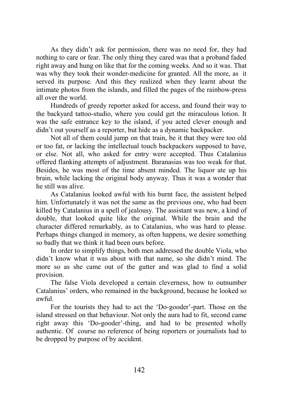As they didn't ask for permission, there was no need for, they had nothing to care or fear. The only thing they cared was that a proband faded right away and hung on like that for the coming weeks. And so it was. That was why they took their wonder-medicine for granted. All the more, as it served its purpose. And this they realized when they learnt about the intimate photos from the islands, and filled the pages of the rainbow-press all over the world.

Hundreds of greedy reporter asked for access, and found their way to the backyard tattoo-studio, where you could get the miraculous lotion. It was the safe entrance key to the island, if you acted clever enough and didn't out yourself as a reporter, but hide as a dynamic backpacker.

Not all of them could jump on that train, be it that they were too old or too fat, or lacking the intellectual touch backpackers supposed to have, or else. Not all, who asked for entry were accepted. Thus Catalanius offered flanking attempts of adjustment. Baranasias was too weak for that. Besides, he was most of the time absent minded. The liquor ate up his brain, while lacking the original body anyway. Thus it was a wonder that he still was alive.

As Catalanius looked awful with his burnt face, the assistent helped him. Unfortunately it was not the same as the previous one, who had been killed by Catalanius in a spell of jealousy. The assistant was new, a kind of double, that looked quite like the original. While the brain and the character differed remarkably, as to Catalanius, who was hard to please. Perhaps things changed in memory, as often happens, we desire something so badly that we think it had been ours before.

In order to simplify things, both men addressed the double Viola, who didn't know what it was about with that name, so she didn't mind. The more so as she came out of the gutter and was glad to find a solid provision.

The false Viola developed a certain cleverness, how to outnumber Catalanius' orders, who remained in the background, because he looked so awful.

For the tourists they had to act the 'Do-gooder'-part. Those on the island stressed on that behaviour. Not only the aura had to fit, second came right away this 'Do-gooder'-thing, and had to be presented wholly authentic. Of course no reference of being reporters or journalists had to be dropped by purpose of by accident.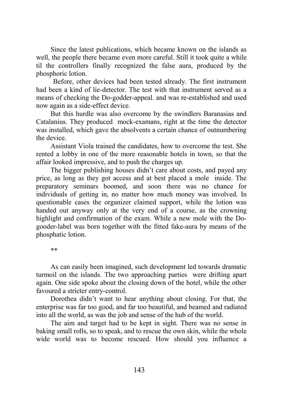Since the latest publications, which became known on the islands as well, the people there became even more careful. Still it took quite a while til the controllers finally recognized the false aura, produced by the phosphoric lotion.

 Before, other devices had been tested already. The first instrument had been a kind of lie-detector. The test with that instrument served as a means of checking the Do-godder-appeal. and was re-established and used now again as a side-effect device.

But this hurdle was also overcome by the swindlers Baranasias and Catalanius. They produced mock-examans, right at the time the detector was installed, which gave the absolvents a certain chance of outnumbering the device.

Assistant Viola trained the candidates, how to overcome the test. She rented a lobby in one of the more reasonable hotels in town, so that the affair looked impressive, and to push the charges up.

The bigger publishing houses didn't care about costs, and payed any price, as long as they got access and at best placed a mole inside. The preparatory seminars boomed, and soon there was no chance for individuals of getting in, no matter how much money was involved. In questionable cases the organizer claimed support, while the lotion was handed out anyway only at the very end of a course, as the crowning highlight and confirmation of the exam. While a new mole with the Dogooder-label was born together with the fitted fake-aura by means of the phosphatic lotion.

\*\*

As can easily been imagined, such development led towards dramatic turmoil on the islands. The two approaching parties were drifting apart again. One side spoke about the closing down of the hotel, while the other favoured a stricter entry-control.

Dorothea didn't want to hear anything about closing. For that, the enterprise was far too good, and far too beautiful, and beamed and radiated into all the world, as was the job and sense of the hub of the world.

The aim and target had to be kept in sight. There was no sense in baking small rolls, so to speak, and to rescue the own skin, while the whole wide world was to become rescued. How should you influence a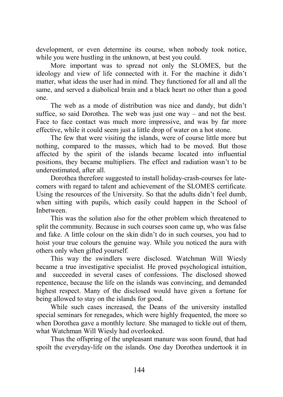development, or even determine its course, when nobody took notice, while you were hustling in the unknown, at best you could.

More important was to spread not only the SLOMES, but the ideology and view of life connected with it. For the machine it didn't matter, what ideas the user had in mind. They functioned for all and all the same, and served a diabolical brain and a black heart no other than a good one.

The web as a mode of distribution was nice and dandy, but didn't suffice, so said Dorothea. The web was just one way – and not the best. Face to face contact was much more impressive, and was by far more effective, while it could seem just a little drop of water on a hot stone.

The few that were visiting the islands, were of course little more but nothing, compared to the masses, which had to be moved. But those affected by the spirit of the islands became located into influential positions, they became multipliers. The effect and radiation wasn't to be underestimated, after all.

Dorothea therefore suggested to install holiday-crash-courses for latecomers with regard to talent and achievement of the SLOMES certificate. Using the resources of the University. So that the adults didn't feel dumb, when sitting with pupils, which easily could happen in the School of Inbetween.

This was the solution also for the other problem which threatened to split the community. Because in such courses soon came up, who was false and fake. A little colour on the skin didn't do in such courses, you had to hoist your true colours the genuine way. While you noticed the aura with others only when gifted yourself.

This way the swindlers were disclosed. Watchman Will Wiesly became a true investigative specialist. He proved psychological intuition, and succeeded in several cases of confessions. The disclosed showed repentence, because the life on the islands was convincing, and demanded highest respect. Many of the disclosed would have given a fortune for being allowed to stay on the islands for good.

While such cases increased, the Deans of the university installed special seminars for renegades, which were highly frequented, the more so when Dorothea gave a monthly lecture. She managed to tickle out of them, what Watchman Will Wiesly had overlooked.

Thus the offspring of the unpleasant manure was soon found, that had spoilt the everyday-life on the islands. One day Dorothea undertook it in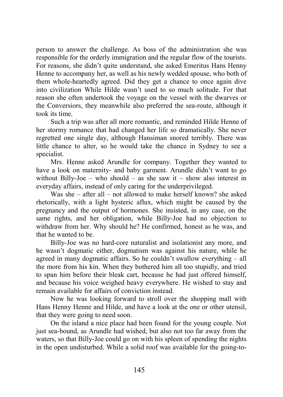person to answer the challenge. As boss of the administration she was responsible for the orderly immigration and the regular flow of the tourists. For reasons, she didn't quite understand, she asked Emeritus Hans Henny Henne to accompany her, as well as his newly wedded spouse, who both of them whole-heartedly agreed. Did they get a chance to once again dive into civilization While Hilde wasn't used to so much solitude. For that reason she often undertook the voyage on the vessel with the dwarves or the Conversiors, they meanwhile also preferred the sea-route, although it took its time.

Such a trip was after all more romantic, and reminded Hilde Henne of her stormy romance that had changed her life so dramatically. She never regretted one single day, although Hansiman snored terribly. There was little chance to alter, so he would take the chance in Sydney to see a specialist.

Mrs. Henne asked Arundle for company. Together they wanted to have a look on maternity- and baby garment. Arundle didn't want to go without Billy-Joe – who should – as she saw it – show also interest in everyday affairs, instead of only caring for the underprivileged.

Was she – after all – not allowed to make herself known? she asked rhetorically, with a light hysteric aflux, which might be caused by the pregnancy and the output of hormones. She insisted, in any case, on the same rights, and her obligation, while Billy-Joe had no objection to withdraw from her. Why should he? He confirmed, honest as he was, and that he wanted to be.

Billy-Joe was no hard-core naturalist and isolationist any more, and he wasn't dogmatic either, dogmatism was against his nature, while he agreed in many dogmatic affairs. So he couldn't swallow everything – all the more from his kin. When they bothered him all too stupidly, and tried to span him before their bleak cart, because he had just offered himself, and because his voice weighed heavy everywhere. He wished to stay and remain available for affairs of conviction instead.

Now he was looking forward to stroll over the shopping mall with Hans Henny Henne and Hilde, and have a look at the one or other utensil, that they were going to need soon.

On the island a nice place had been found for the young couple. Not just sea-bound, as Arundle had wished, but also not too far away from the waters, so that Billy-Joe could go on with his spleen of spending the nights in the open undisturbed. While a solid roof was available for the going-to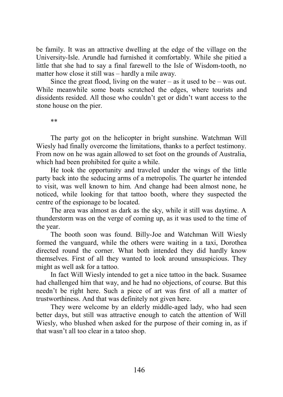be family. It was an attractive dwelling at the edge of the village on the University-Isle. Arundle had furnished it comfortably. While she pitied a little that she had to say a final farewell to the Isle of Wisdom-tooth, no matter how close it still was – hardly a mile away.

Since the great flood, living on the water – as it used to be – was out. While meanwhile some boats scratched the edges, where tourists and dissidents resided. All those who couldn't get or didn't want access to the stone house on the pier.

\*\*

The party got on the helicopter in bright sunshine. Watchman Will Wiesly had finally overcome the limitations, thanks to a perfect testimony. From now on he was again allowed to set foot on the grounds of Australia, which had been prohibited for quite a while.

He took the opportunity and traveled under the wings of the little party back into the seducing arms of a metropolis. The quarter he intended to visit, was well known to him. And change had been almost none, he noticed, while looking for that tattoo booth, where they suspected the centre of the espionage to be located.

The area was almost as dark as the sky, while it still was daytime. A thunderstorm was on the verge of coming up, as it was used to the time of the year.

The booth soon was found. Billy-Joe and Watchman Will Wiesly formed the vanguard, while the others were waiting in a taxi, Dorothea directed round the corner. What both intended they did hardly know themselves. First of all they wanted to look around unsuspicious. They might as well ask for a tattoo.

In fact Will Wiesly intended to get a nice tattoo in the back. Susamee had challenged him that way, and he had no objections, of course. But this needn't be right here. Such a piece of art was first of all a matter of trustworthiness. And that was definitely not given here.

They were welcome by an elderly middle-aged lady, who had seen better days, but still was attractive enough to catch the attention of Will Wiesly, who blushed when asked for the purpose of their coming in, as if that wasn't all too clear in a tatoo shop.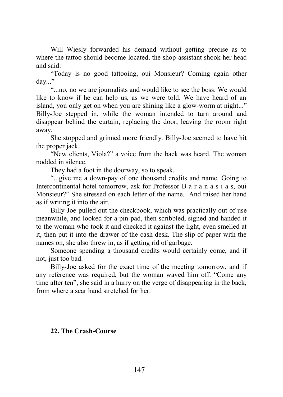Will Wiesly forwarded his demand without getting precise as to where the tattoo should become located, the shop-assistant shook her head and said:

"Today is no good tattooing, oui Monsieur? Coming again other day..."

"...no, no we are journalists and would like to see the boss. We would like to know if he can help us, as we were told. We have heard of an island, you only get on when you are shining like a glow-worm at night..." Billy-Joe stepped in, while the woman intended to turn around and disappear behind the curtain, replacing the door, leaving the room right away.

She stopped and grinned more friendly. Billy-Joe seemed to have hit the proper jack.

"New clients, Viola?" a voice from the back was heard. The woman nodded in silence.

They had a foot in the doorway, so to speak.

"...give me a down-pay of one thousand credits and name. Going to Intercontinental hotel tomorrow, ask for Professor B a r a n a s i a s, oui Monsieur?" She stressed on each letter of the name. And raised her hand as if writing it into the air.

Billy-Joe pulled out the checkbook, which was practically out of use meanwhile, and looked for a pin-pad, then scribbled, signed and handed it to the woman who took it and checked it against the light, even smelled at it, then put it into the drawer of the cash desk. The slip of paper with the names on, she also threw in, as if getting rid of garbage.

Someone spending a thousand credits would certainly come, and if not, just too bad.

Billy-Joe asked for the exact time of the meeting tomorrow, and if any reference was required, but the woman waved him off. "Come any time after ten", she said in a hurry on the verge of disappearing in the back, from where a scar hand stretched for her.

## **22. The Crash-Course**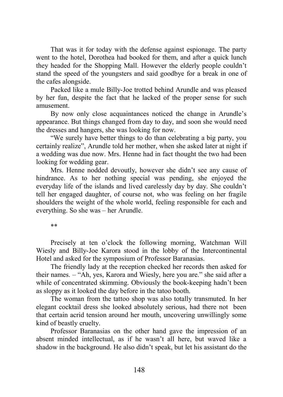That was it for today with the defense against espionage. The party went to the hotel, Dorothea had booked for them, and after a quick lunch they headed for the Shopping Mall. However the elderly people couldn't stand the speed of the youngsters and said goodbye for a break in one of the cafes alongside.

Packed like a mule Billy-Joe trotted behind Arundle and was pleased by her fun, despite the fact that he lacked of the proper sense for such amusement.

By now only close acquaintances noticed the change in Arundle's appearance. But things changed from day to day, and soon she would need the dresses and hangers, she was looking for now.

"We surely have better things to do than celebrating a big party, you certainly realize", Arundle told her mother, when she asked later at night if a wedding was due now. Mrs. Henne had in fact thought the two had been looking for wedding gear.

Mrs. Henne nodded devoutly, however she didn't see any cause of hindrance. As to her nothing special was pending, she enjoyed the everyday life of the islands and lived carelessly day by day. She couldn't tell her engaged daughter, of course not, who was feeling on her fragile shoulders the weight of the whole world, feeling responsible for each and everything. So she was – her Arundle.

\*\*

Precisely at ten o'clock the following morning, Watchman Will Wiesly and Billy-Joe Karora stood in the lobby of the Intercontinental Hotel and asked for the symposium of Professor Baranasias.

The friendly lady at the reception checked her records then asked for their names. – "Ah, yes, Karora and Wiesly, here you are." she said after a while of concentrated skimming. Obviously the book-keeping hadn't been as sloppy as it looked the day before in the tatoo booth.

The woman from the tattoo shop was also totally transmuted. In her elegant cocktail dress she looked absolutely serious, had there not been that certain acrid tension around her mouth, uncovering unwillingly some kind of beastly cruelty.

Professor Baranasias on the other hand gave the impression of an absent minded intellectual, as if he wasn't all here, but waved like a shadow in the background. He also didn't speak, but let his assistant do the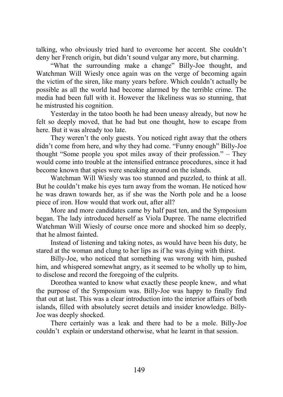talking, who obviously tried hard to overcome her accent. She couldn't deny her French origin, but didn't sound vulgar any more, but charming.

"What the surrounding make a change" Billy-Joe thought, and Watchman Will Wiesly once again was on the verge of becoming again the victim of the siren, like many years before. Which couldn't actually be possible as all the world had become alarmed by the terrible crime. The media had been full with it. However the likeliness was so stunning, that he mistrusted his cognition.

Yesterday in the tatoo booth he had been uneasy already, but now he felt so deeply moved, that he had but one thought, how to escape from here. But it was already too late.

They weren't the only guests. You noticed right away that the others didn't come from here, and why they had come. "Funny enough" Billy-Joe thought "Some people you spot miles away of their profession." – They would come into trouble at the intensified entrance procedures, since it had become known that spies were sneaking around on the islands.

Watchman Will Wiesly was too stunned and puzzled, to think at all. But he couldn't make his eyes turn away from the woman. He noticed how he was drawn towards her, as if she was the North pole and he a loose piece of iron. How would that work out, after all?

More and more candidates came by half past ten, and the Symposium began. The lady introduced herself as Viola Dupree. The name electrified Watchman Will Wiesly of course once more and shocked him so deeply, that he almost fainted.

Instead of listening and taking notes, as would have been his duty, he stared at the woman and clung to her lips as if he was dying with thirst.

Billy-Joe, who noticed that something was wrong with him, pushed him, and whispered somewhat angry, as it seemed to be wholly up to him, to disclose and record the foregoing of the culprits.

Dorothea wanted to know what exactly these people knew, and what the purpose of the Symposium was. Billy-Joe was happy to finally find that out at last. This was a clear introduction into the interior affairs of both islands, filled with absolutely secret details and insider knowledge. Billy-Joe was deeply shocked.

There certainly was a leak and there had to be a mole. Billy-Joe couldn't explain or understand otherwise, what he learnt in that session.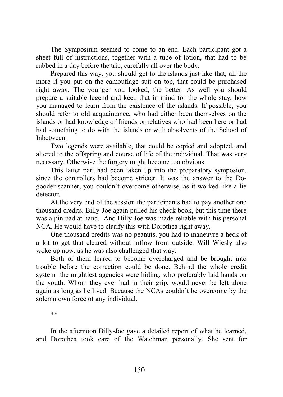The Symposium seemed to come to an end. Each participant got a sheet full of instructions, together with a tube of lotion, that had to be rubbed in a day before the trip, carefully all over the body.

Prepared this way, you should get to the islands just like that, all the more if you put on the camouflage suit on top, that could be purchased right away. The younger you looked, the better. As well you should prepare a suitable legend and keep that in mind for the whole stay, how you managed to learn from the existence of the islands. If possible, you should refer to old acquaintance, who had either been themselves on the islands or had knowledge of friends or relatives who had been here or had had something to do with the islands or with absolvents of the School of Inbetween.

Two legends were available, that could be copied and adopted, and altered to the offspring and course of life of the individual. That was very necessary. Otherwise the forgery might become too obvious.

This latter part had been taken up into the preparatory symposion, since the controllers had become stricter. It was the answer to the Dogooder-scanner, you couldn't overcome otherwise, as it worked like a lie detector.

At the very end of the session the participants had to pay another one thousand credits. Billy-Joe again pulled his check book, but this time there was a pin pad at hand. And Billy-Joe was made reliable with his personal NCA. He would have to clarify this with Dorothea right away.

One thousand credits was no peanuts, you had to maneuvre a heck of a lot to get that cleared without inflow from outside. Will Wiesly also woke up now, as he was also challenged that way.

Both of them feared to become overcharged and be brought into trouble before the correction could be done. Behind the whole credit system the mightiest agencies were hiding, who preferably laid hands on the youth. Whom they ever had in their grip, would never be left alone again as long as he lived. Because the NCAs couldn't be overcome by the solemn own force of any individual.

\*\*

In the afternoon Billy-Joe gave a detailed report of what he learned, and Dorothea took care of the Watchman personally. She sent for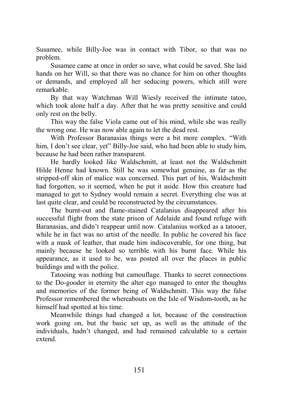Susamee, while Billy-Joe was in contact with Tibor, so that was no problem.

Susamee came at once in order so save, what could be saved. She laid hands on her Will, so that there was no chance for him on other thoughts or demands, and employed all her seducing powers, which still were remarkable.

By that way Watchman Will Wiesly received the intimate tatoo, which took alone half a day. After that he was pretty sensitive and could only rest on the belly.

This way the false Viola came out of his mind, while she was really the wrong one. He was now able again to let the dead rest.

With Professor Baranasias things were a bit more complex. "With him, I don't see clear, yet" Billy-Joe said, who had been able to study him, because he had been rather transparent.

He hardly looked like Waldschmitt, at least not the Waldschmitt Hilde Henne had known. Still he was somewhat genuine, as far as the stripped-off skin of malice was concerned. This part of his, Waldschmitt had forgotten, so it seemed, when he put it aside. How this creature had managed to get to Sydney would remain a secret. Everything else was at last quite clear, and could be reconstructed by the circumstances.

The burnt-out and flame-stained Catalanius disappeared after his successful flight from the state prison of Adelaide and found refuge with Baranasias, and didn't reappear until now. Catalanius worked as a tatooer, while he in fact was no artist of the needle. In public he covered his face with a mask of leather, that made him indiscoverable, for one thing, but mainly because he looked so terrible with his burnt face. While his appearance, as it used to be, was posted all over the places in public buildings and with the police.

Tatooing was nothing but camouflage. Thanks to secret connections to the Do-gooder in eternity the alter ego managed to enter the thoughts and memories of the former being of Waldschmitt. This way the false Professor remembered the whereabouts on the Isle of Wisdom-tooth, as he himself had spotted at his time.

Meanwhile things had changed a lot, because of the construction work going on, but the basic set up, as well as the attitude of the individuals, hadn't changed, and had remained calculable to a certain extend.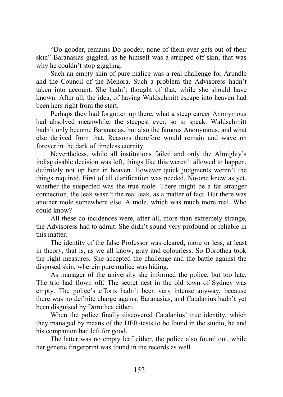"Do-gooder, remains Do-gooder, none of them ever gets out of their skin" Baranasias giggled, as he himself was a stripped-off skin, that was why he couldn't stop giggling.

Such an empty skin of pure malice was a real challenge for Arundle and the Council of the Menora. Such a problem the Advisoress hadn't taken into account. She hadn't thought of that, while she should have known. After all, the idea, of having Waldschmitt escape into heaven had been hers right from the start.

Perhaps they had forgotten up there, what a steep career Anonymous had absolved meanwhile, the steepest ever, so to speak. Waldschmitt hadn't only become Baranasias, but also the famous Anonymous, and what else derived from that. Reasons therefore would remain and wave on forever in the dark of timeless eternity.

Nevertheless, while all institutions failed and only the Almighty's indisguisable decision was left, things like this weren't allowed to happen, definitely not up here in heaven. However quick judgments weren't the things required. First of all clarification was needed. No-one knew as yet, whether the suspected was the true mole. There might be a far stranger connection, the leak wasn't the real leak, as a matter of fact. But there was another mole somewhere else. A mole, which was much more real. Who could know?

All these co-incidences were, after all, more than extremely strange, the Advisoress had to admit. She didn't sound very profound or reliable in this matter.

The identity of the false Professor was cleared, more or less, at least in theory, that is, as we all know, gray and colourless. So Dorothea took the right measures. She accepted the challenge and the battle against the disposed skin, wherein pure malice was hiding.

As manager of the university she informed the police, but too late. The trio had flown off. The secret nest in the old town of Sydney was empty. The police's efforts hadn't been very intense anyway, because there was no definite charge against Baranasias, and Catalanius hadn't yet been disguised by Dorothea either.

When the police finally discovered Catalanius' true identity, which they managed by means of the DER-tests to be found in the studio, he and his companion had left for good.

The latter was no empty leaf either, the police also found out, while her genetic fingerprint was found in the records as well.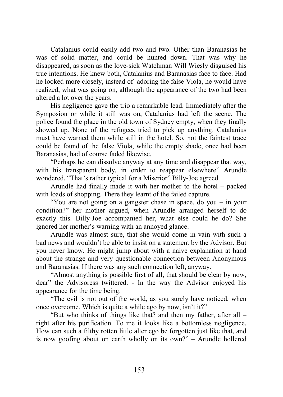Catalanius could easily add two and two. Other than Baranasias he was of solid matter, and could be hunted down. That was why he disappeared, as soon as the love-sick Watchman Will Wiesly disguised his true intentions. He knew both, Catalanius and Baranasias face to face. Had he looked more closely, instead of adoring the false Viola, he would have realized, what was going on, although the appearance of the two had been altered a lot over the years.

His negligence gave the trio a remarkable lead. Immediately after the Symposion or while it still was on, Catalanius had left the scene. The police found the place in the old town of Sydney empty, when they finally showed up. None of the refugees tried to pick up anything. Catalanius must have warned them while still in the hotel. So, not the faintest trace could be found of the false Viola, while the empty shade, once had been Baranasias, had of course faded likewise.

"Perhaps he can dissolve anyway at any time and disappear that way, with his transparent body, in order to reappear elsewhere" Arundle wondered. "That's rather typical for a Miserior" Billy-Joe agreed.

Arundle had finally made it with her mother to the hotel – packed with loads of shopping. There they learnt of the failed capture.

"You are not going on a gangster chase in space, do you – in your condition?" her mother argued, when Arundle arranged herself to do exactly this. Billy-Joe accompanied her, what else could he do? She ignored her mother's warning with an annoyed glance.

Arundle was almost sure, that she would come in vain with such a bad news and wouldn't be able to insist on a statement by the Advisor. But you never know. He might jump about with a naive explanation at hand about the strange and very questíonable connection between Anonymous and Baranasias. If there was any such connection left, anyway.

"Almost anything is possible first of all, that should be clear by now, dear" the Advisoress twittered. - In the way the Advisor enjoyed his appearance for the time being.

"The evil is not out of the world, as you surely have noticed, when once overcome. Which is quite a while ago by now, isn't it?"

"But who thinks of things like that? and then my father, after all – right after his purification. To me it looks like a bottomless negligence. How can such a filthy rotten little alter ego be forgotten just like that, and is now goofing about on earth wholly on its own?" – Arundle hollered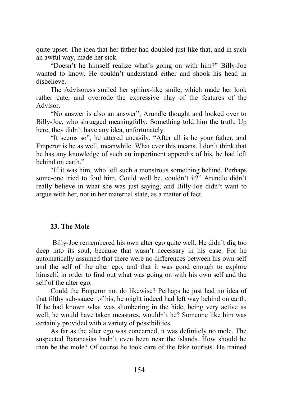quite upset. The idea that her father had doubled just like that, and in such an awful way, made her sick.

"Doesn't he himself realize what's going on with him?" Billy-Joe wanted to know. He couldn't understand either and shook his head in disbelieve.

The Advisoress smiled her sphinx-like smile, which made her look rather cute, and overrode the expressive play of the features of the Advisor.

"No answer is also an answer", Arundle thought and looked over to Billy-Joe, who shrugged meaningfully. Something told him the truth. Up here, they didn't have any idea, unfortunately.

"It seems so", he uttered uneasily. "After all is he your father, and Emperor is he as well, meanwhile. What ever this means. I don't think that he has any knowledge of such an impertinent appendix of his, he had left behind on earth."

"If it was him, who left such a monstrous something behind. Perhaps some-one tried to foul him. Could well be, couldn't it?" Arundle didn't really believe in what she was just saying, and Billy-Joe didn't want to argue with her, not in her maternal state, as a matter of fact.

## **23. The Mole**

 Billy-Joe remembered his own alter ego quite well. He didn't dig too deep into its soul, because that wasn't necessary in his case. For he automatically assumed that there were no differences between his own self and the self of the alter ego, and that it was good enough to explore himself, in order to find out what was going on with his own self and the self of the alter ego.

Could the Emperor not do likewise? Perhaps he just had no idea of that filthy sub-saucer of his, he might indeed had left way behind on earth. If he had known what was slumbering in the hide, being very active as well, he would have taken measures, wouldn't he? Someone like him was certainly provided with a variety of possibilities.

As far as the alter ego was concerned, it was definitely no mole. The suspected Baranasias hadn't even been near the islands. How should he then be the mole? Of course he took care of the fake tourists. He trained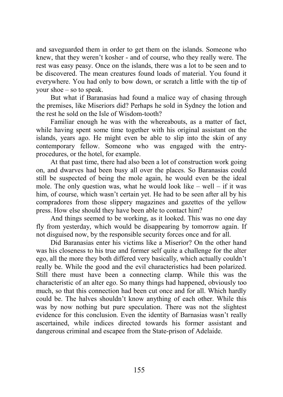and saveguarded them in order to get them on the islands. Someone who knew, that they weren't kosher - and of course, who they really were. The rest was easy peasy. Once on the islands, there was a lot to be seen and to be discovered. The mean creatures found loads of material. You found it everywhere. You had only to bow down, or scratch a little with the tip of your shoe – so to speak.

But what if Baranasias had found a malice way of chasing through the premises, like Miseriors did? Perhaps he sold in Sydney the lotion and the rest he sold on the Isle of Wisdom-tooth?

Familiar enough he was with the whereabouts, as a matter of fact, while having spent some time together with his original assistant on the islands, years ago. He might even be able to slip into the skin of any contemporary fellow. Someone who was engaged with the entryprocedures, or the hotel, for example.

At that past time, there had also been a lot of construction work going on, and dwarves had been busy all over the places. So Baranasias could still be suspected of being the mole again, he would even be the ideal mole. The only question was, what he would look like  $-$  well  $-$  if it was him, of course, which wasn't certain yet. He had to be seen after all by his compradores from those slippery magazines and gazettes of the yellow press. How else should they have been able to contact him?

And things seemed to be working, as it looked. This was no one day fly from yesterday, which would be disappearing by tomorrow again. If not disguised now, by the responsible security forces once and for all.

Did Baranasias enter his victims like a Miserior? On the other hand was his closeness to his true and former self quite a challenge for the alter ego, all the more they both differed very basically, which actually couldn't really be. While the good and the evil characteristics had been polarized. Still there must have been a connecting clamp. While this was the characteristic of an alter ego. So many things had happened, obviously too much, so that this connection had been cut once and for all. Which hardly could be. The halves shouldn't know anything of each other. While this was by now nothing but pure speculation. There was not the slightest evidence for this conclusion. Even the identity of Barnasias wasn't really ascertained, while indices directed towards his former assistant and dangerous criminal and escapee from the State-prison of Adelaide.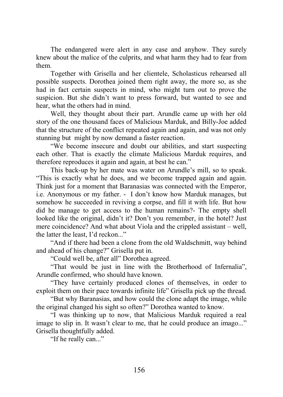The endangered were alert in any case and anyhow. They surely knew about the malice of the culprits, and what harm they had to fear from them.

Together with Grisella and her clientele, Scholasticus rehearsed all possible suspects. Dorothea joined them right away, the more so, as she had in fact certain suspects in mind, who might turn out to prove the suspicion. But she didn't want to press forward, but wanted to see and hear, what the others had in mind.

Well, they thought about their part. Arundle came up with her old story of the one thousand faces of Malicious Marduk, and Billy-Joe added that the structure of the conflict repeated again and again, and was not only stunning but might by now demand a faster reaction.

"We become insecure and doubt our abilities, and start suspecting each other. That is exactly the climate Malicious Marduk requires, and therefore reproduces it again and again, at best he can."

This back-up by her mate was water on Arundle's mill, so to speak. "This is exactly what he does, and we become trapped again and again. Think just for a moment that Baranasias was connected with the Emperor, i.e. Anonymous or my father. - I don't know how Marduk manages, but somehow he succeeded in reviving a corpse, and fill it with life. But how did he manage to get access to the human remains?- The empty shell looked like the original, didn't it? Don't you remember, in the hotel? Just mere coincidence? And what about Viola and the crippled assistant – well, the latter the least, I'd reckon..."

"And if there had been a clone from the old Waldschmitt, way behind and ahead of his change?" Grisella put in.

"Could well be, after all" Dorothea agreed.

"That would be just in line with the Brotherhood of Infernalia", Arundle confirmed, who should have known.

"They have certainly produced clones of themselves, in order to exploit them on their pace towards infinite life" Grisella pick up the thread.

"But why Baranasias, and how could the clone adapt the image, while the original changed his sight so often?" Dorothea wanted to know.

"I was thinking up to now, that Malicious Marduk required a real image to slip in. It wasn't clear to me, that he could produce an imago..." Grisella thoughtfully added.

"If he really can..."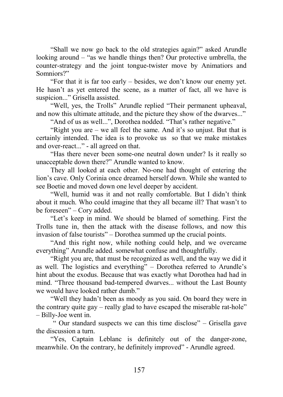"Shall we now go back to the old strategies again?" asked Arundle looking around – "as we handle things then? Our protective umbrella, the counter-strategy and the joint tongue-twister move by Animatiors and Somniors?"

"For that it is far too early – besides, we don't know our enemy yet. He hasn't as yet entered the scene, as a matter of fact, all we have is suspicion..." Grisella assisted.

"Well, yes, the Trolls" Arundle replied "Their permanent upheaval, and now this ultimate attitude, and the picture they show of the dwarves..."

"And of us as well...", Dorothea nodded. "That's rather negative."

"Right you are – we all feel the same. And it's so unjust. But that is certainly intended. The idea is to provoke us so that we make mistakes and over-react..." - all agreed on that.

"Has there never been some-one neutral down under? Is it really so unacceptable down there?" Arundle wanted to know.

They all looked at each other. No-one had thought of entering the lion's cave. Only Corinia once dreamed herself down. While she wanted to see Boetie and moved down one level deeper by accident.

"Well, humid was it and not really comfortable. But I didn't think about it much. Who could imagine that they all became ill? That wasn't to be foreseen" – Cory added.

"Let's keep in mind. We should be blamed of something. First the Trolls tune in, then the attack with the disease follows, and now this invasion of false tourists" – Dorothea summed up the crucial points.

"And this right now, while nothing could help, and we overcame everything" Arundle added. somewhat confuse and thoughtfully.

"Right you are, that must be recognized as well, and the way we did it as well. The logistics and everything" – Dorothea referred to Arundle's hint about the exodus. Because that was exactly what Dorothea had had in mind. "Three thousand bad-tempered dwarves... without the Last Bounty we would have looked rather dumb."

"Well they hadn't been as moody as you said. On board they were in the contrary quite gay – really glad to have escaped the miserable rat-hole" – Billy-Joe went in.

 " Our standard suspects we can this time disclose" – Grisella gave the discussion a turn.

"Yes, Captain Leblanc is definitely out of the danger-zone, meanwhile. On the contrary, he definitely improved" - Arundle agreed.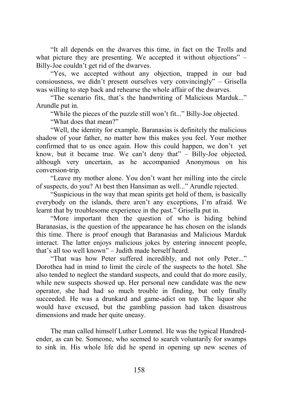"It all depends on the dwarves this time, in fact on the Trolls and what picture they are presenting. We accepted it without objections" – Billy-Joe couldn't get rid of the dwarves.

"Yes, we accepted without any objection, trapped in our bad consiousness, we didn't present ourselves very convincingly" – Grisella was willing to step back and rehearse the whole affair of the dwarves.

"The scenario fits, that's the handwriting of Malicious Marduk..." Arundle put in.

"While the pieces of the puzzle still won't fit..." Billy-Joe objected. "What does that mean?"

"Well, the identity for example. Baranasias is definitely the malicious shadow of your father, no matter how this makes you feel. Your mother confirmed that to us once again. How this could happen, we don't yet know, but it became true. We can't deny that" – Billy-Joe objected, although very uncertain, as he accompanied Anonymous on his conversion-trip.

"Leave my mother alone. You don't want her milling into the circle of suspects, do you? At best then Hansiman as well..." Arundle rejected.

"Suspicious in the way that mean spirits get hold of them, is basically everybody on the islands, there aren't any exceptions, I'm afraid. We learnt that by troublesome experience in the past." Grisella put in.

"More important then the question of who is hiding behind Baranasias, is the question of the appearance he has chosen on the islands this time. There is proof enough that Baranasias and Malicious Marduk interact. The latter enjoys malicious jokes by entering innocent people, that's all too well known" – Judith made herself heard.

"That was how Peter suffered incredibly, and not only Peter..." Dorothea had in mind to limit the circle of the suspects to the hotel. She also tended to neglect the standard suspects, and could that do more easily, while new suspects showed up. Her personal new candidate was the new operator, she had had so much trouble in finding, but only finally succeeded. He was a drunkard and game-adict on top. The liquor she would have excused, but the gambling passion had taken disastrous dimensions and made her quite uneasy.

The man called himself Luther Lommel. He was the typical Hundredender, as can be. Someone, who seemed to search voluntarily for swamps to sink in. His whole life did he spend in opening up new scenes of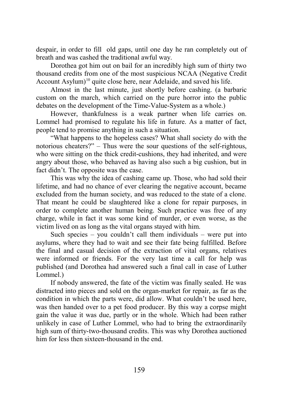despair, in order to fill old gaps, until one day he ran completely out of breath and was cashed the traditional awful way.

Dorothea got him out on bail for an incredibly high sum of thirty two thousand credits from one of the most suspicious NCAA (Negative Credit Account Asylum)<sup>10</sup> quite close here, near Adelaide, and saved his life.

Almost in the last minute, just shortly before cashing. (a barbaric custom on the march, which carried on the pure horror into the public debates on the development of the Time-Value-System as a whole.)

However, thankfulness is a weak partner when life carries on. Lommel had promised to regulate his life in future. As a matter of fact, people tend to promise anything in such a situation.

"What happens to the hopeless cases? What shall society do with the notorious cheaters?" – Thus were the sour questions of the self-rightous, who were sitting on the thick credit-cushions, they had inherited, and were angry about those, who behaved as having also such a big cushion, but in fact didn't. The opposite was the case.

This was why the idea of cashing came up. Those, who had sold their lifetime, and had no chance of ever clearing the negative account, became excluded from the human society, and was reduced to the state of a clone. That meant he could be slaughtered like a clone for repair purposes, in order to complete another human being. Such practice was free of any charge, while in fact it was some kind of murder, or even worse, as the victim lived on as long as the vital organs stayed with him.

Such species – you couldn't call them individuals – were put into asylums, where they had to wait and see their fate being fulfilled. Before the final and casual decision of the extraction of vital organs, relatives were informed or friends. For the very last time a call for help was published (and Dorothea had answered such a final call in case of Luther Lommel.)

If nobody answered, the fate of the victim was finally sealed. He was distracted into pieces and sold on the organ-market for repair, as far as the condition in which the parts were, did allow. What couldn't be used here, was then handed over to a pet food producer. By this way a corpse might gain the value it was due, partly or in the whole. Which had been rather unlikely in case of Luther Lommel, who had to bring the extraordinarily high sum of thirty-two-thousand credits. This was why Dorothea auctioned him for less then sixteen-thousand in the end.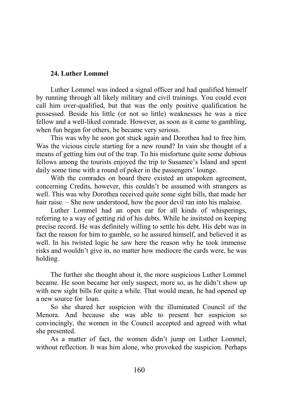## **24. Luther Lommel**

Luther Lommel was indeed a signal officer and had qualified himself by running through all likely military and civil trainings. You could even call him over-qualified, but that was the only positive qualification he possessed. Beside his little (or not so little) weaknesses he was a nice fellow and a well-liked comrade. However, as soon as it came to gambling, when fun began for others, he became very serious.

This was why he soon got stuck again and Dorothea had to free him. Was the vicious circle starting for a new round? In vain she thought of a means of getting him out of the trap. To his misfortune quite some dubious fellows among the tourists enjoyed the trip to Susamee's Island and spent daily some time with a round of poker in the passengers' lounge.

With the comrades on board there existed an unspoken agreement, concerning Credits, however, this couldn't be assumed with strangers as well. This was why Dorothea received quite some sight bills, that made her hair raise. – She now understood, how the poor devil ran into his malaise.

Luther Lommel had an open ear for all kinds of whisperings, referring to a way of getting rid of his debts. While he insitsted on keeping precise record. He was definitely willing to settle his debt. His debt was in fact the reason for him to gamble, so he assured himself, and believed it as well. In his twisted logic he saw here the reason why he took immense risks and wouldn't give in, no matter how mediocre the cards were, he was holding.

The further she thought about it, the more suspicious Luther Lommel became. He soon became her only suspect, more so, as he didn't show up with new sight bills for quite a while. That would mean, he had opened up a new source for loan.

So she shared her suspicion with the illuminated Council of the Menora. And because she was able to present her suspicion so convincingly, the women in the Council accepted and agreed with what she presented.

As a matter of fact, the women didn't jump on Luther Lommel, without reflection. It was him alone, who provoked the suspicion. Perhaps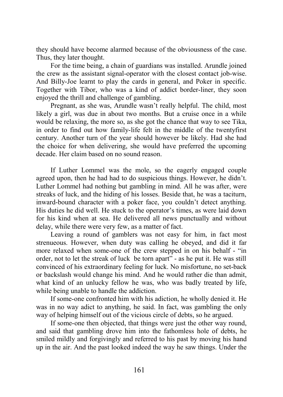they should have become alarmed because of the obviousness of the case. Thus, they later thought.

For the time being, a chain of guardians was installed. Arundle joined the crew as the assistant signal-operator with the closest contact job-wise. And Billy-Joe learnt to play the cards in general, and Poker in specific. Together with Tibor, who was a kind of addict border-liner, they soon enjoyed the thrill and challenge of gambling.

Pregnant, as she was, Arundle wasn't really helpful. The child, most likely a girl, was due in about two months. But a cruise once in a while would be relaxing, the more so, as she got the chance that way to see Tika, in order to find out how family-life felt in the middle of the twentyfirst century. Another turn of the year should however be likely. Had she had the choice for when delivering, she would have preferred the upcoming decade. Her claim based on no sound reason.

If Luther Lommel was the mole, so the eagerly engaged couple agreed upon, then he had had to do suspicious things. However, he didn't. Luther Lommel had nothing but gambling in mind. All he was after, were streaks of luck, and the hiding of his losses. Beside that, he was a taciturn, inward-bound character with a poker face, you couldn't detect anything. His duties he did well. He stuck to the operator's times, as were laid down for his kind when at sea. He delivered all news punctually and without delay, while there were very few, as a matter of fact.

Leaving a round of gamblers was not easy for him, in fact most strenueous. However, when duty was calling he obeyed, and did it far more relaxed when some-one of the crew stepped in on his behalf - "in order, not to let the streak of luck be torn apart" - as he put it. He was still convinced of his extraordinary feeling for luck. No misfortune, no set-back or backslash would change his mind. And he would rather die than admit, what kind of an unlucky fellow he was, who was badly treated by life, while being unable to handle the addiction.

If some-one confronted him with his adiction, he wholly denied it. He was in no way adict to anything, he said. In fact, was gambling the only way of helping himself out of the vicious circle of debts, so he argued.

If some-one then objected, that things were just the other way round, and said that gambling drove him into the fathomless hole of debts, he smiled mildly and forgivingly and referred to his past by moving his hand up in the air. And the past looked indeed the way he saw things. Under the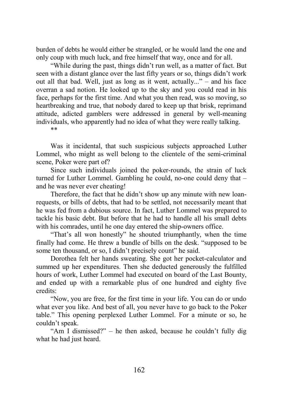burden of debts he would either be strangled, or he would land the one and only coup with much luck, and free himself that way, once and for all.

"While during the past, things didn't run well, as a matter of fact. But seen with a distant glance over the last fifty years or so, things didn't work out all that bad. Well, just as long as it went, actually..." – and his face overran a sad notion. He looked up to the sky and you could read in his face, perhaps for the first time. And what you then read, was so moving, so heartbreaking and true, that nobody dared to keep up that brisk, reprimand attitude, adicted gamblers were addressed in general by well-meaning individuals, who apparently had no idea of what they were really talking.

\*\*

Was it incidental, that such suspicious subjects approached Luther Lommel, who might as well belong to the clientele of the semi-criminal scene, Poker were part of?

Since such individuals joined the poker-rounds, the strain of luck turned for Luther Lommel. Gambling he could, no-one could deny that – and he was never ever cheating!

Therefore, the fact that he didn't show up any minute with new loanrequests, or bills of debts, that had to be settled, not necessarily meant that he was fed from a dubious source. In fact, Luther Lommel was prepared to tackle his basic debt. But before that he had to handle all his small debts with his comrades, until he one day entered the ship-owners office.

"That's all won honestly" he shouted triumphantly, when the time finally had come. He threw a bundle of bills on the desk. "supposed to be some ten thousand, or so, I didn't precisely count" he said.

Dorothea felt her hands sweating. She got her pocket-calculator and summed up her expenditures. Then she deducted generously the fulfilled hours of work, Luther Lommel had executed on board of the Last Bounty, and ended up with a remarkable plus of one hundred and eighty five credits:

"Now, you are free, for the first time in your life. You can do or undo what ever you like. And best of all, you never have to go back to the Poker table." This opening perplexed Luther Lommel. For a minute or so, he couldn't speak.

"Am I dismissed?" – he then asked, because he couldn't fully dig what he had just heard.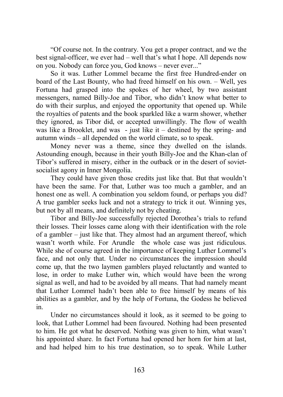"Of course not. In the contrary. You get a proper contract, and we the best signal-officer, we ever had – well that's what I hope. All depends now on you. Nobody can force you, God knows – never ever..."

So it was. Luther Lommel became the first free Hundred-ender on board of the Last Bounty, who had freed himself on his own. – Well, yes Fortuna had grasped into the spokes of her wheel, by two assistant messengers, named Billy-Joe and Tibor, who didn't know what better to do with their surplus, and enjoyed the opportunity that opened up. While the royalties of patents and the book sparkled like a warm shower, whether they ignored, as Tibor did, or accepted unwillingly. The flow of wealth was like a Brooklet, and was - just like it – destined by the spring- and autumn winds – all depended on the world climate, so to speak.

Money never was a theme, since they dwelled on the islands. Astounding enough, because in their youth Billy-Joe and the Khan-clan of Tibor's suffered in misery, either in the outback or in the desert of sovietsocialist agony in Inner Mongolia.

They could have given those credits just like that. But that wouldn't have been the same. For that, Luther was too much a gambler, and an honest one as well. A combination you seldom found, or perhaps you did? A true gambler seeks luck and not a strategy to trick it out. Winning yes, but not by all means, and definitely not by cheating.

Tibor and Billy-Joe successfully rejected Dorothea's trials to refund their losses. Their losses came along with their identification with the role of a gambler – just like that. They almost had an argument thereof, which wasn't worth while. For Arundle the whole case was just ridiculous. While she of course agreed in the importance of keeping Luther Lommel's face, and not only that. Under no circumstances the impression should come up, that the two laymen gamblers played reluctantly and wanted to lose, in order to make Luther win, which would have been the wrong signal as well, and had to be avoided by all means. That had namely meant that Luther Lommel hadn't been able to free himself by means of his abilities as a gambler, and by the help of Fortuna, the Godess he believed in.

Under no circumstances should it look, as it seemed to be going to look, that Luther Lommel had been favoured. Nothing had been presented to him. He got what he deserved. Nothing was given to him, what wasn't his appointed share. In fact Fortuna had opened her horn for him at last, and had helped him to his true destination, so to speak. While Luther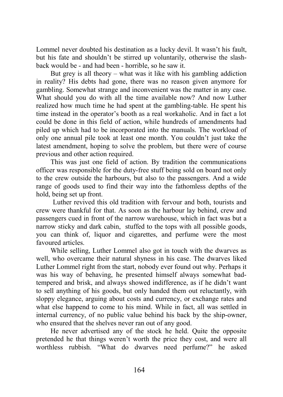Lommel never doubted his destination as a lucky devil. It wasn't his fault, but his fate and shouldn't be stirred up voluntarily, otherwise the slashback would be - and had been - horrible, so he saw it.

But grey is all theory – what was it like with his gambling addiction in reality? His debts had gone, there was no reason given anymore for gambling. Somewhat strange and inconvenient was the matter in any case. What should you do with all the time available now? And now Luther realized how much time he had spent at the gambling-table. He spent his time instead in the operator's booth as a real workaholic. And in fact a lot could be done in this field of action, while hundreds of amendments had piled up which had to be incorporated into the manuals. The workload of only one annual pile took at least one month. You couldn't just take the latest amendment, hoping to solve the problem, but there were of course previous and other action required.

This was just one field of action. By tradition the communications officer was responsible for the duty-free stuff being sold on board not only to the crew outside the harbours, but also to the passengers. And a wide range of goods used to find their way into the fathomless depths of the hold, being set up front.

 Luther revived this old tradition with fervour and both, tourists and crew were thankful for that. As soon as the harbour lay behind, crew and passengers cued in front of the narrow warehouse, which in fact was but a narrow sticky and dark cabin, stuffed to the tops with all possible goods, you can think of, liquor and cigarettes, and perfume were the most favoured articles.

While selling, Luther Lommel also got in touch with the dwarves as well, who overcame their natural shyness in his case. The dwarves liked Luther Lommel right from the start, nobody ever found out why. Perhaps it was his way of behaving, he presented himself always somewhat badtempered and brisk, and always showed indifference, as if he didn't want to sell anything of his goods, but only handed them out reluctantly, with sloppy elegance, arguing about costs and currency, or exchange rates and what else happend to come to his mind. While in fact, all was settled in internal currency, of no public value behind his back by the ship-owner, who ensured that the shelves never ran out of any good.

He never advertised any of the stock he held. Quite the opposite pretended he that things weren't worth the price they cost, and were all worthless rubbish. "What do dwarves need perfume?" he asked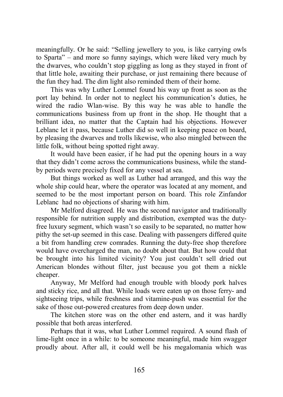meaningfully. Or he said: "Selling jewellery to you, is like carrying owls to Sparta" – and more so funny sayings, which were liked very much by the dwarves, who couldn't stop giggling as long as they stayed in front of that little hole, awaiting their purchase, or just remaining there because of the fun they had. The dim light also reminded them of their home.

This was why Luther Lommel found his way up front as soon as the port lay behind. In order not to neglect his communication's duties, he wired the radio Wlan-wise. By this way he was able to handle the communications business from up front in the shop. He thought that a brilliant idea, no matter that the Captain had his objections. However Leblanc let it pass, because Luther did so well in keeping peace on board, by pleasing the dwarves and trolls likewise, who also mingled between the little folk, without being spotted right away.

It would have been easier, if he had put the opening hours in a way that they didn't come across the communications business, while the standby periods were precisely fixed for any vessel at sea.

But things worked as well as Luther had arranged, and this way the whole ship could hear, where the operator was located at any moment, and seemed to be the most important person on board. This role Zinfandor Leblanc had no objections of sharing with him.

Mr Melford disagreed. He was the second navigator and traditionally responsible for nutrition supply and distribution, exempted was the dutyfree luxury segment, which wasn't so easily to be separated, no matter how pithy the set-up seemed in this case. Dealing with passengers differed quite a bit from handling crew comrades. Running the duty-free shop therefore would have overcharged the man, no doubt about that. But how could that be brought into his limited vicinity? You just couldn't sell dried out American blondes without filter, just because you got them a nickle cheaper.

Anyway, Mr Melford had enough trouble with bloody pork halves and sticky rice, and all that. While loads were eaten up on those ferry- and sightseeing trips, while freshness and vitamine-push was essential for the sake of those out-powered creatures from deep down under.

The kitchen store was on the other end astern, and it was hardly possible that both areas interfered.

Perhaps that it was, what Luther Lommel required. A sound flash of lime-light once in a while: to be someone meaningful, made him swagger proudly about. After all, it could well be his megalomania which was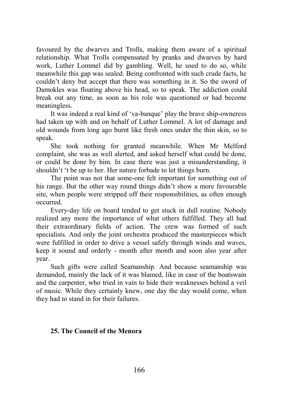favoured by the dwarves and Trolls, making them aware of a spiritual relationship. What Trolls compensated by pranks and dwarves by hard work, Luther Lommel did by gambling. Well, he used to do so, while meanwhile this gap was sealed. Being confronted with such crude facts, he couldn't deny but accept that there was something in it. So the sword of Damokles was floating above his head, so to speak. The addiction could break out any time, as soon as his role was questioned or had become meaningless.

It was indeed a real kind of 'va-banque' play the brave ship-owneress had taken up with and on behalf of Luther Lommel. A lot of damage and old wounds from long ago burnt like fresh ones under the thin skin, so to speak.

She took nothing for granted meanwhile. When Mr Melford complaint, she was as well alerted, and asked herself what could be done, or could be done by him. In case there was just a misunderstanding, it shouldn't 't be up to her. Her nature forbade to let things burn.

The point was not that some-one felt important for something out of his range. But the other way round things didn't show a more favourable site, when people were stripped off their responsibilities, as often enough occurred.

Every-day life on board tended to get stuck in dull routine. Nobody realized any more the importance of what others fulfilled. They all had their extraordinary fields of action. The crew was formed of such specialists. And only the joint orchestra produced the masterpieces which were fulfilled in order to drive a vessel safely through winds and waves, keep it sound and orderly - month after month and soon also year after year.

Such gifts were called Seamanship. And because seamanship was demanded, mainly the lack of it was blamed, like in case of the boatswain and the carpenter, who tried in vain to hide their weaknesses behind a veil of music. While they certainly knew, one day the day would come, when they had to stand in for their failures.

# **25. The Council of the Menora**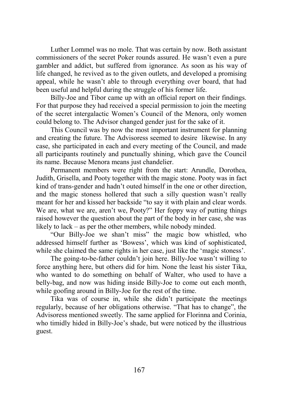Luther Lommel was no mole. That was certain by now. Both assistant commissioners of the secret Poker rounds assured. He wasn't even a pure gambler and addict, but suffered from ignorance. As soon as his way of life changed, he revived as to the given outlets, and developed a promising appeal, while he wasn't able to through everything over board, that had been useful and helpful during the struggle of his former life.

Billy-Joe and Tibor came up with an official report on their findings. For that purpose they had received a special permission to join the meeting of the secret intergalactic Women's Council of the Menora, only women could belong to. The Advisor changed gender just for the sake of it.

This Council was by now the most important instrument for planning and creating the future. The Advisoress seemed to desire likewise. In any case, she participated in each and every meeting of the Council, and made all participants routinely and punctually shining, which gave the Council its name. Because Menora means just chandelier.

Permanent members were right from the start: Arundle, Dorothea, Judith, Grisella, and Pooty together with the magic stone. Pooty was in fact kind of trans-gender and hadn't outed himself in the one or other direction, and the magic stoness hollered that such a silly question wasn't really meant for her and kissed her backside "to say it with plain and clear words. We are, what we are, aren't we, Pooty?" Her foppy way of putting things raised however the question about the part of the body in her case, she was likely to lack – as per the other members, while nobody minded.

"Our Billy-Joe we shan't miss" the magic bow whistled, who addressed himself further as 'Bowess', which was kind of sophisticated, while she claimed the same rights in her case, just like the 'magic stoness'.

The going-to-be-father couldn't join here. Billy-Joe wasn't willing to force anything here, but others did for him. None the least his sister Tika, who wanted to do something on behalf of Walter, who used to have a belly-bag, and now was hiding inside Billy-Joe to come out each month, while goofing around in Billy-Joe for the rest of the time.

Tika was of course in, while she didn't participate the meetings regularly, because of her obligations otherwise. "That has to change", the Advisoress mentioned sweetly. The same applied for Florinna and Corinia, who timidly hided in Billy-Joe's shade, but were noticed by the illustrious guest.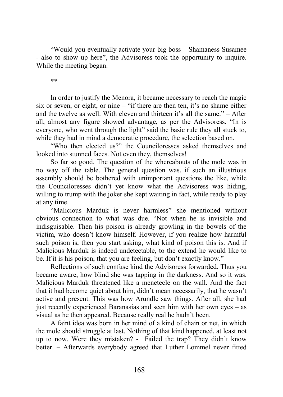"Would you eventually activate your big boss – Shamaness Susamee - also to show up here", the Advisoress took the opportunity to inquire. While the meeting began.

\*\*

In order to justify the Menora, it became necessary to reach the magic six or seven, or eight, or nine – "if there are then ten, it's no shame either and the twelve as well. With eleven and thirteen it's all the same." – After all, almost any figure showed advantage, as per the Advisoress. "In is everyone, who went through the light" said the basic rule they all stuck to, while they had in mind a democratic procedure, the selection based on.

"Who then elected us?" the Counciloresses asked themselves and looked into stunned faces. Not even they, themselves!

So far so good. The question of the whereabouts of the mole was in no way off the table. The general question was, if such an illustrious assembly should be bothered with unimportant questions the like, while the Counciloresses didn't yet know what the Advisoress was hiding, willing to trump with the joker she kept waiting in fact, while ready to play at any time.

"Malicious Marduk is never harmless" she mentioned without obvious connection to what was due. "Not when he is invisible and indisguisable. Then his poison is already growling in the bowels of the victim, who doesn't know himself. However, if you realize how harmful such poison is, then you start asking, what kind of poison this is. And if Malicious Marduk is indeed undetectable, to the extend he would like to be. If it is his poison, that you are feeling, but don't exactly know."

Reflections of such confuse kind the Advisoress forwarded. Thus you became aware, how blind she was tapping in the darkness. And so it was. Malicious Marduk threatened like a menetecle on the wall. And the fact that it had become quiet about him, didn't mean necessarily, that he wasn't active and present. This was how Arundle saw things. After all, she had just recently experienced Baranasias and seen him with her own eyes – as visual as he then appeared. Because really real he hadn't been.

A faint idea was born in her mind of a kind of chain or net, in which the mole should struggle at last. Nothing of that kind happened, at least not up to now. Were they mistaken? - Failed the trap? They didn't know better. – Afterwards everybody agreed that Luther Lommel never fitted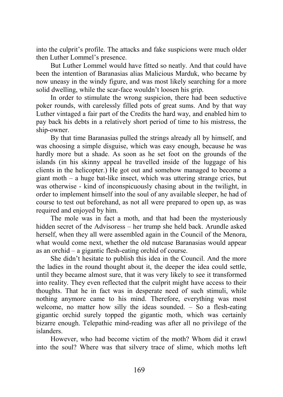into the culprit's profile. The attacks and fake suspicions were much older then Luther Lommel's presence.

But Luther Lommel would have fitted so neatly. And that could have been the intention of Baranasias alias Malicious Marduk, who became by now uneasy in the windy figure, and was most likely searching for a more solid dwelling, while the scar-face wouldn't loosen his grip.

In order to stimulate the wrong suspicion, there had been seductive poker rounds, with carelessly filled pots of great sums. And by that way Luther vintaged a fair part of the Credits the hard way, and enabled him to pay back his debts in a relatively short period of time to his mistress, the ship-owner.

By that time Baranasias pulled the strings already all by himself, and was choosing a simple disguise, which was easy enough, because he was hardly more but a shade. As soon as he set foot on the grounds of the islands (in his skinny appeal he travelled inside of the luggage of his clients in the helicopter.) He got out and somehow managed to become a giant moth – a huge bat-like insect, which was uttering strange cries, but was otherwise - kind of inconspicuously chasing about in the twilight, in order to implement himself into the soul of any available sleeper, he had of course to test out beforehand, as not all were prepared to open up, as was required and enjoyed by him.

The mole was in fact a moth, and that had been the mysteriously hidden secret of the Advisoress – her trump she held back. Arundle asked herself, when they all were assembled again in the Council of the Menora, what would come next, whether the old nutcase Baranasias would appear as an orchid – a gigantic flesh-eating orchid of course.

She didn't hesitate to publish this idea in the Council. And the more the ladies in the round thought about it, the deeper the idea could settle, until they became almost sure, that it was very likely to see it transformed into reality. They even reflected that the culprit might have access to their thoughts. That he in fact was in desperate need of such stimuli, while nothing anymore came to his mind. Therefore, everything was most welcome, no matter how silly the ideas sounded. – So a flesh-eating gigantic orchid surely topped the gigantic moth, which was certainly bizarre enough. Telepathic mind-reading was after all no privilege of the islanders.

However, who had become victim of the moth? Whom did it crawl into the soul? Where was that silvery trace of slime, which moths left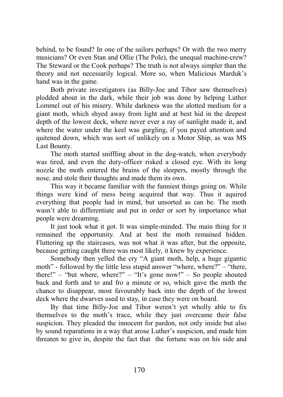behind, to be found? In one of the sailors perhaps? Or with the two merry musicians? Or even Stan and Ollie (The Pole), the unequal machine-crew? The Steward or the Cook perhaps? The truth is not always simpler than the theory and not necessarily logical. More so, when Malicious Marduk's hand was in the game.

Both private investigators (as Billy-Joe and Tibor saw themselves) plodded about in the dark, while their job was done by helping Luther Lommel out of his misery. While darkness was the alotted medium for a giant moth, which shyed away from light and at best hid in the deepest depth of the lowest deck, where never ever a ray of sunlight made it, and where the water under the keel was gurgling, if you payed attention and quitened down, which was sort of unlikely on a Motor Ship, as was MS Last Bounty.

The moth started sniffling about in the dog-watch, when everybody was tired, and even the duty-officer risked a closed eye. With its long nozzle the moth entered the brains of the sleepers, mostly through the nose, and stole their thoughts and made them its own.

This way it became familiar with the funniest things going on. While things were kind of mess being acquired that way. Thus it aquired everything that people had in mind, but unsorted as can be. The moth wasn't able to differentiate and put in order or sort by importance what people were dreaming.

It just took what it got. It was simple-minded. The main thing for it remained the opportunity. And at best the moth remained hidden. Fluttering up the staircases, was not what it was after, but the opposite, because getting caught there was most likely, it knew by experience.

Somebody then yelled the cry "A giant moth, help, a huge gigantic moth" - followed by the little less stupid answer "where, where?" – "there, there!" – "but where, where?" – "It's gone now!" – So people shouted back and forth and to and fro a minute or so, which gave the moth the chance to disappear, most favourably back into the depth of the lowest deck where the dwarves used to stay, in case they were on board.

By that time Billy-Joe and Tibor weren't yet wholly able to fix themselves to the moth's trace, while they just overcame their false suspicion. They pleaded the innocent for pardon, not only inside but also by sound reparations in a way that arose Luther's suspicion, and made him threaten to give in, despite the fact that the fortune was on his side and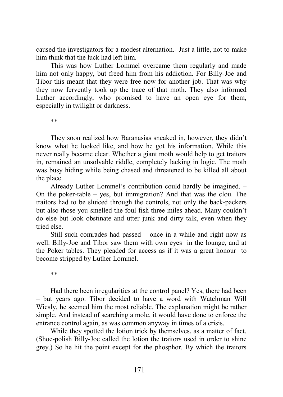caused the investigators for a modest alternation.- Just a little, not to make him think that the luck had left him.

This was how Luther Lommel overcame them regularly and made him not only happy, but freed him from his addiction. For Billy-Joe and Tibor this meant that they were free now for another job. That was why they now fervently took up the trace of that moth. They also informed Luther accordingly, who promised to have an open eye for them, especially in twilight or darkness.

\*\*

They soon realized how Baranasias sneaked in, however, they didn't know what he looked like, and how he got his information. While this never really became clear. Whether a giant moth would help to get traitors in, remained an unsolvable riddle, completely lacking in logic. The moth was busy hiding while being chased and threatened to be killed all about the place.

Already Luther Lommel's contribution could hardly be imagined. – On the poker-table – yes, but immigration? And that was the clou. The traitors had to be sluiced through the controls, not only the back-packers but also those you smelled the foul fish three miles ahead. Many couldn't do else but look obstinate and utter junk and dirty talk, even when they tried else.

Still such comrades had passed – once in a while and right now as well. Billy-Joe and Tibor saw them with own eyes in the lounge, and at the Poker tables. They pleaded for access as if it was a great honour to become stripped by Luther Lommel.

\*\*

Had there been irregularities at the control panel? Yes, there had been – but years ago. Tibor decided to have a word with Watchman Will Wiesly, he seemed him the most reliable. The explanation might be rather simple. And instead of searching a mole, it would have done to enforce the entrance control again, as was common anyway in times of a crisis.

While they spotted the lotion trick by themselves, as a matter of fact. (Shoe-polish Billy-Joe called the lotion the traitors used in order to shine grey.) So he hit the point except for the phosphor. By which the traitors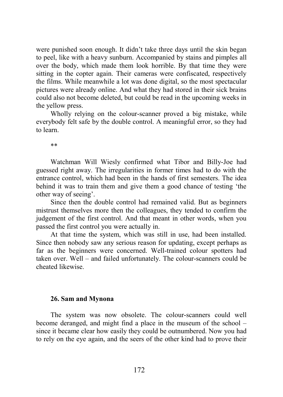were punished soon enough. It didn't take three days until the skin began to peel, like with a heavy sunburn. Accompanied by stains and pimples all over the body, which made them look horrible. By that time they were sitting in the copter again. Their cameras were confiscated, respectively the films. While meanwhile a lot was done digital, so the most spectacular pictures were already online. And what they had stored in their sick brains could also not become deleted, but could be read in the upcoming weeks in the yellow press.

Wholly relying on the colour-scanner proved a big mistake, while everybody felt safe by the double control. A meaningful error, so they had to learn.

\*\*

Watchman Will Wiesly confirmed what Tibor and Billy-Joe had guessed right away. The irregularities in former times had to do with the entrance control, which had been in the hands of first semesters. The idea behind it was to train them and give them a good chance of testing 'the other way of seeing'.

Since then the double control had remained valid. But as beginners mistrust themselves more then the colleagues, they tended to confirm the judgement of the first control. And that meant in other words, when you passed the first control you were actually in.

At that time the system, which was still in use, had been installed. Since then nobody saw any serious reason for updating, except perhaps as far as the beginners were concerned. Well-trained colour spotters had taken over. Well – and failed unfortunately. The colour-scanners could be cheated likewise.

#### **26. Sam and Mynona**

The system was now obsolete. The colour-scanners could well become deranged, and might find a place in the museum of the school – since it became clear how easily they could be outnumbered. Now you had to rely on the eye again, and the seers of the other kind had to prove their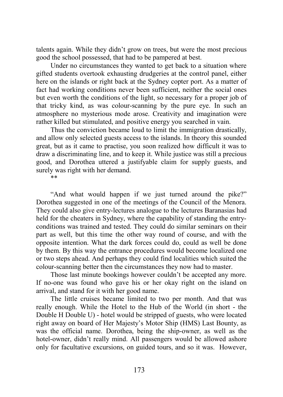talents again. While they didn't grow on trees, but were the most precious good the school possessed, that had to be pampered at best.

Under no circumstances they wanted to get back to a situation where gifted students overtook exhausting drudgeries at the control panel, either here on the islands or right back at the Sydney copter port. As a matter of fact had working conditions never been sufficient, neither the social ones but even worth the conditions of the light, so necessary for a proper job of that tricky kind, as was colour-scanning by the pure eye. In such an atmosphere no mysterious mode arose. Creativity and imagination were rather killed but stimulated, and positive energy you searched in vain.

Thus the conviction became loud to limit the immigration drastically, and allow only selected guests access to the islands. In theory this sounded great, but as it came to practise, you soon realized how difficult it was to draw a discriminating line, and to keep it. While justice was still a precious good, and Dorothea uttered a justifyable claim for supply guests, and surely was right with her demand.

\*\*

"And what would happen if we just turned around the pike?" Dorothea suggested in one of the meetings of the Council of the Menora. They could also give entry-lectures analogue to the lectures Baranasias had held for the cheaters in Sydney, where the capability of standing the entryconditions was trained and tested. They could do similar seminars on their part as well, but this time the other way round of course, and with the opposite intention. What the dark forces could do, could as well be done by them. By this way the entrance procedures would become localized one or two steps ahead. And perhaps they could find localities which suited the colour-scanning better then the circumstances they now had to master.

Those last minute bookings however couldn't be accepted any more. If no-one was found who gave his or her okay right on the island on arrival, and stand for it with her good name.

The little cruises became limited to two per month. And that was really enough. While the Hotel to the Hub of the World (in short - the Double H Double U) - hotel would be stripped of guests, who were located right away on board of Her Majesty's Motor Ship (HMS) Last Bounty, as was the official name. Dorothea, being the ship-owner, as well as the hotel-owner, didn't really mind. All passengers would be allowed ashore only for facultative excursions, on guided tours, and so it was. However,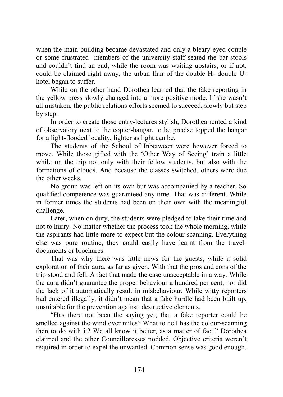when the main building became devastated and only a bleary-eyed couple or some frustrated members of the university staff seated the bar-stools and couldn't find an end, while the room was waiting upstairs, or if not, could be claimed right away, the urban flair of the double H- double Uhotel began to suffer.

While on the other hand Dorothea learned that the fake reporting in the yellow press slowly changed into a more positive mode. If she wasn't all mistaken, the public relations efforts seemed to succeed, slowly but step by step.

In order to create those entry-lectures stylish, Dorothea rented a kind of observatory next to the copter-hangar, to be precise topped the hangar for a light-flooded locality, lighter as light can be.

The students of the School of Inbetween were however forced to move. While those gifted with the 'Other Way of Seeing' train a little while on the trip not only with their fellow students, but also with the formations of clouds. And because the classes switched, others were due the other weeks.

No group was left on its own but was accompanied by a teacher. So qualified competence was guaranteed any time. That was different. While in former times the students had been on their own with the meaningful challenge.

Later, when on duty, the students were pledged to take their time and not to hurry. No matter whether the process took the whole morning, while the aspirants had little more to expect but the colour-scanning. Everything else was pure routine, they could easily have learnt from the traveldocuments or brochures.

That was why there was little news for the guests, while a solid exploration of their aura, as far as given. With that the pros and cons of the trip stood and fell. A fact that made the case unacceptable in a way. While the aura didn't guarantee the proper behaviour a hundred per cent, nor did the lack of it automatically result in misbehaviour. While witty reporters had entered illegally, it didn't mean that a fake hurdle had been built up, unsuitable for the prevention against destructive elements.

"Has there not been the saying yet, that a fake reporter could be smelled against the wind over miles? What to hell has the colour-scanning then to do with it? We all know it better, as a matter of fact." Dorothea claimed and the other Councilloresses nodded. Objective criteria weren't required in order to expel the unwanted. Common sense was good enough.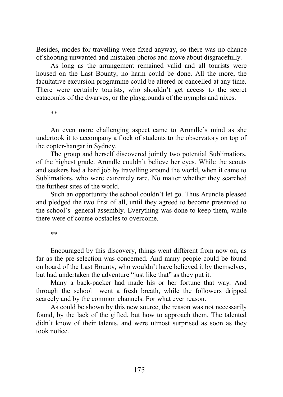Besides, modes for travelling were fixed anyway, so there was no chance of shooting unwanted and mistaken photos and move about disgracefully.

As long as the arrangement remained valid and all tourists were housed on the Last Bounty, no harm could be done. All the more, the facultative excursion programme could be altered or cancelled at any time. There were certainly tourists, who shouldn't get access to the secret catacombs of the dwarves, or the playgrounds of the nymphs and nixes.

\*\*

An even more challenging aspect came to Arundle's mind as she undertook it to accompany a flock of students to the observatory on top of the copter-hangar in Sydney.

The group and herself discovered jointly two potential Sublimatiors, of the highest grade. Arundle couldn't believe her eyes. While the scouts and seekers had a hard job by travelling around the world, when it came to Sublimatiors, who were extremely rare. No matter whether they searched the furthest sites of the world.

Such an opportunity the school couldn't let go. Thus Arundle pleased and pledged the two first of all, until they agreed to become presented to the school's general assembly. Everything was done to keep them, while there were of course obstacles to overcome.

\*\*

Encouraged by this discovery, things went different from now on, as far as the pre-selection was concerned. And many people could be found on board of the Last Bounty, who wouldn't have believed it by themselves, but had undertaken the adventure "just like that" as they put it.

Many a back-packer had made his or her fortune that way. And through the school went a fresh breath, while the followers dripped scarcely and by the common channels. For what ever reason.

As could be shown by this new source, the reason was not necessarily found, by the lack of the gifted, but how to approach them. The talented didn't know of their talents, and were utmost surprised as soon as they took notice.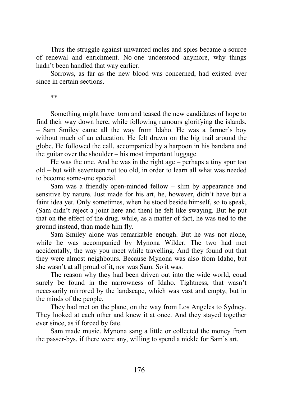Thus the struggle against unwanted moles and spies became a source of renewal and enrichment. No-one understood anymore, why things hadn't been handled that way earlier.

Sorrows, as far as the new blood was concerned, had existed ever since in certain sections.

\*\*

Something might have torn and teased the new candidates of hope to find their way down here, while following rumours glorifying the islands. – Sam Smiley came all the way from Idaho. He was a farmer's boy without much of an education. He felt drawn on the big trail around the globe. He followed the call, accompanied by a harpoon in his bandana and the guitar over the shoulder – his most important luggage.

He was the one. And he was in the right age – perhaps a tiny spur too old – but with seventeen not too old, in order to learn all what was needed to become some-one special.

Sam was a friendly open-minded fellow – slim by appearance and sensitive by nature. Just made for his art, he, however, didn't have but a faint idea yet. Only sometimes, when he stood beside himself, so to speak, (Sam didn't reject a joint here and then) he felt like swaying. But he put that on the effect of the drug. while, as a matter of fact, he was tied to the ground instead, than made him fly.

Sam Smiley alone was remarkable enough. But he was not alone, while he was accompanied by Mynona Wilder. The two had met accidentally, the way you meet while travelling. And they found out that they were almost neighbours. Because Mynona was also from Idaho, but she wasn't at all proud of it, nor was Sam. So it was.

The reason why they had been driven out into the wide world, coud surely be found in the narrowness of Idaho. Tightness, that wasn't necessarily mirrored by the landscape, which was vast and empty, but in the minds of the people.

They had met on the plane, on the way from Los Angeles to Sydney. They looked at each other and knew it at once. And they stayed together ever since, as if forced by fate.

Sam made music. Mynona sang a little or collected the money from the passer-bys, if there were any, willing to spend a nickle for Sam's art.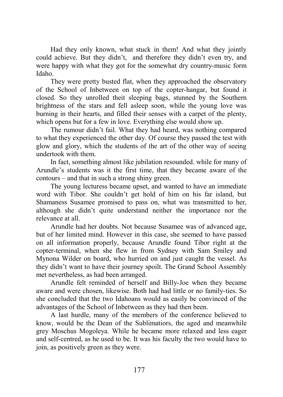Had they only known, what stuck in them! And what they jointly could achieve. But they didn't, and therefore they didn't even try, and were happy with what they got for the somewhat dry country-music form Idaho.

They were pretty busted flat, when they approached the observatory of the School of Inbetween on top of the copter-hangar, but found it closed. So they unrolled theit sleeping bags, stunned by the Southern brightness of the stars and fell asleep soon, while the young love was burning in their hearts, and filled their senses with a carpet of the plenty, which opens but for a few in love. Everything else would show up.

The rumour didn't fail. What they had heard, was nothing compared to what they experienced the other day. Of course they passed the test with glow and glory, which the students of the art of the other way of seeing undertook with them.

In fact, something almost like jubilation resounded. while for many of Arundle's students was it the first time, that they became aware of the contours – and that in such a strong shiny green.

The young lecturess became upset, and wanted to have an immediate word with Tibor. She couldn't get hold of him on his far island, but Shamaness Susamee promised to pass on, what was transmitted to her, although she didn't quite understand neither the importance nor the relevance at all.

Arundle had her doubts. Not because Susamee was of advanced age, but of her limited mind. However in this case, she seemed to have passed on all information properly, because Arundle found Tibor right at the copter-terminal, when she flew in from Sydney with Sam Smiley and Mynona Wilder on board, who hurried on and just caught the vessel. As they didn't want to have their journey spoilt. The Grand School Assembly met nevertheless, as had been arranged.

Arundle felt reminded of herself and Billy-Joe when they became aware and were chosen, likewise. Both had had little or no family-ties. So she concluded that the two Idahoans would as easily be convinced of the advantages of the School of Inbetween as they had then been.

A last hurdle, many of the members of the conference believed to know, would be the Dean of the Sublimatiors, the aged and meanwhile grey Moschus Mogoleya. While he became more relaxed and less eager and self-centred, as he used to be. It was his faculty the two would have to join, as positively green as they were.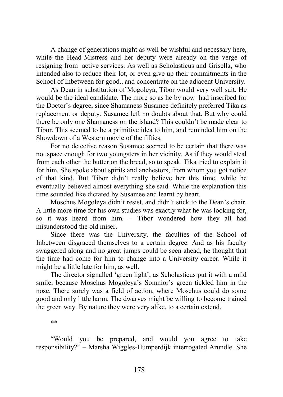A change of generations might as well be wishful and necessary here, while the Head-Mistress and her deputy were already on the verge of resigning from active services. As well as Scholasticus and Grisella, who intended also to reduce their lot, or even give up their commitments in the School of Inbetween for good., and concentrate on the adjacent University.

As Dean in substitution of Mogoleya, Tibor would very well suit. He would be the ideal candidate. The more so as he by now had inscribed for the Doctor's degree, since Shamaness Susamee definitely preferred Tika as replacement or deputy. Susamee left no doubts about that. But why could there be only one Shamaness on the island? This couldn't be made clear to Tibor. This seemed to be a primitive idea to him, and reminded him on the Showdown of a Western movie of the fifties.

For no detective reason Susamee seemed to be certain that there was not space enough for two youngsters in her vicinity. As if they would steal from each other the butter on the bread, so to speak. Tika tried to explain it for him. She spoke about spirits and anchestors, from whom you got notice of that kind. But Tibor didn't really believe her this time, while he eventually believed almost everything she said. While the explanation this time sounded like dictated by Susamee and learnt by heart.

Moschus Mogoleya didn't resist, and didn't stick to the Dean's chair. A little more time for his own studies was exactly what he was looking for, so it was heard from him. – Tibor wondered how they all had misunderstood the old miser.

Since there was the University, the faculties of the School of Inbetween disgraced themselves to a certain degree. And as his faculty swaggered along and no great jumps could be seen ahead, he thought that the time had come for him to change into a University career. While it might be a little late for him, as well.

The director signalled 'green light', as Scholasticus put it with a mild smile, because Moschus Mogoleya's Somnior's green tickled him in the nose. There surely was a field of action, where Moschus could do some good and only little harm. The dwarves might be willing to become trained the green way. By nature they were very alike, to a certain extend.

\*\*

"Would you be prepared, and would you agree to take responsibility?" – Marsha Wiggles-Humperdijk interrogated Arundle. She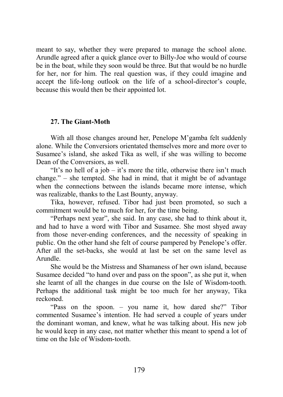meant to say, whether they were prepared to manage the school alone. Arundle agreed after a quick glance over to Billy-Joe who would of course be in the boat, while they soon would be three. But that would be no hurdle for her, nor for him. The real question was, if they could imagine and accept the life-long outlook on the life of a school-director's couple, because this would then be their appointed lot.

#### **27. The Giant-Moth**

With all those changes around her, Penelope M'gamba felt suddenly alone. While the Conversiors orientated themselves more and more over to Susamee's island, she asked Tika as well, if she was willing to become Dean of the Conversiors, as well.

"It's no hell of a job – it's more the title, otherwise there isn't much change." – she tempted. She had in mind, that it might be of advantage when the connections between the islands became more intense, which was realizable, thanks to the Last Bounty, anyway.

Tika, however, refused. Tibor had just been promoted, so such a commitment would be to much for her, for the time being.

"Perhaps next year", she said. In any case, she had to think about it, and had to have a word with Tibor and Susamee. She most shyed away from those never-ending conferences, and the necessity of speaking in public. On the other hand she felt of course pampered by Penelope's offer. After all the set-backs, she would at last be set on the same level as Arundle.

She would be the Mistress and Shamaness of her own island, because Susamee decided "to hand over and pass on the spoon", as she put it, when she learnt of all the changes in due course on the Isle of Wisdom-tooth. Perhaps the additional task might be too much for her anyway, Tika reckoned.

"Pass on the spoon. – you name it, how dared she?" Tibor commented Susamee's intention. He had served a couple of years under the dominant woman, and knew, what he was talking about. His new job he would keep in any case, not matter whether this meant to spend a lot of time on the Isle of Wisdom-tooth.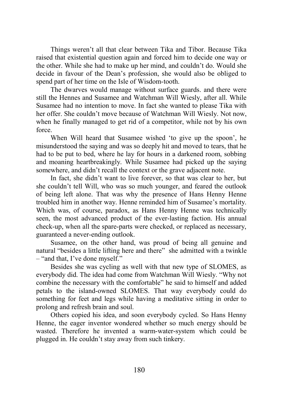Things weren't all that clear between Tika and Tibor. Because Tika raised that existential question again and forced him to decide one way or the other. While she had to make up her mind, and couldn't do. Would she decide in favour of the Dean's profession, she would also be obliged to spend part of her time on the Isle of Wisdom-tooth.

The dwarves would manage without surface guards. and there were still the Hennes and Susamee and Watchman Will Wiesly, after all. While Susamee had no intention to move. In fact she wanted to please Tika with her offer. She couldn't move because of Watchman Will Wiesly. Not now, when he finally managed to get rid of a competitor, while not by his own force.

When Will heard that Susamee wished 'to give up the spoon', he misunderstood the saying and was so deeply hit and moved to tears, that he had to be put to bed, where he lay for hours in a darkened room, sobbing and moaning heartbreakingly. While Susamee had picked up the saying somewhere, and didn't recall the context or the grave adjacent note.

In fact, she didn't want to live forever, so that was clear to her, but she couldn't tell Will, who was so much younger, and feared the outlook of being left alone. That was why the presence of Hans Henny Henne troubled him in another way. Henne reminded him of Susamee's mortality. Which was, of course, paradox, as Hans Henny Henne was technically seen, the most advanced product of the ever-lasting faction. His annual check-up, when all the spare-parts were checked, or replaced as necessary, guaranteed a never-ending outlook.

Susamee, on the other hand, was proud of being all genuine and natural "besides a little lifting here and there" she admitted with a twinkle – "and that, I've done myself."

Besides she was cycling as well with that new type of SLOMES, as everybody did. The idea had come from Watchman Will Wiesly. "Why not combine the necessary with the comfortable" he said to himself and added petals to the island-owned SLOMES. That way everybody could do something for feet and legs while having a meditative sitting in order to prolong and refresh brain and soul.

Others copied his idea, and soon everybody cycled. So Hans Henny Henne, the eager inventor wondered whether so much energy should be wasted. Therefore he invented a warm-water-system which could be plugged in. He couldn't stay away from such tinkery.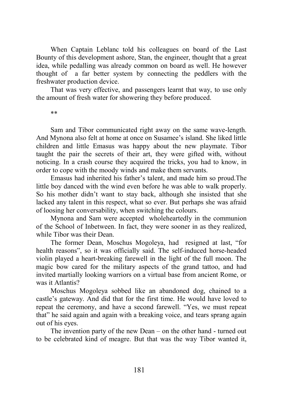When Captain Leblanc told his colleagues on board of the Last Bounty of this development ashore, Stan, the engineer, thought that a great idea, while pedalling was already common on board as well. He however thought of a far better system by connecting the peddlers with the freshwater production device.

That was very effective, and passengers learnt that way, to use only the amount of fresh water for showering they before produced.

\*\*

Sam and Tibor communicated right away on the same wave-length. And Mynona also felt at home at once on Susamee's island. She liked little children and little Emasus was happy about the new playmate. Tibor taught the pair the secrets of their art, they were gifted with, without noticing. In a crash course they acquired the tricks, you had to know, in order to cope with the moody winds and make them servants.

Emasus had inherited his father's talent, and made him so proud.The little boy danced with the wind even before he was able to walk properly. So his mother didn't want to stay back, although she insisted that she lacked any talent in this respect, what so ever. But perhaps she was afraid of loosing her conversability, when switching the colours.

Mynona and Sam were accepted wholeheartedly in the communion of the School of Inbetween. In fact, they were sooner in as they realized, while Tibor was their Dean.

The former Dean, Moschus Mogoleya, had resigned at last, "for health reasons", so it was officially said. The self-induced horse-headed violin played a heart-breaking farewell in the light of the full moon. The magic bow cared for the military aspects of the grand tattoo, and had invited martially looking warriors on a virtual base from ancient Rome, or was it Atlantis?

Moschus Mogoleya sobbed like an abandoned dog, chained to a castle's gateway. And did that for the first time. He would have loved to repeat the ceremony, and have a second farewell. "Yes, we must repeat that" he said again and again with a breaking voice, and tears sprang again out of his eyes.

The invention party of the new Dean – on the other hand - turned out to be celebrated kind of meagre. But that was the way Tibor wanted it,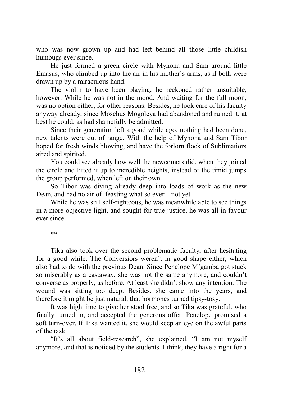who was now grown up and had left behind all those little childish humbugs ever since.

He just formed a green circle with Mynona and Sam around little Emasus, who climbed up into the air in his mother's arms, as if both were drawn up by a miraculous hand.

The violin to have been playing, he reckoned rather unsuitable, however. While he was not in the mood. And waiting for the full moon, was no option either, for other reasons. Besides, he took care of his faculty anyway already, since Moschus Mogoleya had abandoned and ruined it, at best he could, as had shamefully be admitted.

Since their generation left a good while ago, nothing had been done, new talents were out of range. With the help of Mynona and Sam Tibor hoped for fresh winds blowing, and have the forlorn flock of Sublimatiors aired and spirited.

You could see already how well the newcomers did, when they joined the circle and lifted it up to incredible heights, instead of the timid jumps the group performed, when left on their own.

So Tibor was diving already deep into loads of work as the new Dean, and had no air of feasting what so ever – not yet.

While he was still self-righteous, he was meanwhile able to see things in a more objective light, and sought for true justice, he was all in favour ever since.

\*\*

Tika also took over the second problematic faculty, after hesitating for a good while. The Conversiors weren't in good shape either, which also had to do with the previous Dean. Since Penelope M'gamba got stuck so miserably as a castaway, she was not the same anymore, and couldn't converse as properly, as before. At least she didn't show any intention. The wound was sitting too deep. Besides, she came into the years, and therefore it might be just natural, that hormones turned tipsy-tosy.

It was high time to give her stool free, and so Tika was grateful, who finally turned in, and accepted the generous offer. Penelope promised a soft turn-over. If Tika wanted it, she would keep an eye on the awful parts of the task.

"It's all about field-research", she explained. "I am not myself anymore, and that is noticed by the students. I think, they have a right for a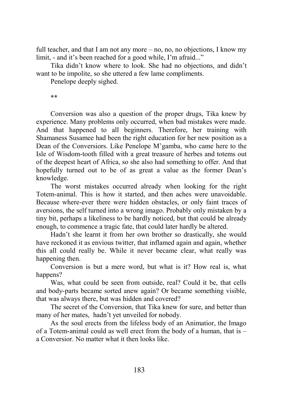full teacher, and that I am not any more – no, no, no objections, I know my limit, - and it's been reached for a good while, I'm afraid..."

Tika didn't know where to look. She had no objections, and didn't want to be impolite, so she uttered a few lame compliments.

Penelope deeply sighed.

\*\*

Conversion was also a question of the proper drugs, Tika knew by experience. Many problems only occurred, when bad mistakes were made. And that happened to all beginners. Therefore, her training with Shamaness Susamee had been the right education for her new position as a Dean of the Conversiors. Like Penelope M'gamba, who came here to the Isle of Wisdom-tooth filled with a great treasure of herbes and totems out of the deepest heart of Africa, so she also had something to offer. And that hopefully turned out to be of as great a value as the former Dean's knowledge.

The worst mistakes occurred already when looking for the right Totem-animal. This is how it started, and then aches were unavoidable. Because where-ever there were hidden obstacles, or only faint traces of aversions, the self turned into a wrong imago. Probably only mistaken by a tiny bit, perhaps a likeliness to be hardly noticed, but that could be already enough, to commence a tragic fate, that could later hardly be altered.

Hadn't she learnt it from her own brother so drastically, she would have reckoned it as envious twitter, that inflamed again and again, whether this all could really be. While it never became clear, what really was happening then.

Conversion is but a mere word, but what is it? How real is, what happens?

Was, what could be seen from outside, real? Could it be, that cells and body-parts became sorted anew again? Or became something visible, that was always there, but was hidden and covered?

The secret of the Conversion, that Tika knew for sure, and better than many of her mates, hadn't yet unveiled for nobody.

As the soul erects from the lifeless body of an Animatior, the Imago of a Totem-animal could as well erect from the body of a human, that is – a Conversior. No matter what it then looks like.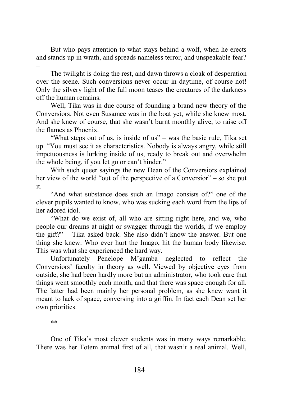But who pays attention to what stays behind a wolf, when he erects and stands up in wrath, and spreads nameless terror, and unspeakable fear? –

The twilight is doing the rest, and dawn throws a cloak of desperation over the scene. Such conversions never occur in daytime, of course not! Only the silvery light of the full moon teases the creatures of the darkness off the human remains.

Well, Tika was in due course of founding a brand new theory of the Conversiors. Not even Susamee was in the boat yet, while she knew most. And she knew of course, that she wasn't burnt monthly alive, to raise off the flames as Phoenix.

"What steps out of us, is inside of us" – was the basic rule, Tika set up. "You must see it as characteristics. Nobody is always angry, while still impetuousness is lurking inside of us, ready to break out and overwhelm the whole being, if you let go or can't hinder."

With such queer sayings the new Dean of the Conversiors explained her view of the world "out of the perspective of a Conversior" – so she put it.

"And what substance does such an Imago consists of?" one of the clever pupils wanted to know, who was sucking each word from the lips of her adored idol.

"What do we exist of, all who are sitting right here, and we, who people our dreams at night or swagger through the worlds, if we employ the gift?" – Tika asked back. She also didn't know the answer. But one thing she knew: Who ever hurt the Imago, hit the human body likewise. This was what she experienced the hard way.

Unfortunately Penelope M'gamba neglected to reflect the Conversiors' faculty in theory as well. Viewed by objective eyes from outside, she had been hardly more but an administrator, who took care that things went smoothly each month, and that there was space enough for all. The latter had been mainly her personal problem, as she knew want it meant to lack of space, conversing into a griffin. In fact each Dean set her own priorities.

\*\*

One of Tika's most clever students was in many ways remarkable. There was her Totem animal first of all, that wasn't a real animal. Well,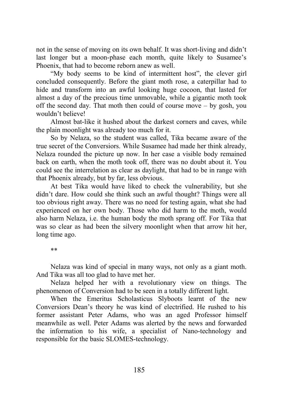not in the sense of moving on its own behalf. It was short-living and didn't last longer but a moon-phase each month, quite likely to Susamee's Phoenix, that had to become reborn anew as well.

"My body seems to be kind of intermittent host", the clever girl concluded consequently. Before the giant moth rose, a caterpillar had to hide and transform into an awful looking huge cocoon, that lasted for almost a day of the precious time unmovable, while a gigantic moth took off the second day. That moth then could of course move – by gosh, you wouldn't believe!

Almost bat-like it hushed about the darkest corners and caves, while the plain moonlight was already too much for it.

So by Nelaza, so the student was called, Tika became aware of the true secret of the Conversiors. While Susamee had made her think already, Nelaza rounded the picture up now. In her case a visible body remained back on earth, when the moth took off, there was no doubt about it. You could see the interrelation as clear as daylight, that had to be in range with that Phoenix already, but by far, less obvious.

At best Tika would have liked to check the vulnerability, but she didn't dare. How could she think such an awful thought? Things were all too obvious right away. There was no need for testing again, what she had experienced on her own body. Those who did harm to the moth, would also harm Nelaza, i.e. the human body the moth sprang off. For Tika that was so clear as had been the silvery moonlight when that arrow hit her, long time ago.

\*\*

Nelaza was kind of special in many ways, not only as a giant moth. And Tika was all too glad to have met her.

Nelaza helped her with a revolutionary view on things. The phenomenon of Conversion had to be seen in a totally different light.

When the Emeritus Scholasticus Slyboots learnt of the new Conversiors Dean's theory he was kind of electrified. He rushed to his former assistant Peter Adams, who was an aged Professor himself meanwhile as well. Peter Adams was alerted by the news and forwarded the information to his wife, a specialist of Nano-technology and responsible for the basic SLOMES-technology.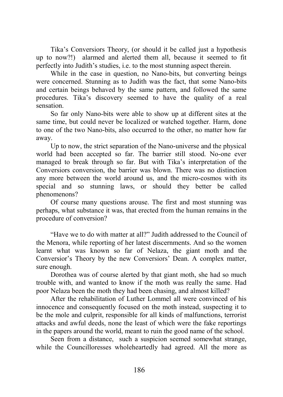Tika's Conversiors Theory, (or should it be called just a hypothesis up to now?!) alarmed and alerted them all, because it seemed to fit perfectly into Judith's studies, i.e. to the most stunning aspect therein.

While in the case in question, no Nano-bits, but converting beings were concerned. Stunning as to Judith was the fact, that some Nano-bits and certain beings behaved by the same pattern, and followed the same procedures. Tika's discovery seemed to have the quality of a real sensation.

So far only Nano-bits were able to show up at different sites at the same time, but could never be localized or watched together. Harm, done to one of the two Nano-bits, also occurred to the other, no matter how far away.

Up to now, the strict separation of the Nano-universe and the physical world had been accepted so far. The barrier still stood. No-one ever managed to break through so far. But with Tika's interpretation of the Conversiors conversion, the barrier was blown. There was no distinction any more between the world around us, and the micro-cosmos with its special and so stunning laws, or should they better be called phenomenons?

Of course many questions arouse. The first and most stunning was perhaps, what substance it was, that erected from the human remains in the procedure of conversion?

"Have we to do with matter at all?" Judith addressed to the Council of the Menora, while reporting of her latest discernments. And so the women learnt what was known so far of Nelaza, the giant moth and the Conversior's Theory by the new Conversiors' Dean. A complex matter, sure enough.

Dorothea was of course alerted by that giant moth, she had so much trouble with, and wanted to know if the moth was really the same. Had poor Nelaza been the moth they had been chasing, and almost killed?

After the rehabilitation of Luther Lommel all were convinced of his innocence and consequently focused on the moth instead, suspecting it to be the mole and culprit, responsible for all kinds of malfunctions, terrorist attacks and awful deeds, none the least of which were the fake reportings in the papers around the world, meant to ruin the good name of the school.

Seen from a distance, such a suspicion seemed somewhat strange, while the Councilloresses wholeheartedly had agreed. All the more as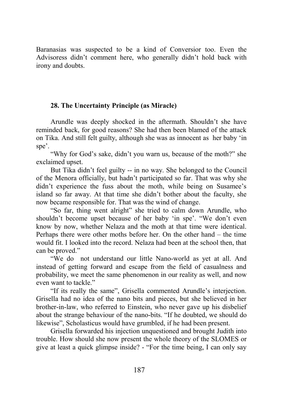Baranasias was suspected to be a kind of Conversior too. Even the Advisoress didn't comment here, who generally didn't hold back with irony and doubts.

# **28. The Uncertainty Principle (as Miracle)**

Arundle was deeply shocked in the aftermath. Shouldn't she have reminded back, for good reasons? She had then been blamed of the attack on Tika. And still felt guilty, although she was as innocent as her baby 'in spe'.

"Why for God's sake, didn't you warn us, because of the moth?" she exclaimed upset.

But Tika didn't feel guilty -- in no way. She belonged to the Council of the Menora officially, but hadn't participated so far. That was why she didn't experience the fuss about the moth, while being on Susamee's island so far away. At that time she didn't bother about the faculty, she now became responsible for. That was the wind of change.

"So far, thing went alright" she tried to calm down Arundle, who shouldn't become upset because of her baby 'in spe'. "We don't even know by now, whether Nelaza and the moth at that time were identical. Perhaps there were other moths before her. On the other hand – the time would fit. I looked into the record. Nelaza had been at the school then, that can be proved."

"We do not understand our little Nano-world as yet at all. And instead of getting forward and escape from the field of casualness and probability, we meet the same phenomenon in our reality as well, and now even want to tackle."

"If its really the same", Grisella commented Arundle's interjection. Grisella had no idea of the nano bits and pieces, but she believed in her brother-in-law, who referred to Einstein, who never gave up his disbelief about the strange behaviour of the nano-bits. "If he doubted, we should do likewise", Scholasticus would have grumbled, if he had been present.

Grisella forwarded his injection unquestioned and brought Judith into trouble. How should she now present the whole theory of the SLOMES or give at least a quick glimpse inside? - "For the time being, I can only say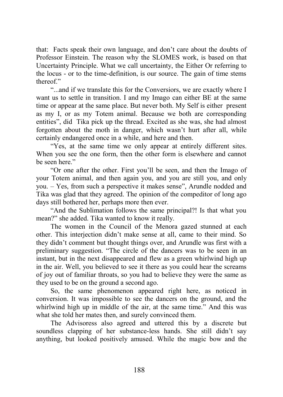that: Facts speak their own language, and don't care about the doubts of Professor Einstein. The reason why the SLOMES work, is based on that Uncertainty Principle. What we call uncertainty, the Either Or referring to the locus - or to the time-definition, is our source. The gain of time stems thereof."

"...and if we translate this for the Conversiors, we are exactly where I want us to settle in transition. I and my Imago can either BE at the same time or appear at the same place. But never both. My Self is either present as my I, or as my Totem animal. Because we both are corresponding entities", did Tika pick up the thread. Excited as she was, she had almost forgotten about the moth in danger, which wasn't hurt after all, while certainly endangered once in a while, and here and then.

"Yes, at the same time we only appear at entirely different sites. When you see the one form, then the other form is elsewhere and cannot be seen here."

"Or one after the other. First you'll be seen, and then the Imago of your Totem animal, and then again you, and you are still you, and only you. – Yes, from such a perspective it makes sense", Arundle nodded and Tika was glad that they agreed. The opinion of the compeditor of long ago days still bothered her, perhaps more then ever.

"And the Sublimation follows the same principal?! Is that what you mean?" she added. Tika wanted to know it really.

The women in the Council of the Menora gazed stunned at each other. This interjection didn't make sense at all, came to their mind. So they didn't comment but thought things over, and Arundle was first with a preliminary suggestion. "The circle of the dancers was to be seen in an instant, but in the next disappeared and flew as a green whirlwind high up in the air. Well, you believed to see it there as you could hear the screams of joy out of familiar throats, so you had to believe they were the same as they used to be on the ground a second ago.

So, the same phenomenon appeared right here, as noticed in conversion. It was impossible to see the dancers on the ground, and the whirlwind high up in middle of the air, at the same time." And this was what she told her mates then, and surely convinced them.

The Advisoress also agreed and uttered this by a discrete but soundless clapping of her substance-less hands. She still didn't say anything, but looked positively amused. While the magic bow and the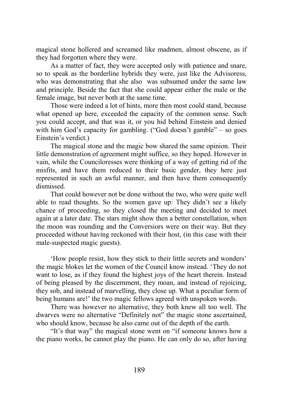magical stone hollered and screamed like madmen, almost obscene, as if they had forgotten where they were.

As a matter of fact, they were accepted only with patience and snare, so to speak as the borderline hybrids they were, just like the Advisoress, who was demonstrating that she also was subsumed under the same law and principle. Beside the fact that she could appear either the male or the female image, but never both at the same time.

Those were indeed a lot of hints, more then most could stand, because what opened up here, exceeded the capacity of the common sense. Such you could accept, and that was it, or you hid behind Einstein and denied with him God's capacity for gambling. ("God doesn't gamble" – so goes Einstein's verdict.)

The magical stone and the magic bow shared the same opinion. Their little demonstration of agreement might suffice, so they hoped. However in vain, while the Counciloresses were thinking of a way of getting rid of the misfits, and have them reduced to their basic gender, they here just represented in such an awful manner, and then have them consequently dismissed.

That could however not be done without the two, who were quite well able to read thoughts. So the women gave up: They didn't see a likely chance of proceeding, so they closed the meeting and decided to meet again at a later date. The stars might show then a better constellation, when the moon was rounding and the Conversiors were on their way. But they proceeded without having reckoned with their host, (in this case with their male-suspected magic guests).

'How people resist, how they stick to their little secrets and wonders' the magic blokes let the women of the Council know instead. 'They do not want to lose, as if they found the highest joys of the heart therein. Instead of being pleased by the discernment, they moan, and instead of rejoicing, they sob, and instead of marvelling, they close up. What a peculiar form of being humans are!' the two magic fellows agreed with unspoken words.

There was however no alternative, they both knew all too well. The dwarves were no alternative "Definitely not" the magic stone ascertained, who should know, because he also came out of the depth of the earth.

"It's that way" the magical stone went on "if someone knows how a the piano works, he cannot play the piano. He can only do so, after having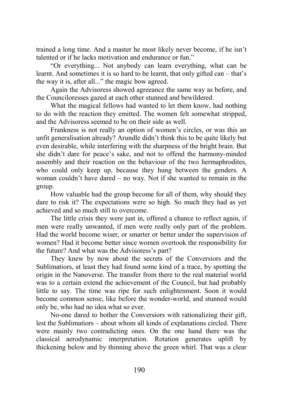trained a long time. And a master he most likely never become, if he isn't talented or if he lacks motivation and endurance or fun."

"Or everything... Not anybody can learn everything, what can be learnt. And sometimes it is so hard to be learnt, that only gifted can – that's the way it is, after all..." the magic bow agreed.

Again the Advisoress showed agreeance the same way as before, and the Counciloresses gazed at each other stunned and bewildered.

What the magical fellows had wanted to let them know, had nothing to do with the reaction they emitted. The women felt somewhat stripped, and the Advisoress seemed to be on their side as well.

Frankness is not really an option of women's circles, or was this an unfit generalisation already? Arundle didn't think this to be quite likely but even desirable, while interfering with the sharpness of the bright brain. But she didn't dare for peace's sake, and not to offend the harmony-minded assembly and their reaction on the behaviour of the two hermaphrodites, who could only keep up, because they hung between the genders. A woman couldn't have dared – no way. Not if she wanted to remain in the group.

How valuable had the group become for all of them, why should they dare to risk it? The expectations were so high. So much they had as yet achieved and so much still to overcome.

The little crisis they were just in, offered a chance to reflect again, if men were really unwanted, if men were really only part of the problem. Had the world become wiser, or smarter or better under the supervision of women? Had it become better since women overtook the responsibility for the future? And what was the Advisoress's part?

They knew by now about the secrets of the Conversiors and the Sublimatiors, at least they had found some kind of a trace, by spotting the origin in the Nanoverse. The transfer from there to the real material world was to a certain extend the achievement of the Council, but had probably little to say. The time was ripe for such enlightenment. Soon it would become common sense, like before the wonder-world, and stunned would only be, who had no idea what so ever.

No-one dared to bother the Conversiors with rationalizing their gift, lest the Sublimatiors – about whom all kinds of explanations circled. There were mainly two contradicting ones. On the one hand there was the classical aerodynamic interpretation. Rotation generates uplift by thickening below and by thinning above the green whirl. That was a clear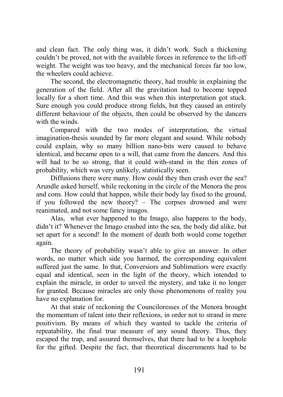and clean fact. The only thing was, it didn't work. Such a thickening couldn't be proved, not with the available forces in reference to the lift-off weight. The weight was too heavy, and the mechanical forces far too low, the wheelers could achieve.

The second, the electromagnetic theory, had trouble in explaining the generation of the field. After all the gravitation had to become topped locally for a short time. And this was when this interpretation got stuck. Sure enough you could produce strong fields, but they caused an entirely different behaviour of the objects, then could be observed by the dancers with the winds.

Compared with the two modes of interpretation, the virtual imagination-thesis sounded by far more elegant and sound. While nobody could explain, why so many billion nano-bits were caused to behave identical, and became open to a will, that came from the dancers. And this will had to be so strong, that it could with-stand in the thin zones of probability, which was very unlikely, statistically seen.

Diffusions there were many. How could they then crash over the sea? Arundle asked herself, while reckoning in the circle of the Menora the pros and cons. How could that happen, while their body lay fixed to the ground, if you followed the new theory? – The corpses drowned and were reanimated, and not some fancy imagos.

Alas, what ever happened to the Imago, also happens to the body, didn't it? Whenever the Imago crashed into the sea, the body did alike, but set apart for a second! In the moment of death both would come together again.

The theory of probability wasn't able to give an answer. In other words, no matter which side you harmed, the corresponding equivalent suffered just the same. In that, Conversiors and Sublimatiors were exactly equal and identical, seen in the light of the theory, which intended to explain the miracle, in order to unveil the mystery, and take it no longer for granted. Because miracles are only those phenomenons of reality you have no explanation for.

At that state of reckoning the Counciloresses of the Menora brought the momentum of talent into their reflexions, in order not to strand in mere positivism. By means of which they wanted to tackle the criteria of repeatability, the final true measure of any sound theory. Thus, they escaped the trap, and assured themselves, that there had to be a loophole for the gifted. Despite the fact, that theoretical discernments had to be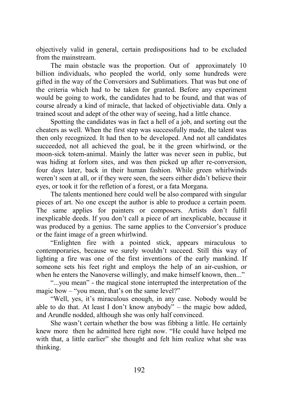objectively valid in general, certain predispositions had to be excluded from the mainstream.

The main obstacle was the proportion. Out of approximately 10 billion individuals, who peopled the world, only some hundreds were gifted in the way of the Conversiors and Sublimatiors. That was but one of the criteria which had to be taken for granted. Before any experiment would be going to work, the candidates had to be found, and that was of course already a kind of miracle, that lacked of objectiviable data. Only a trained scout and adept of the other way of seeing, had a little chance.

Spotting the candidates was in fact a hell of a job, and sorting out the cheaters as well. When the first step was successfully made, the talent was then only recognized. It had then to be developed. And not all candidates succeeded, not all achieved the goal, be it the green whirlwind, or the moon-sick totem-animal. Mainly the latter was never seen in public, but was hiding at forlorn sites, and was then picked up after re-conversion, four days later, back in their human fashion. While green whirlwinds weren't seen at all, or if they were seen, the seers either didn't believe their eyes, or took it for the refletion of a forest, or a fata Morgana.

The talents mentioned here could well be also compared with singular pieces of art. No one except the author is able to produce a certain poem. The same applies for painters or composers. Artists don't fulfil inexplicable deeds. If you don't call a piece of art inexplicable, because it was produced by a genius. The same applies to the Conversior's produce or the faint image of a green whirlwind.

"Enlighten fire with a pointed stick, appears miraculous to contemporaries, because we surely wouldn't succeed. Still this way of lighting a fire was one of the first inventions of the early mankind. If someone sets his feet right and employs the help of an air-cushion, or when he enters the Nanoverse willingly, and make himself known, then..."

"...you mean" - the magical stone interrupted the interpretation of the magic bow – "you mean, that's on the same level?"

"Well, yes, it's miraculous enough, in any case. Nobody would be able to do that. At least I don't know anybody" – the magic bow added, and Arundle nodded, although she was only half convinced.

She wasn't certain whether the bow was fibbing a little. He certainly knew more then he admitted here right now. "He could have helped me with that, a little earlier" she thought and felt him realize what she was thinking.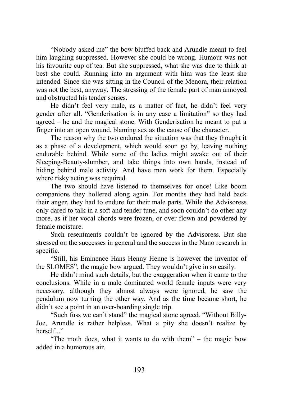"Nobody asked me" the bow bluffed back and Arundle meant to feel him laughing suppressed. However she could be wrong. Humour was not his favourite cup of tea. But she suppressed, what she was due to think at best she could. Running into an argument with him was the least she intended. Since she was sitting in the Council of the Menora, their relation was not the best, anyway. The stressing of the female part of man annoyed and obstructed his tender senses.

He didn't feel very male, as a matter of fact, he didn't feel very gender after all. "Genderisation is in any case a limitation" so they had agreed – he and the magical stone. With Genderisation he meant to put a finger into an open wound, blaming sex as the cause of the character.

The reason why the two endured the situation was that they thought it as a phase of a development, which would soon go by, leaving nothing endurable behind. While some of the ladies might awake out of their Sleeping-Beauty-slumber, and take things into own hands, instead of hiding behind male activity. And have men work for them. Especially where risky acting was required.

The two should have listened to themselves for once! Like boom companions they hollered along again. For months they had held back their anger, they had to endure for their male parts. While the Advisoress only dared to talk in a soft and tender tune, and soon couldn't do other any more, as if her vocal chords were frozen, or over flown and powdered by female moisture.

Such resentments couldn't be ignored by the Advisoress. But she stressed on the successes in general and the success in the Nano research in specific.

"Still, his Eminence Hans Henny Henne is however the inventor of the SLOMES", the magic bow argued. They wouldn't give in so easily.

He didn't mind such details, but the exaggeration when it came to the conclusions. While in a male dominated world female inputs were very necessary, although they almost always were ignored, he saw the pendulum now turning the other way. And as the time became short, he didn't see a point in an over-boarding single trip.

"Such fuss we can't stand" the magical stone agreed. "Without Billy-Joe, Arundle is rather helpless. What a pity she doesn't realize by herself..."

"The moth does, what it wants to do with them" – the magic bow added in a humorous air.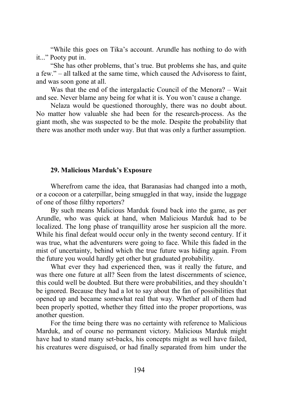"While this goes on Tika's account. Arundle has nothing to do with it..." Pooty put in.

"She has other problems, that's true. But problems she has, and quite a few." – all talked at the same time, which caused the Advisoress to faint, and was soon gone at all.

Was that the end of the intergalactic Council of the Menora? – Wait and see. Never blame any being for what it is. You won't cause a change.

Nelaza would be questioned thoroughly, there was no doubt about. No matter how valuable she had been for the research-process. As the giant moth, she was suspected to be the mole. Despite the probability that there was another moth under way. But that was only a further assumption.

#### **29. Malicious Marduk's Exposure**

Wherefrom came the idea, that Baranasias had changed into a moth, or a cocoon or a caterpillar, being smuggled in that way, inside the luggage of one of those filthy reporters?

By such means Malicious Marduk found back into the game, as per Arundle, who was quick at hand, when Malicious Marduk had to be localized. The long phase of tranquillity arose her suspicion all the more. While his final defeat would occur only in the twenty second century. If it was true, what the adventurers were going to face. While this faded in the mist of uncertainty, behind which the true future was hiding again. From the future you would hardly get other but graduated probability.

What ever they had experienced then, was it really the future, and was there one future at all? Seen from the latest discernments of science, this could well be doubted. But there were probabilities, and they shouldn't be ignored. Because they had a lot to say about the fan of possibilities that opened up and became somewhat real that way. Whether all of them had been properly spotted, whether they fitted into the proper proportions, was another question.

For the time being there was no certainty with reference to Malicious Marduk, and of course no permanent victory. Malicious Marduk might have had to stand many set-backs, his concepts might as well have failed, his creatures were disguised, or had finally separated from him under the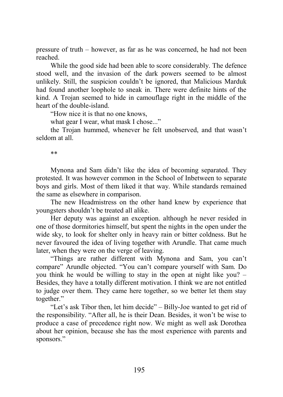pressure of truth – however, as far as he was concerned, he had not been reached.

While the good side had been able to score considerably. The defence stood well, and the invasion of the dark powers seemed to be almost unlikely. Still, the suspicion couldn't be ignored, that Malicious Marduk had found another loophole to sneak in. There were definite hints of the kind. A Trojan seemed to hide in camouflage right in the middle of the heart of the double-island.

"How nice it is that no one knows,

what gear I wear, what mask I chose..."

the Trojan hummed, whenever he felt unobserved, and that wasn't seldom at all.

\*\*

Mynona and Sam didn't like the idea of becoming separated. They protested. It was however common in the School of Inbetween to separate boys and girls. Most of them liked it that way. While standards remained the same as elsewhere in comparison.

The new Headmistress on the other hand knew by experience that youngsters shouldn't be treated all alike.

Her deputy was against an exception. although he never resided in one of those dormitories himself, but spent the nights in the open under the wide sky, to look for shelter only in heavy rain or bitter coldness. But he never favoured the idea of living together with Arundle. That came much later, when they were on the verge of leaving.

"Things are rather different with Mynona and Sam, you can't compare" Arundle objected. "You can't compare yourself with Sam. Do you think he would be willing to stay in the open at night like you? – Besides, they have a totally different motivation. I think we are not entitled to judge over them. They came here together, so we better let them stay together."

"Let's ask Tibor then, let him decide" – Billy-Joe wanted to get rid of the responsibility. "After all, he is their Dean. Besides, it won't be wise to produce a case of precedence right now. We might as well ask Dorothea about her opinion, because she has the most experience with parents and sponsors."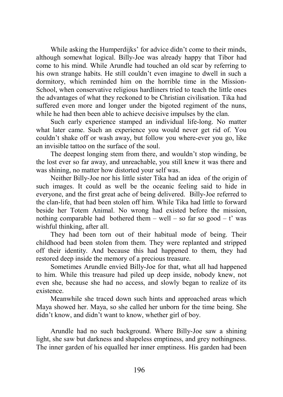While asking the Humperdijks' for advice didn't come to their minds, although somewhat logical. Billy-Joe was already happy that Tibor had come to his mind. While Arundle had touched an old scar by referring to his own strange habits. He still couldn't even imagine to dwell in such a dormitory, which reminded him on the horrible time in the Mission-School, when conservative religious hardliners tried to teach the little ones the advantages of what they reckoned to be Christian civilisation. Tika had suffered even more and longer under the bigoted regiment of the nuns, while he had then been able to achieve decisive impulses by the clan.

Such early experience stamped an individual life-long. No matter what later came. Such an experience you would never get rid of. You couldn't shake off or wash away, but follow you where-ever you go, like an invisible tattoo on the surface of the soul.

The deepest longing stem from there, and wouldn't stop winding, be the lost ever so far away, and unreachable, you still knew it was there and was shining, no matter how distorted your self was.

Neither Billy-Joe nor his little sister Tika had an idea of the origin of such images. It could as well be the oceanic feeling said to hide in everyone, and the first great ache of being delivered. Billy-Joe referred to the clan-life, that had been stolen off him. While Tika had little to forward beside her Totem Animal. No wrong had existed before the mission, nothing comparable had bothered them – well – so far so good – t' was wishful thinking, after all.

They had been torn out of their habitual mode of being. Their childhood had been stolen from them. They were replanted and stripped off their identity. And because this had happened to them, they had restored deep inside the memory of a precious treasure.

Sometimes Arundle envied Billy-Joe for that, what all had happened to him. While this treasure had piled up deep inside, nobody knew, not even she, because she had no access, and slowly began to realize of its existence.

Meanwhile she traced down such hints and approached areas which Maya showed her. Maya, so she called her unborn for the time being. She didn't know, and didn't want to know, whether girl of boy.

Arundle had no such background. Where Billy-Joe saw a shining light, she saw but darkness and shapeless emptiness, and grey nothingness. The inner garden of his equalled her inner emptiness. His garden had been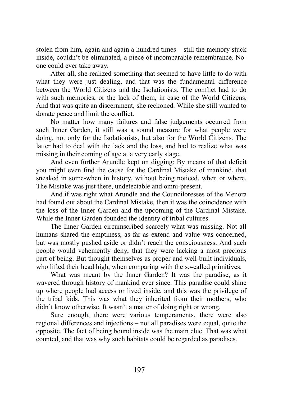stolen from him, again and again a hundred times – still the memory stuck inside, couldn't be eliminated, a piece of incomparable remembrance. Noone could ever take away.

After all, she realized something that seemed to have little to do with what they were just dealing, and that was the fundamental difference between the World Citizens and the Isolationists. The conflict had to do with such memories, or the lack of them, in case of the World Citizens. And that was quite an discernment, she reckoned. While she still wanted to donate peace and limit the conflict.

No matter how many failures and false judgements occurred from such Inner Garden, it still was a sound measure for what people were doing, not only for the Isolationists, but also for the World Citizens. The latter had to deal with the lack and the loss, and had to realize what was missing in their coming of age at a very early stage.

And even further Arundle kept on digging: By means of that deficit you might even find the cause for the Cardinal Mistake of mankind, that sneaked in some-when in history, without being noticed, when or where. The Mistake was just there, undetectable and omni-present.

And if was right what Arundle and the Counciloresses of the Menora had found out about the Cardinal Mistake, then it was the coincidence with the loss of the Inner Garden and the upcoming of the Cardinal Mistake. While the Inner Garden founded the identity of tribal cultures.

The Inner Garden circumscribed scarcely what was missing. Not all humans shared the emptiness, as far as extend and value was concerned, but was mostly pushed aside or didn't reach the consciousness. And such people would vehemently deny, that they were lacking a most precious part of being. But thought themselves as proper and well-built individuals, who lifted their head high, when comparing with the so-called primitives.

What was meant by the Inner Garden? It was the paradise, as it wavered through history of mankind ever since. This paradise could shine up where people had access or lived inside, and this was the privilege of the tribal kids. This was what they inherited from their mothers, who didn't know otherwise. It wasn't a matter of doing right or wrong.

Sure enough, there were various temperaments, there were also regional differences and injections – not all paradises were equal, quite the opposite. The fact of being bound inside was the main clue. That was what counted, and that was why such habitats could be regarded as paradises.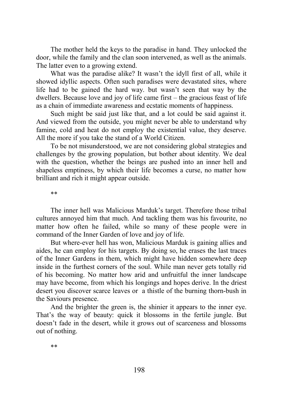The mother held the keys to the paradise in hand. They unlocked the door, while the family and the clan soon intervened, as well as the animals. The latter even to a growing extend.

What was the paradise alike? It wasn't the idyll first of all, while it showed idyllic aspects. Often such paradises were devastated sites, where life had to be gained the hard way. but wasn't seen that way by the dwellers. Because love and joy of life came first – the gracious feast of life as a chain of immediate awareness and ecstatic moments of happiness.

Such might be said just like that, and a lot could be said against it. And viewed from the outside, you might never be able to understand why famine, cold and heat do not employ the existential value, they deserve. All the more if you take the stand of a World Citizen.

To be not misunderstood, we are not considering global strategies and challenges by the growing population, but bother about identity. We deal with the question, whether the beings are pushed into an inner hell and shapeless emptiness, by which their life becomes a curse, no matter how brilliant and rich it might appear outside.

\*\*

The inner hell was Malicious Marduk's target. Therefore those tribal cultures annoyed him that much. And tackling them was his favourite, no matter how often he failed, while so many of these people were in command of the Inner Garden of love and joy of life.

But where-ever hell has won, Malicious Marduk is gaining allies and aides, he can employ for his targets. By doing so, he erases the last traces of the Inner Gardens in them, which might have hidden somewhere deep inside in the furthest corners of the soul. While man never gets totally rid of his becoming. No matter how arid and unfruitful the inner landscape may have become, from which his longings and hopes derive. In the driest desert you discover scarce leaves or a thistle of the burning thorn-bush in the Saviours presence.

And the brighter the green is, the shinier it appears to the inner eye. That's the way of beauty: quick it blossoms in the fertile jungle. But doesn't fade in the desert, while it grows out of scarceness and blossoms out of nothing.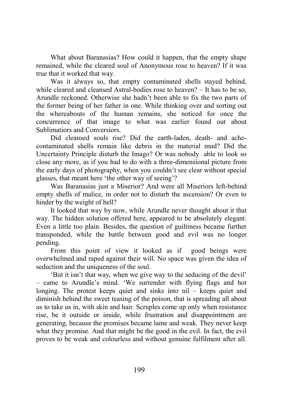What about Baranasias? How could it happen, that the empty shape remained, while the cleared soul of Anonymous rose to heaven? If it was true that it worked that way.

Was it always so, that empty contaminated shells stayed behind, while cleared and cleansed Astral-bodies rose to heaven? – It has to be so, Arundle reckoned. Otherwise she hadn't been able to fix the two parts of the former being of her father in one. While thinking over and sorting out the whereabouts of the human remains, she noticed for once the concurrence of that image to what was earlier found out about Sublimatiors and Conversiors.

Did cleansed souls rise? Did the earth-laden, death- and achecontaminated shells remain like debris in the material mud? Did the Uncertainty Principle disturb the Imago? Or was nobody able to look so close any more, as if you had to do with a three-dimensional picture from the early days of photography, when you couldn't see clear without special glasses, that meant here 'the other way of seeing'?

Was Baranasias just a Miserior? And were all Miseriors left-behind empty shells of malice, in order not to disturb the ascension? Or even to hinder by the weight of hell?

It looked that way by now, while Arundle never thought about it that way. The hidden solution offered here, appeared to be absolutely elegant. Even a little too plain. Besides, the question of guiltiness became further transponded, while the battle between good and evil was no longer pending.

From this point of view it looked as if good beings were overwhelmed and raped against their will. No space was given the idea of seduction and the uniqueness of the soul.

'But it isn't that way, when we give way to the seducing of the devil' – came to Arundle's mind. 'We surrender with flying flags and hot longing. The protest keeps quiet and sinks into nil – keeps quiet and diminish behind the sweet teasing of the poison, that is spreading all about us to take us in, with skin and hair. Scruples come up only when resistance rise, be it outside or inside, while frustration and disappointment are generating, because the promises became lame and weak. They never keep what they promise. And that might be the good in the evil. In fact, the evil proves to be weak and colourless and without genuine fulfilment after all.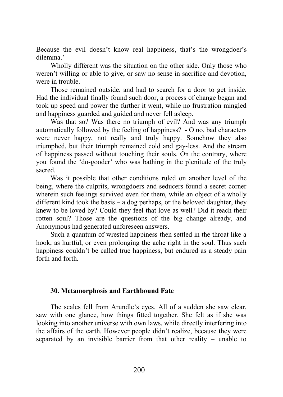Because the evil doesn't know real happiness, that's the wrongdoer's dilemma.'

Wholly different was the situation on the other side. Only those who weren't willing or able to give, or saw no sense in sacrifice and devotion, were in trouble.

Those remained outside, and had to search for a door to get inside. Had the individual finally found such door, a process of change began and took up speed and power the further it went, while no frustration mingled and happiness guarded and guided and never fell asleep.

Was that so? Was there no triumph of evil? And was any triumph automatically followed by the feeling of happiness? - O no, bad characters were never happy, not really and truly happy. Somehow they also triumphed, but their triumph remained cold and gay-less. And the stream of happiness passed without touching their souls. On the contrary, where you found the 'do-gooder' who was bathing in the plenitude of the truly sacred.

Was it possible that other conditions ruled on another level of the being, where the culprits, wrongdoers and seducers found a secret corner wherein such feelings survived even for them, while an object of a wholly different kind took the basis – a dog perhaps, or the beloved daughter, they knew to be loved by? Could they feel that love as well? Did it reach their rotten soul? Those are the questions of the big change already, and Anonymous had generated unforeseen answers.

Such a quantum of wrested happiness then settled in the throat like a hook, as hurtful, or even prolonging the ache right in the soul. Thus such happiness couldn't be called true happiness, but endured as a steady pain forth and forth.

## **30. Metamorphosis and Earthbound Fate**

The scales fell from Arundle's eyes. All of a sudden she saw clear, saw with one glance, how things fitted together. She felt as if she was looking into another universe with own laws, while directly interfering into the affairs of the earth. However people didn't realize, because they were separated by an invisible barrier from that other reality – unable to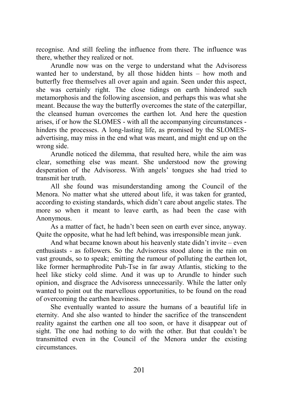recognise. And still feeling the influence from there. The influence was there, whether they realized or not.

Arundle now was on the verge to understand what the Advisoress wanted her to understand, by all those hidden hints – how moth and butterfly free themselves all over again and again. Seen under this aspect, she was certainly right. The close tidings on earth hindered such metamorphosis and the following ascension, and perhaps this was what she meant. Because the way the butterfly overcomes the state of the caterpillar, the cleansed human overcomes the earthen lot. And here the question arises, if or how the SLOMES - with all the accompanying circumstances hinders the processes. A long-lasting life, as promised by the SLOMESadvertising, may miss in the end what was meant, and might end up on the wrong side.

Arundle noticed the dilemma, that resulted here, while the aim was clear, something else was meant. She understood now the growing desperation of the Advisoress. With angels' tongues she had tried to transmit her truth.

All she found was misunderstanding among the Council of the Menora. No matter what she uttered about life, it was taken for granted, according to existing standards, which didn't care about angelic states. The more so when it meant to leave earth, as had been the case with Anonymous.

As a matter of fact, he hadn't been seen on earth ever since, anyway. Quite the opposite, what he had left behind, was irresponsible mean junk.

And what became known about his heavenly state didn't invite – even enthusiasts - as followers. So the Advisoress stood alone in the rain on vast grounds, so to speak; emitting the rumour of polluting the earthen lot, like former hermaphrodite Puh-Tse in far away Atlantis, sticking to the heel like sticky cold slime. And it was up to Arundle to hinder such opinion, and disgrace the Advisoress unnecessarily. While the latter only wanted to point out the marvellous opportunities, to be found on the road of overcoming the earthen heaviness.

She eventually wanted to assure the humans of a beautiful life in eternity. And she also wanted to hinder the sacrifice of the transcendent reality against the earthen one all too soon, or have it disappear out of sight. The one had nothing to do with the other. But that couldn't be transmitted even in the Council of the Menora under the existing circumstances.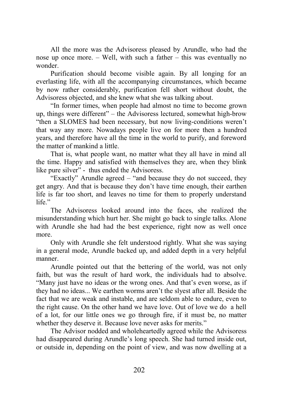All the more was the Advisoress pleased by Arundle, who had the nose up once more. – Well, with such a father – this was eventually no wonder.

Purification should become visible again. By all longing for an everlasting life, with all the accompanying circumstances, which became by now rather considerably, purification fell short without doubt, the Advisoress objected, and she knew what she was talking about.

"In former times, when people had almost no time to become grown up, things were different" – the Advisoress lectured, somewhat high-brow "then a SLOMES had been necessary, but now living-conditions weren't that way any more. Nowadays people live on for more then a hundred years, and therefore have all the time in the world to purify, and foreword the matter of mankind a little.

That is, what people want, no matter what they all have in mind all the time. Happy and satisfied with themselves they are, when they blink like pure silver" - thus ended the Advisoress.

"Exactly" Arundle agreed – "and because they do not succeed, they get angry. And that is because they don't have time enough, their earthen life is far too short, and leaves no time for them to properly understand life."

The Advisoress looked around into the faces, she realized the misunderstanding which hurt her. She might go back to single talks. Alone with Arundle she had had the best experience, right now as well once more.

Only with Arundle she felt understood rightly. What she was saying in a general mode, Arundle backed up, and added depth in a very helpful manner.

Arundle pointed out that the bettering of the world, was not only faith, but was the result of hard work, the individuals had to absolve. "Many just have no ideas or the wrong ones. And that's even worse, as if they had no ideas... We earthen worms aren't the slyest after all. Beside the fact that we are weak and instable, and are seldom able to endure, even to the right cause. On the other hand we have love. Out of love we do a hell of a lot, for our little ones we go through fire, if it must be, no matter whether they deserve it. Because love never asks for merits."

The Advisor nodded and wholeheartedly agreed while the Advisoress had disappeared during Arundle's long speech. She had turned inside out, or outside in, depending on the point of view, and was now dwelling at a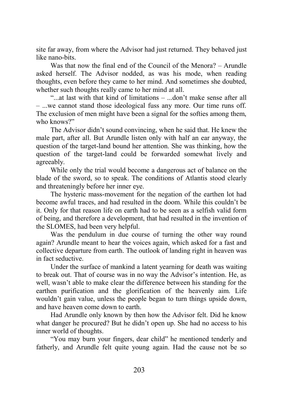site far away, from where the Advisor had just returned. They behaved just like nano-bits.

Was that now the final end of the Council of the Menora? – Arundle asked herself. The Advisor nodded, as was his mode, when reading thoughts, even before they came to her mind. And sometimes she doubted, whether such thoughts really came to her mind at all.

"...at last with that kind of limitations  $-$  ... don't make sense after all – ...we cannot stand those ideological fuss any more. Our time runs off. The exclusion of men might have been a signal for the softies among them, who knows?"

The Advisor didn't sound convincing, when he said that. He knew the male part, after all. But Arundle listen only with half an ear anyway, the question of the target-land bound her attention. She was thinking, how the question of the target-land could be forwarded somewhat lively and agreeably.

While only the trial would become a dangerous act of balance on the blade of the sword, so to speak. The conditions of Atlantis stood clearly and threateningly before her inner eye.

The hysteric mass-movement for the negation of the earthen lot had become awful traces, and had resulted in the doom. While this couldn't be it. Only for that reason life on earth had to be seen as a selfish valid form of being, and therefore a development, that had resulted in the invention of the SLOMES, had been very helpful.

Was the pendulum in due course of turning the other way round again? Arundle meant to hear the voices again, which asked for a fast and collective departure from earth. The outlook of landing right in heaven was in fact seductive.

Under the surface of mankind a latent yearning for death was waiting to break out. That of course was in no way the Advisor's intention. He, as well, wasn't able to make clear the difference between his standing for the earthen purification and the glorification of the heavenly aim. Life wouldn't gain value, unless the people began to turn things upside down, and have heaven come down to earth.

Had Arundle only known by then how the Advisor felt. Did he know what danger he procured? But he didn't open up. She had no access to his inner world of thoughts.

"You may burn your fingers, dear child" he mentioned tenderly and fatherly, and Arundle felt quite young again. Had the cause not be so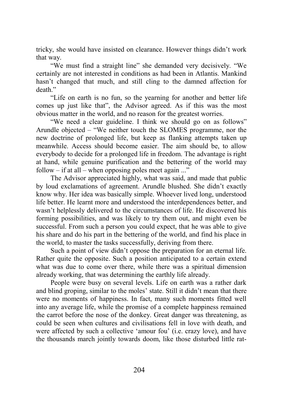tricky, she would have insisted on clearance. However things didn't work that way.

"We must find a straight line" she demanded very decisively. "We certainly are not interested in conditions as had been in Atlantis. Mankind hasn't changed that much, and still cling to the damned affection for death."

"Life on earth is no fun, so the yearning for another and better life comes up just like that", the Advisor agreed. As if this was the most obvious matter in the world, and no reason for the greatest worries.

"We need a clear guideline. I think we should go on as follows" Arundle objected – "We neither touch the SLOMES programme, nor the new doctrine of prolonged life, but keep as flanking attempts taken up meanwhile. Access should become easier. The aim should be, to allow everybody to decide for a prolonged life in freedom. The advantage is right at hand, while genuine purification and the bettering of the world may follow – if at all – when opposing poles meet again ..."

The Advisor appreciated highly, what was said, and made that public by loud exclamations of agreement. Arundle blushed. She didn't exactly know why. Her idea was basically simple. Whoever lived long, understood life better. He learnt more and understood the interdependences better, and wasn't helplessly delivered to the circumstances of life. He discovered his forming possibilities, and was likely to try them out, and might even be successful. From such a person you could expect, that he was able to give his share and do his part in the bettering of the world, and find his place in the world, to master the tasks successfully, deriving from there.

Such a point of view didn't oppose the preparation for an eternal life. Rather quite the opposite. Such a position anticipated to a certain extend what was due to come over there, while there was a spiritual dimension already working, that was determining the earthly life already.

People were busy on several levels. Life on earth was a rather dark and blind groping, similar to the moles' state. Still it didn't mean that there were no moments of happiness. In fact, many such moments fitted well into any average life, while the promise of a complete happiness remained the carrot before the nose of the donkey. Great danger was threatening, as could be seen when cultures and civilisations fell in love with death, and were affected by such a collective 'amour fou' (i.e. crazy love), and have the thousands march jointly towards doom, like those disturbed little rat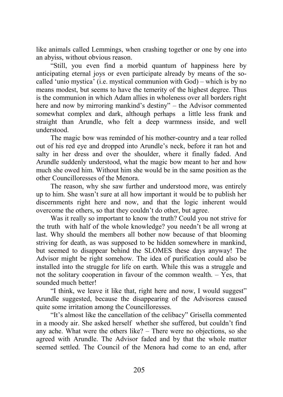like animals called Lemmings, when crashing together or one by one into an abyiss, without obvious reason.

"Still, you even find a morbid quantum of happiness here by anticipating eternal joys or even participate already by means of the socalled 'unio mystica' (i.e. mystical communion with God) – which is by no means modest, but seems to have the temerity of the highest degree. Thus is the communion in which Adam allies in wholeness over all borders right here and now by mirroring mankind's destiny" – the Advisor commented somewhat complex and dark, although perhaps a little less frank and straight than Arundle, who felt a deep warmness inside, and well understood.

The magic bow was reminded of his mother-country and a tear rolled out of his red eye and dropped into Arundle's neck, before it ran hot and salty in her dress and over the shoulder, where it finally faded. And Arundle suddenly understood, what the magic bow meant to her and how much she owed him. Without him she would be in the same position as the other Councilloresses of the Menora.

The reason, why she saw further and understood more, was entirely up to him. She wasn't sure at all how important it would be to publish her discernments right here and now, and that the logic inherent would overcome the others, so that they couldn't do other, but agree.

Was it really so important to know the truth? Could you not strive for the truth with half of the whole knowledge? you needn't be all wrong at last. Why should the members all bother now because of that blooming striving for death, as was supposed to be hidden somewhere in mankind, but seemed to disappear behind the SLOMES these days anyway! The Advisor might be right somehow. The idea of purification could also be installed into the struggle for life on earth. While this was a struggle and not the solitary cooperation in favour of the common wealth. – Yes, that sounded much better!

"I think, we leave it like that, right here and now, I would suggest" Arundle suggested, because the disappearing of the Advisoress caused quite some irritation among the Councilloresses.

"It's almost like the cancellation of the celibacy" Grisella commented in a moody air. She asked herself whether she suffered, but couldn't find any ache. What were the others like? – There were no objections, so she agreed with Arundle. The Advisor faded and by that the whole matter seemed settled. The Council of the Menora had come to an end, after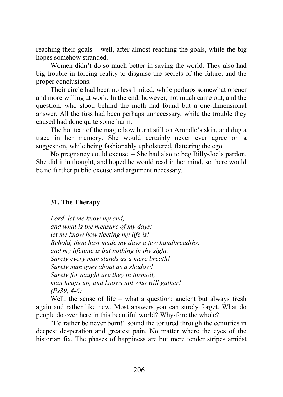reaching their goals – well, after almost reaching the goals, while the big hopes somehow stranded.

Women didn't do so much better in saving the world. They also had big trouble in forcing reality to disguise the secrets of the future, and the proper conclusions.

Their circle had been no less limited, while perhaps somewhat opener and more willing at work. In the end, however, not much came out, and the question, who stood behind the moth had found but a one-dimensional answer. All the fuss had been perhaps unnecessary, while the trouble they caused had done quite some harm.

The hot tear of the magic bow burnt still on Arundle's skin, and dug a trace in her memory. She would certainly never ever agree on a suggestion, while being fashionably upholstered, flattering the ego.

No pregnancy could excuse. – She had also to beg Billy-Joe's pardon. She did it in thought, and hoped he would read in her mind, so there would be no further public excuse and argument necessary.

### **31. The Therapy**

*Lord, let me know my end, and what is the measure of my days; let me know how fleeting my life is! Behold, thou hast made my days a few handbreadths, and my lifetime is but nothing in thy sight. Surely every man stands as a mere breath! Surely man goes about as a shadow! Surely for naught are they in turmoil; man heaps up, and knows not who will gather! (Ps39, 4-6)*

Well, the sense of life – what a question: ancient but always fresh again and rather like new. Most answers you can surely forget. What do people do over here in this beautiful world? Why-fore the whole?

"I'd rather be never born!" sound the tortured through the centuries in deepest desperation and greatest pain. No matter where the eyes of the historian fix. The phases of happiness are but mere tender stripes amidst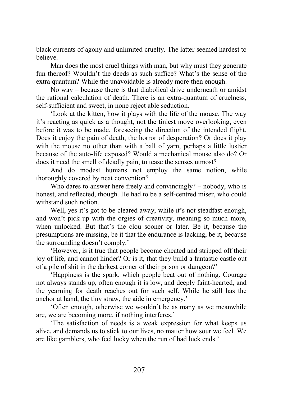black currents of agony and unlimited cruelty. The latter seemed hardest to believe.

Man does the most cruel things with man, but why must they generate fun thereof? Wouldn't the deeds as such suffice? What's the sense of the extra quantum? While the unavoidable is already more then enough.

No way – because there is that diabolical drive underneath or amidst the rational calculation of death. There is an extra-quantum of cruelness, self-sufficient and sweet, in none reject able seduction.

'Look at the kitten, how it plays with the life of the mouse. The way it's reacting as quick as a thought, not the tiniest move overlooking, even before it was to be made, foreseeing the direction of the intended flight. Does it enjoy the pain of death, the horror of desperation? Or does it play with the mouse no other than with a ball of yarn, perhaps a little lustier because of the auto-life exposed? Would a mechanical mouse also do? Or does it need the smell of deadly pain, to tease the senses utmost?

And do modest humans not employ the same notion, while thoroughly covered by neat convention?

Who dares to answer here freely and convincingly? – nobody, who is honest, and reflected, though. He had to be a self-centred miser, who could withstand such notion.

Well, yes it's got to be cleared away, while it's not steadfast enough, and won't pick up with the orgies of creativity, meaning so much more, when unlocked. But that's the clou sooner or later. Be it, because the presumptions are missing, be it that the endurance is lacking, be it, because the surrounding doesn't comply.'

'However, is it true that people become cheated and stripped off their joy of life, and cannot hinder? Or is it, that they build a fantastic castle out of a pile of shit in the darkest corner of their prison or dungeon?'

'Happiness is the spark, which people beat out of nothing. Courage not always stands up, often enough it is low, and deeply faint-hearted, and the yearning for death reaches out for such self. While he still has the anchor at hand, the tiny straw, the aide in emergency.'

'Often enough, otherwise we wouldn't be as many as we meanwhile are, we are becoming more, if nothing interferes.'

'The satisfaction of needs is a weak expression for what keeps us alive, and demands us to stick to our lives, no matter how sour we feel. We are like gamblers, who feel lucky when the run of bad luck ends.'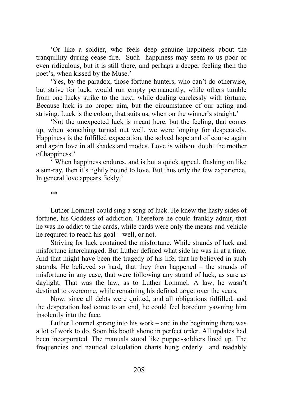'Or like a soldier, who feels deep genuine happiness about the tranquillity during cease fire. Such happiness may seem to us poor or even ridiculous, but it is still there, and perhaps a deeper feeling then the poet's, when kissed by the Muse.'

'Yes, by the paradox, those fortune-hunters, who can't do otherwise, but strive for luck, would run empty permanently, while others tumble from one lucky strike to the next, while dealing carelessly with fortune. Because luck is no proper aim, but the circumstance of our acting and striving. Luck is the colour, that suits us, when on the winner's straight.'

'Not the unexpected luck is meant here, but the feeling, that comes up, when something turned out well, we were longing for desperately. Happiness is the fulfilled expectation, the solved hope and of course again and again love in all shades and modes. Love is without doubt the mother of happiness.'

' When happiness endures, and is but a quick appeal, flashing on like a sun-ray, then it's tightly bound to love. But thus only the few experience. In general love appears fickly.'

\*\*

Luther Lommel could sing a song of luck. He knew the hasty sides of fortune, his Goddess of addiction. Therefore he could frankly admit, that he was no addict to the cards, while cards were only the means and vehicle he required to reach his goal – well, or not.

Striving for luck contained the misfortune. While strands of luck and misfortune interchanged. But Luther defined what side he was in at a time. And that might have been the tragedy of his life, that he believed in such strands. He believed so hard, that they then happened – the strands of misfortune in any case, that were following any strand of luck, as sure as daylight. That was the law, as to Luther Lommel. A law, he wasn't destined to overcome, while remaining his defined target over the years.

Now, since all debts were quitted, and all obligations fulfilled, and the desperation had come to an end, he could feel boredom yawning him insolently into the face.

Luther Lommel sprang into his work – and in the beginning there was a lot of work to do. Soon his booth shone in perfect order. All updates had been incorporated. The manuals stood like puppet-soldiers lined up. The frequencies and nautical calculation charts hung orderly and readably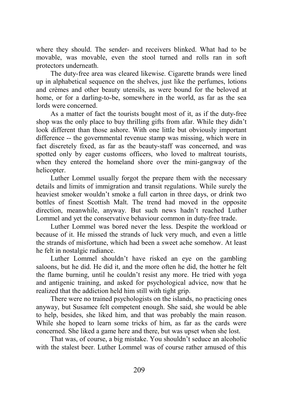where they should. The sender- and receivers blinked. What had to be movable, was movable, even the stool turned and rolls ran in soft protectors underneath.

The duty-free area was cleared likewise. Cigarette brands were lined up in alphabetical sequence on the shelves, just like the perfumes, lotions and crèmes and other beauty utensils, as were bound for the beloved at home, or for a darling-to-be, somewhere in the world, as far as the sea lords were concerned.

As a matter of fact the tourists bought most of it, as if the duty-free shop was the only place to buy thrilling gifts from afar. While they didn't look different than those ashore. With one little but obviously important difference -- the governmental revenue stamp was missing, which were in fact discretely fixed, as far as the beauty-staff was concerned, and was spotted only by eager customs officers, who loved to maltreat tourists, when they entered the homeland shore over the mini-gangway of the helicopter.

Luther Lommel usually forgot the prepare them with the necessary details and limits of immigration and transit regulations. While surely the heaviest smoker wouldn't smoke a full carton in three days, or drink two bottles of finest Scottish Malt. The trend had moved in the opposite direction, meanwhile, anyway. But such news hadn't reached Luther Lommel and yet the conservative behaviour common in duty-free trade.

Luther Lommel was bored never the less. Despite the workload or because of it. He missed the strands of luck very much, and even a little the strands of misfortune, which had been a sweet ache somehow. At least he felt in nostalgic radiance.

Luther Lommel shouldn't have risked an eye on the gambling saloons, but he did. He did it, and the more often he did, the hotter he felt the flame burning, until he couldn't resist any more. He tried with yoga and antigenic training, and asked for psychological advice, now that he realized that the addiction held him still with tight grip.

There were no trained psychologists on the islands, no practicing ones anyway, but Susamee felt competent enough. She said, she would be able to help, besides, she liked him, and that was probably the main reason. While she hoped to learn some tricks of him, as far as the cards were concerned. She liked a game here and there, but was upset when she lost.

That was, of course, a big mistake. You shouldn't seduce an alcoholic with the stalest beer. Luther Lommel was of course rather amused of this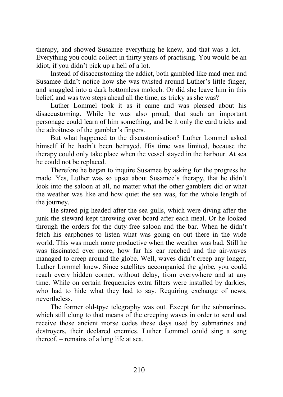therapy, and showed Susamee everything he knew, and that was a lot. – Everything you could collect in thirty years of practising. You would be an idiot, if you didn't pick up a hell of a lot.

Instead of disaccustoming the addict, both gambled like mad-men and Susamee didn't notice how she was twisted around Luther's little finger, and snuggled into a dark bottomless moloch. Or did she leave him in this belief, and was two steps ahead all the time, as tricky as she was?

Luther Lommel took it as it came and was pleased about his disaccustoming. While he was also proud, that such an important personage could learn of him something, and be it only the card tricks and the adroitness of the gambler's fingers.

But what happened to the discustomisation? Luther Lommel asked himself if he hadn't been betrayed. His time was limited, because the therapy could only take place when the vessel stayed in the harbour. At sea he could not be replaced.

Therefore he began to inquire Susamee by asking for the progress he made. Yes, Luther was so upset about Susamee's therapy, that he didn't look into the saloon at all, no matter what the other gamblers did or what the weather was like and how quiet the sea was, for the whole length of the journey.

He stared pig-headed after the sea gulls, which were diving after the junk the steward kept throwing over board after each meal. Or he looked through the orders for the duty-free saloon and the bar. When he didn't fetch his earphones to listen what was going on out there in the wide world. This was much more productive when the weather was bad. Still he was fascinated ever more, how far his ear reached and the air-waves managed to creep around the globe. Well, waves didn't creep any longer, Luther Lommel knew. Since satellites accompanied the globe, you could reach every hidden corner, without delay, from everywhere and at any time. While on certain frequencies extra filters were installed by darkies, who had to hide what they had to say. Requiring exchange of news, nevertheless.

The former old-tpye telegraphy was out. Except for the submarines, which still clung to that means of the creeping waves in order to send and receive those ancient morse codes these days used by submarines and destroyers, their declared enemies. Luther Lommel could sing a song thereof. – remains of a long life at sea.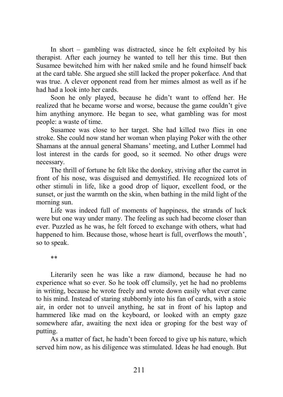In short – gambling was distracted, since he felt exploited by his therapist. After each journey he wanted to tell her this time. But then Susamee bewitched him with her naked smile and he found himself back at the card table. She argued she still lacked the proper pokerface. And that was true. A clever opponent read from her mimes almost as well as if he had had a look into her cards.

Soon he only played, because he didn't want to offend her. He realized that he became worse and worse, because the game couldn't give him anything anymore. He began to see, what gambling was for most people: a waste of time.

Susamee was close to her target. She had killed two flies in one stroke. She could now stand her woman when playing Poker with the other Shamans at the annual general Shamans' meeting, and Luther Lommel had lost interest in the cards for good, so it seemed. No other drugs were necessary.

The thrill of fortune he felt like the donkey, striving after the carrot in front of his nose, was disguised and demystified. He recognized lots of other stimuli in life, like a good drop of liquor, excellent food, or the sunset, or just the warmth on the skin, when bathing in the mild light of the morning sun.

Life was indeed full of moments of happiness, the strands of luck were but one way under many. The feeling as such had become closer than ever. Puzzled as he was, he felt forced to exchange with others, what had happened to him. Because those, whose heart is full, overflows the mouth', so to speak.

\*\*

Literarily seen he was like a raw diamond, because he had no experience what so ever. So he took off clumsily, yet he had no problems in writing, because he wrote freely and wrote down easily what ever came to his mind. Instead of staring stubbornly into his fan of cards, with a stoic air, in order not to unveil anything, he sat in front of his laptop and hammered like mad on the keyboard, or looked with an empty gaze somewhere afar, awaiting the next idea or groping for the best way of putting.

As a matter of fact, he hadn't been forced to give up his nature, which served him now, as his diligence was stimulated. Ideas he had enough. But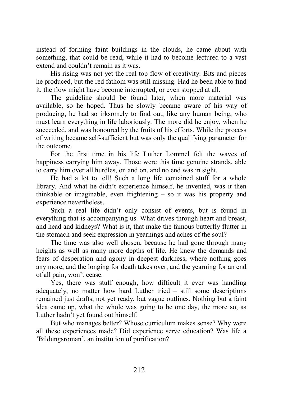instead of forming faint buildings in the clouds, he came about with something, that could be read, while it had to become lectured to a vast extend and couldn't remain as it was.

His rising was not yet the real top flow of creativity. Bits and pieces he produced, but the red fathom was still missing. Had he been able to find it, the flow might have become interrupted, or even stopped at all.

The guideline should be found later, when more material was available, so he hoped. Thus he slowly became aware of his way of producing, he had so irksomely to find out, like any human being, who must learn everything in life laboriously. The more did he enjoy, when he succeeded, and was honoured by the fruits of his efforts. While the process of writing became self-sufficient but was only the qualifying parameter for the outcome.

For the first time in his life Luther Lommel felt the waves of happiness carrying him away. Those were this time genuine strands, able to carry him over all hurdles, on and on, and no end was in sight.

He had a lot to tell! Such a long life contained stuff for a whole library. And what he didn't experience himself, he invented, was it then thinkable or imaginable, even frightening – so it was his property and experience nevertheless.

Such a real life didn't only consist of events, but is found in everything that is accompanying us. What drives through heart and breast, and head and kidneys? What is it, that make the famous butterfly flutter in the stomach and seek expression in yearnings and aches of the soul?

The time was also well chosen, because he had gone through many heights as well as many more depths of life. He knew the demands and fears of desperation and agony in deepest darkness, where nothing goes any more, and the longing for death takes over, and the yearning for an end of all pain, won't cease.

Yes, there was stuff enough, how difficult it ever was handling adequately, no matter how hard Luther tried – still some descriptions remained just drafts, not yet ready, but vague outlines. Nothing but a faint idea came up, what the whole was going to be one day, the more so, as Luther hadn't yet found out himself.

But who manages better? Whose curriculum makes sense? Why were all these experiences made? Did experience serve education? Was life a 'Bildungsroman', an institution of purification?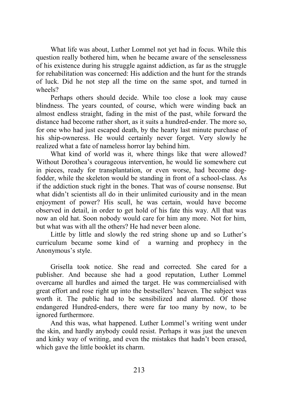What life was about, Luther Lommel not yet had in focus. While this question really bothered him, when he became aware of the senselessness of his existence during his struggle against addiction, as far as the struggle for rehabilitation was concerned: His addiction and the hunt for the strands of luck. Did he not step all the time on the same spot, and turned in wheels?

Perhaps others should decide. While too close a look may cause blindness. The years counted, of course, which were winding back an almost endless straight, fading in the mist of the past, while forward the distance had become rather short, as it suits a hundred-ender. The more so, for one who had just escaped death, by the hearty last minute purchase of his ship-owneress. He would certainly never forget. Very slowly he realized what a fate of nameless horror lay behind him.

What kind of world was it, where things like that were allowed? Without Dorothea's courageous intervention, he would lie somewhere cut in pieces, ready for transplantation, or even worse, had become dogfodder, while the skeleton would be standing in front of a school-class. As if the addiction stuck right in the bones. That was of course nonsense. But what didn't scientists all do in their unlimited curiousity and in the mean enjoyment of power? His scull, he was certain, would have become observed in detail, in order to get hold of his fate this way. All that was now an old hat. Soon nobody would care for him any more. Not for him, but what was with all the others? He had never been alone.

Little by little and slowly the red string shone up and so Luther's curriculum became some kind of a warning and prophecy in the Anonymous's style.

Grisella took notice. She read and corrected. She cared for a publisher. And because she had a good reputation, Luther Lommel overcame all hurdles and aimed the target. He was commercialised with great effort and rose right up into the bestsellers' heaven. The subject was worth it. The public had to be sensibilized and alarmed. Of those endangered Hundred-enders, there were far too many by now, to be ignored furthermore.

And this was, what happened. Luther Lommel's writing went under the skin, and hardly anybody could resist. Perhaps it was just the uneven and kinky way of writing, and even the mistakes that hadn't been erased, which gave the little booklet its charm.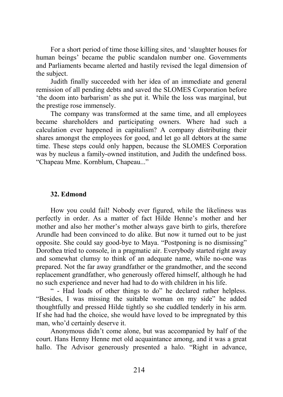For a short period of time those killing sites, and 'slaughter houses for human beings' became the public scandalon number one. Governments and Parliaments became alerted and hastily revised the legal dimension of the subject.

Judith finally succeeded with her idea of an immediate and general remission of all pending debts and saved the SLOMES Corporation before 'the doom into barbarism' as she put it. While the loss was marginal, but the prestige rose immensely.

The company was transformed at the same time, and all employees became shareholders and participating owners. Where had such a calculation ever happened in capitalism? A company distributing their shares amongst the employees for good, and let go all debtors at the same time. These steps could only happen, because the SLOMES Corporation was by nucleus a family-owned institution, and Judith the undefined boss. "Chapeau Mme. Kornblum, Chapeau..."

### **32. Edmond**

How you could fail! Nobody ever figured, while the likeliness was perfectly in order. As a matter of fact Hilde Henne's mother and her mother and also her mother's mother always gave birth to girls, therefore Arundle had been convinced to do alike. But now it turned out to be just opposite. She could say good-bye to Maya. "Postponing is no dismissing" Dorothea tried to console, in a pragmatic air. Everybody started right away and somewhat clumsy to think of an adequate name, while no-one was prepared. Not the far away grandfather or the grandmother, and the second replacement grandfather, who generously offered himself, although he had no such experience and never had had to do with children in his life.

" - Had loads of other things to do" he declared rather helpless. "Besides, I was missing the suitable woman on my side" he added thoughtfully and pressed Hilde tightly so she cuddled tenderly in his arm. If she had had the choice, she would have loved to be impregnated by this man, who'd certainly deserve it.

Anonymous didn't come alone, but was accompanied by half of the court. Hans Henny Henne met old acquaintance among, and it was a great hallo. The Advisor generously presented a halo. "Right in advance,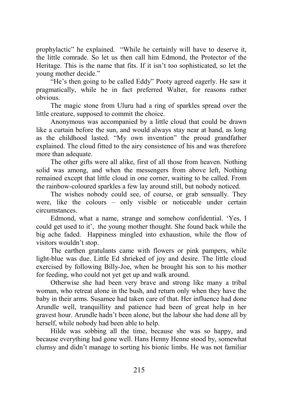prophylactic" he explained. "While he certainly will have to deserve it, the little comrade. So let us then call him Edmond, the Protector of the Heritage. This is the name that fits. If it isn't too sophisticated, so let the young mother decide."

"He's then going to be called Eddy" Pooty agreed eagerly. He saw it pragmatically, while he in fact preferred Walter, for reasons rather obvious.

The magic stone from Uluru had a ring of sparkles spread over the little creature, supposed to commit the choice.

Anonymous was accompanied by a little cloud that could be drawn like a curtain before the sun, and would always stay near at hand, as long as the childhood lasted. "My own invention" the proud grandfather explained. The cloud fitted to the airy consistence of his and was therefore more than adequate.

The other gifts were all alike, first of all those from heaven. Nothing solid was among, and when the messengers from above left, Nothing remained except that little cloud in one corner, waiting to be called. From the rainbow-coloured sparkles a few lay around still, but nobody noticed.

The wishes nobody could see, of course, or grab sensually. They were, like the colours – only visible or noticeable under certain circumstances.

Edmond, what a name, strange and somehow confidential. 'Yes, I could get used to it', the young mother thought. She found back while the big ache faded. Happiness mingled into exhaustion, while the flow of visitors wouldn't stop.

The earthen gratulants came with flowers or pink pampers, while light-blue was due. Little Ed shrieked of joy and desire. The little cloud exercised by following Billy-Joe, when he brought his son to his mother for feeding, who could not yet get up and walk around.

Otherwise she had been very brave and strong like many a tribal woman, who retreat alone in the bush, and return only when they have the baby in their arms. Susamee had taken care of that. Her influence had done Arundle well, tranquillity and patience had been of great help in her gravest hour. Arundle hadn't been alone, but the labour she had done all by herself, while nobody had been able to help.

Hilde was sobbing all the time, because she was so happy, and because everything had gone well. Hans Henny Henne stood by, somewhat clumsy and didn't manage to sorting his bionic limbs. He was not familiar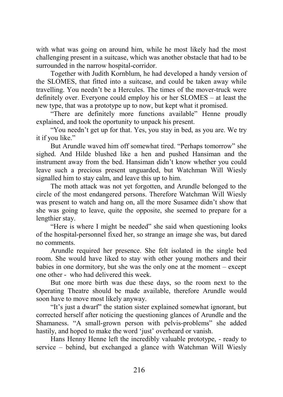with what was going on around him, while he most likely had the most challenging present in a suitcase, which was another obstacle that had to be surrounded in the narrow hospital-corridor.

Together with Judith Kornblum, he had developed a handy version of the SLOMES, that fitted into a suitcase, and could be taken away while travelling. You needn't be a Hercules. The times of the mover-truck were definitely over. Everyone could employ his or her SLOMES – at least the new type, that was a prototype up to now, but kept what it promised.

"There are definitely more functions available" Henne proudly explained, and took the oportunity to unpack his present.

"You needn't get up for that. Yes, you stay in bed, as you are. We try it if you like."

But Arundle waved him off somewhat tired. "Perhaps tomorrow" she sighed. And Hilde blushed like a hen and pushed Hansiman and the instrument away from the bed. Hansiman didn't know whether you could leave such a precious present unguarded, but Watchman Will Wiesly signalled him to stay calm, and leave this up to him.

The moth attack was not yet forgotten, and Arundle belonged to the circle of the most endangered persons. Therefore Watchman Will Wiesly was present to watch and hang on, all the more Susamee didn't show that she was going to leave, quite the opposite, she seemed to prepare for a lengthier stay.

"Here is where I might be needed" she said when questioning looks of the hospital-personnel fixed her, so strange an image she was, but dared no comments.

Arundle required her presence. She felt isolated in the single bed room. She would have liked to stay with other young mothers and their babies in one dormitory, but she was the only one at the moment – except one other - who had delivered this week.

But one more birth was due these days, so the room next to the Operating Theatre should be made available, therefore Arundle would soon have to move most likely anyway.

"It's just a dwarf" the station sister explained somewhat ignorant, but corrected herself after noticing the questioning glances of Arundle and the Shamaness. "A small-grown person with pelvis-problems" she added hastily, and hoped to make the word 'just' overheard or vanish.

Hans Henny Henne left the incredibly valuable prototype, - ready to service – behind, but exchanged a glance with Watchman Will Wiesly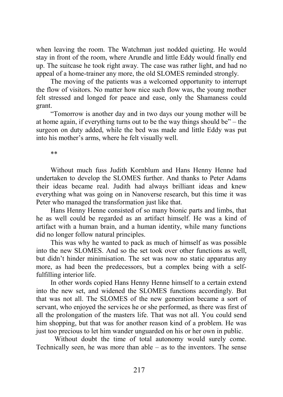when leaving the room. The Watchman just nodded quieting. He would stay in front of the room, where Arundle and little Eddy would finally end up. The suitcase he took right away. The case was rather light, and had no appeal of a home-trainer any more, the old SLOMES reminded strongly.

The moving of the patients was a welcomed opportunity to interrupt the flow of visitors. No matter how nice such flow was, the young mother felt stressed and longed for peace and ease, only the Shamaness could grant.

"Tomorrow is another day and in two days our young mother will be at home again, if everything turns out to be the way things should be" – the surgeon on duty added, while the bed was made and little Eddy was put into his mother's arms, where he felt visually well.

\*\*

Without much fuss Judith Kornblum and Hans Henny Henne had undertaken to develop the SLOMES further. And thanks to Peter Adams their ideas became real. Judith had always brilliant ideas and knew everything what was going on in Nanoverse research, but this time it was Peter who managed the transformation just like that.

Hans Henny Henne consisted of so many bionic parts and limbs, that he as well could be regarded as an artifact himself. He was a kind of artifact with a human brain, and a human identity, while many functions did no longer follow natural principles.

This was why he wanted to pack as much of himself as was possible into the new SLOMES. And so the set took over other functions as well, but didn't hinder minimisation. The set was now no static apparatus any more, as had been the predecessors, but a complex being with a selffulfilling interior life.

In other words copied Hans Henny Henne himself to a certain extend into the new set, and widened the SLOMES functions accordingly. But that was not all. The SLOMES of the new generation became a sort of servant, who enjoyed the services he or she performed, as there was first of all the prolongation of the masters life. That was not all. You could send him shopping, but that was for another reason kind of a problem. He was just too precious to let him wander unguarded on his or her own in public.

 Without doubt the time of total autonomy would surely come. Technically seen, he was more than  $able - as$  to the inventors. The sense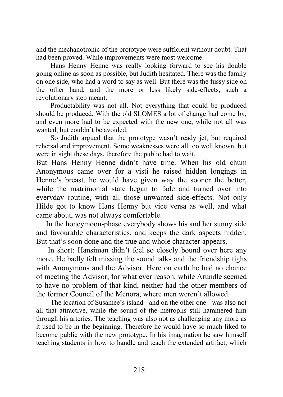and the mechanotronic of the prototype were sufficient without doubt. That had been proved. While improvements were most welcome.

Hans Henny Henne was really looking forward to see his double going online as soon as possible, but Judith hesitated. There was the family on one side, who had a word to say as well. But there was the fussy side on the other hand, and the more or less likely side-effects, such a revolutionary step meant.

Productability was not all. Not everything that could be produced should be produced. With the old SLOMES a lot of change had come by, and even more had to be expected with the new one, while not all was wanted, but couldn't be avoided.

So Judith argued that the prototype wasn't ready jet, but required rehersal and improvement. Some weaknesses were all too well known, but were in sight these days, therefore the public had to wait.

But Hans Henny Henne didn't have time. When his old chum Anonymous came over for a visti he raised hidden longings in Henne's breast, he would have given way the sooner the better, while the matrimonial state began to fade and turned over into everyday routine, with all those unwanted side-effects. Not only Hilde got to know Hans Henny but vice versa as well, and what came about, was not always comfortable.

 In the honeymoon-phase everybody shows his and her sunny side and favourable characteristics, and keeps the dark aspects hidden. But that's soon done and the true and whole character appears.

 In short: Hansiman didn't feel so closely bound over here any more. He badly felt missing the sound talks and the friendship tighs with Anonymous and the Advisor. Here on earth he had no chance of meeting the Advisor, for what ever reason, while Arundle seemed to have no problem of that kind, neither had the other members of the former Council of the Menora, where men weren't allowed.

The location of Susamee's island - and on the other one - was also not all that attractive, while the sound of the metroplis still hammered him through his arteries. The teaching was also not as challenging any more as it used to be in the beginning. Therefore he would have so much liked to become public with the new prototype. In his imagination he saw himself teaching students in how to handle and teach the extended artifact, which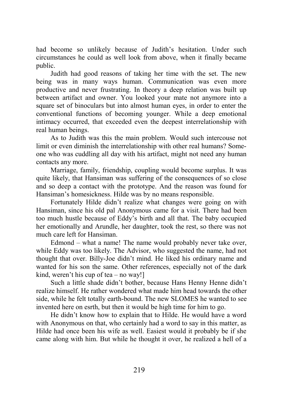had become so unlikely because of Judith's hesitation. Under such circumstances he could as well look from above, when it finally became public.

Judith had good reasons of taking her time with the set. The new being was in many ways human. Communication was even more productive and never frustrating. In theory a deep relation was built up between artifact and owner. You looked your mate not anymore into a square set of binoculars but into almost human eyes, in order to enter the conventional functions of becoming younger. While a deep emotional intimacy occurred, that exceeded even the deepest interrelationship with real human beings.

As to Judith was this the main problem. Would such intercouse not limit or even diminish the interrelationship with other real humans? Someone who was cuddling all day with his artifact, might not need any human contacts any more.

Marriage, family, friendship, coupling would become surplus. It was quite likely, that Hansiman was suffering of the consequences of so close and so deep a contact with the prototype. And the reason was found for Hansiman's homesickness. Hilde was by no means responsible.

Fortunately Hilde didn't realize what changes were going on with Hansiman, since his old pal Anonymous came for a visit. There had been too much hustle because of Eddy's birth and all that. The baby occupied her emotionally and Arundle, her daughter, took the rest, so there was not much care left for Hansiman.

Edmond – what a name! The name would probably never take over, while Eddy was too likely. The Advisor, who suggested the name, had not thought that over. Billy-Joe didn't mind. He liked his ordinary name and wanted for his son the same. Other references, especially not of the dark kind, weren't his cup of tea – no way!

Such a little shade didn't bother, because Hans Henny Henne didn't realize himself. He rather wondered what made him head towards the other side, while he felt totally earth-bound. The new SLOMES he wanted to see invented here on esrth, but then it would be high time for him to go.

He didn't know how to explain that to Hilde. He would have a word with Anonymous on that, who certainly had a word to say in this matter, as Hilde had once been his wife as well. Easiest would it probably be if she came along with him. But while he thought it over, he realized a hell of a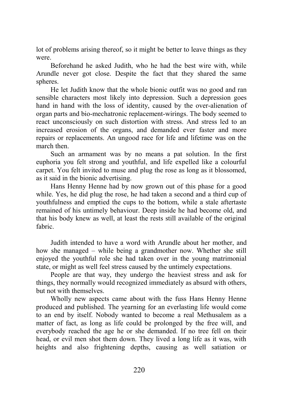lot of problems arising thereof, so it might be better to leave things as they were.

Beforehand he asked Judith, who he had the best wire with, while Arundle never got close. Despite the fact that they shared the same spheres.

He let Judith know that the whole bionic outfit was no good and ran sensible characters most likely into depression. Such a depression goes hand in hand with the loss of identity, caused by the over-alienation of organ parts and bio-mechatronic replacement-wirings. The body seemed to react unconsciously on such distortion with stress. And stress led to an increased erosion of the organs, and demanded ever faster and more repairs or replacements. An ungood race for life and lifetime was on the march then.

Such an armament was by no means a pat solution. In the first euphoria you felt strong and youthful, and life expelled like a colourful carpet. You felt invited to muse and plug the rose as long as it blossomed, as it said in the bionic advertising.

Hans Henny Henne had by now grown out of this phase for a good while. Yes, he did plug the rose, he had taken a second and a third cup of youthfulness and emptied the cups to the bottom, while a stale aftertaste remained of his untimely behaviour. Deep inside he had become old, and that his body knew as well, at least the rests still available of the original fabric.

Judith intended to have a word with Arundle about her mother, and how she managed – while being a grandmother now. Whether she still enjoyed the youthful role she had taken over in the young matrimonial state, or might as well feel stress caused by the untimely expectations.

People are that way, they undergo the heaviest stress and ask for things, they normally would recognized immediately as absurd with others, but not with themselves.

Wholly new aspects came about with the fuss Hans Henny Henne produced and published. The yearning for an everlasting life would come to an end by itself. Nobody wanted to become a real Methusalem as a matter of fact, as long as life could be prolonged by the free will, and everybody reached the age he or she demanded. If no tree fell on their head, or evil men shot them down. They lived a long life as it was, with heights and also frightening depths, causing as well satiation or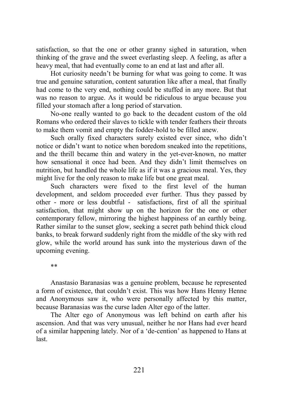satisfaction, so that the one or other granny sighed in saturation, when thinking of the grave and the sweet everlasting sleep. A feeling, as after a heavy meal, that had eventually come to an end at last and after all.

Hot curiosity needn't be burning for what was going to come. It was true and genuine saturation, content saturation like after a meal, that finally had come to the very end, nothing could be stuffed in any more. But that was no reason to argue. As it would be ridiculous to argue because you filled your stomach after a long period of starvation.

No-one really wanted to go back to the decadent custom of the old Romans who ordered their slaves to tickle with tender feathers their throats to make them vomit and empty the fodder-hold to be filled anew.

Such orally fixed characters surely existed ever since, who didn't notice or didn't want to notice when boredom sneaked into the repetitions, and the thrill became thin and watery in the yet-ever-known, no matter how sensational it once had been. And they didn't limit themselves on nutrition, but handled the whole life as if it was a gracious meal. Yes, they might live for the only reason to make life but one great meal.

Such characters were fixed to the first level of the human development, and seldom proceeded ever further. Thus they passed by other - more or less doubtful - satisfactions, first of all the spiritual satisfaction, that might show up on the horizon for the one or other contemporary fellow, mirroring the highest happiness of an earthly being. Rather similar to the sunset glow, seeking a secret path behind thick cloud banks, to break forward suddenly right from the middle of the sky with red glow, while the world around has sunk into the mysterious dawn of the upcoming evening.

\*\*

Anastasio Baranasias was a genuine problem, because he represented a form of existence, that couldn't exist. This was how Hans Henny Henne and Anonymous saw it, who were personally affected by this matter, because Baranasias was the curse laden Alter ego of the latter.

The Alter ego of Anonymous was left behind on earth after his ascension. And that was very unusual, neither he nor Hans had ever heard of a similar happening lately. Nor of a 'de-cention' as happened to Hans at last.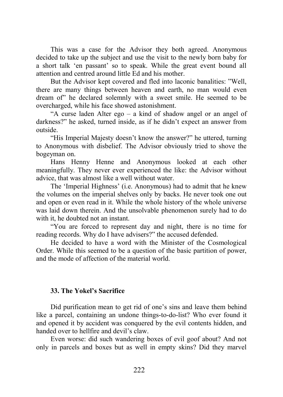This was a case for the Advisor they both agreed. Anonymous decided to take up the subject and use the visit to the newly born baby for a short talk 'en passant' so to speak. While the great event bound all attention and centred around little Ed and his mother.

But the Advisor kept covered and fled into laconic banalities: "Well, there are many things between heaven and earth, no man would even dream of" he declared solemnly with a sweet smile. He seemed to be overcharged, while his face showed astonishment.

"A curse laden Alter ego – a kind of shadow angel or an angel of darkness?" he asked, turned inside, as if he didn't expect an answer from outside.

"His Imperial Majesty doesn't know the answer?" he uttered, turning to Anonymous with disbelief. The Advisor obviously tried to shove the bogeyman on.

Hans Henny Henne and Anonymous looked at each other meaningfully. They never ever experienced the like: the Advisor without advice, that was almost like a well without water.

The 'Imperial Highness' (i.e. Anonymous) had to admit that he knew the volumes on the imperial shelves only by backs. He never took one out and open or even read in it. While the whole history of the whole universe was laid down therein. And the unsolvable phenomenon surely had to do with it, he doubted not an instant.

"You are forced to represent day and night, there is no time for reading records. Why do I have advisers?" the accused defended.

He decided to have a word with the Minister of the Cosmological Order. While this seemed to be a question of the basic partition of power, and the mode of affection of the material world.

## **33. The Yokel's Sacrifice**

Did purification mean to get rid of one's sins and leave them behind like a parcel, containing an undone things-to-do-list? Who ever found it and opened it by accident was conquered by the evil contents hidden, and handed over to hellfire and devil's claw.

Even worse: did such wandering boxes of evil goof about? And not only in parcels and boxes but as well in empty skins? Did they marvel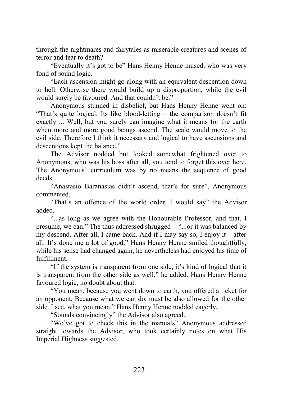through the nightmares and fairytales as miserable creatures and scenes of terror and fear to death?

"Eventually it's got to be" Hans Henny Henne mused, who was very fond of sound logic.

"Each ascension might go along with an equivalent descention down to hell. Otherwise there would build up a disproportion, while the evil would surely be favoured. And that couldn't be."

Anonymous stunned in disbelief, but Hans Henny Henne went on: "That's quite logical. Its like blood-letting – the comparison doesn't fit exactly ... Well, but you surely can imagine what it means for the earth when more and more good beings ascend. The scale would move to the evil side. Therefore I think it necessary and logical to have ascensions and descentions kept the balance."

The Advisor nodded but looked somewhat frightened over to Anonymous, who was his boss after all, you tend to forget this over here. The Anonymous' curriculum was by no means the sequence of good deeds.

"Anastasio Baranasias didn't ascend, that's for sure", Anonymous commented.

"That's an offence of the world order, I would say" the Advisor added.

"...as long as we agree with the Honourable Professor, and that, I presume, we can." The thus addressed shrugged - "...or it was balanced by my descend. After all, I came back. And if I may say so, I enjoy it – after all. It's done me a lot of good." Hans Henny Henne smiled thoughtfully, while his sense had changed again, he nevertheless had enjoyed his time of fulfillment.

"If the system is transparent from one side, it's kind of logical that it is transparent from the other side as well." he added. Hans Henny Henne favoured logic, no doubt about that.

"You mean, because you went down to earth, you offered a ticket for an opponent. Because what we can do, must be also allowed for the other side. I see, what you mean." Hans Henny Henne nodded eagerly.

"Sounds convincingly" the Advisor also agreed.

"We've got to check this in the manuals" Anonymous addressed straight towards the Advisor, who took certainly notes on what His Imperial Highness suggested.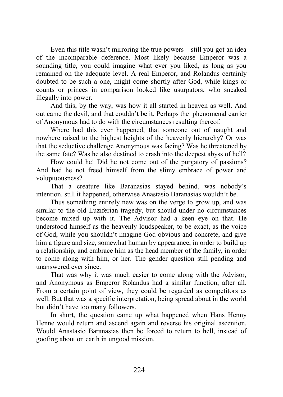Even this title wasn't mirroring the true powers – still you got an idea of the incomparable deference. Most likely because Emperor was a sounding title, you could imagine what ever you liked, as long as you remained on the adequate level. A real Emperor, and Rolandus certainly doubted to be such a one, might come shortly after God, while kings or counts or princes in comparison looked like usurpators, who sneaked illegally into power.

And this, by the way, was how it all started in heaven as well. And out came the devil, and that couldn't be it. Perhaps the phenomenal carrier of Anonymous had to do with the circumstances resulting thereof.

Where had this ever happened, that someone out of naught and nowhere raised to the highest heights of the heavenly hierarchy? Or was that the seductive challenge Anonymous was facing? Was he threatened by the same fate? Was he also destined to crash into the deepest abyss of hell?

How could he! Did he not come out of the purgatory of passions? And had he not freed himself from the slimy embrace of power and voluptuousness?

That a creature like Baranasias stayed behind, was nobody's intention. still it happened, otherwise Anastasio Baranasias wouldn't be.

Thus something entirely new was on the verge to grow up, and was similar to the old Luziferian tragedy, but should under no circumstances become mixed up with it. The Advisor had a keen eye on that. He understood himself as the heavenly loudspeaker, to be exact, as the voice of God, while you shouldn't imagine God obvious and concrete, and give him a figure and size, somewhat human by appearance, in order to build up a relationship, and embrace him as the head member of the family, in order to come along with him, or her. The gender question still pending and unanswered ever since.

That was why it was much easier to come along with the Advisor, and Anonymous as Emperor Rolandus had a similar function, after all. From a certain point of view, they could be regarded as competitors as well. But that was a specific interpretation, being spread about in the world but didn't have too many followers.

In short, the question came up what happened when Hans Henny Henne would return and ascend again and reverse his original ascention. Would Anastasio Baranasias then be forced to return to hell, instead of goofing about on earth in ungood mission.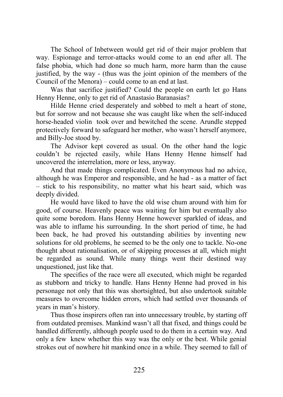The School of Inbetween would get rid of their major problem that way. Espionage and terror-attacks would come to an end after all. The false phobia, which had done so much harm, more harm than the cause justified, by the way - (thus was the joint opinion of the members of the Council of the Menora) – could come to an end at last.

Was that sacrifice justified? Could the people on earth let go Hans Henny Henne, only to get rid of Anastasio Baranasias?

Hilde Henne cried desperately and sobbed to melt a heart of stone, but for sorrow and not because she was caught like when the self-induced horse-headed violin took over and bewitched the scene. Arundle stepped protectively forward to safeguard her mother, who wasn't herself anymore, and Billy-Joe stood by.

The Advisor kept covered as usual. On the other hand the logic couldn't be rejected easily, while Hans Henny Henne himself had uncovered the interrelation, more or less, anyway.

And that made things complicated. Even Anonymous had no advice, although he was Emperor and responsible, and he had - as a matter of fact – stick to his responsibility, no matter what his heart said, which was deeply divided.

He would have liked to have the old wise chum around with him for good, of course. Heavenly peace was waiting for him but eventually also quite some boredom. Hans Henny Henne however sparkled of ideas, and was able to inflame his surrounding. In the short period of time, he had been back, he had proved his outstanding abilities by inventing new solutions for old problems, he seemed to be the only one to tackle. No-one thought about rationalisation, or of skipping processes at all, which might be regarded as sound. While many things went their destined way unquestioned, just like that.

The specifics of the race were all executed, which might be regarded as stubborn and tricky to handle. Hans Henny Henne had proved in his personage not only that this was shortsighted, but also undertook suitable measures to overcome hidden errors, which had settled over thousands of years in man's history.

Thus those inspirers often ran into unnecessary trouble, by starting off from outdated premises. Mankind wasn't all that fixed, and things could be handled differently, although people used to do them in a certain way. And only a few knew whether this way was the only or the best. While genial strokes out of nowhere hit mankind once in a while. They seemed to fall of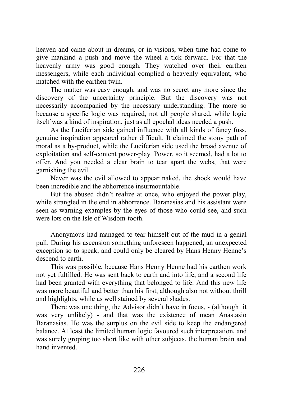heaven and came about in dreams, or in visions, when time had come to give mankind a push and move the wheel a tick forward. For that the heavenly army was good enough. They watched over their earthen messengers, while each individual complied a heavenly equivalent, who matched with the earthen twin.

The matter was easy enough, and was no secret any more since the discovery of the uncertainty principle. But the discovery was not necessarily accompanied by the necessary understanding. The more so because a specific logic was required, not all people shared, while logic itself was a kind of inspiration, just as all epochal ideas needed a push.

As the Luciferian side gained influence with all kinds of fancy fuss, genuine inspiration appeared rather difficult. It claimed the stony path of moral as a by-product, while the Luciferian side used the broad avenue of exploitation and self-content power-play. Power, so it seemed, had a lot to offer. And you needed a clear brain to tear apart the webs, that were garnishing the evil.

Never was the evil allowed to appear naked, the shock would have been incredible and the abhorrence insurmountable.

But the abused didn't realize at once, who enjoyed the power play, while strangled in the end in abhorrence. Baranasias and his assistant were seen as warning examples by the eyes of those who could see, and such were lots on the Isle of Wisdom-tooth.

Anonymous had managed to tear himself out of the mud in a genial pull. During his ascension something unforeseen happened, an unexpected exception so to speak, and could only be cleared by Hans Henny Henne's descend to earth.

This was possible, because Hans Henny Henne had his earthen work not yet fulfilled. He was sent back to earth and into life, and a second life had been granted with everything that belonged to life. And this new life was more beautiful and better than his first, although also not without thrill and highlights, while as well stained by several shades.

There was one thing, the Advisor didn't have in focus, - (although it was very unlikely) - and that was the existence of mean Anastasio Baranasias. He was the surplus on the evil side to keep the endangered balance. At least the limited human logic favoured such interpretation, and was surely groping too short like with other subjects, the human brain and hand invented.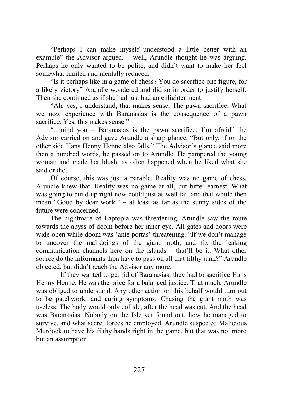"Perhaps I can make myself understood a little better with an example" the Advisor argued. – well, Arundle thought he was arguing. Perhaps he only wanted to be polite, and didn't want to make her feel somewhat limited and mentally reduced.

"Is it perhaps like in a game of chess? You do sacrifice one figure, for a likely victory" Arundle wondered and did so in order to justify herself. Then she continued as if she had just had an enlightenment:

"Ah, yes, I understand, that makes sense. The pawn sacrifice. What we now experience with Baranasias is the consequence of a pawn sacrifice. Yes, this makes sense."

"...mind you – Baranasias is the pawn sacrifice, I'm afraid" the Advisor carried on and gave Arundle a sharp glance. "But only, if on the other side Hans Henny Henne also falls." The Advisor's glance said more then a hundred words, he passed on to Arundle. He pampered the young woman and made her blush, as often happened when he liked what she said or did.

Of course, this was just a parable. Reality was no game of chess. Arundle knew that. Reality was no game at all, but bitter earnest. What was going to build up right now could just as well fail and that would then mean "Good by dear world" – at least as far as the sunny sides of the future were concerned.

The nightmare of Laptopia was threatening. Arundle saw the route towards the abyss of doom before her inner eye. All gates and doors were wide open while doom was 'ante portas' threatening. "If we don't manage to uncover the mal-doings of the giant moth, and fix the leaking communication channels here on the islands – that'll be it. What other source do the informants then have to pass on all that filthy junk?" Arundle objected, but didn't reach the Advisor any more.

 If they wanted to get rid of Baranasias, they had to sacrifice Hans Henny Henne. He was the price for a balanced justice. That much, Arundle was obliged to understand. Any other action on this behalf would turn out to be patchwork, and curing symptoms. Chasing the giant moth was useless. The body would only collide, after the head was cut. And the head was Baranasias. Nobody on the Isle yet found out, how he managed to survive, and what secret forces he employed. Arundle suspected Malicious Murdock to have his filthy hands right in the game, but that was not more but an assumption.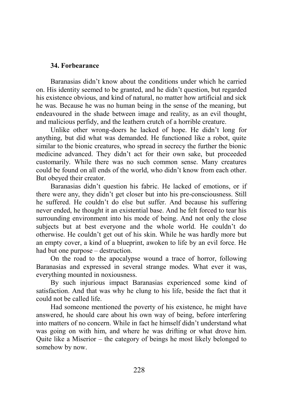## **34. Forbearance**

Baranasias didn't know about the conditions under which he carried on. His identity seemed to be granted, and he didn't question, but regarded his existence obvious, and kind of natural, no matter how artificial and sick he was. Because he was no human being in the sense of the meaning, but endeavoured in the shade between image and reality, as an evil thought, and malicious perfidy, and the leathern crutch of a horrible creature.

Unlike other wrong-doers he lacked of hope. He didn't long for anything, but did what was demanded. He functioned like a robot, quite similar to the bionic creatures, who spread in secrecy the further the bionic medicine advanced. They didn't act for their own sake, but proceeded customarily. While there was no such common sense. Many creatures could be found on all ends of the world, who didn't know from each other. But obeyed their creator.

Baranasias didn't question his fabric. He lacked of emotions, or if there were any, they didn't get closer but into his pre-consciousness. Still he suffered. He couldn't do else but suffer. And because his suffering never ended, he thought it an existential base. And he felt forced to tear his surrounding environment into his mode of being. And not only the close subjects but at best everyone and the whole world. He couldn't do otherwise. He couldn't get out of his skin. While he was hardly more but an empty cover, a kind of a blueprint, awoken to life by an evil force. He had but one purpose – destruction.

On the road to the apocalypse wound a trace of horror, following Baranasias and expressed in several strange modes. What ever it was, everything mounted in noxiousness.

By such injurious impact Baranasias experienced some kind of satisfaction. And that was why he clung to his life, beside the fact that it could not be called life.

Had someone mentioned the poverty of his existence, he might have answered, he should care about his own way of being, before interfering into matters of no concern. While in fact he himself didn't understand what was going on with him, and where he was drifting or what drove him. Quite like a Miserior – the category of beings he most likely belonged to somehow by now.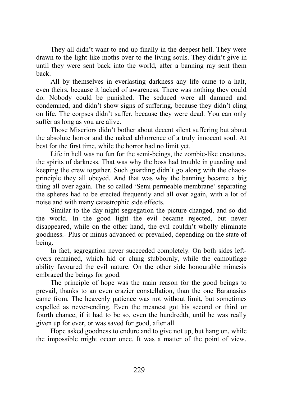They all didn't want to end up finally in the deepest hell. They were drawn to the light like moths over to the living souls. They didn't give in until they were sent back into the world, after a banning ray sent them back.

All by themselves in everlasting darkness any life came to a halt, even theirs, because it lacked of awareness. There was nothing they could do. Nobody could be punished. The seduced were all damned and condemned, and didn't show signs of suffering, because they didn't cling on life. The corpses didn't suffer, because they were dead. You can only suffer as long as you are alive.

Those Miseriors didn't bother about decent silent suffering but about the absolute horror and the naked abhorrence of a truly innocent soul. At best for the first time, while the horror had no limit yet.

Life in hell was no fun for the semi-beings, the zombie-like creatures, the spirits of darkness. That was why the boss had trouble in guarding and keeping the crew together. Such guarding didn't go along with the chaosprinciple they all obeyed. And that was why the banning became a big thing all over again. The so called 'Semi permeable membrane' separating the spheres had to be erected frequently and all over again, with a lot of noise and with many catastrophic side effects.

Similar to the day-night segregation the picture changed, and so did the world. In the good light the evil became rejected, but never disappeared, while on the other hand, the evil couldn't wholly eliminate goodness.- Plus or minus advanced or prevailed, depending on the state of being.

In fact, segregation never succeeded completely. On both sides leftovers remained, which hid or clung stubbornly, while the camouflage ability favoured the evil nature. On the other side honourable mimesis embraced the beings for good.

The principle of hope was the main reason for the good beings to prevail, thanks to an even crazier constellation, than the one Baranasias came from. The heavenly patience was not without limit, but sometimes expelled as never-ending. Even the meanest got his second or third or fourth chance, if it had to be so, even the hundredth, until he was really given up for ever, or was saved for good, after all.

Hope asked goodness to endure and to give not up, but hang on, while the impossible might occur once. It was a matter of the point of view.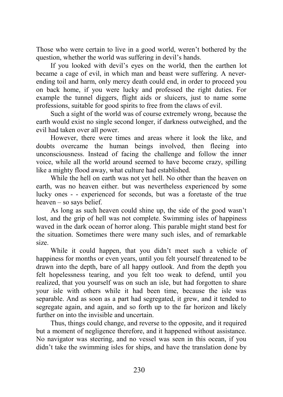Those who were certain to live in a good world, weren't bothered by the question, whether the world was suffering in devil's hands.

If you looked with devil's eyes on the world, then the earthen lot became a cage of evil, in which man and beast were suffering. A neverending toil and harm, only mercy death could end, in order to proceed you on back home, if you were lucky and professed the right duties. For example the tunnel diggers, flight aids or sluicers, just to name some professions, suitable for good spirits to free from the claws of evil.

Such a sight of the world was of course extremely wrong, because the earth would exist no single second longer, if darkness outweighed, and the evil had taken over all power.

However, there were times and areas where it look the like, and doubts overcame the human beings involved, then fleeing into unconsciousness. Instead of facing the challenge and follow the inner voice, while all the world around seemed to have become crazy, spilling like a mighty flood away, what culture had established.

While the hell on earth was not yet hell. No other than the heaven on earth, was no heaven either. but was nevertheless experienced by some lucky ones - - experienced for seconds, but was a foretaste of the true heaven – so says belief.

As long as such heaven could shine up, the side of the good wasn't lost, and the grip of hell was not complete. Swimming isles of happiness waved in the dark ocean of horror along. This parable might stand best for the situation. Sometimes there were many such isles, and of remarkable size.

While it could happen, that you didn't meet such a vehicle of happiness for months or even years, until you felt yourself threatened to be drawn into the depth, bare of all happy outlook. And from the depth you felt hopelessness tearing, and you felt too weak to defend, until you realized, that you yourself was on such an isle, but had forgotten to share your isle with others while it had been time, because the isle was separable. And as soon as a part had segregated, it grew, and it tended to segregate again, and again, and so forth up to the far horizon and likely further on into the invisible and uncertain.

Thus, things could change, and reverse to the opposite, and it required but a moment of negligence therefore, and it happened without assistance. No navigator was steering, and no vessel was seen in this ocean, if you didn't take the swimming isles for ships, and have the translation done by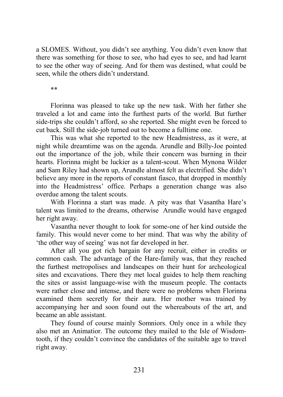a SLOMES. Without, you didn't see anything. You didn't even know that there was something for those to see, who had eyes to see, and had learnt to see the other way of seeing. And for them was destined, what could be seen, while the others didn't understand.

\*\*

Florinna was pleased to take up the new task. With her father she traveled a lot and came into the furthest parts of the world. But further side-trips she couldn't afford, so she reported. She might even be forced to cut back. Still the side-job turned out to become a fulltime one.

This was what she reported to the new Headmistress, as it were, at night while dreamtime was on the agenda. Arundle and Billy-Joe pointed out the importance of the job, while their concern was burning in their hearts. Florinna might be luckier as a talent-scout. When Mynona Wilder and Sam Riley had shown up, Arundle almost felt as electrified. She didn't believe any more in the reports of constant fiasco, that dropped in monthly into the Headmistress' office. Perhaps a generation change was also overdue among the talent scouts.

With Florinna a start was made. A pity was that Vasantha Hare's talent was limited to the dreams, otherwise Arundle would have engaged her right away.

Vasantha never thought to look for some-one of her kind outside the family. This would never come to her mind. That was why the ability of 'the other way of seeing' was not far developed in her.

After all you got rich bargain for any recruit, either in credits or common cash. The advantage of the Hare-family was, that they reached the furthest metropolises and landscapes on their hunt for archeological sites and excavations. There they met local guides to help them reaching the sites or assist language-wise with the museum people. The contacts were rather close and intense, and there were no problems when Florinna examined them secretly for their aura. Her mother was trained by accompanying her and soon found out the whereabouts of the art, and became an able assistant.

They found of course mainly Somniors. Only once in a while they also met an Animatior. The outcome they mailed to the Isle of Wisdomtooth, if they couldn't convince the candidates of the suitable age to travel right away.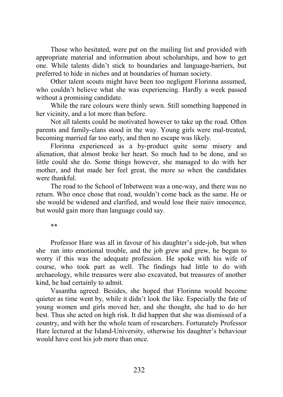Those who hesitated, were put on the mailing list and provided with appropriate material and information about scholarships, and how to get one. While talents didn't stick to boundaries and language-barriers, but preferred to hide in niches and at boundaries of human society.

Other talent scouts might have been too negligent Florinna assumed, who couldn't believe what she was experiencing. Hardly a week passed without a promising candidate.

While the rare colours were thinly sewn. Still something happened in her vicinity, and a lot more than before.

Not all talents could be motivated however to take up the road. Often parents and family-clans stood in the way. Young girls were mal-treated, becoming married far too early, and then no escape was likely.

Florinna experienced as a by-product quite some misery and alienation, that almost broke her heart. So much had to be done, and so little could she do. Some things however, she managed to do with her mother, and that made her feel great, the more so when the candidates were thankful.

The road to the School of Inbetween was a one-way, and there was no return. Who once chose that road, wouldn't come back as the same. He or she would be widened and clarified, and would lose their naiiv innocence, but would gain more than language could say.

\*\*

Professor Hare was all in favour of his daughter's side-job, but when she ran into emotional trouble, and the job grew and grew, he began to worry if this was the adequate profession. He spoke with his wife of course, who took part as well. The findings had little to do with archaeology, while treasures were also excavated, but treasures of another kind, he had certainly to admit.

Vasantha agreed. Besides, she hoped that Florinna would become quieter as time went by, while it didn't look the like. Especially the fate of young women and girls moved her, and she thought, she had to do her best. Thus she acted on high risk. It did happen that she was dismissed of a country, and with her the whole team of researchers. Fortunately Professor Hare lectured at the Island-University, otherwise his daughter's behaviour would have cost his job more than once.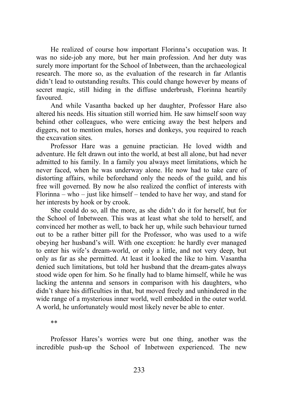He realized of course how important Florinna's occupation was. It was no side-job any more, but her main profession. And her duty was surely more important for the School of Inbetween, than the archaeological research. The more so, as the evaluation of the research in far Atlantis didn't lead to outstanding results. This could change however by means of secret magic, still hiding in the diffuse underbrush, Florinna heartily favoured.

And while Vasantha backed up her daughter, Professor Hare also altered his needs. His situation still worried him. He saw himself soon way behind other colleagues, who were enticing away the best helpers and diggers, not to mention mules, horses and donkeys, you required to reach the excavation sites.

Professor Hare was a genuine practician. He loved width and adventure. He felt drawn out into the world, at best all alone, but had never admitted to his family. In a family you always meet limitations, which he never faced, when he was underway alone. He now had to take care of distorting affairs, while beforehand only the needs of the guild, and his free will governed. By now he also realized the conflict of interests with Florinna – who – just like himself – tended to have her way, and stand for her interests by hook or by crook.

She could do so, all the more, as she didn't do it for herself, but for the School of Inbetween. This was at least what she told to herself, and convinced her mother as well, to back her up, while such behaviour turned out to be a rather bitter pill for the Professor, who was used to a wife obeying her husband's will. With one exception: he hardly ever managed to enter his wife's dream-world, or only a little, and not very deep, but only as far as she permitted. At least it looked the like to him. Vasantha denied such limitations, but told her husband that the dream-gates always stood wide open for him. So he finally had to blame himself, while he was lacking the antenna and sensors in comparison with his daughters, who didn't share his difficulties in that, but moved freely and unhindered in the wide range of a mysterious inner world, well embedded in the outer world. A world, he unfortunately would most likely never be able to enter.

\*\*

Professor Hares's worries were but one thing, another was the incredible push-up the School of Inbetween experienced. The new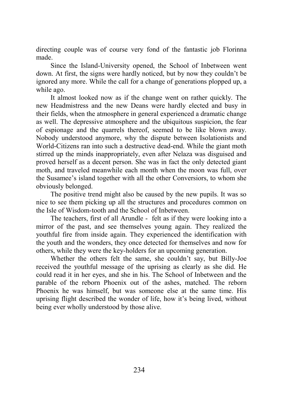directing couple was of course very fond of the fantastic job Florinna made.

Since the Island-University opened, the School of Inbetween went down. At first, the signs were hardly noticed, but by now they couldn't be ignored any more. While the call for a change of generations plopped up, a while ago.

It almost looked now as if the change went on rather quickly. The new Headmistress and the new Deans were hardly elected and busy in their fields, when the atmosphere in general experienced a dramatic change as well. The depressive atmosphere and the ubiquitous suspicion, the fear of espionage and the quarrels thereof, seemed to be like blown away. Nobody understood anymore, why the dispute between Isolationists and World-Citizens ran into such a destructive dead-end. While the giant moth stirred up the minds inappropriately, even after Nelaza was disguised and proved herself as a decent person. She was in fact the only detected giant moth, and traveled meanwhile each month when the moon was full, over the Susamee's island together with all the other Conversiors, to whom she obviously belonged.

The positive trend might also be caused by the new pupils. It was so nice to see them picking up all the structures and procedures common on the Isle of Wisdom-tooth and the School of Inbetween.

The teachers, first of all Arundle - felt as if they were looking into a mirror of the past, and see themselves young again. They realized the youthful fire from inside again. They experienced the identification with the youth and the wonders, they once detected for themselves and now for others, while they were the key-holders for an upcoming generation.

Whether the others felt the same, she couldn't say, but Billy-Joe received the youthful message of the uprising as clearly as she did. He could read it in her eyes, and she in his. The School of Inbetween and the parable of the reborn Phoenix out of the ashes, matched. The reborn Phoenix he was himself, but was someone else at the same time. His uprising flight described the wonder of life, how it's being lived, without being ever wholly understood by those alive.